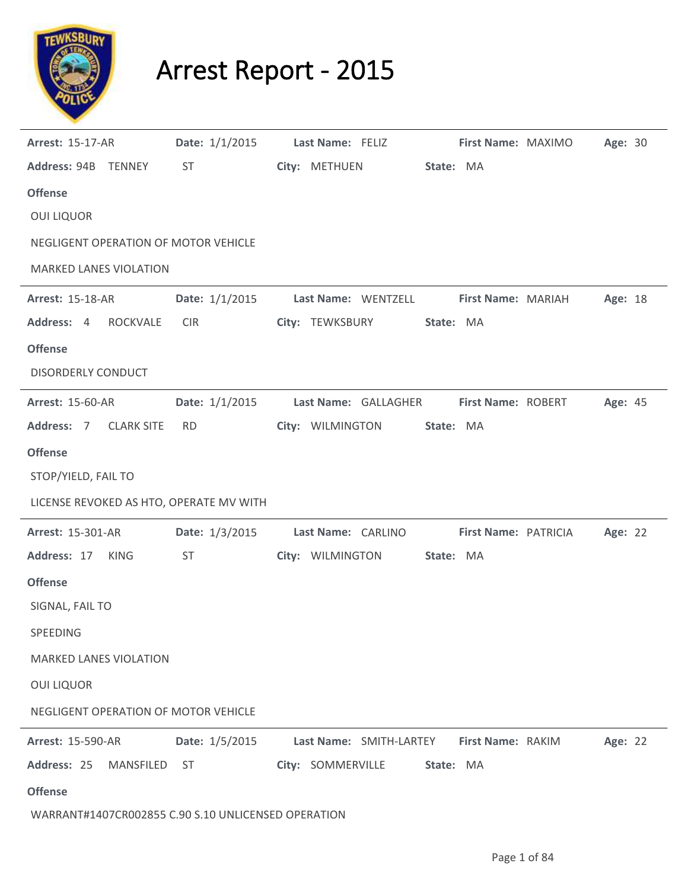

## Arrest Report - 2015

| <b>Arrest: 15-17-AR</b>                             | Date: 1/1/2015   | Last Name: FELIZ        | First Name: MAXIMO        | Age: 30 |
|-----------------------------------------------------|------------------|-------------------------|---------------------------|---------|
| Address: 94B TENNEY                                 | <b>ST</b>        | City: METHUEN           | State: MA                 |         |
| <b>Offense</b>                                      |                  |                         |                           |         |
| <b>OUI LIQUOR</b>                                   |                  |                         |                           |         |
| NEGLIGENT OPERATION OF MOTOR VEHICLE                |                  |                         |                           |         |
| <b>MARKED LANES VIOLATION</b>                       |                  |                         |                           |         |
| <b>Arrest: 15-18-AR</b>                             | Date: $1/1/2015$ | Last Name: WENTZELL     | First Name: MARIAH        | Age: 18 |
| Address: 4<br>ROCKVALE                              | <b>CIR</b>       | City: TEWKSBURY         | State: MA                 |         |
| <b>Offense</b>                                      |                  |                         |                           |         |
| <b>DISORDERLY CONDUCT</b>                           |                  |                         |                           |         |
| <b>Arrest: 15-60-AR</b>                             | Date: $1/1/2015$ | Last Name: GALLAGHER    | <b>First Name: ROBERT</b> | Age: 45 |
| Address: 7<br><b>CLARK SITE</b>                     | <b>RD</b>        | City: WILMINGTON        | State: MA                 |         |
| <b>Offense</b>                                      |                  |                         |                           |         |
| STOP/YIELD, FAIL TO                                 |                  |                         |                           |         |
| LICENSE REVOKED AS HTO, OPERATE MV WITH             |                  |                         |                           |         |
| <b>Arrest: 15-301-AR</b>                            | Date: 1/3/2015   | Last Name: CARLINO      | First Name: PATRICIA      | Age: 22 |
| Address: 17<br><b>KING</b>                          | ST               | City: WILMINGTON        | State: MA                 |         |
| <b>Offense</b>                                      |                  |                         |                           |         |
| SIGNAL, FAIL TO                                     |                  |                         |                           |         |
| SPEEDING                                            |                  |                         |                           |         |
| <b>MARKED LANES VIOLATION</b>                       |                  |                         |                           |         |
| <b>OUI LIQUOR</b>                                   |                  |                         |                           |         |
| NEGLIGENT OPERATION OF MOTOR VEHICLE                |                  |                         |                           |         |
| <b>Arrest: 15-590-AR</b>                            | Date: 1/5/2015   | Last Name: SMITH-LARTEY | First Name: RAKIM         | Age: 22 |
| Address: 25<br>MANSFILED                            | ST               | City: SOMMERVILLE       | State: MA                 |         |
| <b>Offense</b>                                      |                  |                         |                           |         |
| WARRANT#1407CR002855 C.90 S.10 UNLICENSED OPERATION |                  |                         |                           |         |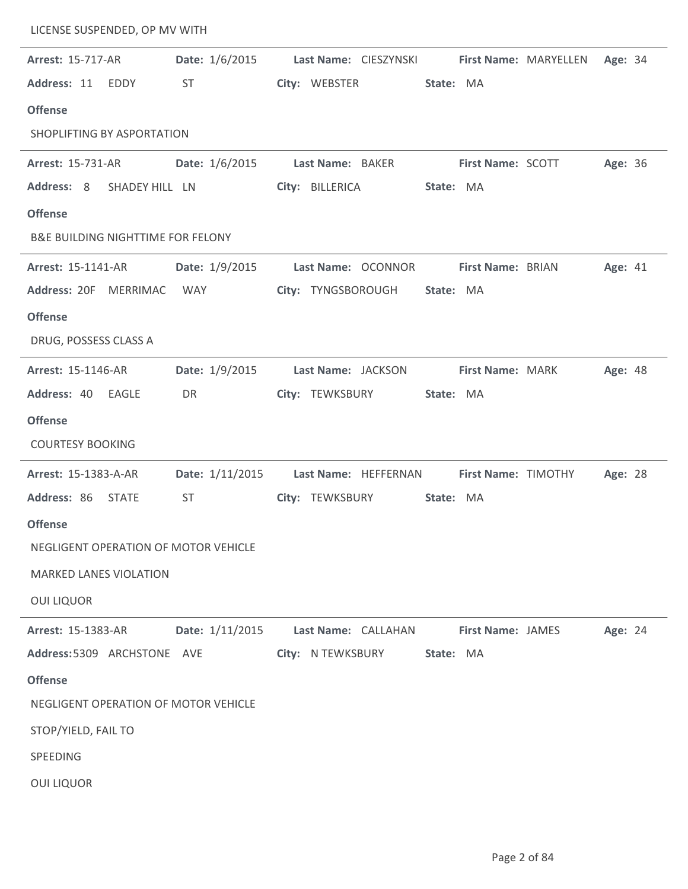| LICENSE SUSPENDED, OP MV WITH                |                 |                                          |           |                          |                              |                |  |
|----------------------------------------------|-----------------|------------------------------------------|-----------|--------------------------|------------------------------|----------------|--|
| <b>Arrest: 15-717-AR</b>                     | Date: 1/6/2015  | Last Name: CIESZYNSKI                    |           |                          | <b>First Name: MARYELLEN</b> | Age: 34        |  |
| Address: 11 EDDY                             | <b>ST</b>       | City: WEBSTER                            | State: MA |                          |                              |                |  |
| <b>Offense</b>                               |                 |                                          |           |                          |                              |                |  |
| SHOPLIFTING BY ASPORTATION                   |                 |                                          |           |                          |                              |                |  |
| <b>Arrest: 15-731-AR</b>                     | Date: 1/6/2015  | Last Name: BAKER                         |           | <b>First Name: SCOTT</b> |                              | Age: 36        |  |
| Address: 8<br>SHADEY HILL LN                 |                 | City: BILLERICA                          | State: MA |                          |                              |                |  |
| <b>Offense</b>                               |                 |                                          |           |                          |                              |                |  |
| <b>B&amp;E BUILDING NIGHTTIME FOR FELONY</b> |                 |                                          |           |                          |                              |                |  |
| <b>Arrest: 15-1141-AR</b>                    | Date: 1/9/2015  | Last Name: OCONNOR                       |           | First Name: BRIAN        |                              | Age: 41        |  |
| Address: 20F MERRIMAC                        | WAY             | City: TYNGSBOROUGH                       | State: MA |                          |                              |                |  |
| <b>Offense</b>                               |                 |                                          |           |                          |                              |                |  |
| DRUG, POSSESS CLASS A                        |                 |                                          |           |                          |                              |                |  |
| Arrest: 15-1146-AR                           | Date: 1/9/2015  | Last Name: JACKSON                       |           | First Name: MARK         |                              | <b>Age: 48</b> |  |
| Address: 40 EAGLE                            | DR              | City: TEWKSBURY                          | State: MA |                          |                              |                |  |
| <b>Offense</b>                               |                 |                                          |           |                          |                              |                |  |
| <b>COURTESY BOOKING</b>                      |                 |                                          |           |                          |                              |                |  |
| Arrest: 15-1383-A-AR                         | Date: 1/11/2015 | Last Name: HEFFERNAN First Name: TIMOTHY |           |                          |                              | Age: 28        |  |
| Address: 86<br><b>STATE</b>                  | <b>ST</b>       | City: TEWKSBURY                          | State: MA |                          |                              |                |  |
| <b>Offense</b>                               |                 |                                          |           |                          |                              |                |  |
| NEGLIGENT OPERATION OF MOTOR VEHICLE         |                 |                                          |           |                          |                              |                |  |
| <b>MARKED LANES VIOLATION</b>                |                 |                                          |           |                          |                              |                |  |
| <b>OUI LIQUOR</b>                            |                 |                                          |           |                          |                              |                |  |
| <b>Arrest: 15-1383-AR</b>                    | Date: 1/11/2015 | Last Name: CALLAHAN                      |           | <b>First Name: JAMES</b> |                              | Age: 24        |  |
| Address: 5309 ARCHSTONE AVE                  |                 | City: N TEWKSBURY                        | State: MA |                          |                              |                |  |
| <b>Offense</b>                               |                 |                                          |           |                          |                              |                |  |
| NEGLIGENT OPERATION OF MOTOR VEHICLE         |                 |                                          |           |                          |                              |                |  |
| STOP/YIELD, FAIL TO                          |                 |                                          |           |                          |                              |                |  |
| SPEEDING                                     |                 |                                          |           |                          |                              |                |  |
| <b>OUI LIQUOR</b>                            |                 |                                          |           |                          |                              |                |  |
|                                              |                 |                                          |           |                          |                              |                |  |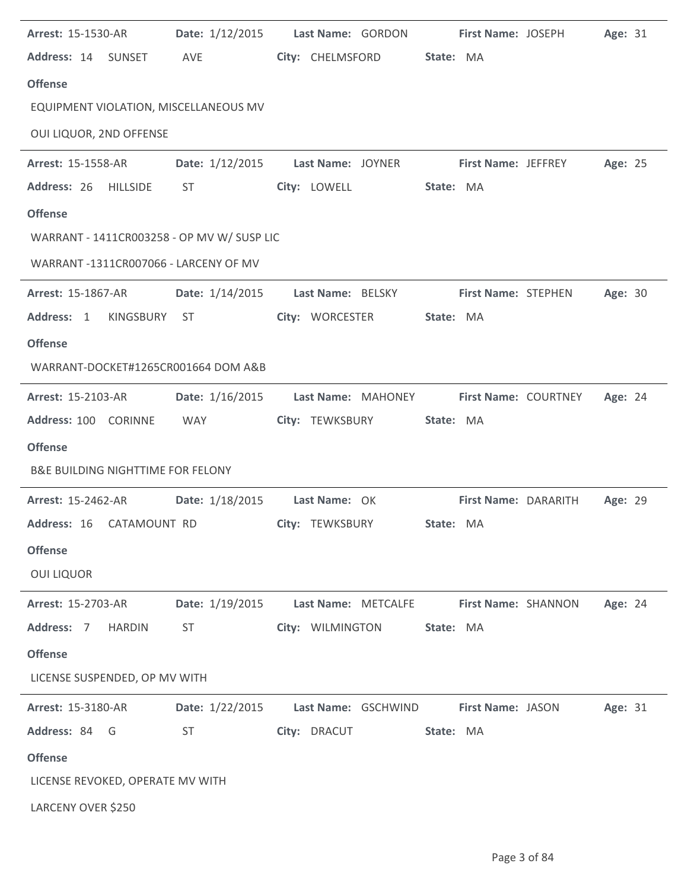| <b>Arrest: 15-1530-AR</b>                    | Date: 1/12/2015        | Last Name: GORDON   | First Name: JOSEPH          | Age: 31 |
|----------------------------------------------|------------------------|---------------------|-----------------------------|---------|
| Address: 14 SUNSET                           | AVE                    | City: CHELMSFORD    | State: MA                   |         |
| <b>Offense</b>                               |                        |                     |                             |         |
| EQUIPMENT VIOLATION, MISCELLANEOUS MV        |                        |                     |                             |         |
| OUI LIQUOR, 2ND OFFENSE                      |                        |                     |                             |         |
| <b>Arrest: 15-1558-AR</b>                    | Date: 1/12/2015        | Last Name: JOYNER   | <b>First Name: JEFFREY</b>  | Age: 25 |
| Address: 26 HILLSIDE                         | ST                     | City: LOWELL        | State: MA                   |         |
| <b>Offense</b>                               |                        |                     |                             |         |
| WARRANT - 1411CR003258 - OP MV W/ SUSP LIC   |                        |                     |                             |         |
| WARRANT-1311CR007066 - LARCENY OF MV         |                        |                     |                             |         |
| Arrest: 15-1867-AR                           | <b>Date:</b> 1/14/2015 | Last Name: BELSKY   | <b>First Name: STEPHEN</b>  | Age: 30 |
| Address: 1<br>KINGSBURY                      | ST                     | City: WORCESTER     | State: MA                   |         |
| <b>Offense</b>                               |                        |                     |                             |         |
| WARRANT-DOCKET#1265CR001664 DOM A&B          |                        |                     |                             |         |
| <b>Arrest: 15-2103-AR</b>                    | Date: 1/16/2015        | Last Name: MAHONEY  | <b>First Name: COURTNEY</b> | Age: 24 |
| Address: 100 CORINNE                         | WAY                    | City: TEWKSBURY     | State: MA                   |         |
| <b>Offense</b>                               |                        |                     |                             |         |
| <b>B&amp;E BUILDING NIGHTTIME FOR FELONY</b> |                        |                     |                             |         |
| <b>Arrest: 15-2462-AR</b>                    | Date: 1/18/2015        | Last Name: OK       | First Name: DARARITH        | Age: 29 |
| Address: 16 CATAMOUNT RD                     |                        | City: TEWKSBURY     | State: MA                   |         |
| <b>Offense</b>                               |                        |                     |                             |         |
| <b>OUI LIQUOR</b>                            |                        |                     |                             |         |
| Arrest: 15-2703-AR                           | Date: 1/19/2015        | Last Name: METCALFE | First Name: SHANNON         | Age: 24 |
| Address: 7<br><b>HARDIN</b>                  | <b>ST</b>              | City: WILMINGTON    | State: MA                   |         |
| <b>Offense</b>                               |                        |                     |                             |         |
| LICENSE SUSPENDED, OP MV WITH                |                        |                     |                             |         |
| <b>Arrest: 15-3180-AR</b>                    | Date: 1/22/2015        | Last Name: GSCHWIND | <b>First Name: JASON</b>    | Age: 31 |
| Address: 84 G                                | <b>ST</b>              | City: DRACUT        | State: MA                   |         |
| <b>Offense</b>                               |                        |                     |                             |         |
| LICENSE REVOKED, OPERATE MV WITH             |                        |                     |                             |         |
| LARCENY OVER \$250                           |                        |                     |                             |         |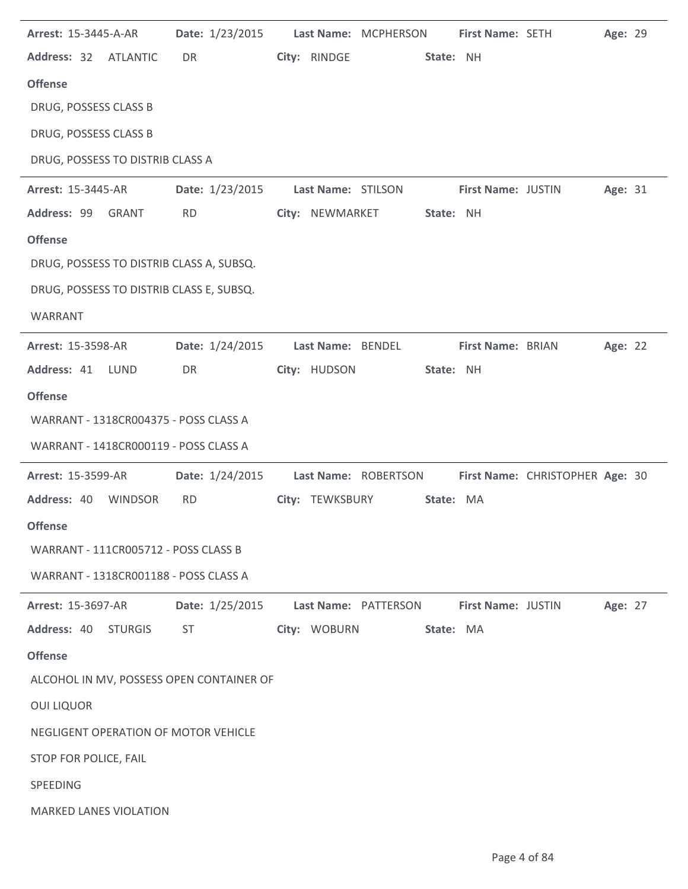|                                          | Arrest: 15-3445-A-AR | Date: 1/23/2015                          |                      | Last Name: MCPHERSON | First Name: SETH   |                                 | Age: 29 |  |
|------------------------------------------|----------------------|------------------------------------------|----------------------|----------------------|--------------------|---------------------------------|---------|--|
| Address: 32 ATLANTIC                     |                      | DR                                       | City: RINDGE         |                      | State: NH          |                                 |         |  |
| <b>Offense</b>                           |                      |                                          |                      |                      |                    |                                 |         |  |
| DRUG, POSSESS CLASS B                    |                      |                                          |                      |                      |                    |                                 |         |  |
| DRUG, POSSESS CLASS B                    |                      |                                          |                      |                      |                    |                                 |         |  |
| DRUG, POSSESS TO DISTRIB CLASS A         |                      |                                          |                      |                      |                    |                                 |         |  |
| <b>Arrest: 15-3445-AR</b>                |                      | Date: 1/23/2015                          | Last Name: STILSON   |                      | First Name: JUSTIN |                                 | Age: 31 |  |
| Address: 99 GRANT                        |                      | <b>RD</b>                                | City: NEWMARKET      |                      | State: NH          |                                 |         |  |
| <b>Offense</b>                           |                      |                                          |                      |                      |                    |                                 |         |  |
| DRUG, POSSESS TO DISTRIB CLASS A, SUBSQ. |                      |                                          |                      |                      |                    |                                 |         |  |
| DRUG, POSSESS TO DISTRIB CLASS E, SUBSQ. |                      |                                          |                      |                      |                    |                                 |         |  |
| WARRANT                                  |                      |                                          |                      |                      |                    |                                 |         |  |
| <b>Arrest: 15-3598-AR</b>                |                      | Date: 1/24/2015                          | Last Name: BENDEL    |                      | First Name: BRIAN  |                                 | Age: 22 |  |
| Address: 41 LUND                         |                      | DR                                       | City: HUDSON         |                      | State: NH          |                                 |         |  |
| <b>Offense</b>                           |                      |                                          |                      |                      |                    |                                 |         |  |
| WARRANT - 1318CR004375 - POSS CLASS A    |                      |                                          |                      |                      |                    |                                 |         |  |
| WARRANT - 1418CR000119 - POSS CLASS A    |                      |                                          |                      |                      |                    |                                 |         |  |
|                                          |                      |                                          |                      |                      |                    |                                 |         |  |
| Arrest: 15-3599-AR                       |                      | Date: 1/24/2015                          |                      | Last Name: ROBERTSON |                    | First Name: CHRISTOPHER Age: 30 |         |  |
| Address: 40                              | <b>WINDSOR</b>       | <b>RD</b>                                | City: TEWKSBURY      |                      | State: MA          |                                 |         |  |
| <b>Offense</b>                           |                      |                                          |                      |                      |                    |                                 |         |  |
| WARRANT - 111CR005712 - POSS CLASS B     |                      |                                          |                      |                      |                    |                                 |         |  |
| WARRANT - 1318CR001188 - POSS CLASS A    |                      |                                          |                      |                      |                    |                                 |         |  |
| <b>Arrest: 15-3697-AR</b>                |                      | Date: 1/25/2015                          | Last Name: PATTERSON |                      | First Name: JUSTIN |                                 | Age: 27 |  |
| Address: 40                              | <b>STURGIS</b>       | <b>ST</b>                                | City: WOBURN         |                      | State: MA          |                                 |         |  |
| <b>Offense</b>                           |                      |                                          |                      |                      |                    |                                 |         |  |
|                                          |                      | ALCOHOL IN MV, POSSESS OPEN CONTAINER OF |                      |                      |                    |                                 |         |  |
| <b>OUI LIQUOR</b>                        |                      |                                          |                      |                      |                    |                                 |         |  |
| NEGLIGENT OPERATION OF MOTOR VEHICLE     |                      |                                          |                      |                      |                    |                                 |         |  |
| STOP FOR POLICE, FAIL                    |                      |                                          |                      |                      |                    |                                 |         |  |
| SPEEDING                                 |                      |                                          |                      |                      |                    |                                 |         |  |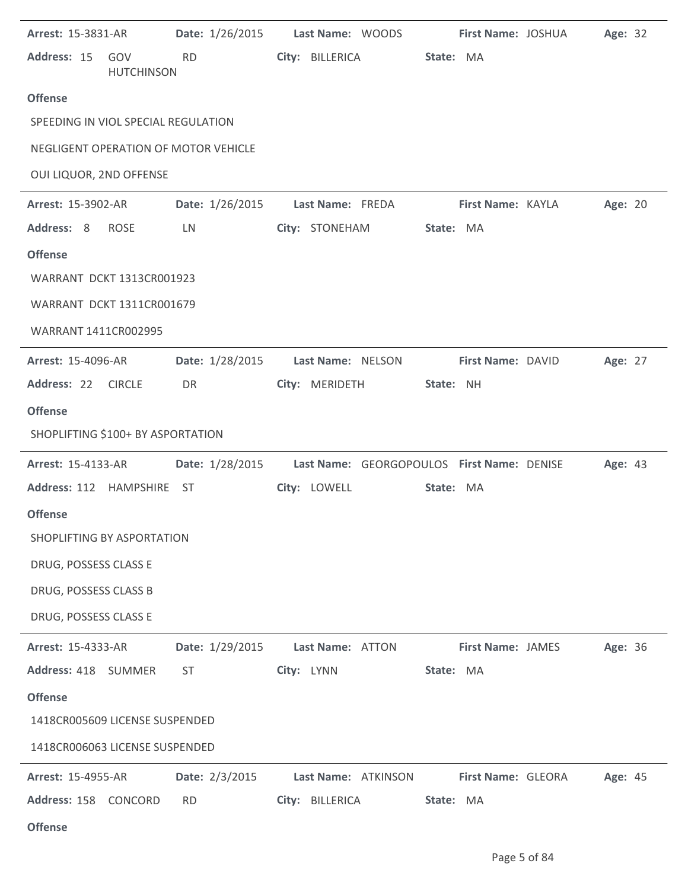|                                      | <b>Arrest: 15-3831-AR</b> |           | Date: 1/26/2015 |            |                  | Last Name: WOODS    |           | First Name: JOSHUA                         | Age: 32 |  |
|--------------------------------------|---------------------------|-----------|-----------------|------------|------------------|---------------------|-----------|--------------------------------------------|---------|--|
| Address: 15                          | GOV<br><b>HUTCHINSON</b>  | <b>RD</b> |                 |            | City: BILLERICA  |                     | State: MA |                                            |         |  |
| <b>Offense</b>                       |                           |           |                 |            |                  |                     |           |                                            |         |  |
| SPEEDING IN VIOL SPECIAL REGULATION  |                           |           |                 |            |                  |                     |           |                                            |         |  |
| NEGLIGENT OPERATION OF MOTOR VEHICLE |                           |           |                 |            |                  |                     |           |                                            |         |  |
| OUI LIQUOR, 2ND OFFENSE              |                           |           |                 |            |                  |                     |           |                                            |         |  |
| <b>Arrest: 15-3902-AR</b>            |                           |           | Date: 1/26/2015 |            | Last Name: FREDA |                     |           | First Name: KAYLA                          | Age: 20 |  |
| Address: 8                           | <b>ROSE</b>               | LN        |                 |            | City: STONEHAM   |                     | State: MA |                                            |         |  |
| <b>Offense</b>                       |                           |           |                 |            |                  |                     |           |                                            |         |  |
| WARRANT DCKT 1313CR001923            |                           |           |                 |            |                  |                     |           |                                            |         |  |
| WARRANT DCKT 1311CR001679            |                           |           |                 |            |                  |                     |           |                                            |         |  |
| WARRANT 1411CR002995                 |                           |           |                 |            |                  |                     |           |                                            |         |  |
| <b>Arrest: 15-4096-AR</b>            |                           |           | Date: 1/28/2015 |            |                  | Last Name: NELSON   |           | First Name: DAVID                          | Age: 27 |  |
| Address: 22 CIRCLE                   |                           | DR        |                 |            |                  | City: MERIDETH      | State: NH |                                            |         |  |
| <b>Offense</b>                       |                           |           |                 |            |                  |                     |           |                                            |         |  |
| SHOPLIFTING \$100+ BY ASPORTATION    |                           |           |                 |            |                  |                     |           |                                            |         |  |
| <b>Arrest: 15-4133-AR</b>            |                           |           | Date: 1/28/2015 |            |                  |                     |           | Last Name: GEORGOPOULOS First Name: DENISE | Age: 43 |  |
|                                      |                           |           |                 |            |                  |                     |           |                                            |         |  |
| Address: 112 HAMPSHIRE ST            |                           |           |                 |            | City: LOWELL     |                     | State: MA |                                            |         |  |
| <b>Offense</b>                       |                           |           |                 |            |                  |                     |           |                                            |         |  |
| SHOPLIFTING BY ASPORTATION           |                           |           |                 |            |                  |                     |           |                                            |         |  |
| DRUG, POSSESS CLASS E                |                           |           |                 |            |                  |                     |           |                                            |         |  |
| DRUG, POSSESS CLASS B                |                           |           |                 |            |                  |                     |           |                                            |         |  |
| DRUG, POSSESS CLASS E                |                           |           |                 |            |                  |                     |           |                                            |         |  |
| <b>Arrest: 15-4333-AR</b>            |                           |           | Date: 1/29/2015 |            | Last Name: ATTON |                     |           | First Name: JAMES                          | Age: 36 |  |
| Address: 418 SUMMER                  |                           | ST        |                 | City: LYNN |                  |                     | State: MA |                                            |         |  |
| <b>Offense</b>                       |                           |           |                 |            |                  |                     |           |                                            |         |  |
| 1418CR005609 LICENSE SUSPENDED       |                           |           |                 |            |                  |                     |           |                                            |         |  |
| 1418CR006063 LICENSE SUSPENDED       |                           |           |                 |            |                  |                     |           |                                            |         |  |
| <b>Arrest: 15-4955-AR</b>            |                           |           | Date: 2/3/2015  |            |                  | Last Name: ATKINSON |           | First Name: GLEORA                         | Age: 45 |  |

| ۰.<br>×<br>w<br>٧<br>×<br>۰,<br>٠ |  |
|-----------------------------------|--|
|-----------------------------------|--|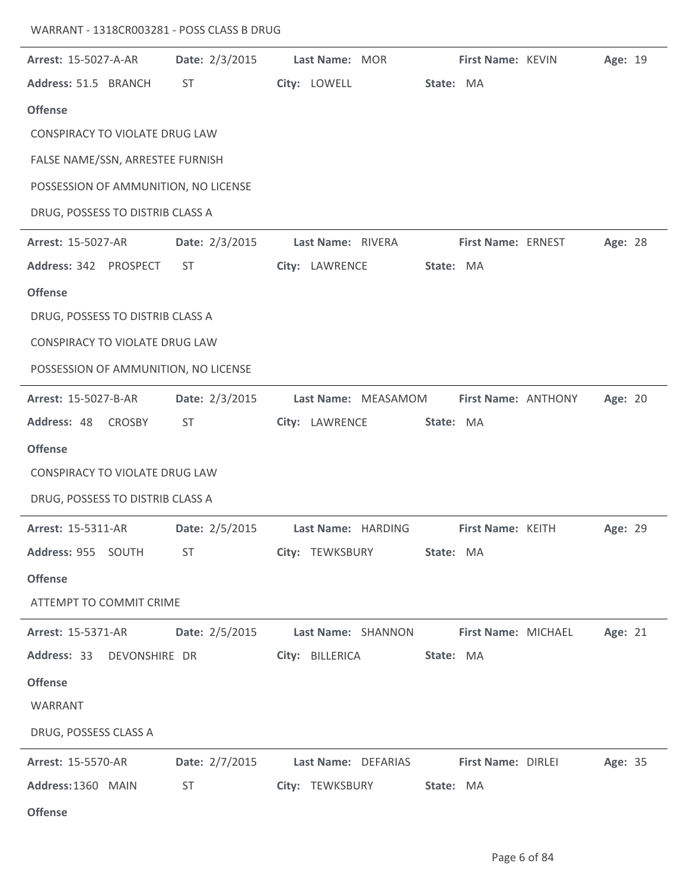| WARRANT - 1318CR003281 - POSS CLASS B DRUG |
|--------------------------------------------|
|--------------------------------------------|

| Arrest: 15-5027-A-AR                  | Date: 2/3/2015 | Last Name: MOR               | First Name: KEVIN<br>Age: 19         |
|---------------------------------------|----------------|------------------------------|--------------------------------------|
| Address: 51.5 BRANCH                  | <b>ST</b>      | City: LOWELL<br>State: MA    |                                      |
| <b>Offense</b>                        |                |                              |                                      |
| CONSPIRACY TO VIOLATE DRUG LAW        |                |                              |                                      |
| FALSE NAME/SSN, ARRESTEE FURNISH      |                |                              |                                      |
| POSSESSION OF AMMUNITION, NO LICENSE  |                |                              |                                      |
| DRUG, POSSESS TO DISTRIB CLASS A      |                |                              |                                      |
| <b>Arrest: 15-5027-AR</b>             | Date: 2/3/2015 | Last Name: RIVERA            | Age: 28<br><b>First Name: ERNEST</b> |
| Address: 342 PROSPECT                 | ST             | City: LAWRENCE<br>State: MA  |                                      |
| <b>Offense</b>                        |                |                              |                                      |
| DRUG, POSSESS TO DISTRIB CLASS A      |                |                              |                                      |
| <b>CONSPIRACY TO VIOLATE DRUG LAW</b> |                |                              |                                      |
| POSSESSION OF AMMUNITION, NO LICENSE  |                |                              |                                      |
| Arrest: 15-5027-B-AR                  | Date: 2/3/2015 | Last Name: MEASAMOM          | First Name: ANTHONY<br>Age: 20       |
| Address: 48<br><b>CROSBY</b>          | <b>ST</b>      | City: LAWRENCE<br>State: MA  |                                      |
| <b>Offense</b>                        |                |                              |                                      |
| <b>CONSPIRACY TO VIOLATE DRUG LAW</b> |                |                              |                                      |
| DRUG, POSSESS TO DISTRIB CLASS A      |                |                              |                                      |
|                                       |                |                              |                                      |
| Arrest: 15-5311-AR                    | Date: 2/5/2015 | Last Name: HARDING           | First Name: KEITH<br>Age: 29         |
| Address: 955 SOUTH                    | ST.            | City: TEWKSBURY<br>State: MA |                                      |
| <b>Offense</b>                        |                |                              |                                      |
| ATTEMPT TO COMMIT CRIME               |                |                              |                                      |
| <b>Arrest: 15-5371-AR</b>             | Date: 2/5/2015 | Last Name: SHANNON           | First Name: MICHAEL<br>Age: 21       |
| Address: 33 DEVONSHIRE DR             |                | City: BILLERICA<br>State: MA |                                      |
| <b>Offense</b>                        |                |                              |                                      |
| WARRANT                               |                |                              |                                      |
| DRUG, POSSESS CLASS A                 |                |                              |                                      |
| <b>Arrest: 15-5570-AR</b>             | Date: 2/7/2015 | Last Name: DEFARIAS          | <b>First Name: DIRLEI</b><br>Age: 35 |
| Address: 1360 MAIN                    | <b>ST</b>      | City: TEWKSBURY<br>State: MA |                                      |
| <b>Offense</b>                        |                |                              |                                      |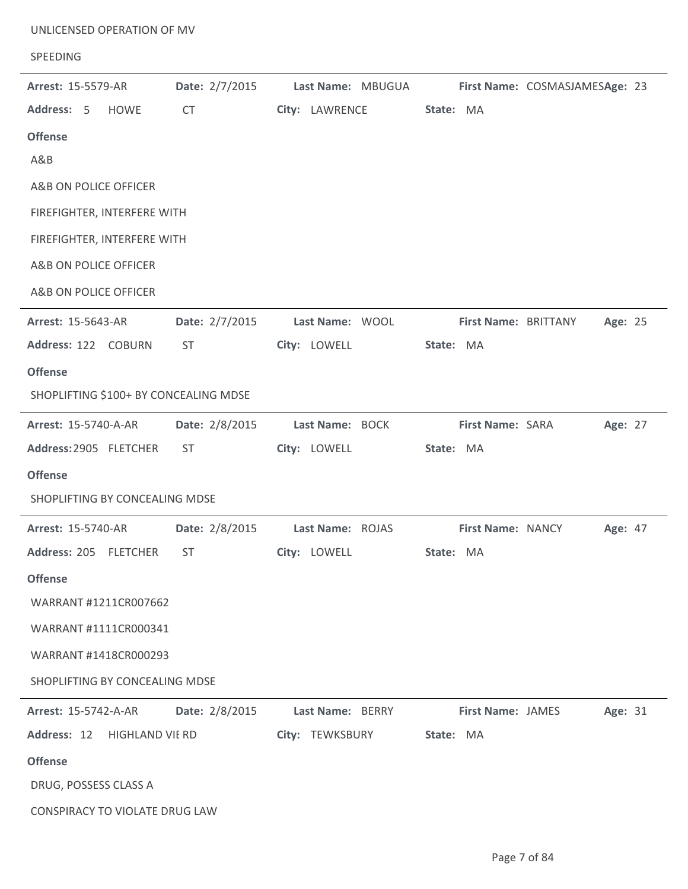| UNLICENSED OPERATION OF MV<br>SPEEDING |                |                                                          |                          |                                |
|----------------------------------------|----------------|----------------------------------------------------------|--------------------------|--------------------------------|
| <b>Arrest: 15-5579-AR</b>              | Date: 2/7/2015 | Last Name: MBUGUA                                        |                          | First Name: COSMASJAMESAge: 23 |
| Address: 5<br><b>HOWE</b>              | <b>CT</b>      | City: LAWRENCE                                           | State: MA                |                                |
| <b>Offense</b><br>A&B                  |                |                                                          |                          |                                |
| A&B ON POLICE OFFICER                  |                |                                                          |                          |                                |
| FIREFIGHTER, INTERFERE WITH            |                |                                                          |                          |                                |
| FIREFIGHTER, INTERFERE WITH            |                |                                                          |                          |                                |
| A&B ON POLICE OFFICER                  |                |                                                          |                          |                                |
| A&B ON POLICE OFFICER                  |                |                                                          |                          |                                |
| Arrest: 15-5643-AR                     | Date: 2/7/2015 | Last Name: WOOL                                          | First Name: BRITTANY     | Age: 25                        |
| Address: 122 COBURN                    | <b>ST</b>      | City: LOWELL                                             | State: MA                |                                |
| <b>Offense</b>                         |                |                                                          |                          |                                |
| SHOPLIFTING \$100+ BY CONCEALING MDSE  |                |                                                          |                          |                                |
| <b>Arrest: 15-5740-A-AR</b>            | Date: 2/8/2015 | Last Name: BOCK                                          | First Name: SARA         | Age: 27                        |
| Address: 2905 FLETCHER                 | ST.            | City: LOWELL                                             | State: MA                |                                |
| <b>Offense</b>                         |                |                                                          |                          |                                |
| SHOPLIFTING BY CONCEALING MDSE         |                |                                                          |                          |                                |
| <b>Arrest: 15-5740-AR</b>              | Date: 2/8/2015 | Last Name: ROJAS                                         | <b>First Name: NANCY</b> | <b>Age: 47</b>                 |
| Address: 205 FLETCHER ST               |                | City: LOWELL                                             | State: MA                |                                |
| <b>Offense</b>                         |                |                                                          |                          |                                |
| WARRANT #1211CR007662                  |                |                                                          |                          |                                |
| WARRANT #1111CR000341                  |                |                                                          |                          |                                |
| WARRANT #1418CR000293                  |                |                                                          |                          |                                |
| SHOPLIFTING BY CONCEALING MDSE         |                |                                                          |                          |                                |
|                                        |                | Arrest: 15-5742-A-AR   Date: 2/8/2015   Last Name: BERRY | <b>First Name: JAMES</b> | Age: 31                        |
| Address: 12 HIGHLAND VIE RD            |                | City: TEWKSBURY State: MA                                |                          |                                |
| <b>Offense</b>                         |                |                                                          |                          |                                |
| DRUG, POSSESS CLASS A                  |                |                                                          |                          |                                |
| CONSPIRACY TO VIOLATE DRUG LAW         |                |                                                          |                          |                                |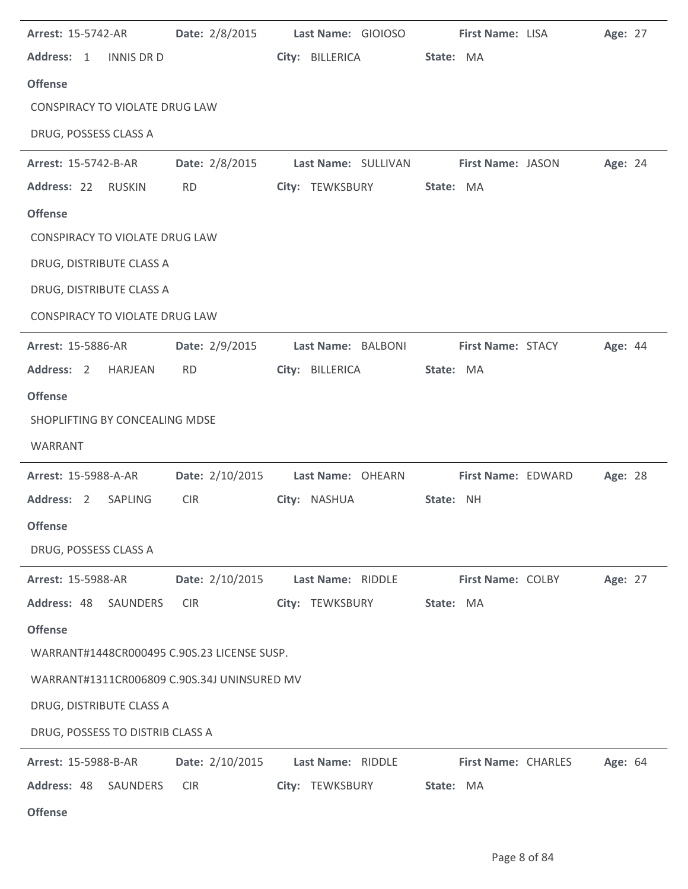| <b>Arrest: 15-5742-AR</b>                   |                 | Date: 2/8/2015 Last Name: GIOIOSO     | <b>First Name: LISA</b>    | Age: 27 |
|---------------------------------------------|-----------------|---------------------------------------|----------------------------|---------|
| Address: 1<br><b>INNIS DR D</b>             |                 | City: BILLERICA                       | State: MA                  |         |
| <b>Offense</b>                              |                 |                                       |                            |         |
| <b>CONSPIRACY TO VIOLATE DRUG LAW</b>       |                 |                                       |                            |         |
| DRUG, POSSESS CLASS A                       |                 |                                       |                            |         |
| Arrest: 15-5742-B-AR                        | Date: 2/8/2015  | Last Name: SULLIVAN First Name: JASON |                            | Age: 24 |
| Address: 22<br>RUSKIN                       | <b>RD</b>       | City: TEWKSBURY                       | State: MA                  |         |
| <b>Offense</b>                              |                 |                                       |                            |         |
| CONSPIRACY TO VIOLATE DRUG LAW              |                 |                                       |                            |         |
| DRUG, DISTRIBUTE CLASS A                    |                 |                                       |                            |         |
| DRUG, DISTRIBUTE CLASS A                    |                 |                                       |                            |         |
| <b>CONSPIRACY TO VIOLATE DRUG LAW</b>       |                 |                                       |                            |         |
| <b>Arrest: 15-5886-AR</b>                   | Date: 2/9/2015  | Last Name: BALBONI                    | <b>First Name: STACY</b>   | Age: 44 |
| Address: 2 HARJEAN                          | <b>RD</b>       | City: BILLERICA                       | State: MA                  |         |
| <b>Offense</b>                              |                 |                                       |                            |         |
| SHOPLIFTING BY CONCEALING MDSE              |                 |                                       |                            |         |
| WARRANT                                     |                 |                                       |                            |         |
| Arrest: 15-5988-A-AR                        |                 | Date: 2/10/2015 Last Name: OHEARN     | First Name: EDWARD         | Age: 28 |
| Address: 2<br>SAPLING                       | <b>CIR</b>      | City: NASHUA                          | State: NH                  |         |
| <b>Offense</b>                              |                 |                                       |                            |         |
| DRUG, POSSESS CLASS A                       |                 |                                       |                            |         |
| <b>Arrest: 15-5988-AR</b>                   | Date: 2/10/2015 | Last Name: RIDDLE                     | First Name: COLBY          | Age: 27 |
| Address: 48 SAUNDERS                        | <b>CIR</b>      | City: TEWKSBURY                       | State: MA                  |         |
| <b>Offense</b>                              |                 |                                       |                            |         |
| WARRANT#1448CR000495 C.90S.23 LICENSE SUSP. |                 |                                       |                            |         |
| WARRANT#1311CR006809 C.90S.34J UNINSURED MV |                 |                                       |                            |         |
| DRUG, DISTRIBUTE CLASS A                    |                 |                                       |                            |         |
| DRUG, POSSESS TO DISTRIB CLASS A            |                 |                                       |                            |         |
|                                             |                 |                                       |                            |         |
| Arrest: 15-5988-B-AR                        | Date: 2/10/2015 | Last Name: RIDDLE                     | <b>First Name: CHARLES</b> | Age: 64 |
| Address: 48<br>SAUNDERS                     | <b>CIR</b>      | City: TEWKSBURY                       | State: MA                  |         |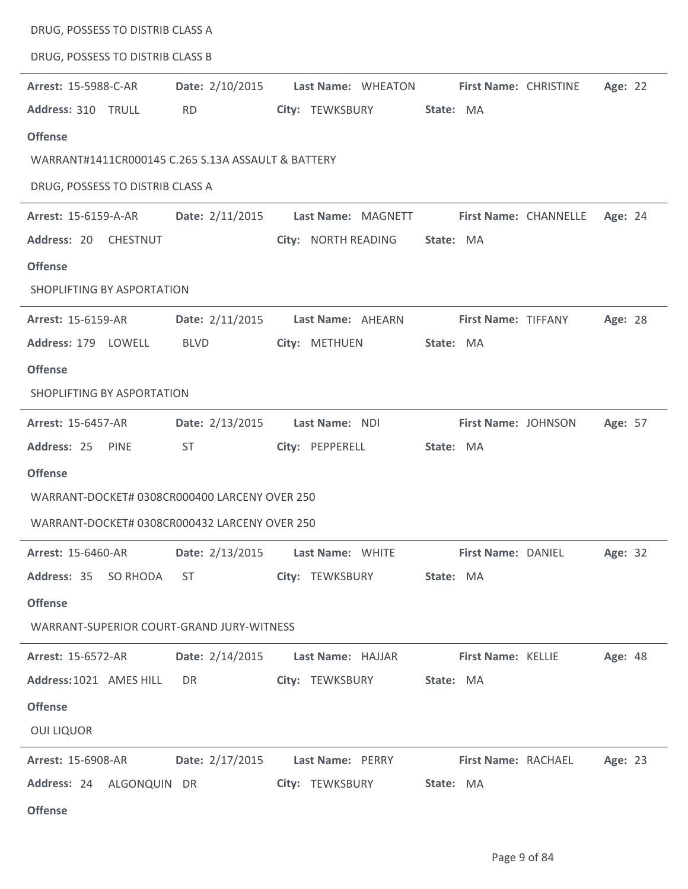| DRUG, POSSESS TO DISTRIB CLASS A                   |                                                                                                                                                                                                                                |                                   |                                                              |         |
|----------------------------------------------------|--------------------------------------------------------------------------------------------------------------------------------------------------------------------------------------------------------------------------------|-----------------------------------|--------------------------------------------------------------|---------|
| DRUG, POSSESS TO DISTRIB CLASS B                   |                                                                                                                                                                                                                                |                                   |                                                              |         |
| Arrest: 15-5988-C-AR                               | Date: 2/10/2015                                                                                                                                                                                                                | Last Name: WHEATON                | <b>First Name: CHRISTINE</b>                                 | Age: 22 |
| Address: 310 TRULL                                 | <b>RD</b>                                                                                                                                                                                                                      | City: TEWKSBURY                   | State: MA                                                    |         |
| <b>Offense</b>                                     |                                                                                                                                                                                                                                |                                   |                                                              |         |
| WARRANT#1411CR000145 C.265 S.13A ASSAULT & BATTERY |                                                                                                                                                                                                                                |                                   |                                                              |         |
| DRUG, POSSESS TO DISTRIB CLASS A                   |                                                                                                                                                                                                                                |                                   |                                                              |         |
| Arrest: 15-6159-A-AR                               | Date: 2/11/2015                                                                                                                                                                                                                | Last Name: MAGNETT                | <b>First Name: CHANNELLE</b>                                 | Age: 24 |
| Address: 20 CHESTNUT                               |                                                                                                                                                                                                                                | City: NORTH READING               | State: MA                                                    |         |
| <b>Offense</b>                                     |                                                                                                                                                                                                                                |                                   |                                                              |         |
| SHOPLIFTING BY ASPORTATION                         |                                                                                                                                                                                                                                |                                   |                                                              |         |
| <b>Arrest: 15-6159-AR</b>                          | Date: 2/11/2015                                                                                                                                                                                                                | Last Name: AHEARN                 | First Name: TIFFANY                                          | Age: 28 |
| Address: 179 LOWELL                                | <b>BLVD</b>                                                                                                                                                                                                                    | City: METHUEN                     | State: MA                                                    |         |
| <b>Offense</b>                                     |                                                                                                                                                                                                                                |                                   |                                                              |         |
| SHOPLIFTING BY ASPORTATION                         |                                                                                                                                                                                                                                |                                   |                                                              |         |
| <b>Arrest: 15-6457-AR</b>                          | Date: 2/13/2015                                                                                                                                                                                                                | Last Name: NDI                    | First Name: JOHNSON                                          | Age: 57 |
| Address: 25<br>PINE                                | <b>ST</b>                                                                                                                                                                                                                      | City: PEPPERELL                   | State: MA                                                    |         |
| <b>Offense</b>                                     |                                                                                                                                                                                                                                |                                   |                                                              |         |
| WARRANT-DOCKET# 0308CR000400 LARCENY OVER 250      |                                                                                                                                                                                                                                |                                   |                                                              |         |
| WARRANT-DOCKET# 0308CR000432 LARCENY OVER 250      |                                                                                                                                                                                                                                |                                   |                                                              |         |
| <b>Arrest: 15-6460-AR</b>                          |                                                                                                                                                                                                                                | Date: 2/13/2015 Last Name: WHITE  | <b>First Name: DANIEL</b>                                    | Age: 32 |
| Address: 35 SO RHODA                               | ST and the state of the state of the state of the state of the state of the state of the state of the state of the state of the state of the state of the state of the state of the state of the state of the state of the sta | City: TEWKSBURY                   | State: MA                                                    |         |
| <b>Offense</b>                                     |                                                                                                                                                                                                                                |                                   |                                                              |         |
| WARRANT-SUPERIOR COURT-GRAND JURY-WITNESS          |                                                                                                                                                                                                                                |                                   |                                                              |         |
| <b>Arrest: 15-6572-AR</b>                          |                                                                                                                                                                                                                                | Date: 2/14/2015 Last Name: HAJJAR | <b>First Name: KELLIE</b>                                    | Age: 48 |
| Address: 1021 AMES HILL                            | DR <sub>2</sub>                                                                                                                                                                                                                | City: TEWKSBURY                   | State: MA                                                    |         |
| <b>Offense</b>                                     |                                                                                                                                                                                                                                |                                   |                                                              |         |
| <b>OUI LIQUOR</b>                                  |                                                                                                                                                                                                                                |                                   |                                                              |         |
| <b>Arrest: 15-6908-AR</b>                          |                                                                                                                                                                                                                                |                                   | Date: 2/17/2015 Last Name: PERRY First Name: RACHAEL Age: 23 |         |
| Address: 24 ALGONQUIN DR                           |                                                                                                                                                                                                                                | City: TEWKSBURY                   | State: MA                                                    |         |
| <b>Offense</b>                                     |                                                                                                                                                                                                                                |                                   |                                                              |         |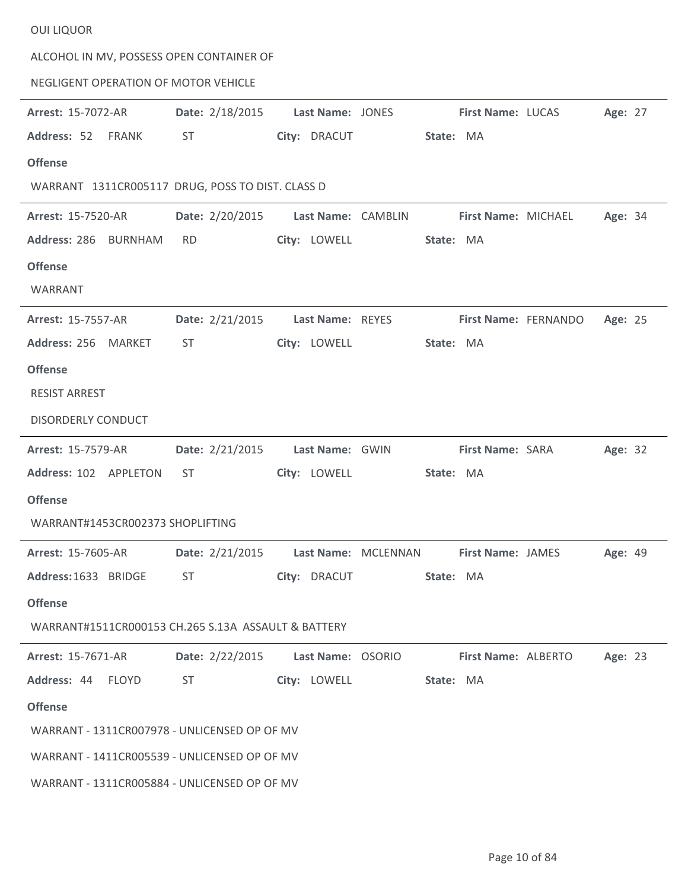| ALCOHOL IN MV, POSSESS OPEN CONTAINER OF            |                                                                                                                                                                                                                                |                  |           |                          |                            |         |
|-----------------------------------------------------|--------------------------------------------------------------------------------------------------------------------------------------------------------------------------------------------------------------------------------|------------------|-----------|--------------------------|----------------------------|---------|
| NEGLIGENT OPERATION OF MOTOR VEHICLE                |                                                                                                                                                                                                                                |                  |           |                          |                            |         |
| <b>Arrest: 15-7072-AR</b>                           | Date: 2/18/2015                                                                                                                                                                                                                | Last Name: JONES |           | First Name: LUCAS        |                            | Age: 27 |
| Address: 52<br>FRANK                                | <b>ST</b>                                                                                                                                                                                                                      | City: DRACUT     | State: MA |                          |                            |         |
| <b>Offense</b>                                      |                                                                                                                                                                                                                                |                  |           |                          |                            |         |
| WARRANT 1311CR005117 DRUG, POSS TO DIST. CLASS D    |                                                                                                                                                                                                                                |                  |           |                          |                            |         |
| <b>Arrest: 15-7520-AR</b>                           | Date: 2/20/2015 Last Name: CAMBLIN                                                                                                                                                                                             |                  |           | First Name: MICHAEL      |                            | Age: 34 |
| Address: 286 BURNHAM                                | <b>RD</b>                                                                                                                                                                                                                      | City: LOWELL     | State: MA |                          |                            |         |
| <b>Offense</b>                                      |                                                                                                                                                                                                                                |                  |           |                          |                            |         |
| WARRANT                                             |                                                                                                                                                                                                                                |                  |           |                          |                            |         |
| <b>Arrest: 15-7557-AR</b>                           | Date: 2/21/2015                                                                                                                                                                                                                | Last Name: REYES |           | First Name: FERNANDO     |                            | Age: 25 |
| Address: 256 MARKET                                 | <b>ST</b>                                                                                                                                                                                                                      | City: LOWELL     | State: MA |                          |                            |         |
| <b>Offense</b>                                      |                                                                                                                                                                                                                                |                  |           |                          |                            |         |
| <b>RESIST ARREST</b>                                |                                                                                                                                                                                                                                |                  |           |                          |                            |         |
| <b>DISORDERLY CONDUCT</b>                           |                                                                                                                                                                                                                                |                  |           |                          |                            |         |
| <b>Arrest: 15-7579-AR</b>                           | Date: 2/21/2015                                                                                                                                                                                                                | Last Name: GWIN  |           | <b>First Name: SARA</b>  |                            | Age: 32 |
| Address: 102 APPLETON                               | <b>ST</b>                                                                                                                                                                                                                      | City: LOWELL     | State: MA |                          |                            |         |
| <b>Offense</b>                                      |                                                                                                                                                                                                                                |                  |           |                          |                            |         |
| WARRANT#1453CR002373 SHOPLIFTING                    |                                                                                                                                                                                                                                |                  |           |                          |                            |         |
| <b>Arrest: 15-7605-AR</b>                           | Date: 2/21/2015 Last Name: MCLENNAN                                                                                                                                                                                            |                  |           | <b>First Name: JAMES</b> |                            | Age: 49 |
| Address: 1633 BRIDGE                                | ST and the state of the state of the state of the state of the state of the state of the state of the state of the state of the state of the state of the state of the state of the state of the state of the state of the sta | City: DRACUT     | State: MA |                          |                            |         |
| <b>Offense</b>                                      |                                                                                                                                                                                                                                |                  |           |                          |                            |         |
| WARRANT#1511CR000153 CH.265 S.13A ASSAULT & BATTERY |                                                                                                                                                                                                                                |                  |           |                          |                            |         |
| <b>Arrest: 15-7671-AR</b>                           | Date: 2/22/2015 Last Name: OSORIO                                                                                                                                                                                              |                  |           |                          | <b>First Name: ALBERTO</b> | Age: 23 |
| Address: 44 FLOYD                                   | ST                                                                                                                                                                                                                             | City: LOWELL     | State: MA |                          |                            |         |
| <b>Offense</b>                                      |                                                                                                                                                                                                                                |                  |           |                          |                            |         |
| WARRANT - 1311CR007978 - UNLICENSED OP OF MV        |                                                                                                                                                                                                                                |                  |           |                          |                            |         |
| WARRANT - 1411CR005539 - UNLICENSED OP OF MV        |                                                                                                                                                                                                                                |                  |           |                          |                            |         |
| WARRANT - 1311CR005884 - UNLICENSED OP OF MV        |                                                                                                                                                                                                                                |                  |           |                          |                            |         |

OUI LIQUOR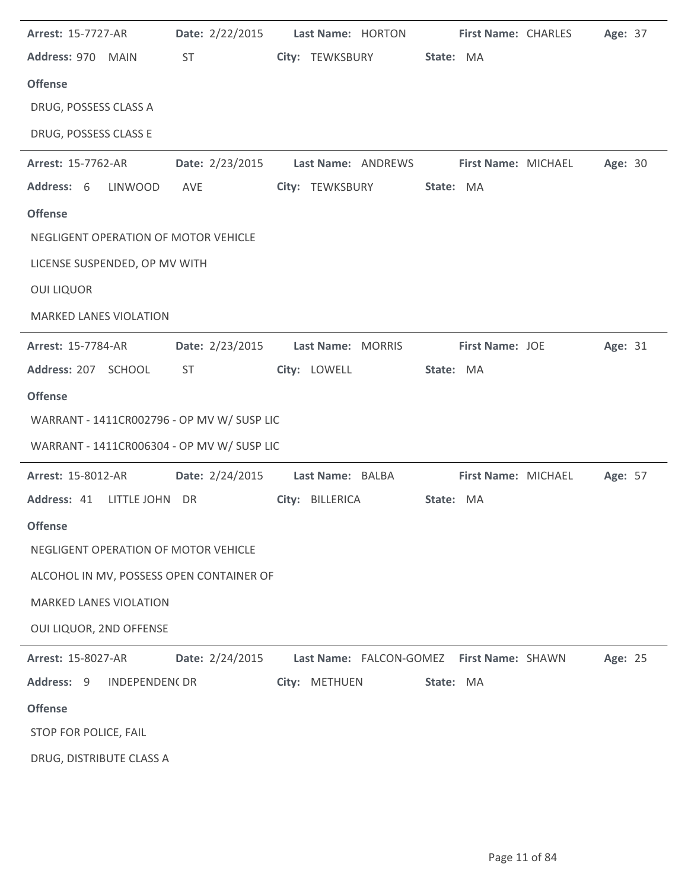| <b>Arrest: 15-7727-AR</b>                  | Date: 2/22/2015 | Last Name: HORTON                         | First Name: CHARLES        | Age: 37 |
|--------------------------------------------|-----------------|-------------------------------------------|----------------------------|---------|
| Address: 970 MAIN                          | ST              | City: TEWKSBURY                           | State: MA                  |         |
| <b>Offense</b>                             |                 |                                           |                            |         |
| DRUG, POSSESS CLASS A                      |                 |                                           |                            |         |
| DRUG, POSSESS CLASS E                      |                 |                                           |                            |         |
| <b>Arrest: 15-7762-AR</b>                  | Date: 2/23/2015 | Last Name: ANDREWS                        | First Name: MICHAEL        | Age: 30 |
| Address: 6<br><b>LINWOOD</b>               | AVE             | City: TEWKSBURY                           | State: MA                  |         |
| <b>Offense</b>                             |                 |                                           |                            |         |
| NEGLIGENT OPERATION OF MOTOR VEHICLE       |                 |                                           |                            |         |
| LICENSE SUSPENDED, OP MV WITH              |                 |                                           |                            |         |
| <b>OUI LIQUOR</b>                          |                 |                                           |                            |         |
| <b>MARKED LANES VIOLATION</b>              |                 |                                           |                            |         |
| <b>Arrest: 15-7784-AR</b>                  | Date: 2/23/2015 | Last Name: MORRIS                         | First Name: JOE            | Age: 31 |
| Address: 207 SCHOOL                        | ST.             | City: LOWELL                              | State: MA                  |         |
| <b>Offense</b>                             |                 |                                           |                            |         |
| WARRANT - 1411CR002796 - OP MV W/ SUSP LIC |                 |                                           |                            |         |
| WARRANT - 1411CR006304 - OP MV W/ SUSP LIC |                 |                                           |                            |         |
| <b>Arrest: 15-8012-AR</b>                  | Date: 2/24/2015 | Last Name: BALBA                          | <b>First Name: MICHAEL</b> | Age: 57 |
| Address: 41 LITTLE JOHN DR                 |                 | City: BILLERICA                           | State: MA                  |         |
| <b>Offense</b>                             |                 |                                           |                            |         |
| NEGLIGENT OPERATION OF MOTOR VEHICLE       |                 |                                           |                            |         |
| ALCOHOL IN MV, POSSESS OPEN CONTAINER OF   |                 |                                           |                            |         |
| <b>MARKED LANES VIOLATION</b>              |                 |                                           |                            |         |
| OUI LIQUOR, 2ND OFFENSE                    |                 |                                           |                            |         |
| <b>Arrest: 15-8027-AR</b>                  | Date: 2/24/2015 | Last Name: FALCON-GOMEZ First Name: SHAWN |                            | Age: 25 |
| Address: 9<br><b>INDEPENDEN(DR</b>         |                 | City: METHUEN                             | State: MA                  |         |
| <b>Offense</b>                             |                 |                                           |                            |         |
| STOP FOR POLICE, FAIL                      |                 |                                           |                            |         |
| DRUG, DISTRIBUTE CLASS A                   |                 |                                           |                            |         |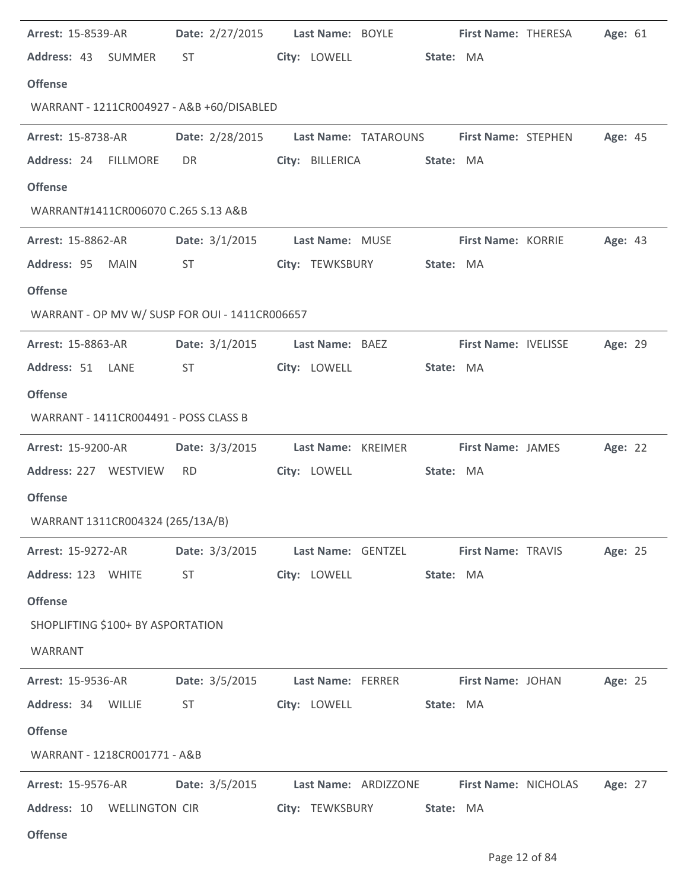| <b>Arrest: 15-8539-AR</b>                      |                         | Date: 2/27/2015 Last Name: BOYLE First Name: THERESA     |                             |                      | Age: 61 |
|------------------------------------------------|-------------------------|----------------------------------------------------------|-----------------------------|----------------------|---------|
| Address: 43 SUMMER                             | ST                      | City: LOWELL                                             | State: MA                   |                      |         |
| <b>Offense</b>                                 |                         |                                                          |                             |                      |         |
| WARRANT - 1211CR004927 - A&B +60/DISABLED      |                         |                                                          |                             |                      |         |
| <b>Arrest: 15-8738-AR</b>                      |                         | Date: 2/28/2015 Last Name: TATAROUNS First Name: STEPHEN |                             |                      | Age: 45 |
| Address: 24 FILLMORE                           | <b>DR</b>               | City: BILLERICA                                          | State: MA                   |                      |         |
| <b>Offense</b>                                 |                         |                                                          |                             |                      |         |
| WARRANT#1411CR006070 C.265 S.13 A&B            |                         |                                                          |                             |                      |         |
| <b>Arrest: 15-8862-AR</b>                      |                         | Date: 3/1/2015 Last Name: MUSE                           | First Name: KORRIE          |                      | Age: 43 |
| Address: 95 MAIN                               | ST                      | City: TEWKSBURY                                          | State: MA                   |                      |         |
| <b>Offense</b>                                 |                         |                                                          |                             |                      |         |
| WARRANT - OP MV W/ SUSP FOR OUI - 1411CR006657 |                         |                                                          |                             |                      |         |
| <b>Arrest: 15-8863-AR</b>                      | <b>Date:</b> $3/1/2015$ | Last Name: BAEZ                                          | <b>First Name: IVELISSE</b> |                      | Age: 29 |
| Address: 51 LANE                               | ST                      | City: LOWELL                                             | State: MA                   |                      |         |
| <b>Offense</b>                                 |                         |                                                          |                             |                      |         |
| WARRANT - 1411CR004491 - POSS CLASS B          |                         |                                                          |                             |                      |         |
| <b>Arrest: 15-9200-AR</b>                      |                         | Date: 3/3/2015 Last Name: KREIMER                        | <b>First Name: JAMES</b>    |                      | Age: 22 |
| Address: 227 WESTVIEW                          | <b>RD</b>               | City: LOWELL                                             | State: MA                   |                      |         |
| <b>Offense</b>                                 |                         |                                                          |                             |                      |         |
| WARRANT 1311CR004324 (265/13A/B)               |                         |                                                          |                             |                      |         |
| <b>Arrest: 15-9272-AR</b>                      | Date: 3/3/2015          | Last Name: GENTZEL                                       | <b>First Name: TRAVIS</b>   |                      | Age: 25 |
| Address: 123 WHITE                             | ST                      | City: LOWELL                                             | State: MA                   |                      |         |
| <b>Offense</b>                                 |                         |                                                          |                             |                      |         |
| SHOPLIFTING \$100+ BY ASPORTATION              |                         |                                                          |                             |                      |         |
| WARRANT                                        |                         |                                                          |                             |                      |         |
| <b>Arrest: 15-9536-AR</b>                      | Date: 3/5/2015          | Last Name: FERRER                                        | <b>First Name: JOHAN</b>    |                      | Age: 25 |
| Address: 34 WILLIE                             | <b>ST</b>               | City: LOWELL                                             | State: MA                   |                      |         |
| <b>Offense</b>                                 |                         |                                                          |                             |                      |         |
| WARRANT - 1218CR001771 - A&B                   |                         |                                                          |                             |                      |         |
| <b>Arrest: 15-9576-AR</b>                      | Date: 3/5/2015          | Last Name: ARDIZZONE                                     |                             | First Name: NICHOLAS | Age: 27 |
| Address: 10 WELLINGTON CIR                     |                         | City: TEWKSBURY                                          | State: MA                   |                      |         |
| <b>Offense</b>                                 |                         |                                                          |                             |                      |         |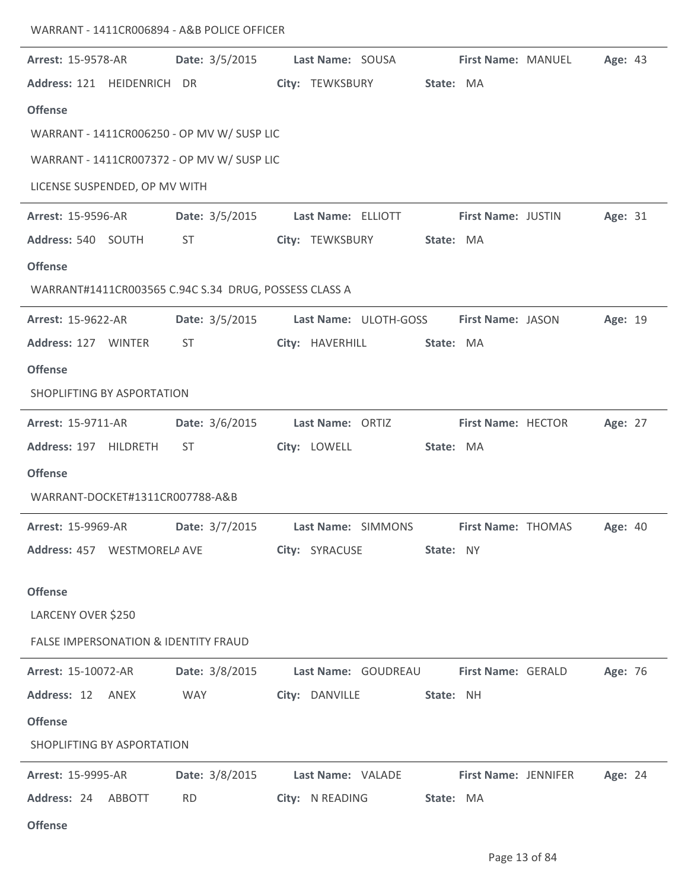| <b>Arrest: 15-9578-AR</b>     | Date: 3/5/2015                                        | Last Name: SOUSA      | First Name: MANUEL   | Age: 43 |
|-------------------------------|-------------------------------------------------------|-----------------------|----------------------|---------|
| Address: 121 HEIDENRICH DR    |                                                       | City: TEWKSBURY       | State: MA            |         |
| <b>Offense</b>                |                                                       |                       |                      |         |
|                               | WARRANT - 1411CR006250 - OP MV W/ SUSP LIC            |                       |                      |         |
|                               | WARRANT - 1411CR007372 - OP MV W/ SUSP LIC            |                       |                      |         |
| LICENSE SUSPENDED, OP MV WITH |                                                       |                       |                      |         |
| <b>Arrest: 15-9596-AR</b>     | Date: 3/5/2015                                        | Last Name: ELLIOTT    | First Name: JUSTIN   | Age: 31 |
| Address: 540 SOUTH            | ST                                                    | City: TEWKSBURY       | State: MA            |         |
| <b>Offense</b>                |                                                       |                       |                      |         |
|                               | WARRANT#1411CR003565 C.94C S.34 DRUG, POSSESS CLASS A |                       |                      |         |
| Arrest: 15-9622-AR            | Date: 3/5/2015                                        | Last Name: ULOTH-GOSS | First Name: JASON    | Age: 19 |
| Address: 127 WINTER           | <b>ST</b>                                             | City: HAVERHILL       | State: MA            |         |
| <b>Offense</b>                |                                                       |                       |                      |         |
| SHOPLIFTING BY ASPORTATION    |                                                       |                       |                      |         |
| Arrest: 15-9711-AR            | Date: 3/6/2015                                        | Last Name: ORTIZ      | First Name: HECTOR   | Age: 27 |
| Address: 197 HILDRETH         | <b>ST</b>                                             | City: LOWELL          | State: MA            |         |
| <b>Offense</b>                |                                                       |                       |                      |         |
|                               | WARRANT-DOCKET#1311CR007788-A&B                       |                       |                      |         |
| <b>Arrest: 15-9969-AR</b>     | Date: 3/7/2015                                        | Last Name: SIMMONS    | First Name: THOMAS   | Age: 40 |
| Address: 457 WESTMORELA AVE   |                                                       | City: SYRACUSE        | State: NY            |         |
| <b>Offense</b>                |                                                       |                       |                      |         |
| LARCENY OVER \$250            |                                                       |                       |                      |         |
|                               | <b>FALSE IMPERSONATION &amp; IDENTITY FRAUD</b>       |                       |                      |         |
| Arrest: 15-10072-AR           | Date: 3/8/2015                                        | Last Name: GOUDREAU   | First Name: GERALD   | Age: 76 |
| Address: 12 ANEX              | <b>WAY</b>                                            | City: DANVILLE        | State: NH            |         |
| <b>Offense</b>                |                                                       |                       |                      |         |
| SHOPLIFTING BY ASPORTATION    |                                                       |                       |                      |         |
| <b>Arrest: 15-9995-AR</b>     | Date: 3/8/2015                                        | Last Name: VALADE     | First Name: JENNIFER | Age: 24 |
| Address: 24<br>ABBOTT         | <b>RD</b>                                             | City: N READING       | State: MA            |         |
| <b>Offense</b>                |                                                       |                       |                      |         |
|                               |                                                       |                       |                      |         |

WARRANT - 1411CR006894 - A&B POLICE OFFICER

 $\overline{\phantom{a}}$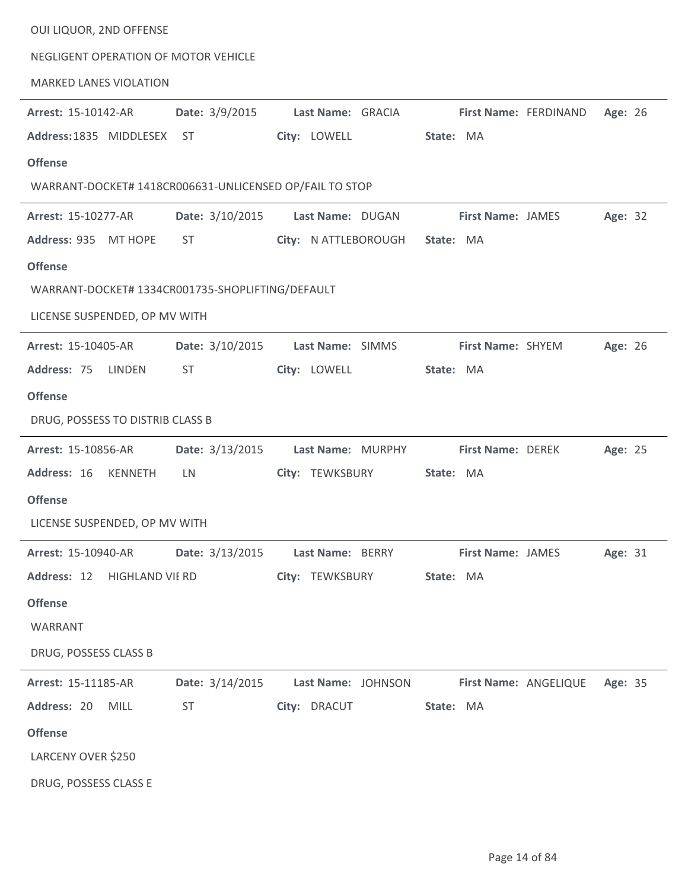| OUI LIQUOR, 2ND OFFENSE                                 |                 |                                     |                               |         |
|---------------------------------------------------------|-----------------|-------------------------------------|-------------------------------|---------|
| NEGLIGENT OPERATION OF MOTOR VEHICLE                    |                 |                                     |                               |         |
| <b>MARKED LANES VIOLATION</b>                           |                 |                                     |                               |         |
| Arrest: 15-10142-AR                                     | Date: 3/9/2015  | Last Name: GRACIA                   | First Name: FERDINAND         | Age: 26 |
| Address: 1835 MIDDLESEX                                 | ST              | City: LOWELL                        | State: MA                     |         |
| <b>Offense</b>                                          |                 |                                     |                               |         |
| WARRANT-DOCKET# 1418CR006631-UNLICENSED OP/FAIL TO STOP |                 |                                     |                               |         |
| Arrest: 15-10277-AR                                     | Date: 3/10/2015 | Last Name: DUGAN                    | <b>First Name: JAMES</b>      | Age: 32 |
| Address: 935 MT HOPE                                    | ST              | City: N ATTLEBOROUGH                | State: MA                     |         |
| <b>Offense</b>                                          |                 |                                     |                               |         |
| WARRANT-DOCKET# 1334CR001735-SHOPLIFTING/DEFAULT        |                 |                                     |                               |         |
| LICENSE SUSPENDED, OP MV WITH                           |                 |                                     |                               |         |
| <b>Arrest: 15-10405-AR</b>                              | Date: 3/10/2015 | Last Name: SIMMS                    | First Name: SHYEM             | Age: 26 |
| Address: 75<br>LINDEN                                   | <b>ST</b>       | City: LOWELL                        | State: MA                     |         |
| <b>Offense</b>                                          |                 |                                     |                               |         |
| DRUG, POSSESS TO DISTRIB CLASS B                        |                 |                                     |                               |         |
| Arrest: 15-10856-AR                                     | Date: 3/13/2015 | Last Name: MURPHY                   | <b>First Name: DEREK</b>      | Age: 25 |
| Address: 16<br>KENNETH                                  | LN.             | City: TEWKSBURY                     | State: MA                     |         |
| <b>Offense</b>                                          |                 |                                     |                               |         |
| LICENSE SUSPENDED, OP MV WITH                           |                 |                                     |                               |         |
| <b>Arrest: 15-10940-AR</b>                              |                 | Date: 3/13/2015    Last Name: BERRY | <b>First Name: JAMES</b>      | Age: 31 |
| Address: 12 HIGHLAND VIE RD                             |                 | City: TEWKSBURY                     | State: MA                     |         |
| <b>Offense</b>                                          |                 |                                     |                               |         |
| WARRANT                                                 |                 |                                     |                               |         |
| DRUG, POSSESS CLASS B                                   |                 |                                     |                               |         |
| <b>Arrest: 15-11185-AR</b>                              |                 | Date: 3/14/2015 Last Name: JOHNSON  | First Name: ANGELIQUE Age: 35 |         |
| Address: 20<br><b>MILL</b>                              | <b>ST</b>       | City: DRACUT                        | State: MA                     |         |
| <b>Offense</b>                                          |                 |                                     |                               |         |
| LARCENY OVER \$250                                      |                 |                                     |                               |         |
| DRUG, POSSESS CLASS E                                   |                 |                                     |                               |         |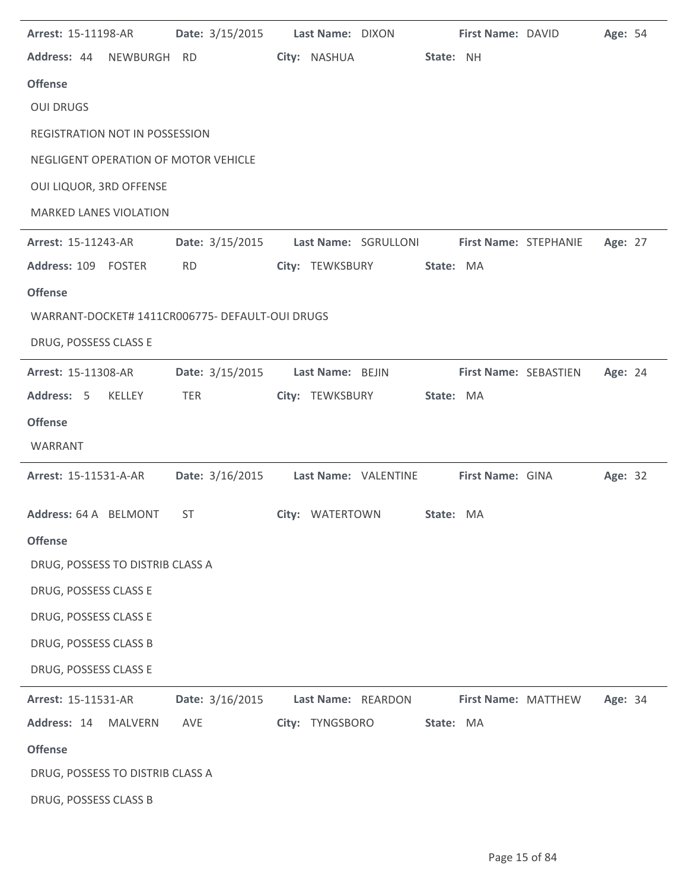| Arrest: 15-11198-AR                             | Date: 3/15/2015 | Last Name: DIXON     |           | First Name: DAVID     | Age: 54 |  |
|-------------------------------------------------|-----------------|----------------------|-----------|-----------------------|---------|--|
| Address: 44 NEWBURGH RD                         |                 | City: NASHUA         | State: NH |                       |         |  |
| <b>Offense</b>                                  |                 |                      |           |                       |         |  |
| <b>OUI DRUGS</b>                                |                 |                      |           |                       |         |  |
| REGISTRATION NOT IN POSSESSION                  |                 |                      |           |                       |         |  |
| NEGLIGENT OPERATION OF MOTOR VEHICLE            |                 |                      |           |                       |         |  |
| OUI LIQUOR, 3RD OFFENSE                         |                 |                      |           |                       |         |  |
| <b>MARKED LANES VIOLATION</b>                   |                 |                      |           |                       |         |  |
| Arrest: 15-11243-AR                             | Date: 3/15/2015 | Last Name: SGRULLONI |           | First Name: STEPHANIE | Age: 27 |  |
| Address: 109 FOSTER                             | <b>RD</b>       | City: TEWKSBURY      | State: MA |                       |         |  |
| <b>Offense</b>                                  |                 |                      |           |                       |         |  |
| WARRANT-DOCKET# 1411CR006775- DEFAULT-OUI DRUGS |                 |                      |           |                       |         |  |
| DRUG, POSSESS CLASS E                           |                 |                      |           |                       |         |  |
| Arrest: 15-11308-AR                             | Date: 3/15/2015 | Last Name: BEJIN     |           | First Name: SEBASTIEN | Age: 24 |  |
| Address: 5<br><b>KELLEY</b>                     | TER             | City: TEWKSBURY      | State: MA |                       |         |  |
| <b>Offense</b>                                  |                 |                      |           |                       |         |  |
| WARRANT                                         |                 |                      |           |                       |         |  |
| Arrest: 15-11531-A-AR                           | Date: 3/16/2015 | Last Name: VALENTINE |           | First Name: GINA      | Age: 32 |  |
| Address: 64 A BELMONT                           | <b>ST</b>       | City: WATERTOWN      | State: MA |                       |         |  |
| <b>Offense</b>                                  |                 |                      |           |                       |         |  |
| DRUG, POSSESS TO DISTRIB CLASS A                |                 |                      |           |                       |         |  |
| DRUG, POSSESS CLASS E                           |                 |                      |           |                       |         |  |
| DRUG, POSSESS CLASS E                           |                 |                      |           |                       |         |  |
| DRUG, POSSESS CLASS B                           |                 |                      |           |                       |         |  |
| DRUG, POSSESS CLASS E                           |                 |                      |           |                       |         |  |
| Arrest: 15-11531-AR                             | Date: 3/16/2015 | Last Name: REARDON   |           | First Name: MATTHEW   | Age: 34 |  |
| Address: 14<br><b>MALVERN</b>                   | AVE             | City: TYNGSBORO      | State: MA |                       |         |  |
| <b>Offense</b>                                  |                 |                      |           |                       |         |  |
| DRUG, POSSESS TO DISTRIB CLASS A                |                 |                      |           |                       |         |  |
| DRUG, POSSESS CLASS B                           |                 |                      |           |                       |         |  |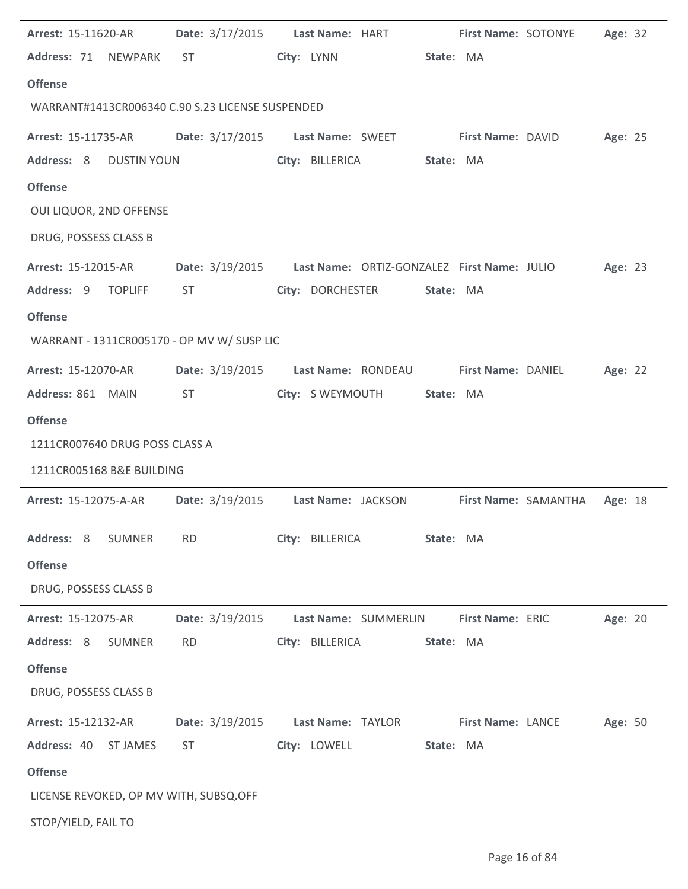| Arrest: 15-11620-AR                              | <b>Date:</b> 3/17/2015 | Last Name: HART                             |           | First Name: SOTONYE |                      | Age: 32 |  |
|--------------------------------------------------|------------------------|---------------------------------------------|-----------|---------------------|----------------------|---------|--|
| Address: 71 NEWPARK                              | ST                     | City: LYNN                                  | State: MA |                     |                      |         |  |
| <b>Offense</b>                                   |                        |                                             |           |                     |                      |         |  |
| WARRANT#1413CR006340 C.90 S.23 LICENSE SUSPENDED |                        |                                             |           |                     |                      |         |  |
| <b>Arrest: 15-11735-AR</b>                       | Date: 3/17/2015        | Last Name: SWEET                            |           | First Name: DAVID   |                      | Age: 25 |  |
| Address: 8<br><b>DUSTIN YOUN</b>                 |                        | City: BILLERICA                             | State: MA |                     |                      |         |  |
| <b>Offense</b>                                   |                        |                                             |           |                     |                      |         |  |
| OUI LIQUOR, 2ND OFFENSE                          |                        |                                             |           |                     |                      |         |  |
| DRUG, POSSESS CLASS B                            |                        |                                             |           |                     |                      |         |  |
| <b>Arrest: 15-12015-AR</b>                       | Date: 3/19/2015        | Last Name: ORTIZ-GONZALEZ First Name: JULIO |           |                     |                      | Age: 23 |  |
| Address: 9 TOPLIFF                               | <b>ST</b>              | City: DORCHESTER                            | State: MA |                     |                      |         |  |
| <b>Offense</b>                                   |                        |                                             |           |                     |                      |         |  |
| WARRANT - 1311CR005170 - OP MV W/ SUSP LIC       |                        |                                             |           |                     |                      |         |  |
| Arrest: 15-12070-AR                              | Date: 3/19/2015        | Last Name: RONDEAU                          |           | First Name: DANIEL  |                      | Age: 22 |  |
| Address: 861 MAIN                                | ST                     | City: S WEYMOUTH                            | State: MA |                     |                      |         |  |
| <b>Offense</b>                                   |                        |                                             |           |                     |                      |         |  |
| 1211CR007640 DRUG POSS CLASS A                   |                        |                                             |           |                     |                      |         |  |
| 1211CR005168 B&E BUILDING                        |                        |                                             |           |                     |                      |         |  |
| Arrest: 15-12075-A-AR                            | Date: 3/19/2015        | Last Name: JACKSON                          |           |                     | First Name: SAMANTHA | Age: 18 |  |
| Address: 8<br><b>SUMNER</b>                      | <b>RD</b>              | City: BILLERICA                             | State: MA |                     |                      |         |  |
| <b>Offense</b>                                   |                        |                                             |           |                     |                      |         |  |
| DRUG, POSSESS CLASS B                            |                        |                                             |           |                     |                      |         |  |
| Arrest: 15-12075-AR                              | Date: 3/19/2015        | Last Name: SUMMERLIN                        |           | First Name: ERIC    |                      | Age: 20 |  |
| Address: 8<br><b>SUMNER</b>                      | <b>RD</b>              | City: BILLERICA                             | State: MA |                     |                      |         |  |
| <b>Offense</b>                                   |                        |                                             |           |                     |                      |         |  |
| DRUG, POSSESS CLASS B                            |                        |                                             |           |                     |                      |         |  |
| Arrest: 15-12132-AR                              | Date: 3/19/2015        | Last Name: TAYLOR                           |           | First Name: LANCE   |                      | Age: 50 |  |
| Address: 40<br><b>ST JAMES</b>                   | <b>ST</b>              | City: LOWELL                                | State: MA |                     |                      |         |  |
| <b>Offense</b>                                   |                        |                                             |           |                     |                      |         |  |
| LICENSE REVOKED, OP MV WITH, SUBSQ.OFF           |                        |                                             |           |                     |                      |         |  |
| STOP/YIELD, FAIL TO                              |                        |                                             |           |                     |                      |         |  |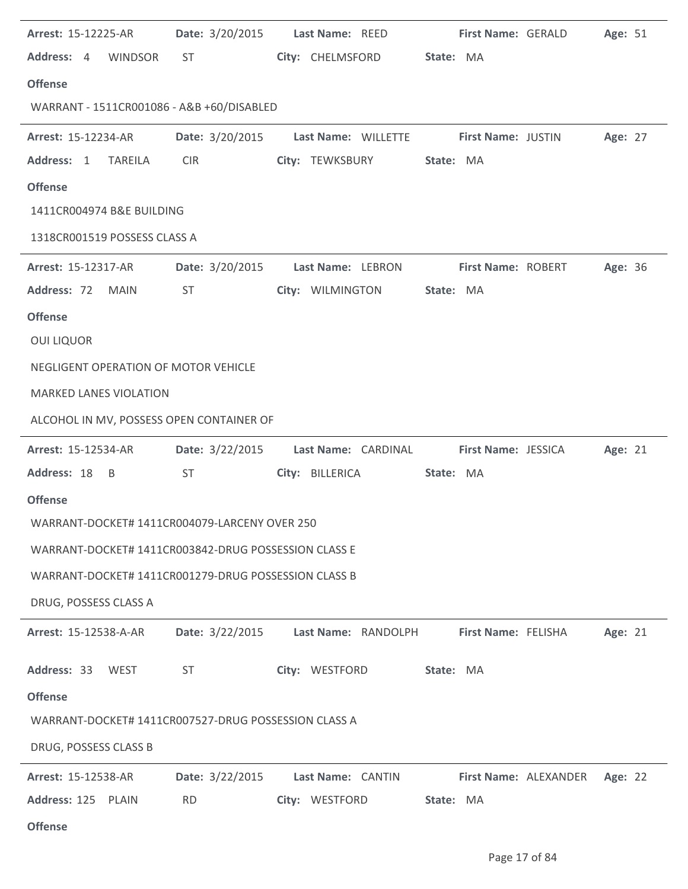| <b>Arrest: 15-12225-AR</b>                           |                                                                                                                                                                                                                                | Date: 3/20/2015    Last Name: REED                           | First Name: GERALD         | Age: 51 |
|------------------------------------------------------|--------------------------------------------------------------------------------------------------------------------------------------------------------------------------------------------------------------------------------|--------------------------------------------------------------|----------------------------|---------|
| Address: 4 WINDSOR                                   | ST and the state of the state of the state of the state of the state of the state of the state of the state of the state of the state of the state of the state of the state of the state of the state of the state of the sta | City: CHELMSFORD                                             | State: MA                  |         |
| <b>Offense</b>                                       |                                                                                                                                                                                                                                |                                                              |                            |         |
| WARRANT - 1511CR001086 - A&B +60/DISABLED            |                                                                                                                                                                                                                                |                                                              |                            |         |
| <b>Arrest: 15-12234-AR</b>                           |                                                                                                                                                                                                                                | Date: 3/20/2015    Last Name: WILLETTE    First Name: JUSTIN |                            | Age: 27 |
| Address: 1<br><b>TAREILA</b>                         | <b>CIR</b>                                                                                                                                                                                                                     | City: TEWKSBURY                                              | State: MA                  |         |
| <b>Offense</b>                                       |                                                                                                                                                                                                                                |                                                              |                            |         |
| 1411CR004974 B&E BUILDING                            |                                                                                                                                                                                                                                |                                                              |                            |         |
| 1318CR001519 POSSESS CLASS A                         |                                                                                                                                                                                                                                |                                                              |                            |         |
| <b>Arrest: 15-12317-AR</b>                           |                                                                                                                                                                                                                                | Date: 3/20/2015 Last Name: LEBRON                            | <b>First Name: ROBERT</b>  | Age: 36 |
| Address: 72 MAIN                                     | ST                                                                                                                                                                                                                             | City: WILMINGTON                                             | State: MA                  |         |
| <b>Offense</b>                                       |                                                                                                                                                                                                                                |                                                              |                            |         |
| <b>OUI LIQUOR</b>                                    |                                                                                                                                                                                                                                |                                                              |                            |         |
| NEGLIGENT OPERATION OF MOTOR VEHICLE                 |                                                                                                                                                                                                                                |                                                              |                            |         |
| <b>MARKED LANES VIOLATION</b>                        |                                                                                                                                                                                                                                |                                                              |                            |         |
| ALCOHOL IN MV, POSSESS OPEN CONTAINER OF             |                                                                                                                                                                                                                                |                                                              |                            |         |
| Arrest: 15-12534-AR                                  | Date: 3/22/2015                                                                                                                                                                                                                | Last Name: CARDINAL                                          | <b>First Name: JESSICA</b> | Age: 21 |
| Address: 18 B                                        | <b>ST</b>                                                                                                                                                                                                                      | City: BILLERICA                                              | State: MA                  |         |
| <b>Offense</b>                                       |                                                                                                                                                                                                                                |                                                              |                            |         |
| WARRANT-DOCKET# 1411CR004079-LARCENY OVER 250        |                                                                                                                                                                                                                                |                                                              |                            |         |
| WARRANT-DOCKET# 1411CR003842-DRUG POSSESSION CLASS E |                                                                                                                                                                                                                                |                                                              |                            |         |
| WARRANT-DOCKET# 1411CR001279-DRUG POSSESSION CLASS B |                                                                                                                                                                                                                                |                                                              |                            |         |
| DRUG, POSSESS CLASS A                                |                                                                                                                                                                                                                                |                                                              |                            |         |
| <b>Arrest: 15-12538-A-AR</b>                         | Date: 3/22/2015                                                                                                                                                                                                                | Last Name: RANDOLPH                                          | First Name: FELISHA        | Age: 21 |
| Address: 33 WEST                                     | <b>ST</b>                                                                                                                                                                                                                      | City: WESTFORD                                               | State: MA                  |         |
| <b>Offense</b>                                       |                                                                                                                                                                                                                                |                                                              |                            |         |
| WARRANT-DOCKET# 1411CR007527-DRUG POSSESSION CLASS A |                                                                                                                                                                                                                                |                                                              |                            |         |
| DRUG, POSSESS CLASS B                                |                                                                                                                                                                                                                                |                                                              |                            |         |
| <b>Arrest: 15-12538-AR</b>                           | Date: 3/22/2015                                                                                                                                                                                                                | Last Name: CANTIN                                            | First Name: ALEXANDER      | Age: 22 |
| Address: 125 PLAIN                                   | <b>RD</b>                                                                                                                                                                                                                      | City: WESTFORD                                               | State: MA                  |         |
|                                                      |                                                                                                                                                                                                                                |                                                              |                            |         |

**Offense**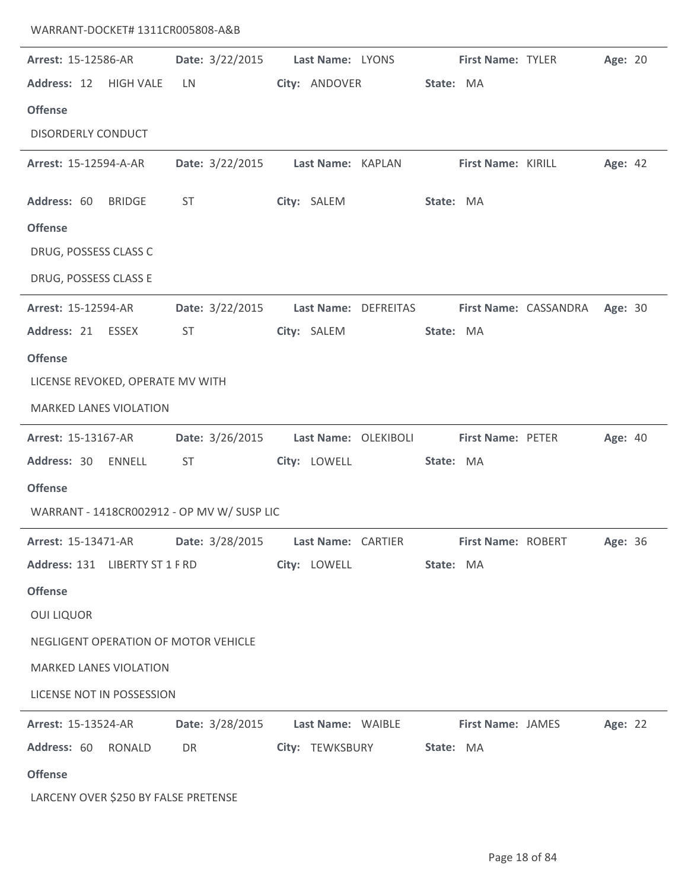| Arrest: 15-12586-AR                                          | Date: 3/22/2015                                                                                                                                                                                                                          | Last Name: LYONS                                    | <b>First Name: TYLER</b> | Age: 20                       |
|--------------------------------------------------------------|------------------------------------------------------------------------------------------------------------------------------------------------------------------------------------------------------------------------------------------|-----------------------------------------------------|--------------------------|-------------------------------|
| Address: 12 HIGH VALE                                        | LN                                                                                                                                                                                                                                       | City: ANDOVER                                       | State: MA                |                               |
| <b>Offense</b>                                               |                                                                                                                                                                                                                                          |                                                     |                          |                               |
| <b>DISORDERLY CONDUCT</b>                                    |                                                                                                                                                                                                                                          |                                                     |                          |                               |
| Arrest: 15-12594-A-AR                                        |                                                                                                                                                                                                                                          | Date: 3/22/2015 Last Name: KAPLAN                   | First Name: KIRILL       | Age: 42                       |
| Address: 60 BRIDGE                                           | <b>ST</b>                                                                                                                                                                                                                                | City: SALEM                                         | State: MA                |                               |
| <b>Offense</b>                                               |                                                                                                                                                                                                                                          |                                                     |                          |                               |
| DRUG, POSSESS CLASS C                                        |                                                                                                                                                                                                                                          |                                                     |                          |                               |
| DRUG, POSSESS CLASS E                                        |                                                                                                                                                                                                                                          |                                                     |                          |                               |
| Arrest: 15-12594-AR                                          | Date: 3/22/2015                                                                                                                                                                                                                          | Last Name: DEFREITAS                                |                          | First Name: CASSANDRA Age: 30 |
| Address: 21 ESSEX                                            | ST                                                                                                                                                                                                                                       | City: SALEM                                         | State: MA                |                               |
| <b>Offense</b>                                               |                                                                                                                                                                                                                                          |                                                     |                          |                               |
| LICENSE REVOKED, OPERATE MV WITH                             |                                                                                                                                                                                                                                          |                                                     |                          |                               |
| <b>MARKED LANES VIOLATION</b>                                |                                                                                                                                                                                                                                          |                                                     |                          |                               |
| Arrest: 15-13167-AR                                          | Date: 3/26/2015                                                                                                                                                                                                                          | Last Name: OLEKIBOLI                                | First Name: PETER        | Age: 40                       |
| Address: 30 ENNELL                                           | <b>ST</b>                                                                                                                                                                                                                                | City: LOWELL                                        | State: MA                |                               |
| <b>Offense</b>                                               |                                                                                                                                                                                                                                          |                                                     |                          |                               |
| WARRANT - 1418CR002912 - OP MV W/ SUSP LIC                   |                                                                                                                                                                                                                                          |                                                     |                          |                               |
| Arrest: 15-13471-AR    Date: 3/28/2015    Last Name: CARTIER |                                                                                                                                                                                                                                          |                                                     | First Name: ROBERT       | <b>Age: 36</b>                |
| Address: 131 LIBERTY ST 1 F RD City: LOWELL                  |                                                                                                                                                                                                                                          |                                                     | State: MA                |                               |
| <b>Offense</b>                                               |                                                                                                                                                                                                                                          |                                                     |                          |                               |
| <b>OUI LIQUOR</b>                                            |                                                                                                                                                                                                                                          |                                                     |                          |                               |
| NEGLIGENT OPERATION OF MOTOR VEHICLE                         |                                                                                                                                                                                                                                          |                                                     |                          |                               |
| MARKED LANES VIOLATION                                       |                                                                                                                                                                                                                                          |                                                     |                          |                               |
| LICENSE NOT IN POSSESSION                                    |                                                                                                                                                                                                                                          |                                                     |                          |                               |
| <b>Arrest: 15-13524-AR</b>                                   |                                                                                                                                                                                                                                          | Date: 3/28/2015 Last Name: WAIBLE First Name: JAMES |                          | Age: 22                       |
| Address: 60 RONALD                                           | DR <sub>2</sub> and the set of the set of the set of the set of the set of the set of the set of the set of the set of the set of the set of the set of the set of the set of the set of the set of the set of the set of the set of the | City: TEWKSBURY State: MA                           |                          |                               |
| <b>Offense</b>                                               |                                                                                                                                                                                                                                          |                                                     |                          |                               |
| LARCENY OVER \$250 BY FALSE PRETENSE                         |                                                                                                                                                                                                                                          |                                                     |                          |                               |

WARRANT-DOCKET# 1311CR005808-A&B

j.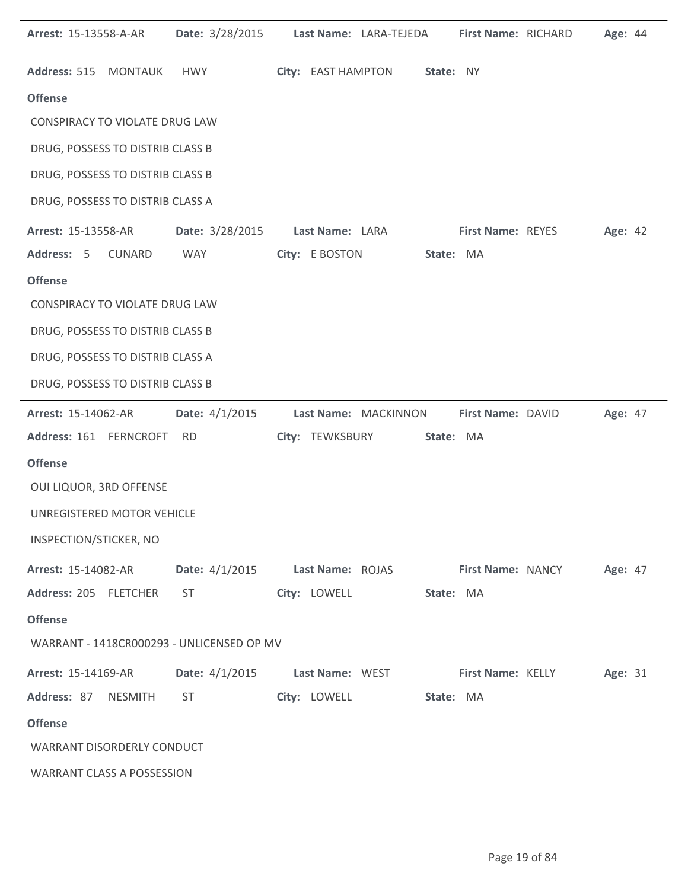| <b>Arrest: 15-13558-A-AR</b>      |                | Date: 3/28/2015                           |                  | Last Name: LARA-TEJEDA |           | First Name: RICHARD      | Age: 44 |  |
|-----------------------------------|----------------|-------------------------------------------|------------------|------------------------|-----------|--------------------------|---------|--|
| Address: 515 MONTAUK              |                | HWY                                       |                  | City: EAST HAMPTON     | State: NY |                          |         |  |
| <b>Offense</b>                    |                |                                           |                  |                        |           |                          |         |  |
| CONSPIRACY TO VIOLATE DRUG LAW    |                |                                           |                  |                        |           |                          |         |  |
| DRUG, POSSESS TO DISTRIB CLASS B  |                |                                           |                  |                        |           |                          |         |  |
| DRUG, POSSESS TO DISTRIB CLASS B  |                |                                           |                  |                        |           |                          |         |  |
| DRUG, POSSESS TO DISTRIB CLASS A  |                |                                           |                  |                        |           |                          |         |  |
| <b>Arrest: 15-13558-AR</b>        |                | Date: 3/28/2015                           | Last Name: LARA  |                        |           | <b>First Name: REYES</b> | Age: 42 |  |
| Address: 5                        | <b>CUNARD</b>  | WAY                                       | City: E BOSTON   |                        | State: MA |                          |         |  |
| <b>Offense</b>                    |                |                                           |                  |                        |           |                          |         |  |
| CONSPIRACY TO VIOLATE DRUG LAW    |                |                                           |                  |                        |           |                          |         |  |
| DRUG, POSSESS TO DISTRIB CLASS B  |                |                                           |                  |                        |           |                          |         |  |
| DRUG, POSSESS TO DISTRIB CLASS A  |                |                                           |                  |                        |           |                          |         |  |
| DRUG, POSSESS TO DISTRIB CLASS B  |                |                                           |                  |                        |           |                          |         |  |
| <b>Arrest: 15-14062-AR</b>        |                | Date: $4/1/2015$                          |                  | Last Name: MACKINNON   |           | First Name: DAVID        | Age: 47 |  |
| Address: 161 FERNCROFT            |                | RD                                        |                  | City: TEWKSBURY        | State: MA |                          |         |  |
| <b>Offense</b>                    |                |                                           |                  |                        |           |                          |         |  |
| OUI LIQUOR, 3RD OFFENSE           |                |                                           |                  |                        |           |                          |         |  |
| UNREGISTERED MOTOR VEHICLE        |                |                                           |                  |                        |           |                          |         |  |
| INSPECTION/STICKER, NO            |                |                                           |                  |                        |           |                          |         |  |
| <b>Arrest: 15-14082-AR</b>        |                | Date: 4/1/2015                            | Last Name: ROJAS |                        |           | First Name: NANCY        | Age: 47 |  |
| Address: 205 FLETCHER             |                | <b>ST</b>                                 | City: LOWELL     |                        | State: MA |                          |         |  |
| <b>Offense</b>                    |                |                                           |                  |                        |           |                          |         |  |
|                                   |                | WARRANT - 1418CR000293 - UNLICENSED OP MV |                  |                        |           |                          |         |  |
| Arrest: 15-14169-AR               |                | Date: 4/1/2015                            | Last Name: WEST  |                        |           | First Name: KELLY        | Age: 31 |  |
| Address: 87                       | <b>NESMITH</b> | <b>ST</b>                                 | City: LOWELL     |                        | State: MA |                          |         |  |
| <b>Offense</b>                    |                |                                           |                  |                        |           |                          |         |  |
| WARRANT DISORDERLY CONDUCT        |                |                                           |                  |                        |           |                          |         |  |
| <b>WARRANT CLASS A POSSESSION</b> |                |                                           |                  |                        |           |                          |         |  |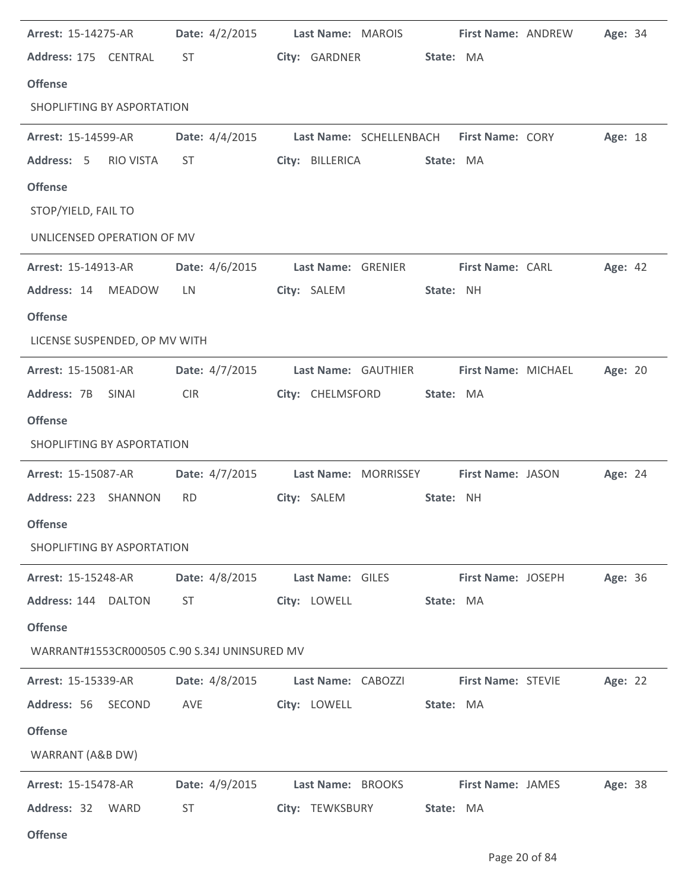| Arrest: 15-14275-AR                          | Date: $4/2/2015$ | Last Name: MAROIS                                       |           |                           | <b>First Name: ANDREW</b> | Age: 34 |  |
|----------------------------------------------|------------------|---------------------------------------------------------|-----------|---------------------------|---------------------------|---------|--|
| Address: 175 CENTRAL                         | ST               | City: GARDNER                                           | State: MA |                           |                           |         |  |
| <b>Offense</b>                               |                  |                                                         |           |                           |                           |         |  |
| SHOPLIFTING BY ASPORTATION                   |                  |                                                         |           |                           |                           |         |  |
| <b>Arrest: 15-14599-AR</b>                   |                  | Date: 4/4/2015 Last Name: SCHELLENBACH First Name: CORY |           |                           |                           | Age: 18 |  |
| Address: 5<br>RIO VISTA                      | ST               | City: BILLERICA                                         | State: MA |                           |                           |         |  |
| <b>Offense</b>                               |                  |                                                         |           |                           |                           |         |  |
| STOP/YIELD, FAIL TO                          |                  |                                                         |           |                           |                           |         |  |
| UNLICENSED OPERATION OF MV                   |                  |                                                         |           |                           |                           |         |  |
| Arrest: 15-14913-AR                          | Date: 4/6/2015   | Last Name: GRENIER                                      |           | <b>First Name: CARL</b>   |                           | Age: 42 |  |
| Address: 14 MEADOW                           | LN               | City: SALEM                                             | State: NH |                           |                           |         |  |
| <b>Offense</b>                               |                  |                                                         |           |                           |                           |         |  |
| LICENSE SUSPENDED, OP MV WITH                |                  |                                                         |           |                           |                           |         |  |
| <b>Arrest: 15-15081-AR</b>                   | Date: $4/7/2015$ | Last Name: GAUTHIER                                     |           | First Name: MICHAEL       |                           | Age: 20 |  |
| Address: 7B SINAI                            | <b>CIR</b>       | City: CHELMSFORD                                        | State: MA |                           |                           |         |  |
| <b>Offense</b>                               |                  |                                                         |           |                           |                           |         |  |
| SHOPLIFTING BY ASPORTATION                   |                  |                                                         |           |                           |                           |         |  |
| <b>Arrest: 15-15087-AR</b>                   | Date: $4/7/2015$ | Last Name: MORRISSEY First Name: JASON                  |           |                           |                           | Age: 24 |  |
| Address: 223 SHANNON                         | <b>RD</b>        | City: SALEM                                             | State: NH |                           |                           |         |  |
| <b>Offense</b>                               |                  |                                                         |           |                           |                           |         |  |
| SHOPLIFTING BY ASPORTATION                   |                  |                                                         |           |                           |                           |         |  |
| <b>Arrest: 15-15248-AR</b>                   | Date: 4/8/2015   | Last Name: GILES                                        |           | First Name: JOSEPH        |                           | Age: 36 |  |
| Address: 144 DALTON                          | ST               | City: LOWELL                                            | State: MA |                           |                           |         |  |
| <b>Offense</b>                               |                  |                                                         |           |                           |                           |         |  |
| WARRANT#1553CR000505 C.90 S.34J UNINSURED MV |                  |                                                         |           |                           |                           |         |  |
| <b>Arrest: 15-15339-AR</b>                   | Date: 4/8/2015   | Last Name: CABOZZI                                      |           | <b>First Name: STEVIE</b> |                           | Age: 22 |  |
| Address: 56 SECOND                           | AVE              | City: LOWELL                                            | State: MA |                           |                           |         |  |
| <b>Offense</b>                               |                  |                                                         |           |                           |                           |         |  |
| WARRANT (A&B DW)                             |                  |                                                         |           |                           |                           |         |  |
| Arrest: 15-15478-AR                          | Date: 4/9/2015   | Last Name: BROOKS                                       |           | <b>First Name: JAMES</b>  |                           | Age: 38 |  |
| Address: 32 WARD                             | ST               | City: TEWKSBURY                                         | State: MA |                           |                           |         |  |
| <b>Offense</b>                               |                  |                                                         |           |                           |                           |         |  |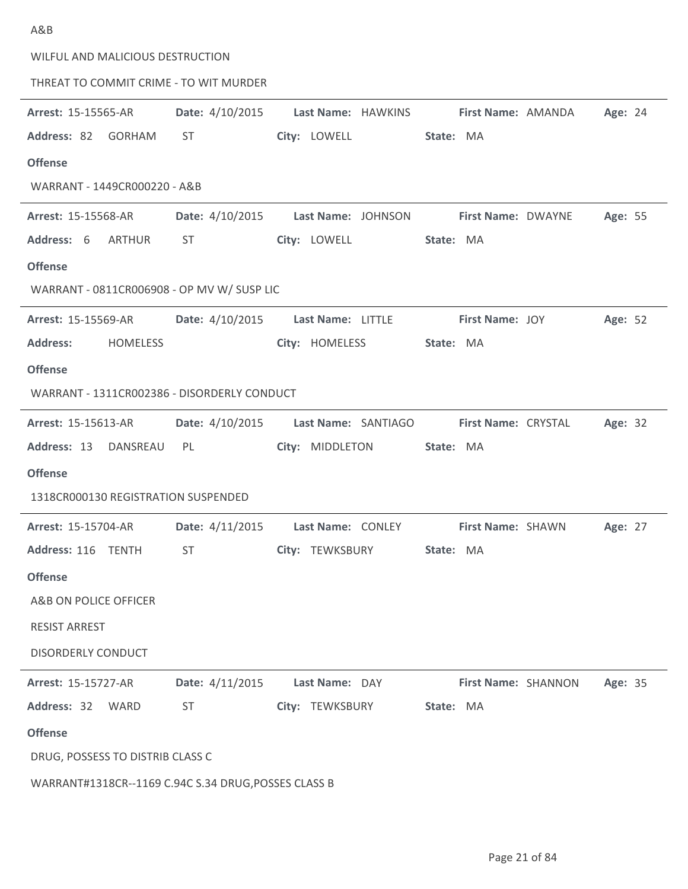| WILFUL AND MALICIOUS DESTRUCTION                     |                 |                                      |                           |         |
|------------------------------------------------------|-----------------|--------------------------------------|---------------------------|---------|
| THREAT TO COMMIT CRIME - TO WIT MURDER               |                 |                                      |                           |         |
| Arrest: 15-15565-AR                                  | Date: 4/10/2015 | Last Name: HAWKINS                   | First Name: AMANDA        | Age: 24 |
| Address: 82 GORHAM                                   | ST              | City: LOWELL                         | State: MA                 |         |
| <b>Offense</b>                                       |                 |                                      |                           |         |
| WARRANT - 1449CR000220 - A&B                         |                 |                                      |                           |         |
| <b>Arrest: 15-15568-AR</b>                           |                 | Date: 4/10/2015 Last Name: JOHNSON   | <b>First Name: DWAYNE</b> | Age: 55 |
| Address: 6<br>ARTHUR                                 | <b>ST</b>       | City: LOWELL                         | State: MA                 |         |
| <b>Offense</b>                                       |                 |                                      |                           |         |
| WARRANT - 0811CR006908 - OP MV W/ SUSP LIC           |                 |                                      |                           |         |
| <b>Arrest: 15-15569-AR</b>                           |                 | Date: 4/10/2015    Last Name: LITTLE | First Name: JOY           | Age: 52 |
| <b>Address:</b><br><b>HOMELESS</b>                   |                 | City: HOMELESS                       | State: MA                 |         |
| <b>Offense</b>                                       |                 |                                      |                           |         |
| WARRANT - 1311CR002386 - DISORDERLY CONDUCT          |                 |                                      |                           |         |
| <b>Arrest: 15-15613-AR</b>                           |                 | Date: 4/10/2015 Last Name: SANTIAGO  | First Name: CRYSTAL       | Age: 32 |
| Address: 13 DANSREAU PL                              |                 | City: MIDDLETON                      | State: MA                 |         |
| <b>Offense</b>                                       |                 |                                      |                           |         |
| 1318CR000130 REGISTRATION SUSPENDED                  |                 |                                      |                           |         |
| <b>Arrest: 15-15704-AR</b>                           |                 | Date: 4/11/2015    Last Name: CONLEY | First Name: SHAWN         | Age: 27 |
| Address: 116 TENTH                                   |                 |                                      | <b>State: MA</b>          |         |
| <b>Offense</b>                                       |                 |                                      |                           |         |
| A&B ON POLICE OFFICER                                |                 |                                      |                           |         |
| <b>RESIST ARREST</b>                                 |                 |                                      |                           |         |
| <b>DISORDERLY CONDUCT</b>                            |                 |                                      |                           |         |
| <b>Arrest: 15-15727-AR</b>                           | Date: 4/11/2015 | Last Name: DAY                       | First Name: SHANNON       | Age: 35 |
| Address: 32 WARD                                     | ST              | City: TEWKSBURY                      | State: MA                 |         |
| <b>Offense</b>                                       |                 |                                      |                           |         |
| DRUG, POSSESS TO DISTRIB CLASS C                     |                 |                                      |                           |         |
| WARRANT#1318CR--1169 C.94C S.34 DRUG, POSSES CLASS B |                 |                                      |                           |         |

A&B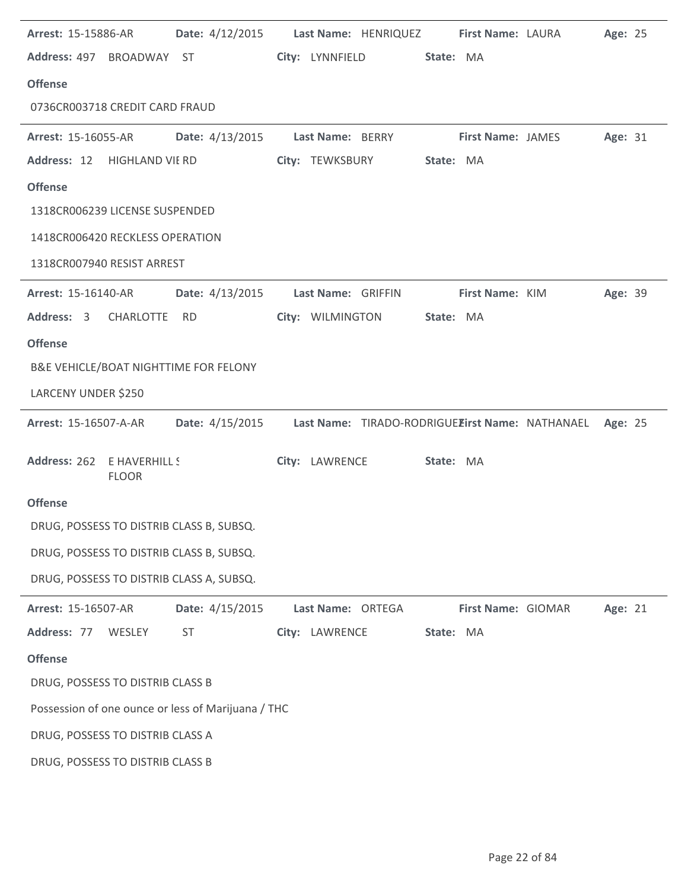| <b>Arrest: 15-15886-AR</b>                         |                 | Date: 4/12/2015 Last Name: HENRIQUEZ First Name: LAURA          |           |                    | Age: 25 |  |
|----------------------------------------------------|-----------------|-----------------------------------------------------------------|-----------|--------------------|---------|--|
| Address: 497 BROADWAY ST                           |                 | City: LYNNFIELD                                                 | State: MA |                    |         |  |
| <b>Offense</b>                                     |                 |                                                                 |           |                    |         |  |
| 0736CR003718 CREDIT CARD FRAUD                     |                 |                                                                 |           |                    |         |  |
| <b>Arrest: 15-16055-AR</b>                         |                 | Date: 4/13/2015 Last Name: BERRY First Name: JAMES              |           |                    | Age: 31 |  |
| Address: 12 HIGHLAND VII RD                        |                 | City: TEWKSBURY                                                 | State: MA |                    |         |  |
| <b>Offense</b>                                     |                 |                                                                 |           |                    |         |  |
| 1318CR006239 LICENSE SUSPENDED                     |                 |                                                                 |           |                    |         |  |
| 1418CR006420 RECKLESS OPERATION                    |                 |                                                                 |           |                    |         |  |
| 1318CR007940 RESIST ARREST                         |                 |                                                                 |           |                    |         |  |
| <b>Arrest: 15-16140-AR</b>                         |                 | Date: 4/13/2015 Last Name: GRIFFIN                              |           | First Name: KIM    | Age: 39 |  |
| Address: 3 CHARLOTTE                               | <b>RD</b>       | City: WILMINGTON                                                | State: MA |                    |         |  |
| <b>Offense</b>                                     |                 |                                                                 |           |                    |         |  |
| B&E VEHICLE/BOAT NIGHTTIME FOR FELONY              |                 |                                                                 |           |                    |         |  |
| LARCENY UNDER \$250                                |                 |                                                                 |           |                    |         |  |
| <b>Arrest: 15-16507-A-AR</b>                       |                 | Date: 4/15/2015 Last Name: TIRADO-RODRIGUEEirst Name: NATHANAEL |           |                    | Age: 25 |  |
| Address: 262 E HAVERHILL S<br><b>FLOOR</b>         |                 | City: LAWRENCE                                                  | State: MA |                    |         |  |
| <b>Offense</b>                                     |                 |                                                                 |           |                    |         |  |
| DRUG, POSSESS TO DISTRIB CLASS B, SUBSQ.           |                 |                                                                 |           |                    |         |  |
| DRUG, POSSESS TO DISTRIB CLASS B, SUBSQ.           |                 |                                                                 |           |                    |         |  |
| DRUG, POSSESS TO DISTRIB CLASS A, SUBSQ.           |                 |                                                                 |           |                    |         |  |
| Arrest: 15-16507-AR                                | Date: 4/15/2015 | Last Name: ORTEGA                                               |           | First Name: GIOMAR | Age: 21 |  |
| Address: 77 WESLEY                                 | <b>ST</b>       | City: LAWRENCE                                                  | State: MA |                    |         |  |
| <b>Offense</b>                                     |                 |                                                                 |           |                    |         |  |
| DRUG, POSSESS TO DISTRIB CLASS B                   |                 |                                                                 |           |                    |         |  |
| Possession of one ounce or less of Marijuana / THC |                 |                                                                 |           |                    |         |  |
| DRUG, POSSESS TO DISTRIB CLASS A                   |                 |                                                                 |           |                    |         |  |
| DRUG, POSSESS TO DISTRIB CLASS B                   |                 |                                                                 |           |                    |         |  |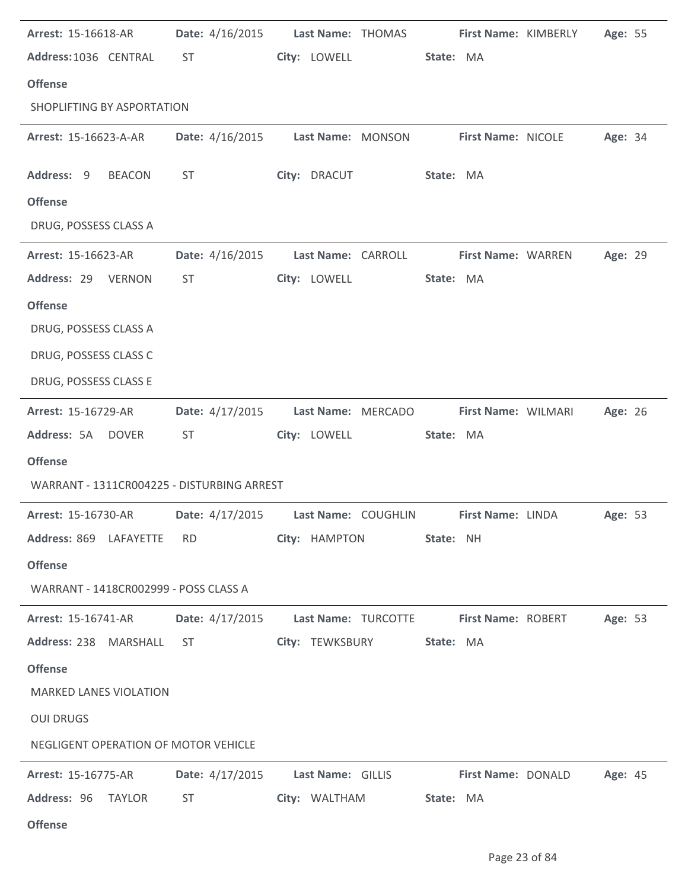| Arrest: 15-16618-AR                        | Date: 4/16/2015 | Last Name: THOMAS   | First Name: KIMBERLY | Age: 55 |
|--------------------------------------------|-----------------|---------------------|----------------------|---------|
| Address: 1036 CENTRAL                      | ST.             | City: LOWELL        | State: MA            |         |
| <b>Offense</b>                             |                 |                     |                      |         |
| SHOPLIFTING BY ASPORTATION                 |                 |                     |                      |         |
| Arrest: 15-16623-A-AR                      | Date: 4/16/2015 | Last Name: MONSON   | First Name: NICOLE   | Age: 34 |
| Address: 9<br><b>BEACON</b>                | <b>ST</b>       | City: DRACUT        | State: MA            |         |
| <b>Offense</b>                             |                 |                     |                      |         |
| DRUG, POSSESS CLASS A                      |                 |                     |                      |         |
| Arrest: 15-16623-AR                        | Date: 4/16/2015 | Last Name: CARROLL  | First Name: WARREN   | Age: 29 |
| Address: 29 VERNON                         | <b>ST</b>       | City: LOWELL        | State: MA            |         |
| <b>Offense</b>                             |                 |                     |                      |         |
| DRUG, POSSESS CLASS A                      |                 |                     |                      |         |
| DRUG, POSSESS CLASS C                      |                 |                     |                      |         |
| DRUG, POSSESS CLASS E                      |                 |                     |                      |         |
| Arrest: 15-16729-AR                        | Date: 4/17/2015 | Last Name: MERCADO  | First Name: WILMARI  | Age: 26 |
| Address: 5A DOVER                          | <b>ST</b>       | City: LOWELL        | State: MA            |         |
| <b>Offense</b>                             |                 |                     |                      |         |
| WARRANT - 1311CR004225 - DISTURBING ARREST |                 |                     |                      |         |
| Arrest: 15-16730-AR                        | Date: 4/17/2015 | Last Name: COUGHLIN | First Name: LINDA    | Age: 53 |
| Address: 869 LAFAYETTE                     | <b>RD</b>       | City: HAMPTON       | State: NH            |         |
| <b>Offense</b>                             |                 |                     |                      |         |
| WARRANT - 1418CR002999 - POSS CLASS A      |                 |                     |                      |         |
| <b>Arrest: 15-16741-AR</b>                 | Date: 4/17/2015 | Last Name: TURCOTTE | First Name: ROBERT   | Age: 53 |
| Address: 238 MARSHALL                      | ST.             | City: TEWKSBURY     | State: MA            |         |
| <b>Offense</b>                             |                 |                     |                      |         |
| <b>MARKED LANES VIOLATION</b>              |                 |                     |                      |         |
| <b>OUI DRUGS</b>                           |                 |                     |                      |         |
| NEGLIGENT OPERATION OF MOTOR VEHICLE       |                 |                     |                      |         |
| <b>Arrest: 15-16775-AR</b>                 | Date: 4/17/2015 | Last Name: GILLIS   | First Name: DONALD   | Age: 45 |
| Address: 96<br>TAYLOR                      | <b>ST</b>       | City: WALTHAM       | State: MA            |         |
|                                            |                 |                     |                      |         |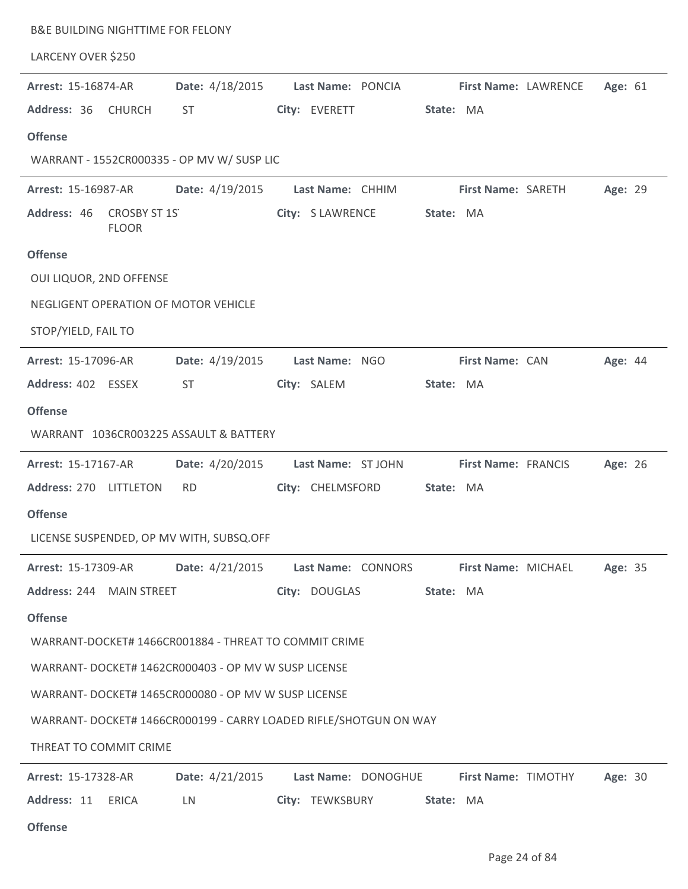| <b>B&amp;E BUILDING NIGHTTIME FOR FELONY</b>          |                 |                                                                   |                      |         |
|-------------------------------------------------------|-----------------|-------------------------------------------------------------------|----------------------|---------|
| LARCENY OVER \$250                                    |                 |                                                                   |                      |         |
| Arrest: 15-16874-AR                                   | Date: 4/18/2015 | Last Name: PONCIA                                                 | First Name: LAWRENCE | Age: 61 |
| Address: 36<br><b>CHURCH</b>                          | <b>ST</b>       | City: EVERETT                                                     | State: MA            |         |
| <b>Offense</b>                                        |                 |                                                                   |                      |         |
| WARRANT - 1552CR000335 - OP MV W/ SUSP LIC            |                 |                                                                   |                      |         |
| Arrest: 15-16987-AR                                   | Date: 4/19/2015 | Last Name: CHHIM                                                  | First Name: SARETH   | Age: 29 |
| <b>CROSBY ST 1S</b><br>Address: 46<br><b>FLOOR</b>    |                 | City: S LAWRENCE                                                  | State: MA            |         |
| <b>Offense</b>                                        |                 |                                                                   |                      |         |
| OUI LIQUOR, 2ND OFFENSE                               |                 |                                                                   |                      |         |
| NEGLIGENT OPERATION OF MOTOR VEHICLE                  |                 |                                                                   |                      |         |
| STOP/YIELD, FAIL TO                                   |                 |                                                                   |                      |         |
| Arrest: 15-17096-AR                                   | Date: 4/19/2015 | Last Name: NGO                                                    | First Name: CAN      | Age: 44 |
| Address: 402 ESSEX                                    | <b>ST</b>       | City: SALEM                                                       | State: MA            |         |
| <b>Offense</b>                                        |                 |                                                                   |                      |         |
| WARRANT 1036CR003225 ASSAULT & BATTERY                |                 |                                                                   |                      |         |
| Arrest: 15-17167-AR                                   | Date: 4/20/2015 | Last Name: ST JOHN                                                | First Name: FRANCIS  | Age: 26 |
| Address: 270 LITTLETON                                | <b>RD</b>       | City: CHELMSFORD                                                  | State: MA            |         |
| <b>Offense</b>                                        |                 |                                                                   |                      |         |
| LICENSE SUSPENDED, OP MV WITH, SUBSQ.OFF              |                 |                                                                   |                      |         |
| Arrest: 15-17309-AR                                   | Date: 4/21/2015 | Last Name: CONNORS                                                | First Name: MICHAEL  | Age: 35 |
| Address: 244 MAIN STREET                              |                 | City: DOUGLAS                                                     | State: MA            |         |
| <b>Offense</b>                                        |                 |                                                                   |                      |         |
| WARRANT-DOCKET# 1466CR001884 - THREAT TO COMMIT CRIME |                 |                                                                   |                      |         |
| WARRANT- DOCKET# 1462CR000403 - OP MV W SUSP LICENSE  |                 |                                                                   |                      |         |
| WARRANT- DOCKET# 1465CR000080 - OP MV W SUSP LICENSE  |                 |                                                                   |                      |         |
|                                                       |                 | WARRANT- DOCKET# 1466CR000199 - CARRY LOADED RIFLE/SHOTGUN ON WAY |                      |         |
| THREAT TO COMMIT CRIME                                |                 |                                                                   |                      |         |
| Arrest: 15-17328-AR                                   | Date: 4/21/2015 | Last Name: DONOGHUE                                               | First Name: TIMOTHY  | Age: 30 |
| Address: 11<br><b>ERICA</b>                           | LN              | City: TEWKSBURY                                                   | State: MA            |         |
| <b>Offense</b>                                        |                 |                                                                   |                      |         |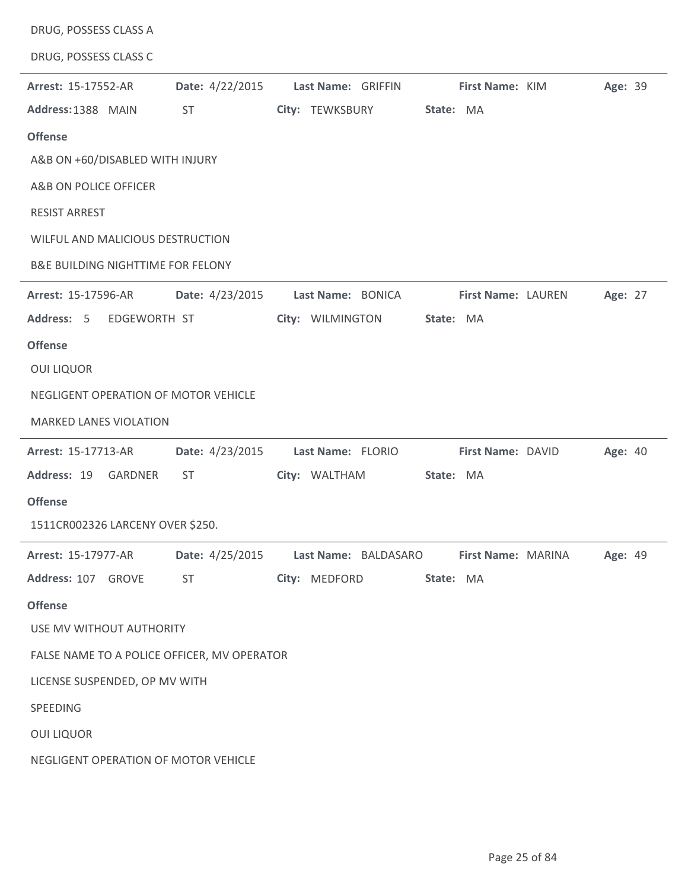| DRUG, POSSESS CLASS A                        |                 |                      |                    |         |
|----------------------------------------------|-----------------|----------------------|--------------------|---------|
| DRUG, POSSESS CLASS C                        |                 |                      |                    |         |
| Arrest: 15-17552-AR                          | Date: 4/22/2015 | Last Name: GRIFFIN   | First Name: KIM    | Age: 39 |
| Address: 1388 MAIN                           | <b>ST</b>       | City: TEWKSBURY      | State: MA          |         |
| <b>Offense</b>                               |                 |                      |                    |         |
| A&B ON +60/DISABLED WITH INJURY              |                 |                      |                    |         |
| A&B ON POLICE OFFICER                        |                 |                      |                    |         |
| <b>RESIST ARREST</b>                         |                 |                      |                    |         |
| WILFUL AND MALICIOUS DESTRUCTION             |                 |                      |                    |         |
| <b>B&amp;E BUILDING NIGHTTIME FOR FELONY</b> |                 |                      |                    |         |
| Arrest: 15-17596-AR                          | Date: 4/23/2015 | Last Name: BONICA    | First Name: LAUREN | Age: 27 |
| Address: 5<br>EDGEWORTH ST                   |                 | City: WILMINGTON     | State: MA          |         |
| <b>Offense</b>                               |                 |                      |                    |         |
| <b>OUI LIQUOR</b>                            |                 |                      |                    |         |
| NEGLIGENT OPERATION OF MOTOR VEHICLE         |                 |                      |                    |         |
| <b>MARKED LANES VIOLATION</b>                |                 |                      |                    |         |
| Arrest: 15-17713-AR                          | Date: 4/23/2015 | Last Name: FLORIO    | First Name: DAVID  | Age: 40 |
| Address: 19<br>GARDNER                       | <b>ST</b>       | City: WALTHAM        | State: MA          |         |
| <b>Offense</b>                               |                 |                      |                    |         |
| 1511CR002326 LARCENY OVER \$250.             |                 |                      |                    |         |
| Arrest: 15-17977-AR                          | Date: 4/25/2015 | Last Name: BALDASARO | First Name: MARINA | Age: 49 |
| Address: 107 GROVE                           | <b>ST</b>       | City: MEDFORD        | State: MA          |         |
| <b>Offense</b>                               |                 |                      |                    |         |
| USE MV WITHOUT AUTHORITY                     |                 |                      |                    |         |
|                                              |                 |                      |                    |         |
| FALSE NAME TO A POLICE OFFICER, MV OPERATOR  |                 |                      |                    |         |
| LICENSE SUSPENDED, OP MV WITH                |                 |                      |                    |         |
| SPEEDING                                     |                 |                      |                    |         |
| <b>OUI LIQUOR</b>                            |                 |                      |                    |         |
| NEGLIGENT OPERATION OF MOTOR VEHICLE         |                 |                      |                    |         |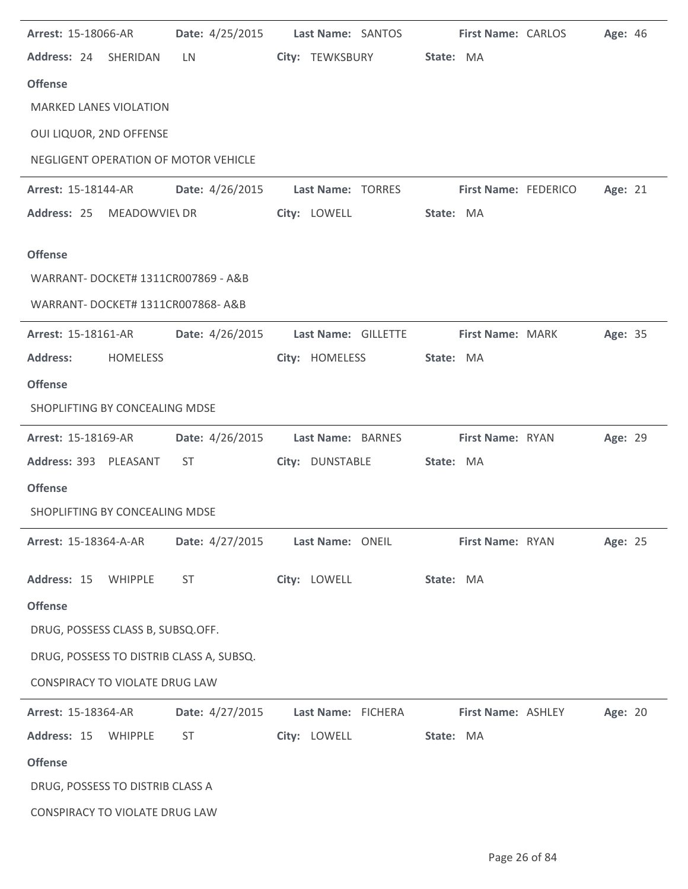| Arrest: 15-18066-AR                                   | Date: 4/25/2015                                                                                                                                                                                                                | Last Name: SANTOS                | First Name: CARLOS                                           | Age: 46 |
|-------------------------------------------------------|--------------------------------------------------------------------------------------------------------------------------------------------------------------------------------------------------------------------------------|----------------------------------|--------------------------------------------------------------|---------|
| Address: 24 SHERIDAN                                  | LN.                                                                                                                                                                                                                            | City: TEWKSBURY State: MA        |                                                              |         |
| <b>Offense</b>                                        |                                                                                                                                                                                                                                |                                  |                                                              |         |
| <b>MARKED LANES VIOLATION</b>                         |                                                                                                                                                                                                                                |                                  |                                                              |         |
| OUI LIQUOR, 2ND OFFENSE                               |                                                                                                                                                                                                                                |                                  |                                                              |         |
| NEGLIGENT OPERATION OF MOTOR VEHICLE                  |                                                                                                                                                                                                                                |                                  |                                                              |         |
| <b>Arrest: 15-18144-AR</b>                            |                                                                                                                                                                                                                                |                                  | Date: 4/26/2015    Last Name: TORRES    First Name: FEDERICO | Age: 21 |
| Address: 25 MEADOWVIE\ DR                             |                                                                                                                                                                                                                                | City: LOWELL                     | State: MA                                                    |         |
|                                                       |                                                                                                                                                                                                                                |                                  |                                                              |         |
| <b>Offense</b><br>WARRANT- DOCKET# 1311CR007869 - A&B |                                                                                                                                                                                                                                |                                  |                                                              |         |
|                                                       |                                                                                                                                                                                                                                |                                  |                                                              |         |
| WARRANT-DOCKET# 1311CR007868-A&B                      |                                                                                                                                                                                                                                |                                  |                                                              |         |
| <b>Arrest: 15-18161-AR</b>                            | Date: 4/26/2015                                                                                                                                                                                                                | Last Name: GILLETTE              | First Name: MARK                                             | Age: 35 |
| <b>Address:</b><br><b>HOMELESS</b>                    |                                                                                                                                                                                                                                | City: HOMELESS                   | State: MA                                                    |         |
| <b>Offense</b>                                        |                                                                                                                                                                                                                                |                                  |                                                              |         |
| SHOPLIFTING BY CONCEALING MDSE                        |                                                                                                                                                                                                                                |                                  |                                                              |         |
| <b>Arrest: 15-18169-AR</b>                            | Date: 4/26/2015                                                                                                                                                                                                                | Last Name: BARNES                | First Name: RYAN                                             | Age: 29 |
| Address: 393 PLEASANT                                 | ST                                                                                                                                                                                                                             | City: DUNSTABLE                  | State: MA                                                    |         |
| <b>Offense</b>                                        |                                                                                                                                                                                                                                |                                  |                                                              |         |
| SHOPLIFTING BY CONCEALING MDSE                        |                                                                                                                                                                                                                                |                                  |                                                              |         |
| <b>Arrest: 15-18364-A-AR</b>                          |                                                                                                                                                                                                                                | Date: 4/27/2015 Last Name: ONEIL | <b>First Name: RYAN</b>                                      | Age: 25 |
| Address: 15 WHIPPLE                                   | ST and the set of the set of the set of the set of the set of the set of the set of the set of the set of the set of the set of the set of the set of the set of the set of the set of the set of the set of the set of the se | City: LOWELL                     | State: MA                                                    |         |
| <b>Offense</b>                                        |                                                                                                                                                                                                                                |                                  |                                                              |         |
| DRUG, POSSESS CLASS B, SUBSQ.OFF.                     |                                                                                                                                                                                                                                |                                  |                                                              |         |
| DRUG, POSSESS TO DISTRIB CLASS A, SUBSQ.              |                                                                                                                                                                                                                                |                                  |                                                              |         |
| CONSPIRACY TO VIOLATE DRUG LAW                        |                                                                                                                                                                                                                                |                                  |                                                              |         |
| <b>Arrest: 15-18364-AR</b>                            | Date: 4/27/2015                                                                                                                                                                                                                | Last Name: FICHERA               | <b>First Name: ASHLEY</b>                                    | Age: 20 |
| Address: 15 WHIPPLE                                   | <b>ST</b>                                                                                                                                                                                                                      | City: LOWELL                     | State: MA                                                    |         |
| <b>Offense</b>                                        |                                                                                                                                                                                                                                |                                  |                                                              |         |
| DRUG, POSSESS TO DISTRIB CLASS A                      |                                                                                                                                                                                                                                |                                  |                                                              |         |
|                                                       |                                                                                                                                                                                                                                |                                  |                                                              |         |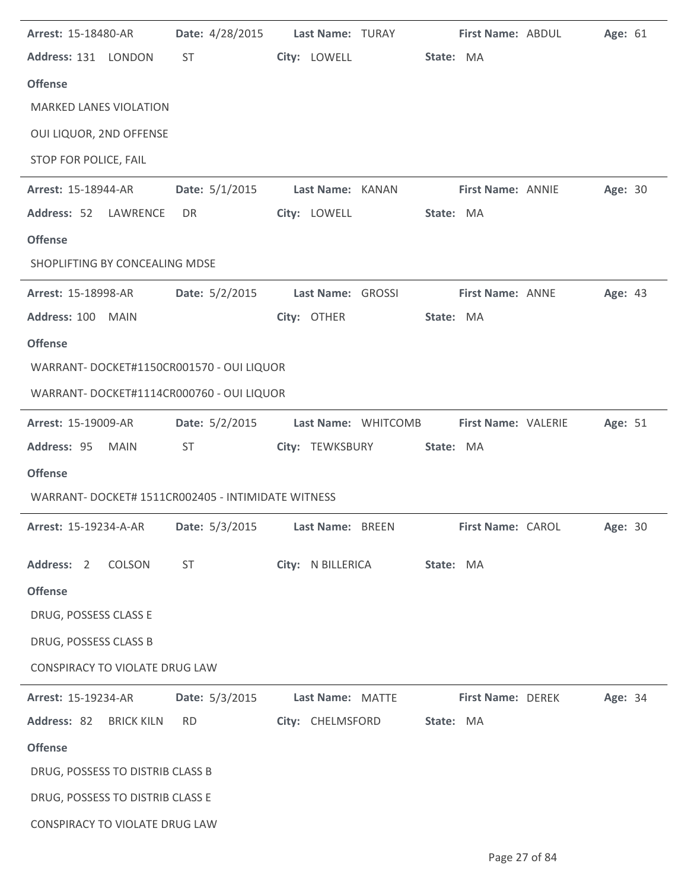| Arrest: 15-18480-AR                                         |                  | Date: 4/28/2015 Last Name: TURAY | First Name: ABDUL        |                            | Age: 61        |
|-------------------------------------------------------------|------------------|----------------------------------|--------------------------|----------------------------|----------------|
| Address: 131 LONDON                                         | <b>ST</b>        | City: LOWELL State: MA           |                          |                            |                |
| <b>Offense</b>                                              |                  |                                  |                          |                            |                |
| <b>MARKED LANES VIOLATION</b>                               |                  |                                  |                          |                            |                |
| OUI LIQUOR, 2ND OFFENSE                                     |                  |                                  |                          |                            |                |
| STOP FOR POLICE, FAIL                                       |                  |                                  |                          |                            |                |
| <b>Arrest: 15-18944-AR</b>                                  |                  | Date: 5/1/2015 Last Name: KANAN  | <b>First Name: ANNIE</b> |                            | Age: 30        |
| Address: 52 LAWRENCE                                        | DR               | City: LOWELL                     | State: MA                |                            |                |
| <b>Offense</b>                                              |                  |                                  |                          |                            |                |
| SHOPLIFTING BY CONCEALING MDSE                              |                  |                                  |                          |                            |                |
| Arrest: 15-18998-AR                                         |                  | Date: 5/2/2015 Last Name: GROSSI | First Name: ANNE         |                            | Age: 43        |
| Address: 100 MAIN                                           |                  | City: OTHER                      | State: MA                |                            |                |
| <b>Offense</b>                                              |                  |                                  |                          |                            |                |
| WARRANT- DOCKET#1150CR001570 - OUI LIQUOR                   |                  |                                  |                          |                            |                |
| WARRANT- DOCKET#1114CR000760 - OUI LIQUOR                   |                  |                                  |                          |                            |                |
| <b>Arrest: 15-19009-AR</b>                                  | Date: $5/2/2015$ | Last Name: WHITCOMB              |                          | <b>First Name: VALERIE</b> | Age: 51        |
| Address: 95 MAIN                                            | ST.              | City: TEWKSBURY                  | State: MA                |                            |                |
| <b>Offense</b>                                              |                  |                                  |                          |                            |                |
| WARRANT- DOCKET# 1511CR002405 - INTIMIDATE WITNESS          |                  |                                  |                          |                            |                |
| Arrest: 15-19234-A-AR    Date: 5/3/2015    Last Name: BREEN |                  |                                  | <b>First Name: CAROL</b> |                            | <b>Age: 30</b> |
| Address: 2 COLSON                                           | <b>ST</b>        | City: N BILLERICA State: MA      |                          |                            |                |
|                                                             |                  |                                  |                          |                            |                |
| <b>Offense</b>                                              |                  |                                  |                          |                            |                |
| DRUG, POSSESS CLASS E                                       |                  |                                  |                          |                            |                |
| DRUG, POSSESS CLASS B                                       |                  |                                  |                          |                            |                |
| CONSPIRACY TO VIOLATE DRUG LAW                              |                  |                                  |                          |                            |                |
| <b>Arrest: 15-19234-AR</b>                                  | Date: 5/3/2015   | Last Name: MATTE                 | <b>First Name: DEREK</b> |                            | Age: 34        |
| Address: 82 BRICK KILN                                      | <b>RD</b>        | City: CHELMSFORD State: MA       |                          |                            |                |
| <b>Offense</b>                                              |                  |                                  |                          |                            |                |
| DRUG, POSSESS TO DISTRIB CLASS B                            |                  |                                  |                          |                            |                |
| DRUG, POSSESS TO DISTRIB CLASS E                            |                  |                                  |                          |                            |                |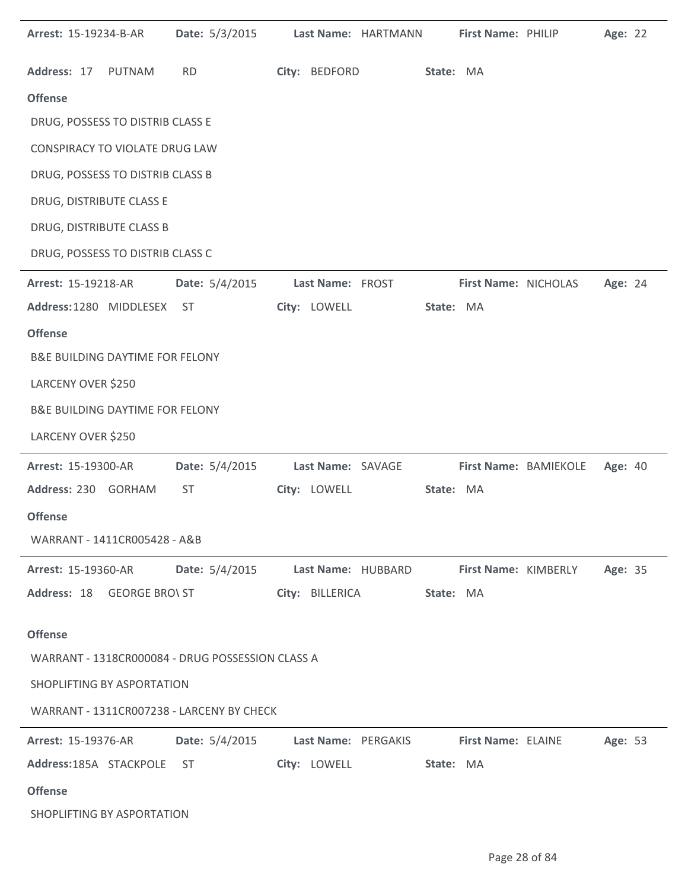| Arrest: 15-19234-B-AR                      | Date: 5/3/2015                                   |                     | Last Name: HARTMANN |           | First Name: PHILIP        |                       | Age: 22 |  |
|--------------------------------------------|--------------------------------------------------|---------------------|---------------------|-----------|---------------------------|-----------------------|---------|--|
| Address: 17 PUTNAM                         | <b>RD</b>                                        | City: BEDFORD       |                     | State: MA |                           |                       |         |  |
| <b>Offense</b>                             |                                                  |                     |                     |           |                           |                       |         |  |
| DRUG, POSSESS TO DISTRIB CLASS E           |                                                  |                     |                     |           |                           |                       |         |  |
| <b>CONSPIRACY TO VIOLATE DRUG LAW</b>      |                                                  |                     |                     |           |                           |                       |         |  |
| DRUG, POSSESS TO DISTRIB CLASS B           |                                                  |                     |                     |           |                           |                       |         |  |
| DRUG, DISTRIBUTE CLASS E                   |                                                  |                     |                     |           |                           |                       |         |  |
| DRUG, DISTRIBUTE CLASS B                   |                                                  |                     |                     |           |                           |                       |         |  |
| DRUG, POSSESS TO DISTRIB CLASS C           |                                                  |                     |                     |           |                           |                       |         |  |
| Arrest: 15-19218-AR                        | Date: 5/4/2015                                   | Last Name: FROST    |                     |           | First Name: NICHOLAS      |                       | Age: 24 |  |
| Address: 1280 MIDDLESEX ST                 |                                                  | City: LOWELL        |                     | State: MA |                           |                       |         |  |
| <b>Offense</b>                             |                                                  |                     |                     |           |                           |                       |         |  |
| <b>B&amp;E BUILDING DAYTIME FOR FELONY</b> |                                                  |                     |                     |           |                           |                       |         |  |
| LARCENY OVER \$250                         |                                                  |                     |                     |           |                           |                       |         |  |
| <b>B&amp;E BUILDING DAYTIME FOR FELONY</b> |                                                  |                     |                     |           |                           |                       |         |  |
| LARCENY OVER \$250                         |                                                  |                     |                     |           |                           |                       |         |  |
| Arrest: 15-19300-AR                        | Date: 5/4/2015                                   | Last Name: SAVAGE   |                     |           |                           | First Name: BAMIEKOLE | Age: 40 |  |
| Address: 230 GORHAM                        | <b>ST</b>                                        | City: LOWELL        |                     | State: MA |                           |                       |         |  |
| <b>Offense</b>                             |                                                  |                     |                     |           |                           |                       |         |  |
| WARRANT - 1411CR005428 - A&B               |                                                  |                     |                     |           |                           |                       |         |  |
| <b>Arrest: 15-19360-AR</b>                 | Date: 5/4/2015 Last Name: HUBBARD                |                     |                     |           |                           | First Name: KIMBERLY  | Age: 35 |  |
|                                            | Address: 18 GEORGE BRO\ ST                       | City: BILLERICA     |                     | State: MA |                           |                       |         |  |
| <b>Offense</b>                             |                                                  |                     |                     |           |                           |                       |         |  |
|                                            | WARRANT - 1318CR000084 - DRUG POSSESSION CLASS A |                     |                     |           |                           |                       |         |  |
| SHOPLIFTING BY ASPORTATION                 |                                                  |                     |                     |           |                           |                       |         |  |
|                                            | WARRANT - 1311CR007238 - LARCENY BY CHECK        |                     |                     |           |                           |                       |         |  |
| <b>Arrest: 15-19376-AR</b>                 | Date: 5/4/2015                                   | Last Name: PERGAKIS |                     |           | <b>First Name: ELAINE</b> |                       | Age: 53 |  |
| Address:185A STACKPOLE                     | ST                                               | City: LOWELL        |                     | State: MA |                           |                       |         |  |
| <b>Offense</b>                             |                                                  |                     |                     |           |                           |                       |         |  |
| SHOPLIFTING BY ASPORTATION                 |                                                  |                     |                     |           |                           |                       |         |  |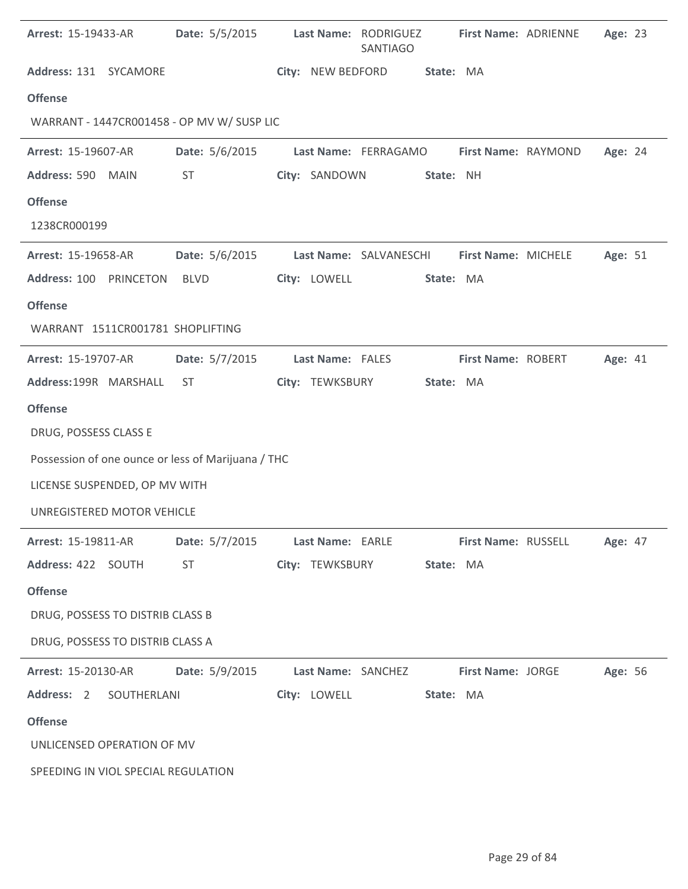| <b>Arrest: 15-19433-AR</b>                         | Date: 5/5/2015 Last Name: RODRIGUEZ |                    | <b>SANTIAGO</b>                            | First Name: ADRIENNE      |                            | Age: 23 |  |
|----------------------------------------------------|-------------------------------------|--------------------|--------------------------------------------|---------------------------|----------------------------|---------|--|
| Address: 131 SYCAMORE                              |                                     | City: NEW BEDFORD  |                                            | State: MA                 |                            |         |  |
| <b>Offense</b>                                     |                                     |                    |                                            |                           |                            |         |  |
| WARRANT - 1447CR001458 - OP MV W/ SUSP LIC         |                                     |                    |                                            |                           |                            |         |  |
| Arrest: 15-19607-AR                                | Date: 5/6/2015                      |                    | Last Name: FERRAGAMO                       | First Name: RAYMOND       |                            | Age: 24 |  |
| Address: 590 MAIN                                  | <b>ST</b>                           | City: SANDOWN      |                                            | State: NH                 |                            |         |  |
| <b>Offense</b>                                     |                                     |                    |                                            |                           |                            |         |  |
| 1238CR000199                                       |                                     |                    |                                            |                           |                            |         |  |
| Arrest: 15-19658-AR                                | Date: 5/6/2015                      |                    | Last Name: SALVANESCHI First Name: MICHELE |                           |                            | Age: 51 |  |
| Address: 100 PRINCETON                             | BLVD                                | City: LOWELL       |                                            | State: MA                 |                            |         |  |
| <b>Offense</b>                                     |                                     |                    |                                            |                           |                            |         |  |
| WARRANT 1511CR001781 SHOPLIFTING                   |                                     |                    |                                            |                           |                            |         |  |
| Arrest: 15-19707-AR                                | Date: 5/7/2015                      | Last Name: FALES   |                                            | <b>First Name: ROBERT</b> |                            | Age: 41 |  |
| Address:199R MARSHALL                              | ST                                  | City: TEWKSBURY    |                                            | State: MA                 |                            |         |  |
| <b>Offense</b>                                     |                                     |                    |                                            |                           |                            |         |  |
| DRUG, POSSESS CLASS E                              |                                     |                    |                                            |                           |                            |         |  |
| Possession of one ounce or less of Marijuana / THC |                                     |                    |                                            |                           |                            |         |  |
| LICENSE SUSPENDED, OP MV WITH                      |                                     |                    |                                            |                           |                            |         |  |
| UNREGISTERED MOTOR VEHICLE                         |                                     |                    |                                            |                           |                            |         |  |
| <b>Arrest: 15-19811-AR</b>                         | Date: 5/7/2015                      |                    | Last Name: EARLE                           |                           | <b>First Name: RUSSELL</b> | Age: 47 |  |
| Address: 422 SOUTH                                 | <b>ST</b>                           | City: TEWKSBURY    |                                            | State: MA                 |                            |         |  |
| <b>Offense</b>                                     |                                     |                    |                                            |                           |                            |         |  |
| DRUG, POSSESS TO DISTRIB CLASS B                   |                                     |                    |                                            |                           |                            |         |  |
| DRUG, POSSESS TO DISTRIB CLASS A                   |                                     |                    |                                            |                           |                            |         |  |
| <b>Arrest: 15-20130-AR</b>                         | Date: 5/9/2015                      | Last Name: SANCHEZ |                                            | <b>First Name: JORGE</b>  |                            | Age: 56 |  |
| Address: 2 SOUTHERLANI                             |                                     | City: LOWELL       |                                            | State: MA                 |                            |         |  |
| <b>Offense</b>                                     |                                     |                    |                                            |                           |                            |         |  |
| UNLICENSED OPERATION OF MV                         |                                     |                    |                                            |                           |                            |         |  |
| SPEEDING IN VIOL SPECIAL REGULATION                |                                     |                    |                                            |                           |                            |         |  |

l.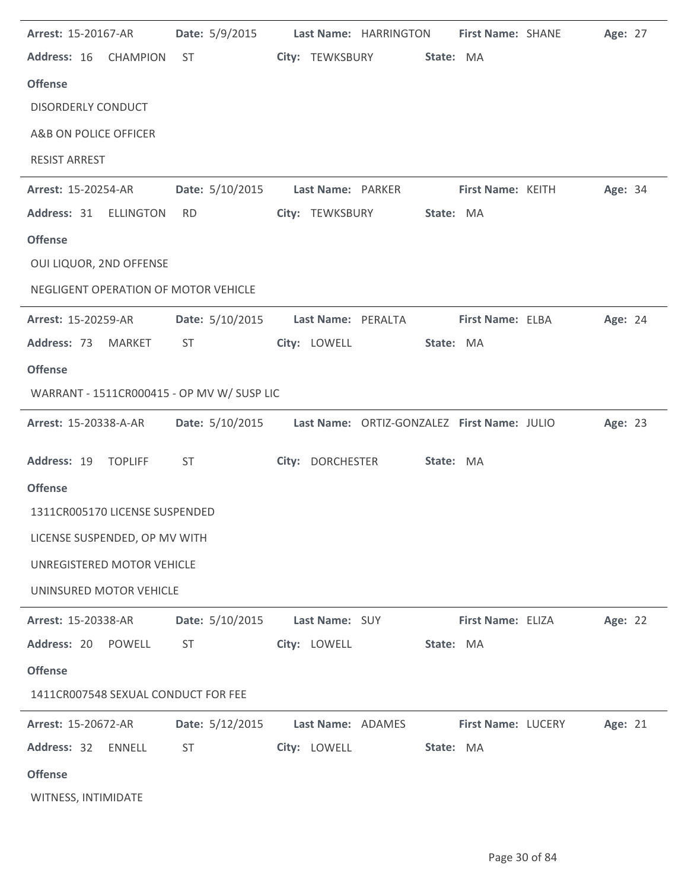| Arrest: 15-20167-AR                        | Date: 5/9/2015  |                    | Last Name: HARRINGTON                       | First Name: SHANE  | Age: 27 |  |
|--------------------------------------------|-----------------|--------------------|---------------------------------------------|--------------------|---------|--|
| Address: 16 CHAMPION                       | <b>ST</b>       | City: TEWKSBURY    | State: MA                                   |                    |         |  |
| <b>Offense</b>                             |                 |                    |                                             |                    |         |  |
| <b>DISORDERLY CONDUCT</b>                  |                 |                    |                                             |                    |         |  |
| A&B ON POLICE OFFICER                      |                 |                    |                                             |                    |         |  |
| <b>RESIST ARREST</b>                       |                 |                    |                                             |                    |         |  |
| Arrest: 15-20254-AR                        | Date: 5/10/2015 | Last Name: PARKER  |                                             | First Name: KEITH  | Age: 34 |  |
| Address: 31 ELLINGTON                      | <b>RD</b>       | City: TEWKSBURY    | State: MA                                   |                    |         |  |
| <b>Offense</b>                             |                 |                    |                                             |                    |         |  |
| OUI LIQUOR, 2ND OFFENSE                    |                 |                    |                                             |                    |         |  |
| NEGLIGENT OPERATION OF MOTOR VEHICLE       |                 |                    |                                             |                    |         |  |
| Arrest: 15-20259-AR                        | Date: 5/10/2015 | Last Name: PERALTA |                                             | First Name: ELBA   | Age: 24 |  |
| Address: 73 MARKET                         | ST              | City: LOWELL       | State: MA                                   |                    |         |  |
| <b>Offense</b>                             |                 |                    |                                             |                    |         |  |
| WARRANT - 1511CR000415 - OP MV W/ SUSP LIC |                 |                    |                                             |                    |         |  |
| Arrest: 15-20338-A-AR                      | Date: 5/10/2015 |                    | Last Name: ORTIZ-GONZALEZ First Name: JULIO |                    | Age: 23 |  |
| Address: 19 TOPLIFF                        | <b>ST</b>       | City: DORCHESTER   | State: MA                                   |                    |         |  |
| <b>Offense</b>                             |                 |                    |                                             |                    |         |  |
| 1311CR005170 LICENSE SUSPENDED             |                 |                    |                                             |                    |         |  |
| LICENSE SUSPENDED, OP MV WITH              |                 |                    |                                             |                    |         |  |
| UNREGISTERED MOTOR VEHICLE                 |                 |                    |                                             |                    |         |  |
| UNINSURED MOTOR VEHICLE                    |                 |                    |                                             |                    |         |  |
| Arrest: 15-20338-AR                        | Date: 5/10/2015 | Last Name: SUY     |                                             | First Name: ELIZA  | Age: 22 |  |
| Address: 20<br>POWELL                      | <b>ST</b>       | City: LOWELL       | State: MA                                   |                    |         |  |
| <b>Offense</b>                             |                 |                    |                                             |                    |         |  |
| 1411CR007548 SEXUAL CONDUCT FOR FEE        |                 |                    |                                             |                    |         |  |
| Arrest: 15-20672-AR                        | Date: 5/12/2015 | Last Name: ADAMES  |                                             | First Name: LUCERY | Age: 21 |  |
| Address: 32<br><b>ENNELL</b>               | <b>ST</b>       | City: LOWELL       | State: MA                                   |                    |         |  |
| <b>Offense</b>                             |                 |                    |                                             |                    |         |  |
| WITNESS, INTIMIDATE                        |                 |                    |                                             |                    |         |  |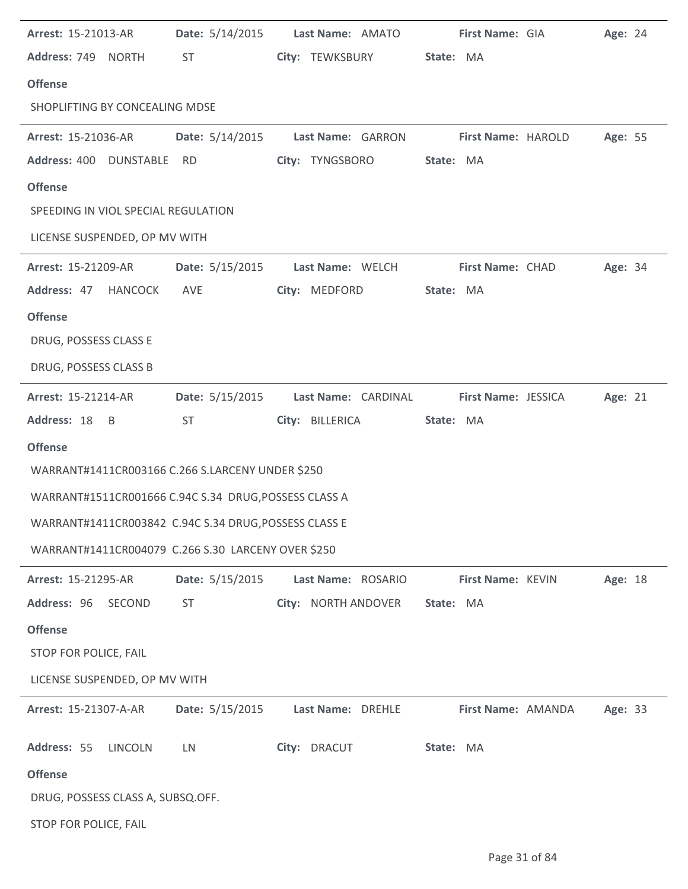| <b>Arrest: 15-21013-AR</b>          |                                                       | Date: 5/14/2015 Last Name: AMATO | First Name: GIA            | Age: 24 |
|-------------------------------------|-------------------------------------------------------|----------------------------------|----------------------------|---------|
| Address: 749 NORTH                  | <b>ST</b>                                             | City: TEWKSBURY                  | State: MA                  |         |
| <b>Offense</b>                      |                                                       |                                  |                            |         |
| SHOPLIFTING BY CONCEALING MDSE      |                                                       |                                  |                            |         |
| <b>Arrest: 15-21036-AR</b>          | Date: 5/14/2015                                       | Last Name: GARRON                | <b>First Name: HAROLD</b>  | Age: 55 |
| Address: 400 DUNSTABLE RD           |                                                       | City: TYNGSBORO                  | State: MA                  |         |
| <b>Offense</b>                      |                                                       |                                  |                            |         |
| SPEEDING IN VIOL SPECIAL REGULATION |                                                       |                                  |                            |         |
| LICENSE SUSPENDED, OP MV WITH       |                                                       |                                  |                            |         |
| <b>Arrest: 15-21209-AR</b>          |                                                       | Date: 5/15/2015 Last Name: WELCH | First Name: CHAD           | Age: 34 |
| Address: 47 HANCOCK                 | AVE                                                   | City: MEDFORD                    | State: MA                  |         |
| <b>Offense</b>                      |                                                       |                                  |                            |         |
| DRUG, POSSESS CLASS E               |                                                       |                                  |                            |         |
| DRUG, POSSESS CLASS B               |                                                       |                                  |                            |         |
| Arrest: 15-21214-AR                 | Date: 5/15/2015                                       | Last Name: CARDINAL              | <b>First Name: JESSICA</b> | Age: 21 |
| Address: 18 B                       | <b>ST</b>                                             | City: BILLERICA                  | State: MA                  |         |
| <b>Offense</b>                      |                                                       |                                  |                            |         |
|                                     | WARRANT#1411CR003166 C.266 S.LARCENY UNDER \$250      |                                  |                            |         |
|                                     | WARRANT#1511CR001666 C.94C S.34 DRUG, POSSESS CLASS A |                                  |                            |         |
|                                     | WARRANT#1411CR003842 C.94C S.34 DRUG, POSSESS CLASS E |                                  |                            |         |
|                                     | WARRANT#1411CR004079 C.266 S.30 LARCENY OVER \$250    |                                  |                            |         |
| Arrest: 15-21295-AR                 | Date: 5/15/2015                                       | Last Name: ROSARIO               | First Name: KEVIN          | Age: 18 |
| Address: 96 SECOND                  | <b>ST</b>                                             | City: NORTH ANDOVER              | State: MA                  |         |
| <b>Offense</b>                      |                                                       |                                  |                            |         |
| STOP FOR POLICE, FAIL               |                                                       |                                  |                            |         |
| LICENSE SUSPENDED, OP MV WITH       |                                                       |                                  |                            |         |
| <b>Arrest: 15-21307-A-AR</b>        | Date: 5/15/2015                                       | Last Name: DREHLE                | First Name: AMANDA         | Age: 33 |
| Address: 55 LINCOLN                 | LN                                                    | City: DRACUT                     | State: MA                  |         |
| <b>Offense</b>                      |                                                       |                                  |                            |         |
| DRUG, POSSESS CLASS A, SUBSQ.OFF.   |                                                       |                                  |                            |         |
| STOP FOR POLICE, FAIL               |                                                       |                                  |                            |         |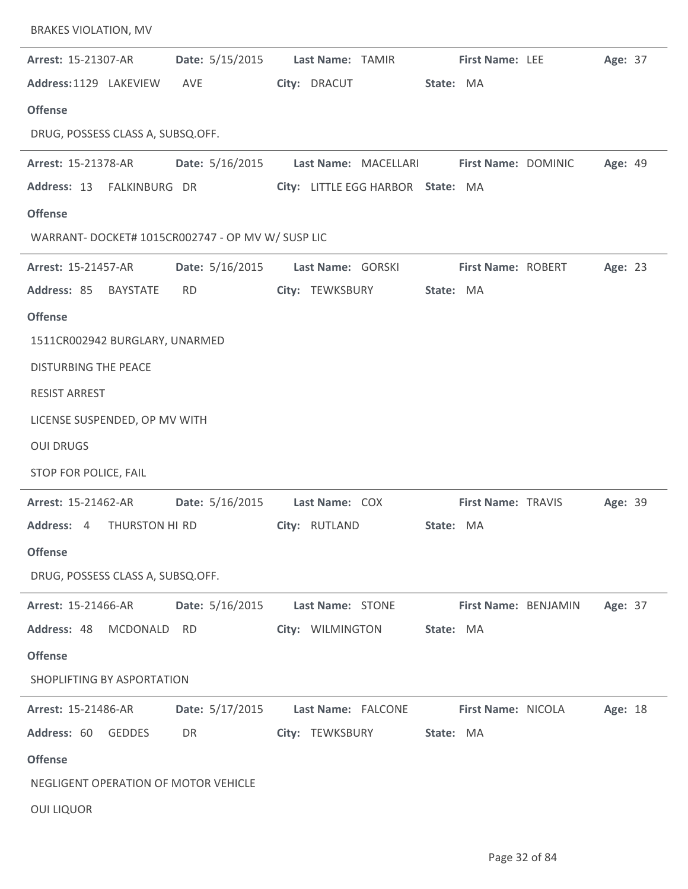| <b>BRAKES VIOLATION, MV</b>                       |                 |                                   |                      |                           |         |  |
|---------------------------------------------------|-----------------|-----------------------------------|----------------------|---------------------------|---------|--|
| Arrest: 15-21307-AR                               | Date: 5/15/2015 | Last Name: TAMIR                  |                      | <b>First Name: LEE</b>    | Age: 37 |  |
| Address: 1129 LAKEVIEW                            | AVE             | City: DRACUT                      |                      | State: MA                 |         |  |
| <b>Offense</b>                                    |                 |                                   |                      |                           |         |  |
| DRUG, POSSESS CLASS A, SUBSQ.OFF.                 |                 |                                   |                      |                           |         |  |
| Arrest: 15-21378-AR                               | Date: 5/16/2015 |                                   | Last Name: MACELLARI | First Name: DOMINIC       | Age: 49 |  |
| Address: 13<br>FALKINBURG DR                      |                 | City: LITTLE EGG HARBOR State: MA |                      |                           |         |  |
| <b>Offense</b>                                    |                 |                                   |                      |                           |         |  |
| WARRANT- DOCKET# 1015CR002747 - OP MV W/ SUSP LIC |                 |                                   |                      |                           |         |  |
| Arrest: 15-21457-AR                               | Date: 5/16/2015 | Last Name: GORSKI                 |                      | <b>First Name: ROBERT</b> | Age: 23 |  |
| Address: 85<br><b>BAYSTATE</b>                    | <b>RD</b>       | City: TEWKSBURY                   |                      | State: MA                 |         |  |
| <b>Offense</b>                                    |                 |                                   |                      |                           |         |  |
| 1511CR002942 BURGLARY, UNARMED                    |                 |                                   |                      |                           |         |  |
| <b>DISTURBING THE PEACE</b>                       |                 |                                   |                      |                           |         |  |
| <b>RESIST ARREST</b>                              |                 |                                   |                      |                           |         |  |
| LICENSE SUSPENDED, OP MV WITH                     |                 |                                   |                      |                           |         |  |
| <b>OUI DRUGS</b>                                  |                 |                                   |                      |                           |         |  |
| STOP FOR POLICE, FAIL                             |                 |                                   |                      |                           |         |  |
| Arrest: 15-21462-AR                               | Date: 5/16/2015 | Last Name: COX                    |                      | First Name: TRAVIS        | Age: 39 |  |
| <b>Address:</b> 4 THURSTON HI RD                  |                 | City: RUTLAND                     |                      | State: MA                 |         |  |
| <b>Offense</b>                                    |                 |                                   |                      |                           |         |  |
| DRUG, POSSESS CLASS A, SUBSQ.OFF.                 |                 |                                   |                      |                           |         |  |
| <b>Arrest: 15-21466-AR</b>                        | Date: 5/16/2015 | Last Name: STONE                  |                      | First Name: BENJAMIN      | Age: 37 |  |
| Address: 48<br>MCDONALD                           | RD              | City: WILMINGTON                  |                      | State: MA                 |         |  |
| <b>Offense</b>                                    |                 |                                   |                      |                           |         |  |
| SHOPLIFTING BY ASPORTATION                        |                 |                                   |                      |                           |         |  |
| Arrest: 15-21486-AR                               | Date: 5/17/2015 | Last Name: FALCONE                |                      | <b>First Name: NICOLA</b> | Age: 18 |  |
| Address: 60<br><b>GEDDES</b>                      | DR              | City: TEWKSBURY                   |                      | State: MA                 |         |  |
| <b>Offense</b>                                    |                 |                                   |                      |                           |         |  |
| NEGLIGENT OPERATION OF MOTOR VEHICLE              |                 |                                   |                      |                           |         |  |
| <b>OUI LIQUOR</b>                                 |                 |                                   |                      |                           |         |  |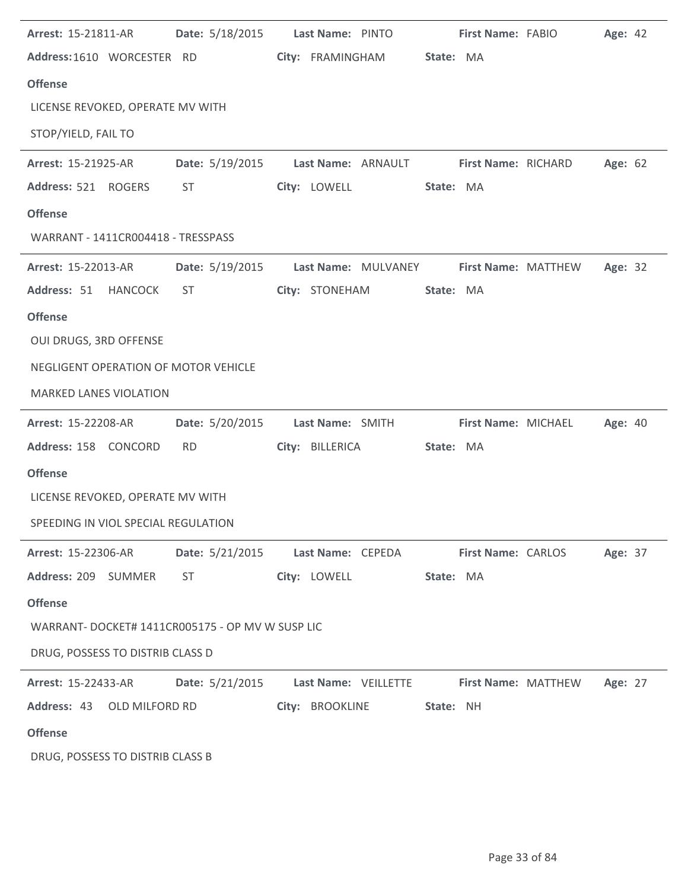| Arrest: 15-21811-AR                              |                 | Date: 5/18/2015 Last Name: PINTO                       | First Name: FABIO          | Age: 42                     |
|--------------------------------------------------|-----------------|--------------------------------------------------------|----------------------------|-----------------------------|
| Address:1610 WORCESTER RD                        |                 | City: FRAMINGHAM                                       | State: MA                  |                             |
| <b>Offense</b>                                   |                 |                                                        |                            |                             |
| LICENSE REVOKED, OPERATE MV WITH                 |                 |                                                        |                            |                             |
| STOP/YIELD, FAIL TO                              |                 |                                                        |                            |                             |
| <b>Arrest: 15-21925-AR</b>                       |                 | Date: 5/19/2015 Last Name: ARNAULT First Name: RICHARD |                            | Age: 62                     |
| Address: 521 ROGERS                              | <b>ST</b>       | City: LOWELL                                           | State: MA                  |                             |
| <b>Offense</b>                                   |                 |                                                        |                            |                             |
| WARRANT - 1411CR004418 - TRESSPASS               |                 |                                                        |                            |                             |
| <b>Arrest: 15-22013-AR</b>                       |                 | Date: 5/19/2015    Last Name: MULVANEY                 | <b>First Name: MATTHEW</b> | Age: 32                     |
| Address: 51 HANCOCK                              | ST              | City: STONEHAM                                         | State: MA                  |                             |
| <b>Offense</b>                                   |                 |                                                        |                            |                             |
| OUI DRUGS, 3RD OFFENSE                           |                 |                                                        |                            |                             |
| NEGLIGENT OPERATION OF MOTOR VEHICLE             |                 |                                                        |                            |                             |
| <b>MARKED LANES VIOLATION</b>                    |                 |                                                        |                            |                             |
| Arrest: 15-22208-AR                              | Date: 5/20/2015 | Last Name: SMITH                                       | First Name: MICHAEL        | Age: 40                     |
| Address: 158 CONCORD                             | <b>RD</b>       | City: BILLERICA                                        | State: MA                  |                             |
| <b>Offense</b>                                   |                 |                                                        |                            |                             |
| LICENSE REVOKED, OPERATE MV WITH                 |                 |                                                        |                            |                             |
| SPEEDING IN VIOL SPECIAL REGULATION              |                 |                                                        |                            |                             |
| Arrest: 15-22306-AR                              |                 | Date: 5/21/2015 Last Name: CEPEDA                      | <b>First Name: CARLOS</b>  | Age: 37                     |
| Address: 209 SUMMER                              | ST.             | City: LOWELL                                           | State: MA                  |                             |
| <b>Offense</b>                                   |                 |                                                        |                            |                             |
| WARRANT- DOCKET# 1411CR005175 - OP MV W SUSP LIC |                 |                                                        |                            |                             |
| DRUG, POSSESS TO DISTRIB CLASS D                 |                 |                                                        |                            |                             |
| Arrest: 15-22433-AR                              |                 | Date: 5/21/2015 Last Name: VEILLETTE                   |                            | First Name: MATTHEW Age: 27 |
| Address: 43 OLD MILFORD RD                       |                 | City: BROOKLINE                                        | State: NH                  |                             |
| <b>Offense</b>                                   |                 |                                                        |                            |                             |
| DRUG, POSSESS TO DISTRIB CLASS B                 |                 |                                                        |                            |                             |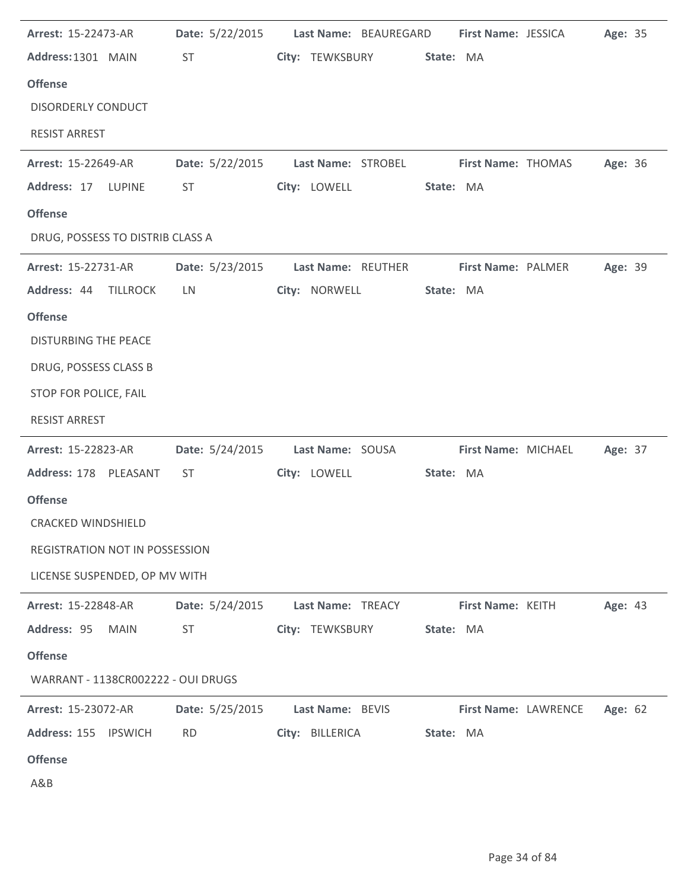| Arrest: 15-22473-AR                   |                 | Date: 5/22/2015 Last Name: BEAUREGARD First Name: JESSICA |                           |                      | Age: 35 |
|---------------------------------------|-----------------|-----------------------------------------------------------|---------------------------|----------------------|---------|
| Address: 1301 MAIN                    | ST <sub>1</sub> | City: TEWKSBURY                                           | State: MA                 |                      |         |
| <b>Offense</b>                        |                 |                                                           |                           |                      |         |
| <b>DISORDERLY CONDUCT</b>             |                 |                                                           |                           |                      |         |
| <b>RESIST ARREST</b>                  |                 |                                                           |                           |                      |         |
| <b>Arrest: 15-22649-AR</b>            |                 | Date: 5/22/2015 Last Name: STROBEL                        | <b>First Name: THOMAS</b> |                      | Age: 36 |
| Address: 17 LUPINE                    | ST              | City: LOWELL                                              | State: MA                 |                      |         |
| <b>Offense</b>                        |                 |                                                           |                           |                      |         |
| DRUG, POSSESS TO DISTRIB CLASS A      |                 |                                                           |                           |                      |         |
| <b>Arrest: 15-22731-AR</b>            |                 | Date: 5/23/2015 Last Name: REUTHER                        | <b>First Name: PALMER</b> |                      | Age: 39 |
| Address: 44 TILLROCK                  | LN.             | City: NORWELL                                             | State: MA                 |                      |         |
| <b>Offense</b>                        |                 |                                                           |                           |                      |         |
| <b>DISTURBING THE PEACE</b>           |                 |                                                           |                           |                      |         |
| DRUG, POSSESS CLASS B                 |                 |                                                           |                           |                      |         |
| STOP FOR POLICE, FAIL                 |                 |                                                           |                           |                      |         |
| <b>RESIST ARREST</b>                  |                 |                                                           |                           |                      |         |
| <b>Arrest: 15-22823-AR</b>            |                 | Date: 5/24/2015 Last Name: SOUSA                          |                           | First Name: MICHAEL  | Age: 37 |
| Address: 178 PLEASANT                 | ST              | City: LOWELL                                              | State: MA                 |                      |         |
| <b>Offense</b>                        |                 |                                                           |                           |                      |         |
| <b>CRACKED WINDSHIELD</b>             |                 |                                                           |                           |                      |         |
| <b>REGISTRATION NOT IN POSSESSION</b> |                 |                                                           |                           |                      |         |
| LICENSE SUSPENDED, OP MV WITH         |                 |                                                           |                           |                      |         |
| Arrest: 15-22848-AR                   | Date: 5/24/2015 | Last Name: TREACY                                         | First Name: KEITH         |                      | Age: 43 |
| Address: 95<br><b>MAIN</b>            | <b>ST</b>       | City: TEWKSBURY                                           | State: MA                 |                      |         |
| <b>Offense</b>                        |                 |                                                           |                           |                      |         |
| WARRANT - 1138CR002222 - OUI DRUGS    |                 |                                                           |                           |                      |         |
| Arrest: 15-23072-AR                   | Date: 5/25/2015 | Last Name: BEVIS                                          |                           | First Name: LAWRENCE | Age: 62 |
| Address: 155 IPSWICH                  | <b>RD</b>       | City: BILLERICA                                           | State: MA                 |                      |         |
| <b>Offense</b>                        |                 |                                                           |                           |                      |         |
| A&B                                   |                 |                                                           |                           |                      |         |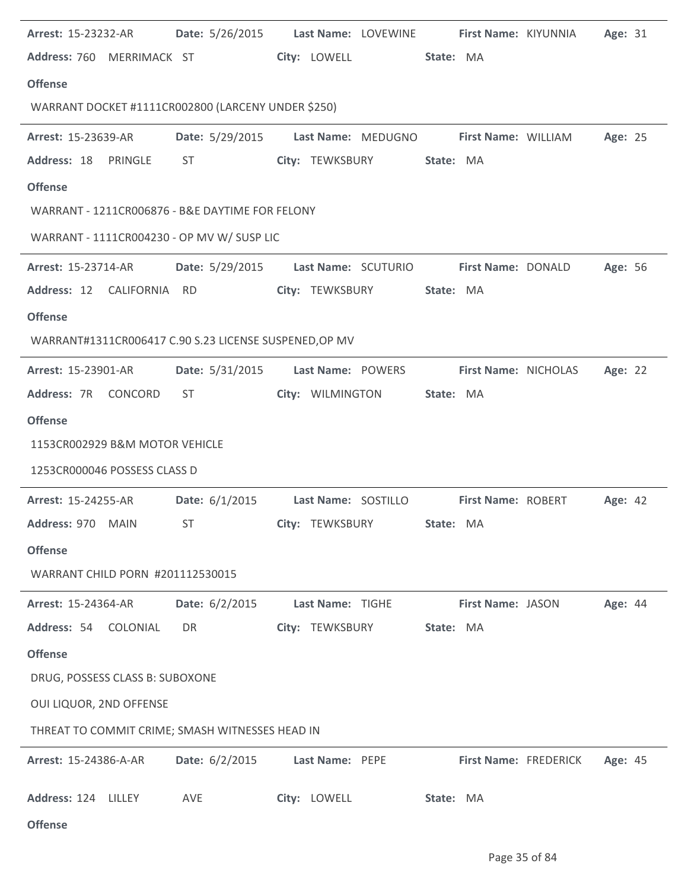| <b>Arrest: 15-23232-AR</b>                             |                                                                                                                                                                                                                                |                                   | Date: 5/26/2015 Last Name: LOVEWINE First Name: KIYUNNIA     | Age: 31 |  |  |  |  |  |  |  |
|--------------------------------------------------------|--------------------------------------------------------------------------------------------------------------------------------------------------------------------------------------------------------------------------------|-----------------------------------|--------------------------------------------------------------|---------|--|--|--|--|--|--|--|
| Address: 760 MERRIMACK ST                              |                                                                                                                                                                                                                                | City: LOWELL                      | State: MA                                                    |         |  |  |  |  |  |  |  |
| <b>Offense</b>                                         |                                                                                                                                                                                                                                |                                   |                                                              |         |  |  |  |  |  |  |  |
| WARRANT DOCKET #1111CR002800 (LARCENY UNDER \$250)     |                                                                                                                                                                                                                                |                                   |                                                              |         |  |  |  |  |  |  |  |
| <b>Arrest: 15-23639-AR</b>                             |                                                                                                                                                                                                                                |                                   | Date: 5/29/2015    Last Name: MEDUGNO    First Name: WILLIAM | Age: 25 |  |  |  |  |  |  |  |
| Address: 18 PRINGLE                                    | ST and the state of the state of the state of the state of the state of the state of the state of the state of the state of the state of the state of the state of the state of the state of the state of the state of the sta | City: TEWKSBURY                   | State: MA                                                    |         |  |  |  |  |  |  |  |
| <b>Offense</b>                                         |                                                                                                                                                                                                                                |                                   |                                                              |         |  |  |  |  |  |  |  |
| WARRANT - 1211CR006876 - B&E DAYTIME FOR FELONY        |                                                                                                                                                                                                                                |                                   |                                                              |         |  |  |  |  |  |  |  |
| WARRANT - 1111CR004230 - OP MV W/ SUSP LIC             |                                                                                                                                                                                                                                |                                   |                                                              |         |  |  |  |  |  |  |  |
| <b>Arrest: 15-23714-AR</b>                             |                                                                                                                                                                                                                                |                                   | Date: 5/29/2015 Last Name: SCUTURIO First Name: DONALD       | Age: 56 |  |  |  |  |  |  |  |
| Address: 12 CALIFORNIA RD                              |                                                                                                                                                                                                                                | City: TEWKSBURY                   | State: MA                                                    |         |  |  |  |  |  |  |  |
| <b>Offense</b>                                         |                                                                                                                                                                                                                                |                                   |                                                              |         |  |  |  |  |  |  |  |
| WARRANT#1311CR006417 C.90 S.23 LICENSE SUSPENED, OP MV |                                                                                                                                                                                                                                |                                   |                                                              |         |  |  |  |  |  |  |  |
| <b>Arrest: 15-23901-AR</b>                             |                                                                                                                                                                                                                                | Date: 5/31/2015 Last Name: POWERS | First Name: NICHOLAS                                         | Age: 22 |  |  |  |  |  |  |  |
| Address: 7R CONCORD                                    | ST and the state of the state of the state of the state of the state of the state of the state of the state of the state of the state of the state of the state of the state of the state of the state of the state of the sta | City: WILMINGTON                  | State: MA                                                    |         |  |  |  |  |  |  |  |
| <b>Offense</b>                                         |                                                                                                                                                                                                                                |                                   |                                                              |         |  |  |  |  |  |  |  |
| 1153CR002929 B&M MOTOR VEHICLE                         |                                                                                                                                                                                                                                |                                   |                                                              |         |  |  |  |  |  |  |  |
| 1253CR000046 POSSESS CLASS D                           |                                                                                                                                                                                                                                |                                   |                                                              |         |  |  |  |  |  |  |  |
| <b>Arrest: 15-24255-AR</b>                             |                                                                                                                                                                                                                                |                                   | Date: 6/1/2015 Last Name: SOSTILLO First Name: ROBERT        | Age: 42 |  |  |  |  |  |  |  |
| Address: 970 MAIN                                      |                                                                                                                                                                                                                                |                                   |                                                              |         |  |  |  |  |  |  |  |
| <b>Offense</b>                                         |                                                                                                                                                                                                                                |                                   |                                                              |         |  |  |  |  |  |  |  |
| WARRANT CHILD PORN #201112530015                       |                                                                                                                                                                                                                                |                                   |                                                              |         |  |  |  |  |  |  |  |
| <b>Arrest: 15-24364-AR</b>                             | Date: $6/2/2015$                                                                                                                                                                                                               | Last Name: TIGHE                  | First Name: JASON                                            | Age: 44 |  |  |  |  |  |  |  |
| Address: 54 COLONIAL                                   | DR                                                                                                                                                                                                                             | City: TEWKSBURY                   | State: MA                                                    |         |  |  |  |  |  |  |  |
| <b>Offense</b>                                         |                                                                                                                                                                                                                                |                                   |                                                              |         |  |  |  |  |  |  |  |
| DRUG, POSSESS CLASS B: SUBOXONE                        |                                                                                                                                                                                                                                |                                   |                                                              |         |  |  |  |  |  |  |  |
| OUI LIQUOR, 2ND OFFENSE                                |                                                                                                                                                                                                                                |                                   |                                                              |         |  |  |  |  |  |  |  |
| THREAT TO COMMIT CRIME; SMASH WITNESSES HEAD IN        |                                                                                                                                                                                                                                |                                   |                                                              |         |  |  |  |  |  |  |  |
| Arrest: 15-24386-A-AR                                  | Date: $6/2/2015$                                                                                                                                                                                                               | Last Name: PEPE                   | <b>First Name: FREDERICK</b>                                 | Age: 45 |  |  |  |  |  |  |  |
| Address: 124 LILLEY                                    | AVE                                                                                                                                                                                                                            | City: LOWELL                      | State: MA                                                    |         |  |  |  |  |  |  |  |

**Offense**

l.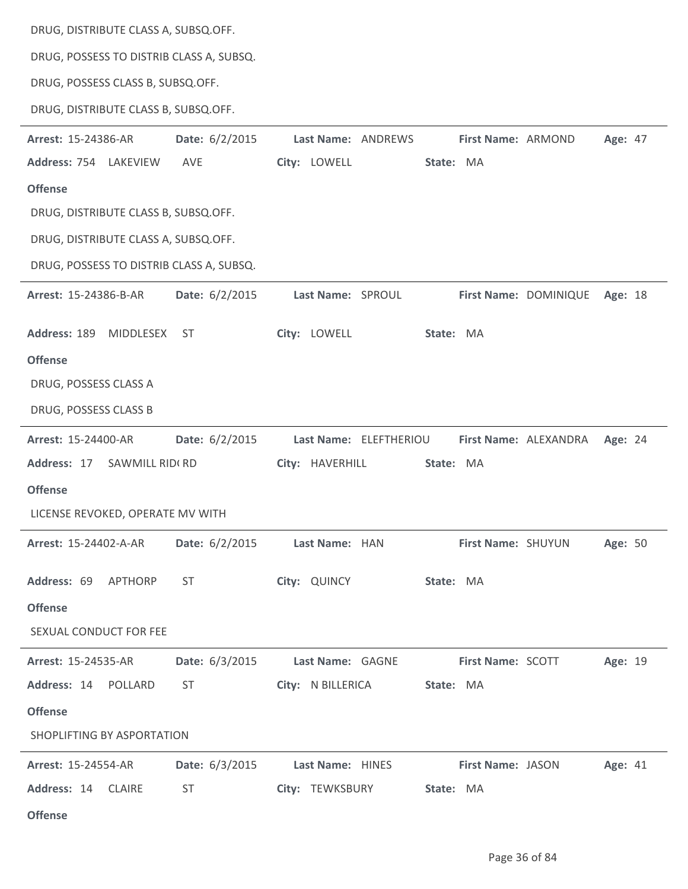DRUG, DISTRIBUTE CLASS A, SUBSQ.OFF.

DRUG, POSSESS TO DISTRIB CLASS A, SUBSQ.

DRUG, POSSESS CLASS B, SUBSQ.OFF.

DRUG, DISTRIBUTE CLASS B, SUBSQ.OFF.

| Arrest: 15-24386-AR                      | Date: $6/2/2015$ | Last Name: ANDREWS |                        | First Name: ARMOND       |                       | Age: 47 |  |
|------------------------------------------|------------------|--------------------|------------------------|--------------------------|-----------------------|---------|--|
| Address: 754 LAKEVIEW                    | AVE              | City: LOWELL       | State: MA              |                          |                       |         |  |
| <b>Offense</b>                           |                  |                    |                        |                          |                       |         |  |
| DRUG, DISTRIBUTE CLASS B, SUBSQ.OFF.     |                  |                    |                        |                          |                       |         |  |
| DRUG, DISTRIBUTE CLASS A, SUBSQ.OFF.     |                  |                    |                        |                          |                       |         |  |
| DRUG, POSSESS TO DISTRIB CLASS A, SUBSQ. |                  |                    |                        |                          |                       |         |  |
| Arrest: 15-24386-B-AR                    | Date: $6/2/2015$ | Last Name: SPROUL  |                        |                          | First Name: DOMINIQUE | Age: 18 |  |
| Address: 189<br>MIDDLESEX                | <b>ST</b>        | City: LOWELL       | State: MA              |                          |                       |         |  |
| <b>Offense</b>                           |                  |                    |                        |                          |                       |         |  |
| DRUG, POSSESS CLASS A                    |                  |                    |                        |                          |                       |         |  |
| DRUG, POSSESS CLASS B                    |                  |                    |                        |                          |                       |         |  |
| Arrest: 15-24400-AR                      | Date: $6/2/2015$ |                    | Last Name: ELEFTHERIOU |                          | First Name: ALEXANDRA | Age: 24 |  |
| Address: 17<br>SAWMILL RIDI RD           |                  | City: HAVERHILL    | State: MA              |                          |                       |         |  |
| <b>Offense</b>                           |                  |                    |                        |                          |                       |         |  |
| LICENSE REVOKED, OPERATE MV WITH         |                  |                    |                        |                          |                       |         |  |
| Arrest: 15-24402-A-AR                    | Date: 6/2/2015   | Last Name: HAN     |                        | First Name: SHUYUN       |                       | Age: 50 |  |
| Address: 69<br>APTHORP                   | <b>ST</b>        | City: QUINCY       | State: MA              |                          |                       |         |  |
| <b>Offense</b>                           |                  |                    |                        |                          |                       |         |  |
| SEXUAL CONDUCT FOR FEE                   |                  |                    |                        |                          |                       |         |  |
| <b>Arrest: 15-24535-AR</b>               | Date: 6/3/2015   | Last Name: GAGNE   |                        | <b>First Name: SCOTT</b> |                       | Age: 19 |  |
| Address: 14 POLLARD                      | ST               | City: N BILLERICA  | State: MA              |                          |                       |         |  |
| <b>Offense</b>                           |                  |                    |                        |                          |                       |         |  |
| SHOPLIFTING BY ASPORTATION               |                  |                    |                        |                          |                       |         |  |
| <b>Arrest: 15-24554-AR</b>               | Date: 6/3/2015   | Last Name: HINES   |                        | First Name: JASON        |                       | Age: 41 |  |
| Address: 14 CLAIRE                       | <b>ST</b>        | City: TEWKSBURY    | State: MA              |                          |                       |         |  |
| <b>Offense</b>                           |                  |                    |                        |                          |                       |         |  |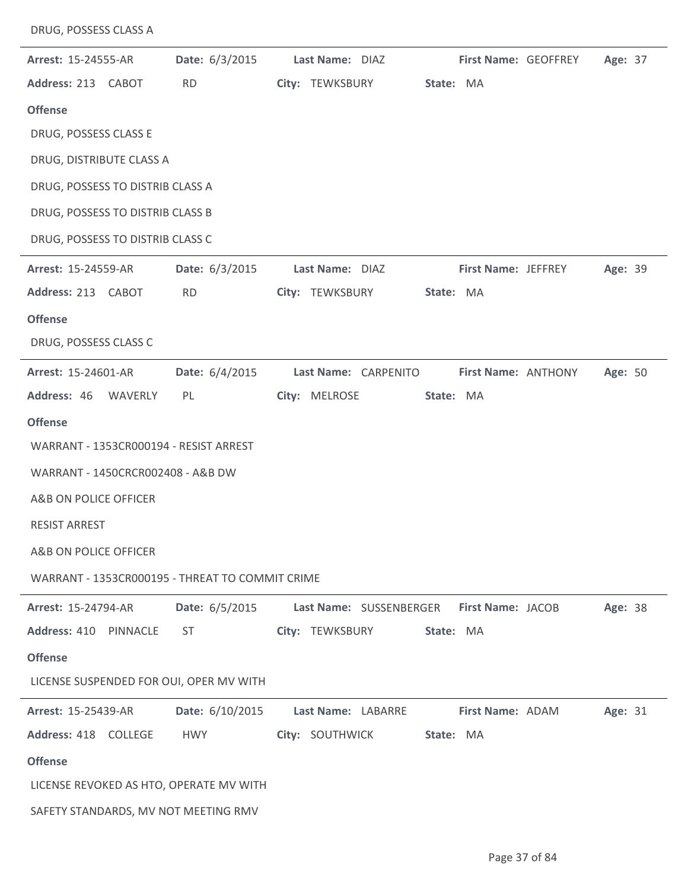| <b>Arrest: 15-24555-AR</b>                      | <b>Date:</b> 6/3/2015 | Last Name: DIAZ           |           | First Name: GEOFFREY | Age: 37 |  |
|-------------------------------------------------|-----------------------|---------------------------|-----------|----------------------|---------|--|
| Address: 213 CABOT                              | <b>RD</b>             | City: TEWKSBURY State: MA |           |                      |         |  |
| <b>Offense</b>                                  |                       |                           |           |                      |         |  |
| DRUG, POSSESS CLASS E                           |                       |                           |           |                      |         |  |
| DRUG, DISTRIBUTE CLASS A                        |                       |                           |           |                      |         |  |
| DRUG, POSSESS TO DISTRIB CLASS A                |                       |                           |           |                      |         |  |
| DRUG, POSSESS TO DISTRIB CLASS B                |                       |                           |           |                      |         |  |
| DRUG, POSSESS TO DISTRIB CLASS C                |                       |                           |           |                      |         |  |
| <b>Arrest: 15-24559-AR</b>                      | Date: 6/3/2015        | Last Name: DIAZ           |           | First Name: JEFFREY  | Age: 39 |  |
| Address: 213 CABOT                              | <b>RD</b>             | City: TEWKSBURY           | State: MA |                      |         |  |
| <b>Offense</b>                                  |                       |                           |           |                      |         |  |
| DRUG, POSSESS CLASS C                           |                       |                           |           |                      |         |  |
| Arrest: 15-24601-AR                             | Date: 6/4/2015        | Last Name: CARPENITO      |           | First Name: ANTHONY  | Age: 50 |  |
| Address: 46 WAVERLY                             | PL                    | City: MELROSE             | State: MA |                      |         |  |
| <b>Offense</b>                                  |                       |                           |           |                      |         |  |
| WARRANT - 1353CR000194 - RESIST ARREST          |                       |                           |           |                      |         |  |
| WARRANT - 1450CRCR002408 - A&B DW               |                       |                           |           |                      |         |  |
| A&B ON POLICE OFFICER                           |                       |                           |           |                      |         |  |
| <b>RESIST ARREST</b>                            |                       |                           |           |                      |         |  |
| A&B ON POLICE OFFICER                           |                       |                           |           |                      |         |  |
| WARRANT - 1353CR000195 - THREAT TO COMMIT CRIME |                       |                           |           |                      |         |  |
| Arrest: 15-24794-AR                             | Date: 6/5/2015        | Last Name: SUSSENBERGER   |           | First Name: JACOB    | Age: 38 |  |
| Address: 410 PINNACLE                           | <b>ST</b>             | City: TEWKSBURY           | State: MA |                      |         |  |
| <b>Offense</b>                                  |                       |                           |           |                      |         |  |
| LICENSE SUSPENDED FOR OUI, OPER MV WITH         |                       |                           |           |                      |         |  |
| Arrest: 15-25439-AR                             | Date: 6/10/2015       | Last Name: LABARRE        |           | First Name: ADAM     | Age: 31 |  |
| Address: 418 COLLEGE                            | HWY                   | City: SOUTHWICK           | State: MA |                      |         |  |
| <b>Offense</b>                                  |                       |                           |           |                      |         |  |
| LICENSE REVOKED AS HTO, OPERATE MV WITH         |                       |                           |           |                      |         |  |
| SAFETY STANDARDS, MV NOT MEETING RMV            |                       |                           |           |                      |         |  |

DRUG, POSSESS CLASS A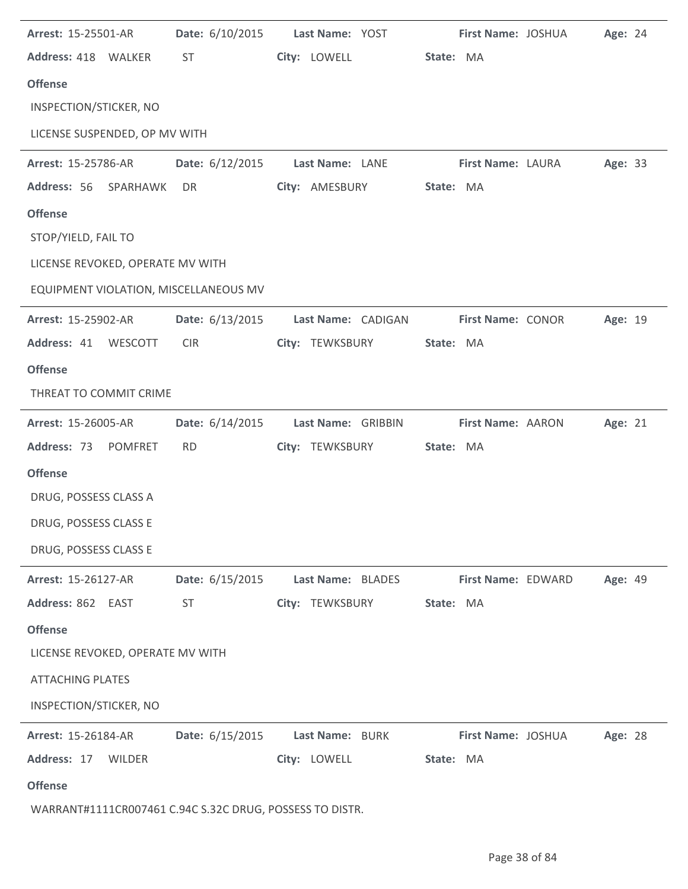| Arrest: 15-25501-AR                                      | Date: 6/10/2015 | Last Name: YOST    |           | First Name: JOSHUA | Age: 24 |  |
|----------------------------------------------------------|-----------------|--------------------|-----------|--------------------|---------|--|
| Address: 418 WALKER                                      | <b>ST</b>       | City: LOWELL       | State: MA |                    |         |  |
| <b>Offense</b>                                           |                 |                    |           |                    |         |  |
| INSPECTION/STICKER, NO                                   |                 |                    |           |                    |         |  |
| LICENSE SUSPENDED, OP MV WITH                            |                 |                    |           |                    |         |  |
| Arrest: 15-25786-AR                                      | Date: 6/12/2015 | Last Name: LANE    |           | First Name: LAURA  | Age: 33 |  |
| Address: 56<br>SPARHAWK                                  | DR              | City: AMESBURY     | State: MA |                    |         |  |
| <b>Offense</b>                                           |                 |                    |           |                    |         |  |
| STOP/YIELD, FAIL TO                                      |                 |                    |           |                    |         |  |
| LICENSE REVOKED, OPERATE MV WITH                         |                 |                    |           |                    |         |  |
| EQUIPMENT VIOLATION, MISCELLANEOUS MV                    |                 |                    |           |                    |         |  |
| Arrest: 15-25902-AR                                      | Date: 6/13/2015 | Last Name: CADIGAN |           | First Name: CONOR  | Age: 19 |  |
| Address: 41 WESCOTT                                      | <b>CIR</b>      | City: TEWKSBURY    | State: MA |                    |         |  |
| <b>Offense</b>                                           |                 |                    |           |                    |         |  |
| THREAT TO COMMIT CRIME                                   |                 |                    |           |                    |         |  |
| Arrest: 15-26005-AR                                      | Date: 6/14/2015 | Last Name: GRIBBIN |           | First Name: AARON  | Age: 21 |  |
| Address: 73<br><b>POMFRET</b>                            | <b>RD</b>       | City: TEWKSBURY    | State: MA |                    |         |  |
| <b>Offense</b>                                           |                 |                    |           |                    |         |  |
| DRUG, POSSESS CLASS A                                    |                 |                    |           |                    |         |  |
| DRUG, POSSESS CLASS E                                    |                 |                    |           |                    |         |  |
| DRUG, POSSESS CLASS E                                    |                 |                    |           |                    |         |  |
| Arrest: 15-26127-AR                                      | Date: 6/15/2015 | Last Name: BLADES  |           | First Name: EDWARD | Age: 49 |  |
| Address: 862 EAST                                        | <b>ST</b>       | City: TEWKSBURY    | State: MA |                    |         |  |
| <b>Offense</b>                                           |                 |                    |           |                    |         |  |
| LICENSE REVOKED, OPERATE MV WITH                         |                 |                    |           |                    |         |  |
| <b>ATTACHING PLATES</b>                                  |                 |                    |           |                    |         |  |
| INSPECTION/STICKER, NO                                   |                 |                    |           |                    |         |  |
| Arrest: 15-26184-AR                                      | Date: 6/15/2015 | Last Name: BURK    |           | First Name: JOSHUA | Age: 28 |  |
| Address: 17<br><b>WILDER</b>                             |                 | City: LOWELL       | State: MA |                    |         |  |
| <b>Offense</b>                                           |                 |                    |           |                    |         |  |
| WARRANT#1111CR007461 C.94C S.32C DRUG, POSSESS TO DISTR. |                 |                    |           |                    |         |  |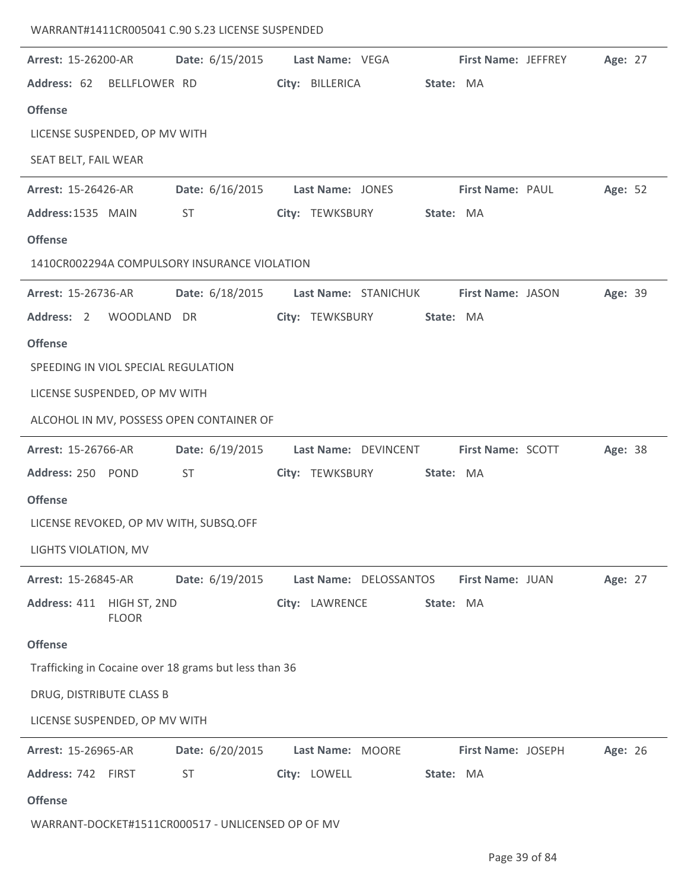## WARRANT#1411CR005041 C.90 S.23 LICENSE SUSPENDED

| Arrest: 15-26200-AR                 |              | Date: 6/15/2015 Last Name: VEGA                       |                  |                        |           |                          | <b>First Name: JEFFREY</b> | Age: 27 |  |
|-------------------------------------|--------------|-------------------------------------------------------|------------------|------------------------|-----------|--------------------------|----------------------------|---------|--|
| Address: 62 BELLFLOWER RD           |              |                                                       | City: BILLERICA  |                        | State: MA |                          |                            |         |  |
| <b>Offense</b>                      |              |                                                       |                  |                        |           |                          |                            |         |  |
| LICENSE SUSPENDED, OP MV WITH       |              |                                                       |                  |                        |           |                          |                            |         |  |
| SEAT BELT, FAIL WEAR                |              |                                                       |                  |                        |           |                          |                            |         |  |
| Arrest: 15-26426-AR                 |              | Date: 6/16/2015 Last Name: JONES                      |                  |                        |           | <b>First Name: PAUL</b>  |                            | Age: 52 |  |
| Address: 1535 MAIN                  |              | ST                                                    |                  | City: TEWKSBURY        | State: MA |                          |                            |         |  |
| <b>Offense</b>                      |              |                                                       |                  |                        |           |                          |                            |         |  |
|                                     |              | 1410CR002294A COMPULSORY INSURANCE VIOLATION          |                  |                        |           |                          |                            |         |  |
| Arrest: 15-26736-AR                 |              | Date: 6/18/2015 Last Name: STANICHUK                  |                  |                        |           | <b>First Name: JASON</b> |                            | Age: 39 |  |
| Address: 2 WOODLAND DR              |              |                                                       |                  | City: TEWKSBURY        | State: MA |                          |                            |         |  |
| <b>Offense</b>                      |              |                                                       |                  |                        |           |                          |                            |         |  |
| SPEEDING IN VIOL SPECIAL REGULATION |              |                                                       |                  |                        |           |                          |                            |         |  |
| LICENSE SUSPENDED, OP MV WITH       |              |                                                       |                  |                        |           |                          |                            |         |  |
|                                     |              | ALCOHOL IN MV, POSSESS OPEN CONTAINER OF              |                  |                        |           |                          |                            |         |  |
| Arrest: 15-26766-AR                 |              | Date: 6/19/2015    Last Name: DEVINCENT               |                  |                        |           | <b>First Name: SCOTT</b> |                            | Age: 38 |  |
| Address: 250 POND                   |              | <b>ST</b>                                             |                  | City: TEWKSBURY        | State: MA |                          |                            |         |  |
| <b>Offense</b>                      |              |                                                       |                  |                        |           |                          |                            |         |  |
|                                     |              | LICENSE REVOKED, OP MV WITH, SUBSQ.OFF                |                  |                        |           |                          |                            |         |  |
| LIGHTS VIOLATION, MV                |              |                                                       |                  |                        |           |                          |                            |         |  |
| Arrest: 15-26845-AR                 |              | Date: 6/19/2015                                       |                  | Last Name: DELOSSANTOS |           | First Name: JUAN         |                            | Age: 27 |  |
| Address: 411 HIGH ST, 2ND           | <b>FLOOR</b> |                                                       | City: LAWRENCE   |                        | State: MA |                          |                            |         |  |
| <b>Offense</b>                      |              |                                                       |                  |                        |           |                          |                            |         |  |
|                                     |              | Trafficking in Cocaine over 18 grams but less than 36 |                  |                        |           |                          |                            |         |  |
| DRUG, DISTRIBUTE CLASS B            |              |                                                       |                  |                        |           |                          |                            |         |  |
| LICENSE SUSPENDED, OP MV WITH       |              |                                                       |                  |                        |           |                          |                            |         |  |
| Arrest: 15-26965-AR                 |              | Date: 6/20/2015                                       | Last Name: MOORE |                        |           | First Name: JOSEPH       |                            | Age: 26 |  |
| Address: 742 FIRST                  |              | <b>ST</b>                                             | City: LOWELL     |                        | State: MA |                          |                            |         |  |
| <b>Offense</b>                      |              |                                                       |                  |                        |           |                          |                            |         |  |
|                                     |              | WARRANT-DOCKET#1511CR000517 - UNLICENSED OP OF MV     |                  |                        |           |                          |                            |         |  |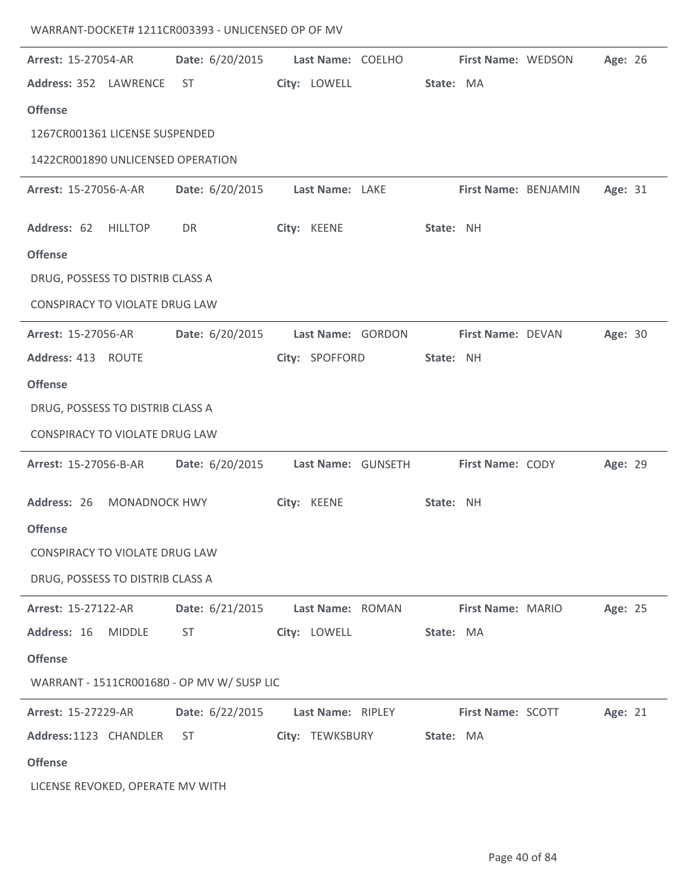| <b>Arrest: 15-27054-AR</b>                 | Date: 6/20/2015 Last Name: COELHO First Name: WEDSON |                   |           |                          | Age: 26 |  |
|--------------------------------------------|------------------------------------------------------|-------------------|-----------|--------------------------|---------|--|
| Address: 352 LAWRENCE ST                   |                                                      | City: LOWELL      | State: MA |                          |         |  |
| <b>Offense</b>                             |                                                      |                   |           |                          |         |  |
| 1267CR001361 LICENSE SUSPENDED             |                                                      |                   |           |                          |         |  |
| 1422CR001890 UNLICENSED OPERATION          |                                                      |                   |           |                          |         |  |
| <b>Arrest: 15-27056-A-AR</b>               | Date: 6/20/2015                                      | Last Name: LAKE   |           | First Name: BENJAMIN     | Age: 31 |  |
| Address: 62 HILLTOP                        | DR                                                   | City: KEENE       | State: NH |                          |         |  |
| <b>Offense</b>                             |                                                      |                   |           |                          |         |  |
| DRUG, POSSESS TO DISTRIB CLASS A           |                                                      |                   |           |                          |         |  |
| CONSPIRACY TO VIOLATE DRUG LAW             |                                                      |                   |           |                          |         |  |
| Arrest: 15-27056-AR                        | Date: 6/20/2015                                      | Last Name: GORDON |           | First Name: DEVAN        | Age: 30 |  |
| Address: 413 ROUTE                         |                                                      | City: SPOFFORD    | State: NH |                          |         |  |
| <b>Offense</b>                             |                                                      |                   |           |                          |         |  |
| DRUG, POSSESS TO DISTRIB CLASS A           |                                                      |                   |           |                          |         |  |
| CONSPIRACY TO VIOLATE DRUG LAW             |                                                      |                   |           |                          |         |  |
| <b>Arrest: 15-27056-B-AR</b>               | Date: 6/20/2015    Last Name: GUNSETH                |                   |           | First Name: CODY         | Age: 29 |  |
| Address: 26 MONADNOCK HWY                  |                                                      | City: KEENE       | State: NH |                          |         |  |
| <b>Offense</b>                             |                                                      |                   |           |                          |         |  |
| CONSPIRACY TO VIOLATE DRUG LAW             |                                                      |                   |           |                          |         |  |
| DRUG, POSSESS TO DISTRIB CLASS A           |                                                      |                   |           |                          |         |  |
| Arrest: 15-27122-AR                        | Date: 6/21/2015                                      | Last Name: ROMAN  |           | First Name: MARIO        | Age: 25 |  |
| Address: 16<br><b>MIDDLE</b>               | ST                                                   | City: LOWELL      | State: MA |                          |         |  |
| <b>Offense</b>                             |                                                      |                   |           |                          |         |  |
| WARRANT - 1511CR001680 - OP MV W/ SUSP LIC |                                                      |                   |           |                          |         |  |
| Arrest: 15-27229-AR                        | Date: 6/22/2015                                      | Last Name: RIPLEY |           | <b>First Name: SCOTT</b> | Age: 21 |  |
| Address: 1123 CHANDLER                     | ST.                                                  | City: TEWKSBURY   | State: MA |                          |         |  |
| <b>Offense</b>                             |                                                      |                   |           |                          |         |  |
| LICENSE REVOKED, OPERATE MV WITH           |                                                      |                   |           |                          |         |  |

WARRANT-DOCKET# 1211CR003393 - UNLICENSED OP OF MV

 $\overline{a}$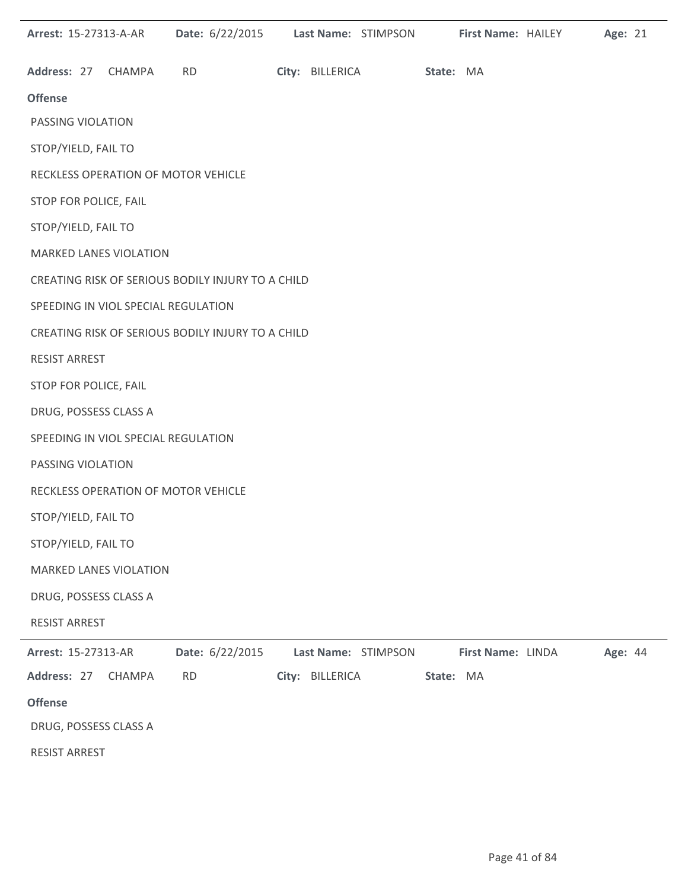|                       | Arrest: 15-27313-A-AR               |           | Date: 6/22/2015 Last Name: STIMPSON               |                 |                     |           | First Name: HAILEY | Age: 21 |  |
|-----------------------|-------------------------------------|-----------|---------------------------------------------------|-----------------|---------------------|-----------|--------------------|---------|--|
|                       | Address: 27 CHAMPA                  | <b>RD</b> |                                                   |                 | City: BILLERICA     | State: MA |                    |         |  |
| <b>Offense</b>        |                                     |           |                                                   |                 |                     |           |                    |         |  |
| PASSING VIOLATION     |                                     |           |                                                   |                 |                     |           |                    |         |  |
| STOP/YIELD, FAIL TO   |                                     |           |                                                   |                 |                     |           |                    |         |  |
|                       | RECKLESS OPERATION OF MOTOR VEHICLE |           |                                                   |                 |                     |           |                    |         |  |
| STOP FOR POLICE, FAIL |                                     |           |                                                   |                 |                     |           |                    |         |  |
| STOP/YIELD, FAIL TO   |                                     |           |                                                   |                 |                     |           |                    |         |  |
|                       | <b>MARKED LANES VIOLATION</b>       |           |                                                   |                 |                     |           |                    |         |  |
|                       |                                     |           | CREATING RISK OF SERIOUS BODILY INJURY TO A CHILD |                 |                     |           |                    |         |  |
|                       | SPEEDING IN VIOL SPECIAL REGULATION |           |                                                   |                 |                     |           |                    |         |  |
|                       |                                     |           | CREATING RISK OF SERIOUS BODILY INJURY TO A CHILD |                 |                     |           |                    |         |  |
| <b>RESIST ARREST</b>  |                                     |           |                                                   |                 |                     |           |                    |         |  |
| STOP FOR POLICE, FAIL |                                     |           |                                                   |                 |                     |           |                    |         |  |
|                       | DRUG, POSSESS CLASS A               |           |                                                   |                 |                     |           |                    |         |  |
|                       | SPEEDING IN VIOL SPECIAL REGULATION |           |                                                   |                 |                     |           |                    |         |  |
| PASSING VIOLATION     |                                     |           |                                                   |                 |                     |           |                    |         |  |
|                       | RECKLESS OPERATION OF MOTOR VEHICLE |           |                                                   |                 |                     |           |                    |         |  |
| STOP/YIELD, FAIL TO   |                                     |           |                                                   |                 |                     |           |                    |         |  |
| STOP/YIELD, FAIL TO   |                                     |           |                                                   |                 |                     |           |                    |         |  |
|                       | <b>MARKED LANES VIOLATION</b>       |           |                                                   |                 |                     |           |                    |         |  |
|                       | DRUG, POSSESS CLASS A               |           |                                                   |                 |                     |           |                    |         |  |
| <b>RESIST ARREST</b>  |                                     |           |                                                   |                 |                     |           |                    |         |  |
| Arrest: 15-27313-AR   |                                     |           | Date: 6/22/2015                                   |                 | Last Name: STIMPSON |           | First Name: LINDA  | Age: 44 |  |
|                       | Address: 27 CHAMPA                  | <b>RD</b> |                                                   | City: BILLERICA |                     | State: MA |                    |         |  |
| <b>Offense</b>        |                                     |           |                                                   |                 |                     |           |                    |         |  |
|                       | DRUG, POSSESS CLASS A               |           |                                                   |                 |                     |           |                    |         |  |
| RESIST ARREST         |                                     |           |                                                   |                 |                     |           |                    |         |  |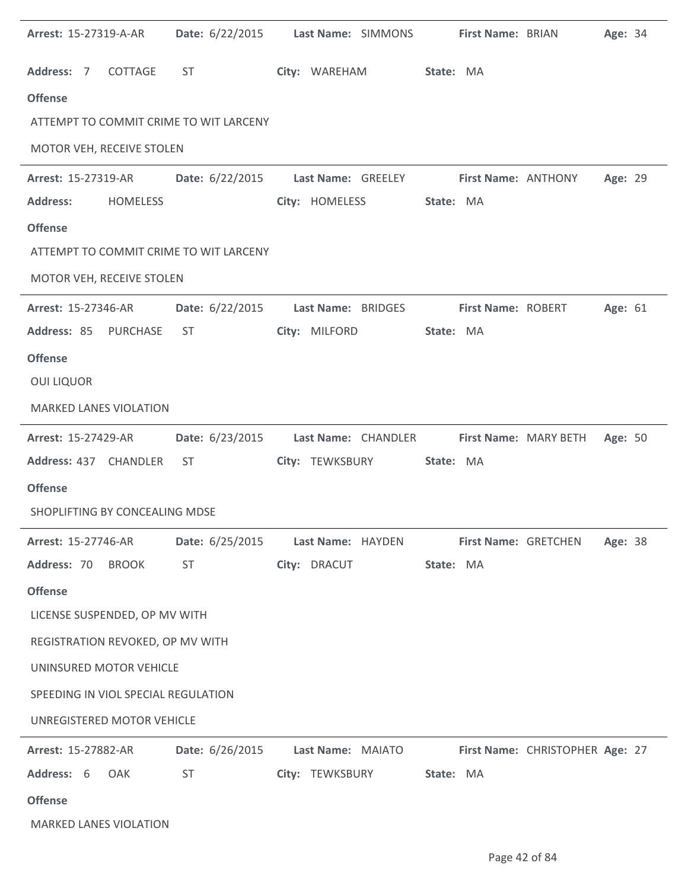| Arrest: 15-27319-A-AR |                                     | Date: 6/22/2015 Last Name: SIMMONS     |                    |                     |           | First Name: BRIAN    |                                 | Age: 34 |  |
|-----------------------|-------------------------------------|----------------------------------------|--------------------|---------------------|-----------|----------------------|---------------------------------|---------|--|
| Address: 7            | COTTAGE                             | ST                                     | City: WAREHAM      |                     | State: MA |                      |                                 |         |  |
| <b>Offense</b>        |                                     |                                        |                    |                     |           |                      |                                 |         |  |
|                       |                                     | ATTEMPT TO COMMIT CRIME TO WIT LARCENY |                    |                     |           |                      |                                 |         |  |
|                       | MOTOR VEH, RECEIVE STOLEN           |                                        |                    |                     |           |                      |                                 |         |  |
| Arrest: 15-27319-AR   |                                     | Date: 6/22/2015 Last Name: GREELEY     |                    |                     |           | First Name: ANTHONY  |                                 | Age: 29 |  |
| <b>Address:</b>       | <b>HOMELESS</b>                     |                                        | City: HOMELESS     |                     | State: MA |                      |                                 |         |  |
| <b>Offense</b>        |                                     |                                        |                    |                     |           |                      |                                 |         |  |
|                       |                                     | ATTEMPT TO COMMIT CRIME TO WIT LARCENY |                    |                     |           |                      |                                 |         |  |
|                       | MOTOR VEH, RECEIVE STOLEN           |                                        |                    |                     |           |                      |                                 |         |  |
| Arrest: 15-27346-AR   |                                     | Date: 6/22/2015                        | Last Name: BRIDGES |                     |           | First Name: ROBERT   |                                 | Age: 61 |  |
|                       | Address: 85 PURCHASE                | ST                                     | City: MILFORD      |                     | State: MA |                      |                                 |         |  |
| <b>Offense</b>        |                                     |                                        |                    |                     |           |                      |                                 |         |  |
| <b>OUI LIQUOR</b>     |                                     |                                        |                    |                     |           |                      |                                 |         |  |
|                       | <b>MARKED LANES VIOLATION</b>       |                                        |                    |                     |           |                      |                                 |         |  |
| Arrest: 15-27429-AR   |                                     | Date: 6/23/2015                        |                    | Last Name: CHANDLER |           |                      | First Name: MARY BETH           | Age: 50 |  |
|                       | Address: 437 CHANDLER               | ST                                     | City: TEWKSBURY    |                     | State: MA |                      |                                 |         |  |
| <b>Offense</b>        |                                     |                                        |                    |                     |           |                      |                                 |         |  |
|                       | SHOPLIFTING BY CONCEALING MDSE      |                                        |                    |                     |           |                      |                                 |         |  |
| Arrest: 15-27746-AR   |                                     | Date: 6/25/2015                        | Last Name: HAYDEN  |                     |           | First Name: GRETCHEN |                                 | Age: 38 |  |
| Address: 70 BROOK     |                                     | ST                                     | City: DRACUT       |                     | State: MA |                      |                                 |         |  |
| <b>Offense</b>        |                                     |                                        |                    |                     |           |                      |                                 |         |  |
|                       | LICENSE SUSPENDED, OP MV WITH       |                                        |                    |                     |           |                      |                                 |         |  |
|                       | REGISTRATION REVOKED, OP MV WITH    |                                        |                    |                     |           |                      |                                 |         |  |
|                       | UNINSURED MOTOR VEHICLE             |                                        |                    |                     |           |                      |                                 |         |  |
|                       | SPEEDING IN VIOL SPECIAL REGULATION |                                        |                    |                     |           |                      |                                 |         |  |
|                       | UNREGISTERED MOTOR VEHICLE          |                                        |                    |                     |           |                      |                                 |         |  |
| Arrest: 15-27882-AR   |                                     | Date: 6/26/2015                        | Last Name: MAIATO  |                     |           |                      | First Name: CHRISTOPHER Age: 27 |         |  |
| Address: 6            | OAK                                 | <b>ST</b>                              | City: TEWKSBURY    |                     | State: MA |                      |                                 |         |  |
| <b>Offense</b>        |                                     |                                        |                    |                     |           |                      |                                 |         |  |
|                       | <b>MARKED LANES VIOLATION</b>       |                                        |                    |                     |           |                      |                                 |         |  |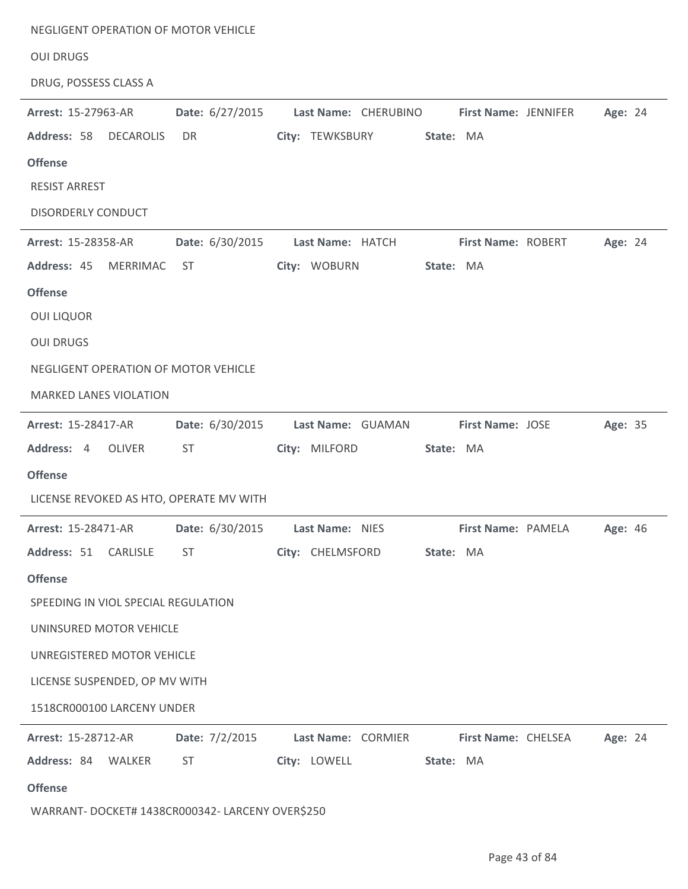| NEGLIGENT OPERATION OF MOTOR VEHICLE                                                     |                 |                      |           |                            |         |
|------------------------------------------------------------------------------------------|-----------------|----------------------|-----------|----------------------------|---------|
| <b>OUI DRUGS</b>                                                                         |                 |                      |           |                            |         |
| DRUG, POSSESS CLASS A                                                                    |                 |                      |           |                            |         |
| Arrest: 15-27963-AR                                                                      | Date: 6/27/2015 | Last Name: CHERUBINO |           | First Name: JENNIFER       | Age: 24 |
| Address: 58 DECAROLIS                                                                    | DR              | City: TEWKSBURY      | State: MA |                            |         |
| <b>Offense</b>                                                                           |                 |                      |           |                            |         |
| <b>RESIST ARREST</b>                                                                     |                 |                      |           |                            |         |
| <b>DISORDERLY CONDUCT</b>                                                                |                 |                      |           |                            |         |
| Arrest: 15-28358-AR                                                                      | Date: 6/30/2015 | Last Name: HATCH     |           | First Name: ROBERT         | Age: 24 |
| Address: 45<br>MERRIMAC                                                                  | ST              | City: WOBURN         | State: MA |                            |         |
| <b>Offense</b>                                                                           |                 |                      |           |                            |         |
| <b>OUI LIQUOR</b>                                                                        |                 |                      |           |                            |         |
| <b>OUI DRUGS</b>                                                                         |                 |                      |           |                            |         |
| NEGLIGENT OPERATION OF MOTOR VEHICLE                                                     |                 |                      |           |                            |         |
| <b>MARKED LANES VIOLATION</b>                                                            |                 |                      |           |                            |         |
| Arrest: 15-28417-AR                                                                      | Date: 6/30/2015 | Last Name: GUAMAN    |           | <b>First Name: JOSE</b>    | Age: 35 |
| Address: 4 OLIVER                                                                        | ST.             | City: MILFORD        | State: MA |                            |         |
| <b>Offense</b>                                                                           |                 |                      |           |                            |         |
| LICENSE REVOKED AS HTO, OPERATE MV WITH                                                  |                 |                      |           |                            |         |
| Arrest: 15-28471-AR                Date: 6/30/2015                       Last Name: NIES |                 |                      |           | First Name: PAMELA Age: 46 |         |
| Address: 51 CARLISLE                                                                     | <b>ST</b>       | City: CHELMSFORD     | State: MA |                            |         |
| <b>Offense</b>                                                                           |                 |                      |           |                            |         |
| SPEEDING IN VIOL SPECIAL REGULATION                                                      |                 |                      |           |                            |         |
| UNINSURED MOTOR VEHICLE                                                                  |                 |                      |           |                            |         |
| UNREGISTERED MOTOR VEHICLE                                                               |                 |                      |           |                            |         |
| LICENSE SUSPENDED, OP MV WITH                                                            |                 |                      |           |                            |         |
| 1518CR000100 LARCENY UNDER                                                               |                 |                      |           |                            |         |
| <b>Arrest: 15-28712-AR</b>                                                               | Date: 7/2/2015  | Last Name: CORMIER   |           | <b>First Name: CHELSEA</b> | Age: 24 |
| Address: 84 WALKER                                                                       | <b>ST</b>       | City: LOWELL         | State: MA |                            |         |
| <b>Offense</b>                                                                           |                 |                      |           |                            |         |
| WARRANT- DOCKET# 1438CR000342- LARCENY OVER\$250                                         |                 |                      |           |                            |         |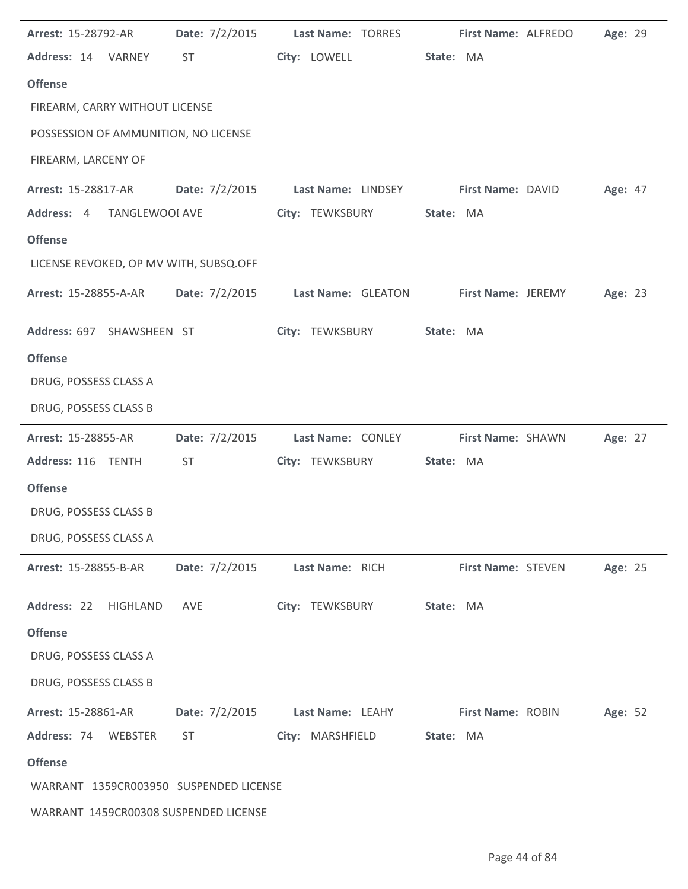| Arrest: 15-28792-AR                    | Date: 7/2/2015 | Last Name: TORRES  | First Name: ALFREDO<br>Age: 29 |  |
|----------------------------------------|----------------|--------------------|--------------------------------|--|
| Address: 14 VARNEY                     | ST             | City: LOWELL       | State: MA                      |  |
| <b>Offense</b>                         |                |                    |                                |  |
| FIREARM, CARRY WITHOUT LICENSE         |                |                    |                                |  |
| POSSESSION OF AMMUNITION, NO LICENSE   |                |                    |                                |  |
| FIREARM, LARCENY OF                    |                |                    |                                |  |
| Arrest: 15-28817-AR                    | Date: 7/2/2015 | Last Name: LINDSEY | Age: 47<br>First Name: DAVID   |  |
| Address: 4<br>TANGLEWOOI AVE           |                | City: TEWKSBURY    | State: MA                      |  |
| <b>Offense</b>                         |                |                    |                                |  |
| LICENSE REVOKED, OP MV WITH, SUBSQ.OFF |                |                    |                                |  |
| <b>Arrest: 15-28855-A-AR</b>           | Date: 7/2/2015 | Last Name: GLEATON | First Name: JEREMY<br>Age: 23  |  |
| Address: 697 SHAWSHEEN ST              |                | City: TEWKSBURY    | State: MA                      |  |
| <b>Offense</b>                         |                |                    |                                |  |
| DRUG, POSSESS CLASS A                  |                |                    |                                |  |
| DRUG, POSSESS CLASS B                  |                |                    |                                |  |
| Arrest: 15-28855-AR                    | Date: 7/2/2015 | Last Name: CONLEY  | First Name: SHAWN<br>Age: 27   |  |
| Address: 116 TENTH                     | <b>ST</b>      | City: TEWKSBURY    | State: MA                      |  |
| <b>Offense</b>                         |                |                    |                                |  |
| DRUG, POSSESS CLASS B                  |                |                    |                                |  |
| DRUG, POSSESS CLASS A                  |                |                    |                                |  |
| Arrest: 15-28855-B-AR                  | Date: 7/2/2015 | Last Name: RICH    | First Name: STEVEN<br>Age: 25  |  |
| Address: 22<br>HIGHLAND                | AVE            | City: TEWKSBURY    | State: MA                      |  |
| <b>Offense</b>                         |                |                    |                                |  |
| DRUG, POSSESS CLASS A                  |                |                    |                                |  |
|                                        |                |                    |                                |  |
| DRUG, POSSESS CLASS B                  |                |                    |                                |  |
| Arrest: 15-28861-AR                    | Date: 7/2/2015 | Last Name: LEAHY   | First Name: ROBIN<br>Age: 52   |  |
| Address: 74<br>WEBSTER                 | <b>ST</b>      | City: MARSHFIELD   | State: MA                      |  |
| <b>Offense</b>                         |                |                    |                                |  |
| WARRANT 1359CR003950 SUSPENDED LICENSE |                |                    |                                |  |

 $\overline{a}$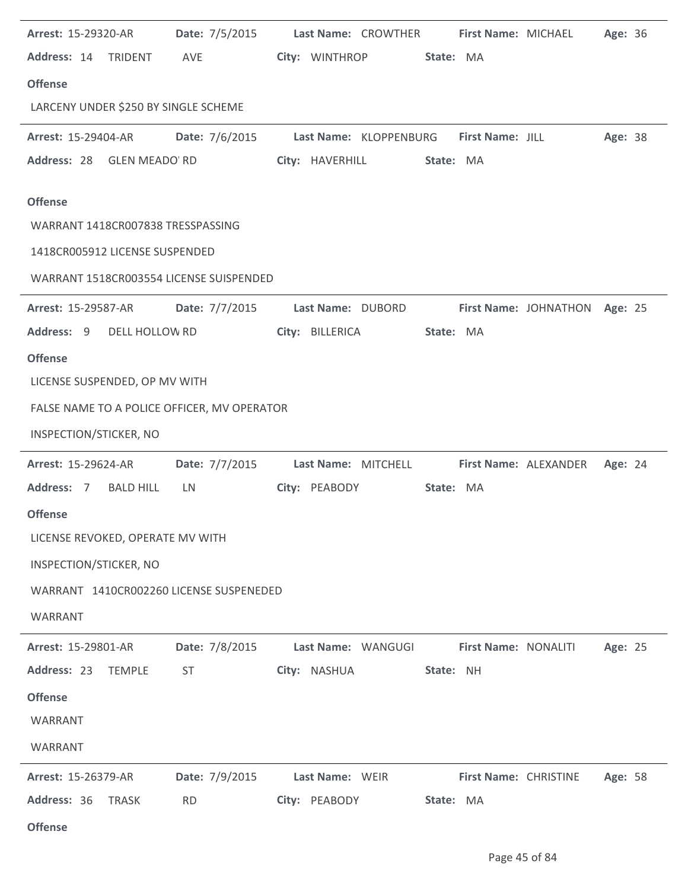| Arrest: 15-29320-AR               | Date: 7/5/2015                              | Last Name: CROWTHER                     |           | First Name: MICHAEL           | Age: 36 |
|-----------------------------------|---------------------------------------------|-----------------------------------------|-----------|-------------------------------|---------|
| Address: 14 TRIDENT               | AVE                                         | City: WINTHROP                          | State: MA |                               |         |
| <b>Offense</b>                    |                                             |                                         |           |                               |         |
|                                   | LARCENY UNDER \$250 BY SINGLE SCHEME        |                                         |           |                               |         |
| <b>Arrest: 15-29404-AR</b>        | Date: 7/6/2015                              | Last Name: KLOPPENBURG First Name: JILL |           |                               | Age: 38 |
| Address: 28 GLEN MEADO RD         |                                             | City: HAVERHILL                         | State: MA |                               |         |
| <b>Offense</b>                    |                                             |                                         |           |                               |         |
| WARRANT 1418CR007838 TRESSPASSING |                                             |                                         |           |                               |         |
| 1418CR005912 LICENSE SUSPENDED    |                                             |                                         |           |                               |         |
|                                   | WARRANT 1518CR003554 LICENSE SUISPENDED     |                                         |           |                               |         |
| <b>Arrest: 15-29587-AR</b>        | Date: 7/7/2015                              | Last Name: DUBORD                       |           | First Name: JOHNATHON Age: 25 |         |
| Address: 9 DELL HOLLOW RD         |                                             | City: BILLERICA                         | State: MA |                               |         |
| <b>Offense</b>                    |                                             |                                         |           |                               |         |
| LICENSE SUSPENDED, OP MV WITH     |                                             |                                         |           |                               |         |
|                                   | FALSE NAME TO A POLICE OFFICER, MV OPERATOR |                                         |           |                               |         |
| INSPECTION/STICKER, NO            |                                             |                                         |           |                               |         |
| Arrest: 15-29624-AR               | Date: 7/7/2015                              | Last Name: MITCHELL                     |           | First Name: ALEXANDER         | Age: 24 |
| Address: 7<br><b>BALD HILL</b>    | LN                                          | City: PEABODY                           | State: MA |                               |         |
| <b>Offense</b>                    |                                             |                                         |           |                               |         |
| LICENSE REVOKED, OPERATE MV WITH  |                                             |                                         |           |                               |         |
| INSPECTION/STICKER, NO            |                                             |                                         |           |                               |         |
|                                   | WARRANT 1410CR002260 LICENSE SUSPENEDED     |                                         |           |                               |         |
| WARRANT                           |                                             |                                         |           |                               |         |
| Arrest: 15-29801-AR               | Date: 7/8/2015                              | Last Name: WANGUGI                      |           | First Name: NONALITI          | Age: 25 |
| Address: 23<br><b>TEMPLE</b>      | <b>ST</b>                                   | City: NASHUA                            | State: NH |                               |         |
| <b>Offense</b>                    |                                             |                                         |           |                               |         |
| WARRANT                           |                                             |                                         |           |                               |         |
| WARRANT                           |                                             |                                         |           |                               |         |
| Arrest: 15-26379-AR               | Date: 7/9/2015                              | Last Name: WEIR                         |           | First Name: CHRISTINE         | Age: 58 |
| Address: 36<br><b>TRASK</b>       | <b>RD</b>                                   | City: PEABODY                           | State: MA |                               |         |
| <b>Offense</b>                    |                                             |                                         |           |                               |         |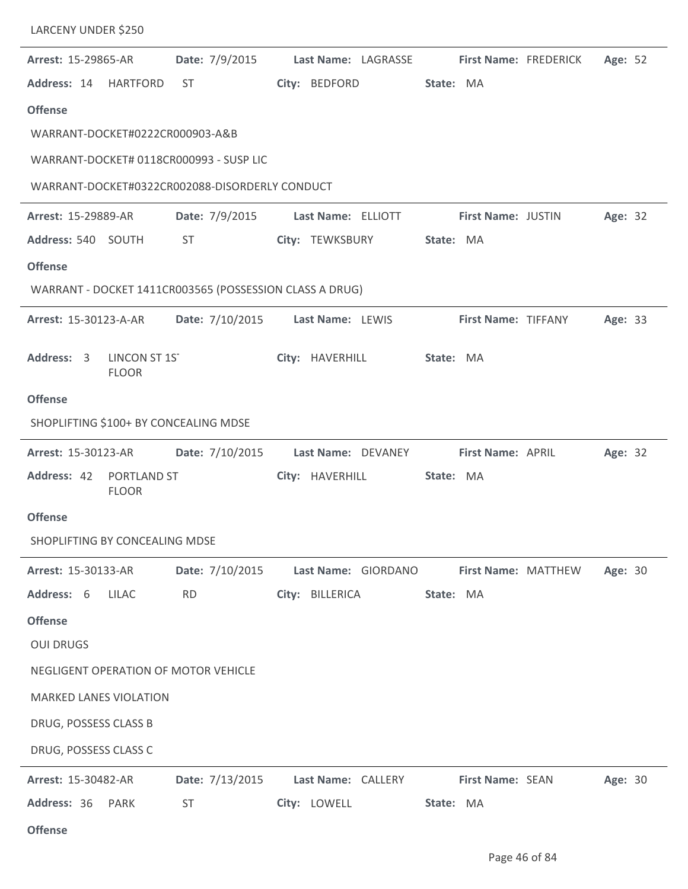| LARCENY UNDER \$250                                     |                 |                     |                              |         |
|---------------------------------------------------------|-----------------|---------------------|------------------------------|---------|
| Arrest: 15-29865-AR                                     | Date: 7/9/2015  | Last Name: LAGRASSE | <b>First Name: FREDERICK</b> | Age: 52 |
| Address: 14<br>HARTFORD                                 | ST.             | City: BEDFORD       | State: MA                    |         |
| <b>Offense</b>                                          |                 |                     |                              |         |
| WARRANT-DOCKET#0222CR000903-A&B                         |                 |                     |                              |         |
| WARRANT-DOCKET# 0118CR000993 - SUSP LIC                 |                 |                     |                              |         |
| WARRANT-DOCKET#0322CR002088-DISORDERLY CONDUCT          |                 |                     |                              |         |
| Arrest: 15-29889-AR                                     | Date: 7/9/2015  | Last Name: ELLIOTT  | First Name: JUSTIN           | Age: 32 |
| Address: 540 SOUTH                                      | ST              | City: TEWKSBURY     | State: MA                    |         |
| <b>Offense</b>                                          |                 |                     |                              |         |
| WARRANT - DOCKET 1411CR003565 (POSSESSION CLASS A DRUG) |                 |                     |                              |         |
| Arrest: 15-30123-A-AR                                   | Date: 7/10/2015 | Last Name: LEWIS    | First Name: TIFFANY          | Age: 33 |
| LINCON ST 1ST<br>Address: 3<br><b>FLOOR</b>             |                 | City: HAVERHILL     | State: MA                    |         |
| <b>Offense</b>                                          |                 |                     |                              |         |
| SHOPLIFTING \$100+ BY CONCEALING MDSE                   |                 |                     |                              |         |
| Arrest: 15-30123-AR                                     | Date: 7/10/2015 | Last Name: DEVANEY  | First Name: APRIL            | Age: 32 |
| Address: 42<br><b>PORTLAND ST</b><br><b>FLOOR</b>       |                 | City: HAVERHILL     | State: MA                    |         |
| <b>Offense</b>                                          |                 |                     |                              |         |
| SHOPLIFTING BY CONCEALING MDSE                          |                 |                     |                              |         |
| Arrest: 15-30133-AR                                     | Date: 7/10/2015 | Last Name: GIORDANO | First Name: MATTHEW          | Age: 30 |
| Address: 6<br><b>LILAC</b>                              | <b>RD</b>       | City: BILLERICA     | State: MA                    |         |
| <b>Offense</b>                                          |                 |                     |                              |         |
| <b>OUI DRUGS</b>                                        |                 |                     |                              |         |
| NEGLIGENT OPERATION OF MOTOR VEHICLE                    |                 |                     |                              |         |
| MARKED LANES VIOLATION                                  |                 |                     |                              |         |
| DRUG, POSSESS CLASS B                                   |                 |                     |                              |         |
| DRUG, POSSESS CLASS C                                   |                 |                     |                              |         |
| Arrest: 15-30482-AR                                     | Date: 7/13/2015 | Last Name: CALLERY  | First Name: SEAN             | Age: 30 |
| Address: 36<br>PARK                                     | <b>ST</b>       | City: LOWELL        | State: MA                    |         |
| <b>Offense</b>                                          |                 |                     |                              |         |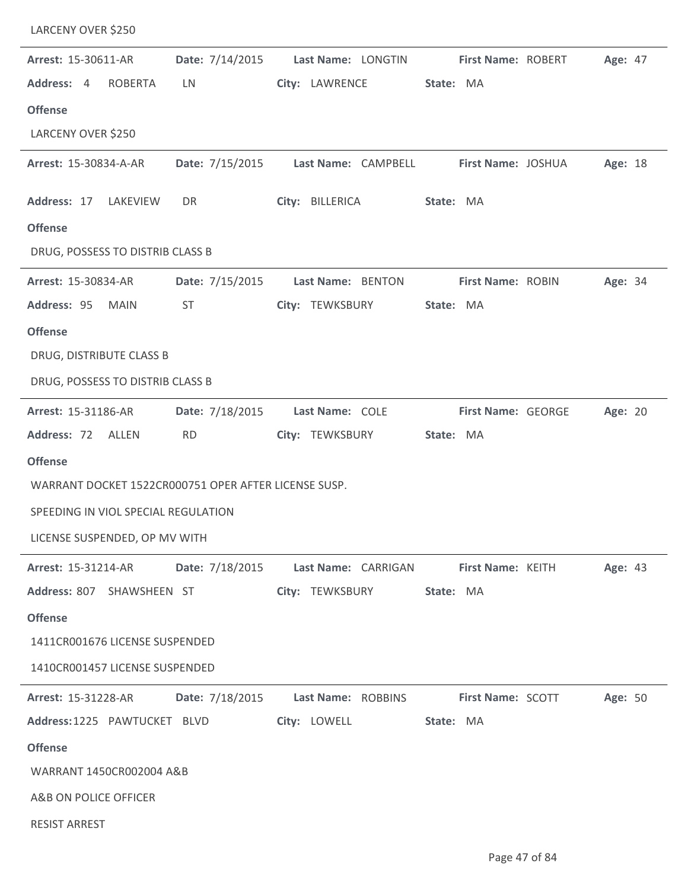| Arrest: 15-30611-AR                                  | Date: 7/14/2015 | Last Name: LONGTIN                                                        | First Name: ROBERT | Age: 47 |
|------------------------------------------------------|-----------------|---------------------------------------------------------------------------|--------------------|---------|
| Address: 4<br><b>ROBERTA</b>                         | LN.             | City: LAWRENCE                                                            | State: MA          |         |
| <b>Offense</b>                                       |                 |                                                                           |                    |         |
| LARCENY OVER \$250                                   |                 |                                                                           |                    |         |
| Arrest: 15-30834-A-AR                                |                 | Date: 7/15/2015    Last Name: CAMPBELL                                    | First Name: JOSHUA | Age: 18 |
| Address: 17 LAKEVIEW                                 | DR              | City: BILLERICA                                                           | State: MA          |         |
| <b>Offense</b>                                       |                 |                                                                           |                    |         |
| DRUG, POSSESS TO DISTRIB CLASS B                     |                 |                                                                           |                    |         |
| Arrest: 15-30834-AR                                  | Date: 7/15/2015 | Last Name: BENTON                                                         | First Name: ROBIN  | Age: 34 |
| Address: 95<br><b>MAIN</b>                           | <b>ST</b>       | City: TEWKSBURY                                                           | State: MA          |         |
| <b>Offense</b>                                       |                 |                                                                           |                    |         |
| DRUG, DISTRIBUTE CLASS B                             |                 |                                                                           |                    |         |
| DRUG, POSSESS TO DISTRIB CLASS B                     |                 |                                                                           |                    |         |
| Arrest: 15-31186-AR                                  | Date: 7/18/2015 | Last Name: COLE                                                           | First Name: GEORGE | Age: 20 |
| Address: 72 ALLEN                                    | <b>RD</b>       | City: TEWKSBURY                                                           | State: MA          |         |
| <b>Offense</b>                                       |                 |                                                                           |                    |         |
| WARRANT DOCKET 1522CR000751 OPER AFTER LICENSE SUSP. |                 |                                                                           |                    |         |
| SPEEDING IN VIOL SPECIAL REGULATION                  |                 |                                                                           |                    |         |
| LICENSE SUSPENDED, OP MV WITH                        |                 |                                                                           |                    |         |
|                                                      |                 | Arrest: 15-31214-AR Date: 7/18/2015 Last Name: CARRIGAN First Name: KEITH |                    | Age: 43 |
| Address: 807 SHAWSHEEN ST                            |                 | City: TEWKSBURY State: MA                                                 |                    |         |
| <b>Offense</b>                                       |                 |                                                                           |                    |         |
| 1411CR001676 LICENSE SUSPENDED                       |                 |                                                                           |                    |         |
| 1410CR001457 LICENSE SUSPENDED                       |                 |                                                                           |                    |         |
|                                                      |                 | Arrest: 15-31228-AR Date: 7/18/2015 Last Name: ROBBINS First Name: SCOTT  |                    | Age: 50 |
| Address:1225 PAWTUCKET BLVD                          |                 | City: LOWELL State: MA                                                    |                    |         |
| <b>Offense</b>                                       |                 |                                                                           |                    |         |
| WARRANT 1450CR002004 A&B                             |                 |                                                                           |                    |         |
| A&B ON POLICE OFFICER                                |                 |                                                                           |                    |         |
| <b>RESIST ARREST</b>                                 |                 |                                                                           |                    |         |
|                                                      |                 |                                                                           |                    |         |

LARCENY OVER \$250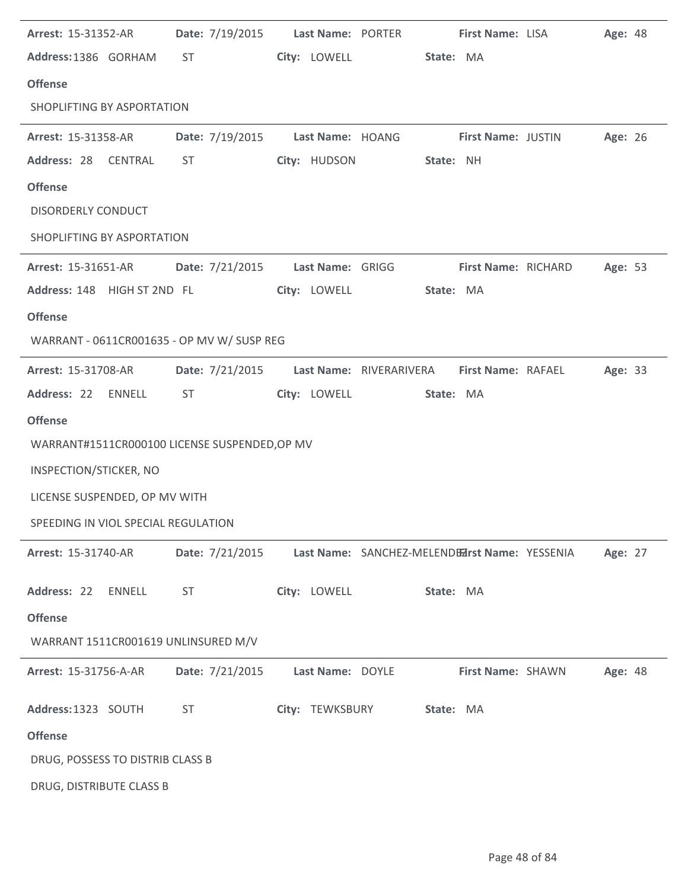| Arrest: 15-31352-AR                 |                                               |                  | Date: 7/19/2015    Last Name: PORTER                | <b>First Name: LISA</b> | Age: 48 |  |
|-------------------------------------|-----------------------------------------------|------------------|-----------------------------------------------------|-------------------------|---------|--|
| Address:1386 GORHAM                 | ST <sub>2</sub>                               | City: LOWELL     | State: MA                                           |                         |         |  |
| <b>Offense</b>                      |                                               |                  |                                                     |                         |         |  |
| SHOPLIFTING BY ASPORTATION          |                                               |                  |                                                     |                         |         |  |
| <b>Arrest: 15-31358-AR</b>          |                                               |                  | Date: 7/19/2015 Last Name: HOANG First Name: JUSTIN |                         | Age: 26 |  |
| Address: 28<br>CENTRAL              | <b>ST</b>                                     | City: HUDSON     | State: NH                                           |                         |         |  |
| <b>Offense</b>                      |                                               |                  |                                                     |                         |         |  |
| <b>DISORDERLY CONDUCT</b>           |                                               |                  |                                                     |                         |         |  |
| SHOPLIFTING BY ASPORTATION          |                                               |                  |                                                     |                         |         |  |
| <b>Arrest: 15-31651-AR</b>          |                                               |                  | Date: 7/21/2015    Last Name: GRIGG                 | First Name: RICHARD     | Age: 53 |  |
|                                     | Address: 148 HIGH ST 2ND FL                   | City: LOWELL     | State: MA                                           |                         |         |  |
| <b>Offense</b>                      |                                               |                  |                                                     |                         |         |  |
|                                     | WARRANT - 0611CR001635 - OP MV W/ SUSP REG    |                  |                                                     |                         |         |  |
| <b>Arrest: 15-31708-AR</b>          | Date: 7/21/2015                               |                  | Last Name: RIVERARIVERA                             | First Name: RAFAEL      | Age: 33 |  |
| Address: 22 ENNELL                  | ST                                            | City: LOWELL     | State: MA                                           |                         |         |  |
| <b>Offense</b>                      |                                               |                  |                                                     |                         |         |  |
|                                     | WARRANT#1511CR000100 LICENSE SUSPENDED, OP MV |                  |                                                     |                         |         |  |
| INSPECTION/STICKER, NO              |                                               |                  |                                                     |                         |         |  |
| LICENSE SUSPENDED, OP MV WITH       |                                               |                  |                                                     |                         |         |  |
| SPEEDING IN VIOL SPECIAL REGULATION |                                               |                  |                                                     |                         |         |  |
| Arrest: 15-31740-AR                 | Date: 7/21/2015                               |                  | Last Name: SANCHEZ-MELENDEZrst Name: YESSENIA       |                         | Age: 27 |  |
| Address: 22<br><b>ENNELL</b>        | <b>ST</b>                                     | City: LOWELL     | State: MA                                           |                         |         |  |
| <b>Offense</b>                      |                                               |                  |                                                     |                         |         |  |
|                                     | WARRANT 1511CR001619 UNLINSURED M/V           |                  |                                                     |                         |         |  |
| Arrest: 15-31756-A-AR               | Date: 7/21/2015                               | Last Name: DOYLE |                                                     | First Name: SHAWN       | Age: 48 |  |
| Address: 1323 SOUTH                 | <b>ST</b>                                     | City: TEWKSBURY  | State: MA                                           |                         |         |  |
| <b>Offense</b>                      |                                               |                  |                                                     |                         |         |  |
| DRUG, POSSESS TO DISTRIB CLASS B    |                                               |                  |                                                     |                         |         |  |
| DRUG, DISTRIBUTE CLASS B            |                                               |                  |                                                     |                         |         |  |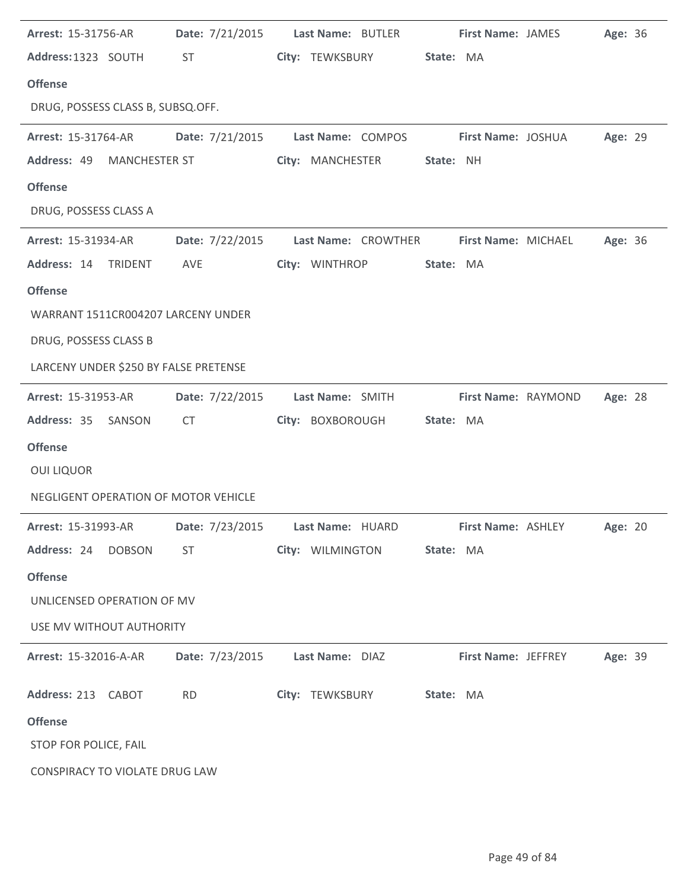| <b>Arrest: 15-31756-AR</b>            |                                                                                                                                                                                                                                | Date: 7/21/2015 Last Name: BUTLER First Name: JAMES                             |           |                     |                           | Age: 36 |  |
|---------------------------------------|--------------------------------------------------------------------------------------------------------------------------------------------------------------------------------------------------------------------------------|---------------------------------------------------------------------------------|-----------|---------------------|---------------------------|---------|--|
| Address: 1323 SOUTH                   | ST and the state of the state of the state of the state of the state of the state of the state of the state of the state of the state of the state of the state of the state of the state of the state of the state of the sta | City: TEWKSBURY                                                                 | State: MA |                     |                           |         |  |
| <b>Offense</b>                        |                                                                                                                                                                                                                                |                                                                                 |           |                     |                           |         |  |
| DRUG, POSSESS CLASS B, SUBSQ.OFF.     |                                                                                                                                                                                                                                |                                                                                 |           |                     |                           |         |  |
| Arrest: 15-31764-AR Date: 7/21/2015   |                                                                                                                                                                                                                                | Last Name: COMPOS                                                               |           |                     | <b>First Name: JOSHUA</b> | Age: 29 |  |
| Address: 49 MANCHESTER ST             |                                                                                                                                                                                                                                | City: MANCHESTER                                                                | State: NH |                     |                           |         |  |
| <b>Offense</b>                        |                                                                                                                                                                                                                                |                                                                                 |           |                     |                           |         |  |
| DRUG, POSSESS CLASS A                 |                                                                                                                                                                                                                                |                                                                                 |           |                     |                           |         |  |
| <b>Arrest: 15-31934-AR</b>            |                                                                                                                                                                                                                                | Date: 7/22/2015 Last Name: CROWTHER First Name: MICHAEL                         |           |                     |                           | Age: 36 |  |
| Address: 14 TRIDENT                   | AVE                                                                                                                                                                                                                            | City: WINTHROP                                                                  | State: MA |                     |                           |         |  |
| <b>Offense</b>                        |                                                                                                                                                                                                                                |                                                                                 |           |                     |                           |         |  |
| WARRANT 1511CR004207 LARCENY UNDER    |                                                                                                                                                                                                                                |                                                                                 |           |                     |                           |         |  |
| DRUG, POSSESS CLASS B                 |                                                                                                                                                                                                                                |                                                                                 |           |                     |                           |         |  |
| LARCENY UNDER \$250 BY FALSE PRETENSE |                                                                                                                                                                                                                                |                                                                                 |           |                     |                           |         |  |
| <b>Arrest: 15-31953-AR</b>            |                                                                                                                                                                                                                                | Date: 7/22/2015 Last Name: SMITH                                                |           |                     | First Name: RAYMOND       | Age: 28 |  |
| Address: 35 SANSON                    | <b>CT</b>                                                                                                                                                                                                                      | City: BOXBOROUGH                                                                | State: MA |                     |                           |         |  |
| <b>Offense</b>                        |                                                                                                                                                                                                                                |                                                                                 |           |                     |                           |         |  |
| <b>OUI LIQUOR</b>                     |                                                                                                                                                                                                                                |                                                                                 |           |                     |                           |         |  |
| NEGLIGENT OPERATION OF MOTOR VEHICLE  |                                                                                                                                                                                                                                |                                                                                 |           |                     |                           |         |  |
|                                       |                                                                                                                                                                                                                                | Arrest: 15-31993-AR Date: 7/23/2015 Last Name: HUARD First Name: ASHLEY Age: 20 |           |                     |                           |         |  |
| Address: 24 DOBSON                    | <b>ST</b>                                                                                                                                                                                                                      | City: WILMINGTON State: MA                                                      |           |                     |                           |         |  |
| <b>Offense</b>                        |                                                                                                                                                                                                                                |                                                                                 |           |                     |                           |         |  |
| UNLICENSED OPERATION OF MV            |                                                                                                                                                                                                                                |                                                                                 |           |                     |                           |         |  |
| USE MV WITHOUT AUTHORITY              |                                                                                                                                                                                                                                |                                                                                 |           |                     |                           |         |  |
| <b>Arrest: 15-32016-A-AR</b>          | Date: 7/23/2015                                                                                                                                                                                                                | Last Name: DIAZ                                                                 |           | First Name: JEFFREY |                           | Age: 39 |  |
| Address: 213 CABOT                    | <b>RD</b>                                                                                                                                                                                                                      | City: TEWKSBURY State: MA                                                       |           |                     |                           |         |  |
| <b>Offense</b>                        |                                                                                                                                                                                                                                |                                                                                 |           |                     |                           |         |  |
| STOP FOR POLICE, FAIL                 |                                                                                                                                                                                                                                |                                                                                 |           |                     |                           |         |  |
| CONSPIRACY TO VIOLATE DRUG LAW        |                                                                                                                                                                                                                                |                                                                                 |           |                     |                           |         |  |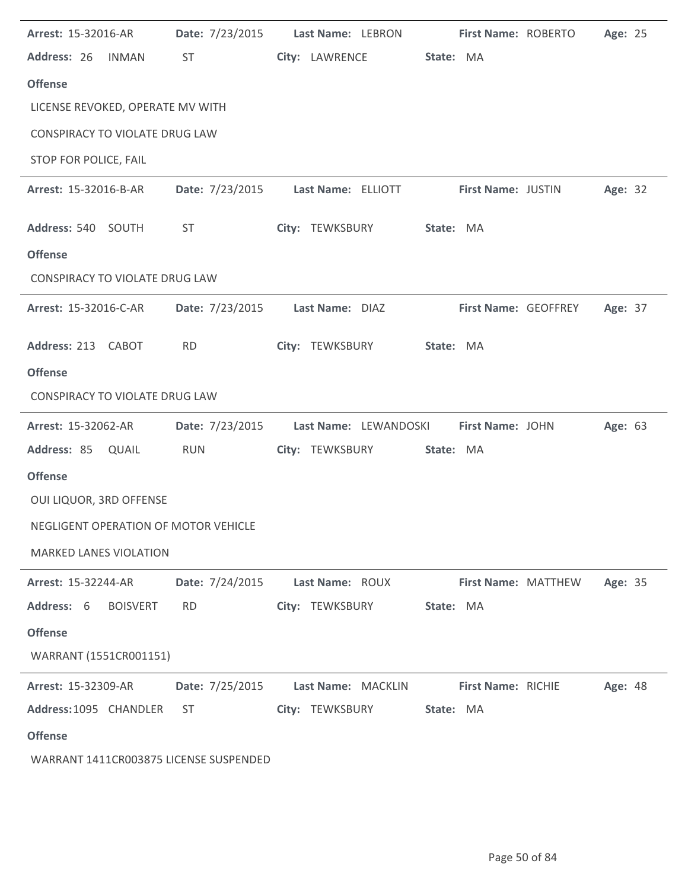| Arrest: 15-32016-AR                    | Date: 7/23/2015                    | Last Name: LEBRON  |                       | First Name: ROBERTO        | Age: 25 |  |
|----------------------------------------|------------------------------------|--------------------|-----------------------|----------------------------|---------|--|
| Address: 26 INMAN                      | <b>ST</b>                          | City: LAWRENCE     | State: MA             |                            |         |  |
| <b>Offense</b>                         |                                    |                    |                       |                            |         |  |
| LICENSE REVOKED, OPERATE MV WITH       |                                    |                    |                       |                            |         |  |
| <b>CONSPIRACY TO VIOLATE DRUG LAW</b>  |                                    |                    |                       |                            |         |  |
| STOP FOR POLICE, FAIL                  |                                    |                    |                       |                            |         |  |
| Arrest: 15-32016-B-AR                  | Date: 7/23/2015 Last Name: ELLIOTT |                    |                       | <b>First Name: JUSTIN</b>  | Age: 32 |  |
| Address: 540 SOUTH                     | ST                                 | City: TEWKSBURY    | State: MA             |                            |         |  |
| <b>Offense</b>                         |                                    |                    |                       |                            |         |  |
| <b>CONSPIRACY TO VIOLATE DRUG LAW</b>  |                                    |                    |                       |                            |         |  |
| Arrest: 15-32016-C-AR                  | Date: 7/23/2015                    | Last Name: DIAZ    |                       | First Name: GEOFFREY       | Age: 37 |  |
| Address: 213 CABOT                     | <b>RD</b>                          | City: TEWKSBURY    | State: MA             |                            |         |  |
| <b>Offense</b>                         |                                    |                    |                       |                            |         |  |
| <b>CONSPIRACY TO VIOLATE DRUG LAW</b>  |                                    |                    |                       |                            |         |  |
| Arrest: 15-32062-AR                    | Date: 7/23/2015                    |                    | Last Name: LEWANDOSKI | First Name: JOHN           | Age: 63 |  |
| Address: 85 QUAIL                      | <b>RUN</b>                         | City: TEWKSBURY    | State: MA             |                            |         |  |
| <b>Offense</b>                         |                                    |                    |                       |                            |         |  |
| OUI LIQUOR, 3RD OFFENSE                |                                    |                    |                       |                            |         |  |
| NEGLIGENT OPERATION OF MOTOR VEHICLE   |                                    |                    |                       |                            |         |  |
| <b>MARKED LANES VIOLATION</b>          |                                    |                    |                       |                            |         |  |
| <b>Arrest: 15-32244-AR</b>             | Date: 7/24/2015 Last Name: ROUX    |                    |                       | <b>First Name: MATTHEW</b> | Age: 35 |  |
| Address: 6<br><b>BOISVERT</b>          | <b>RD</b>                          | City: TEWKSBURY    | State: MA             |                            |         |  |
| <b>Offense</b>                         |                                    |                    |                       |                            |         |  |
| WARRANT (1551CR001151)                 |                                    |                    |                       |                            |         |  |
| <b>Arrest: 15-32309-AR</b>             | Date: 7/25/2015                    | Last Name: MACKLIN |                       | First Name: RICHIE         | Age: 48 |  |
| Address:1095 CHANDLER                  | ST                                 | City: TEWKSBURY    | State: MA             |                            |         |  |
| <b>Offense</b>                         |                                    |                    |                       |                            |         |  |
| WARRANT 1411CR003875 LICENSE SUSPENDED |                                    |                    |                       |                            |         |  |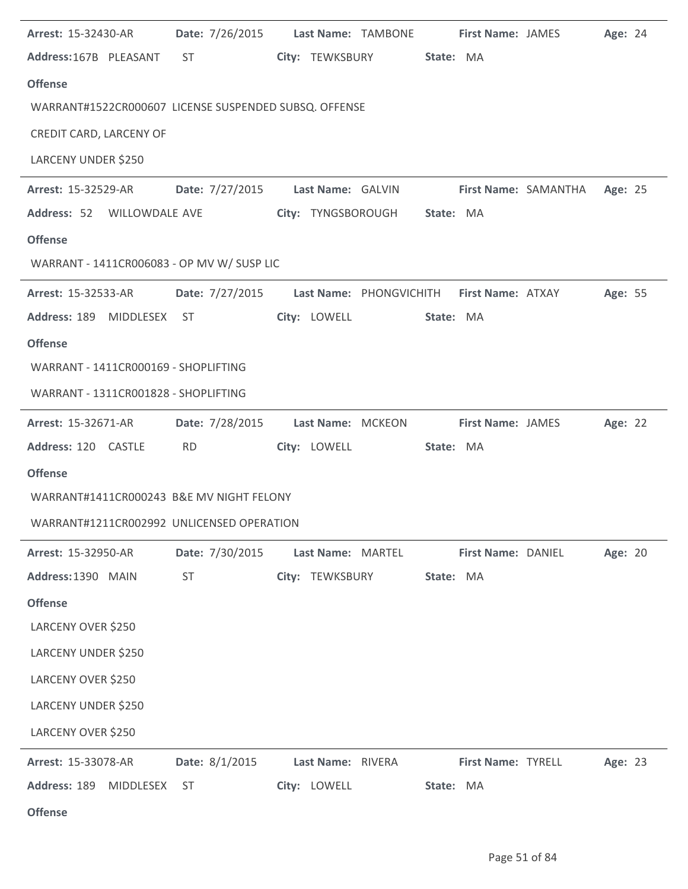| Arrest: 15-32430-AR                                   | Date: 7/26/2015                                                                                                                                                                                                                |                    | Last Name: TAMBONE                                        | <b>First Name: JAMES</b> | Age: 24 |  |
|-------------------------------------------------------|--------------------------------------------------------------------------------------------------------------------------------------------------------------------------------------------------------------------------------|--------------------|-----------------------------------------------------------|--------------------------|---------|--|
| Address:167B PLEASANT                                 | ST and the state of the state of the state of the state of the state of the state of the state of the state of the state of the state of the state of the state of the state of the state of the state of the state of the sta | City: TEWKSBURY    | State: MA                                                 |                          |         |  |
| <b>Offense</b>                                        |                                                                                                                                                                                                                                |                    |                                                           |                          |         |  |
| WARRANT#1522CR000607 LICENSE SUSPENDED SUBSQ. OFFENSE |                                                                                                                                                                                                                                |                    |                                                           |                          |         |  |
| CREDIT CARD, LARCENY OF                               |                                                                                                                                                                                                                                |                    |                                                           |                          |         |  |
| LARCENY UNDER \$250                                   |                                                                                                                                                                                                                                |                    |                                                           |                          |         |  |
| <b>Arrest: 15-32529-AR</b>                            |                                                                                                                                                                                                                                |                    | Date: 7/27/2015 Last Name: GALVIN First Name: SAMANTHA    |                          | Age: 25 |  |
| Address: 52 WILLOWDALE AVE                            |                                                                                                                                                                                                                                | City: TYNGSBOROUGH | State: MA                                                 |                          |         |  |
| <b>Offense</b>                                        |                                                                                                                                                                                                                                |                    |                                                           |                          |         |  |
| WARRANT - 1411CR006083 - OP MV W/ SUSP LIC            |                                                                                                                                                                                                                                |                    |                                                           |                          |         |  |
| Arrest: 15-32533-AR                                   |                                                                                                                                                                                                                                |                    | Date: 7/27/2015 Last Name: PHONGVICHITH First Name: ATXAY |                          | Age: 55 |  |
| Address: 189 MIDDLESEX ST                             |                                                                                                                                                                                                                                | City: LOWELL       | State: MA                                                 |                          |         |  |
| <b>Offense</b>                                        |                                                                                                                                                                                                                                |                    |                                                           |                          |         |  |
| WARRANT - 1411CR000169 - SHOPLIFTING                  |                                                                                                                                                                                                                                |                    |                                                           |                          |         |  |
| WARRANT - 1311CR001828 - SHOPLIFTING                  |                                                                                                                                                                                                                                |                    |                                                           |                          |         |  |
| <b>Arrest: 15-32671-AR</b>                            | Date: 7/28/2015                                                                                                                                                                                                                | Last Name: MCKEON  |                                                           | <b>First Name: JAMES</b> | Age: 22 |  |
| Address: 120 CASTLE                                   | <b>RD</b>                                                                                                                                                                                                                      | City: LOWELL       | State: MA                                                 |                          |         |  |
| <b>Offense</b>                                        |                                                                                                                                                                                                                                |                    |                                                           |                          |         |  |
| WARRANT#1411CR000243 B&E MV NIGHT FELONY              |                                                                                                                                                                                                                                |                    |                                                           |                          |         |  |
| WARRANT#1211CR002992 UNLICENSED OPERATION             |                                                                                                                                                                                                                                |                    |                                                           |                          |         |  |
| Arrest: 15-32950-AR                                   | Date: 7/30/2015                                                                                                                                                                                                                | Last Name: MARTEL  |                                                           | First Name: DANIEL       | Age: 20 |  |
| Address: 1390 MAIN                                    | <b>ST</b>                                                                                                                                                                                                                      | City: TEWKSBURY    | State: MA                                                 |                          |         |  |
| <b>Offense</b>                                        |                                                                                                                                                                                                                                |                    |                                                           |                          |         |  |
| LARCENY OVER \$250                                    |                                                                                                                                                                                                                                |                    |                                                           |                          |         |  |
| LARCENY UNDER \$250                                   |                                                                                                                                                                                                                                |                    |                                                           |                          |         |  |
| LARCENY OVER \$250                                    |                                                                                                                                                                                                                                |                    |                                                           |                          |         |  |
| <b>LARCENY UNDER \$250</b>                            |                                                                                                                                                                                                                                |                    |                                                           |                          |         |  |
| LARCENY OVER \$250                                    |                                                                                                                                                                                                                                |                    |                                                           |                          |         |  |
| Arrest: 15-33078-AR                                   | Date: 8/1/2015                                                                                                                                                                                                                 | Last Name: RIVERA  |                                                           | First Name: TYRELL       | Age: 23 |  |
| Address: 189<br>MIDDLESEX                             | <b>ST</b>                                                                                                                                                                                                                      | City: LOWELL       | State: MA                                                 |                          |         |  |
| <b>Offense</b>                                        |                                                                                                                                                                                                                                |                    |                                                           |                          |         |  |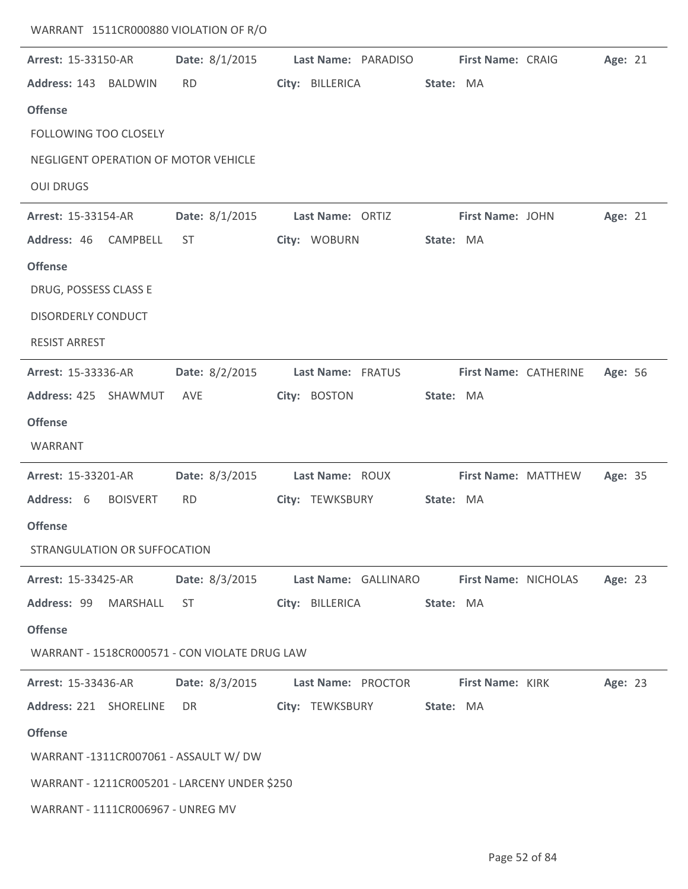| WARRANT 1511CR000880 VIOLATION OF R/O         |                |                                                    |           |                     |                       |         |  |
|-----------------------------------------------|----------------|----------------------------------------------------|-----------|---------------------|-----------------------|---------|--|
| Arrest: 15-33150-AR                           | Date: 8/1/2015 | Last Name: PARADISO                                |           | First Name: CRAIG   |                       | Age: 21 |  |
| Address: 143 BALDWIN                          | <b>RD</b>      | City: BILLERICA                                    | State: MA |                     |                       |         |  |
| <b>Offense</b>                                |                |                                                    |           |                     |                       |         |  |
| FOLLOWING TOO CLOSELY                         |                |                                                    |           |                     |                       |         |  |
| NEGLIGENT OPERATION OF MOTOR VEHICLE          |                |                                                    |           |                     |                       |         |  |
| <b>OUI DRUGS</b>                              |                |                                                    |           |                     |                       |         |  |
| Arrest: 15-33154-AR                           | Date: 8/1/2015 | Last Name: ORTIZ                                   |           | First Name: JOHN    |                       | Age: 21 |  |
| Address: 46<br>CAMPBELL                       | <b>ST</b>      | City: WOBURN                                       | State: MA |                     |                       |         |  |
| <b>Offense</b>                                |                |                                                    |           |                     |                       |         |  |
| DRUG, POSSESS CLASS E                         |                |                                                    |           |                     |                       |         |  |
| <b>DISORDERLY CONDUCT</b>                     |                |                                                    |           |                     |                       |         |  |
| <b>RESIST ARREST</b>                          |                |                                                    |           |                     |                       |         |  |
| Arrest: 15-33336-AR                           | Date: 8/2/2015 | Last Name: FRATUS                                  |           |                     | First Name: CATHERINE | Age: 56 |  |
| Address: 425 SHAWMUT                          | AVE            | City: BOSTON                                       | State: MA |                     |                       |         |  |
| <b>Offense</b>                                |                |                                                    |           |                     |                       |         |  |
| WARRANT                                       |                |                                                    |           |                     |                       |         |  |
| Arrest: 15-33201-AR                           | Date: 8/3/2015 | Last Name: ROUX                                    |           | First Name: MATTHEW |                       | Age: 35 |  |
| Address: 6<br><b>BOISVERT</b>                 | <b>RD</b>      | City: TEWKSBURY                                    | State: MA |                     |                       |         |  |
| <b>Offense</b>                                |                |                                                    |           |                     |                       |         |  |
| STRANGULATION OR SUFFOCATION                  |                |                                                    |           |                     |                       |         |  |
| <b>Arrest: 15-33425-AR</b>                    |                | Date: 8/3/2015 Last Name: GALLINARO                |           |                     | First Name: NICHOLAS  | Age: 23 |  |
| Address: 99 MARSHALL ST                       |                | City: BILLERICA                                    | State: MA |                     |                       |         |  |
| <b>Offense</b>                                |                |                                                    |           |                     |                       |         |  |
| WARRANT - 1518CR000571 - CON VIOLATE DRUG LAW |                |                                                    |           |                     |                       |         |  |
| <b>Arrest: 15-33436-AR</b>                    |                | Date: 8/3/2015 Last Name: PROCTOR First Name: KIRK |           |                     |                       | Age: 23 |  |
| Address: 221 SHORELINE                        | DR             | City: TEWKSBURY State: MA                          |           |                     |                       |         |  |
| <b>Offense</b>                                |                |                                                    |           |                     |                       |         |  |
| WARRANT -1311CR007061 - ASSAULT W/ DW         |                |                                                    |           |                     |                       |         |  |
| WARRANT - 1211CR005201 - LARCENY UNDER \$250  |                |                                                    |           |                     |                       |         |  |
| WARRANT - 1111CR006967 - UNREG MV             |                |                                                    |           |                     |                       |         |  |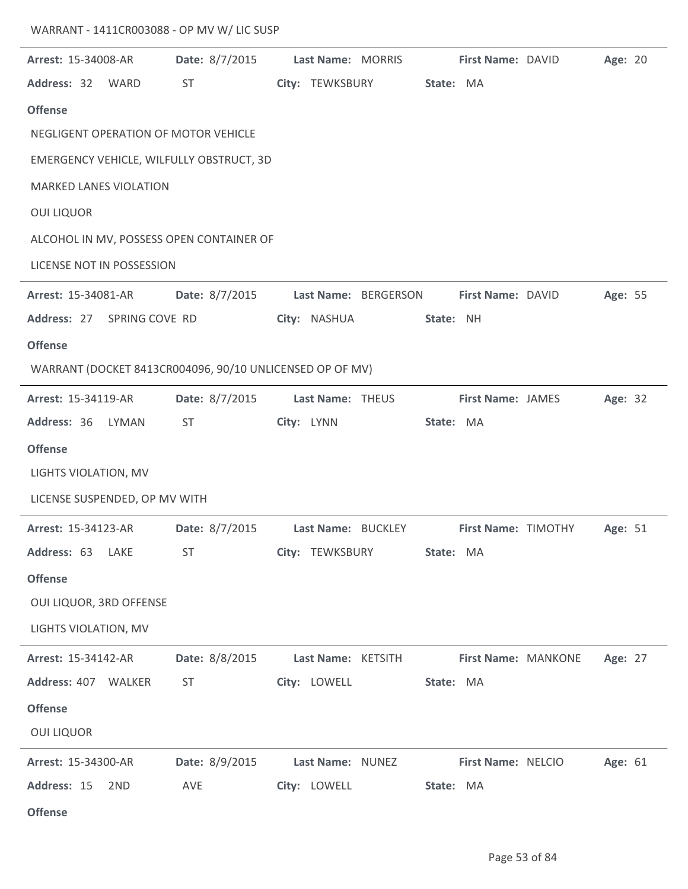| WARRANT - 1411CR003088 - OP MV W/ LIC SUSP |  |
|--------------------------------------------|--|
|--------------------------------------------|--|

| Arrest: 15-34008-AR           |       | Date: 8/7/2015                                           | Last Name: MORRIS  |                      |           | First Name: DAVID        | Age: 20 |  |
|-------------------------------|-------|----------------------------------------------------------|--------------------|----------------------|-----------|--------------------------|---------|--|
| Address: 32 WARD              |       | <b>ST</b>                                                | City: TEWKSBURY    |                      | State: MA |                          |         |  |
| <b>Offense</b>                |       |                                                          |                    |                      |           |                          |         |  |
|                               |       | NEGLIGENT OPERATION OF MOTOR VEHICLE                     |                    |                      |           |                          |         |  |
|                               |       | EMERGENCY VEHICLE, WILFULLY OBSTRUCT, 3D                 |                    |                      |           |                          |         |  |
| <b>MARKED LANES VIOLATION</b> |       |                                                          |                    |                      |           |                          |         |  |
| <b>OUI LIQUOR</b>             |       |                                                          |                    |                      |           |                          |         |  |
|                               |       | ALCOHOL IN MV, POSSESS OPEN CONTAINER OF                 |                    |                      |           |                          |         |  |
| LICENSE NOT IN POSSESSION     |       |                                                          |                    |                      |           |                          |         |  |
| Arrest: 15-34081-AR           |       | Date: 8/7/2015                                           |                    | Last Name: BERGERSON |           | First Name: DAVID        | Age: 55 |  |
| Address: 27 SPRING COVE RD    |       |                                                          | City: NASHUA       |                      | State: NH |                          |         |  |
| <b>Offense</b>                |       |                                                          |                    |                      |           |                          |         |  |
|                               |       | WARRANT (DOCKET 8413CR004096, 90/10 UNLICENSED OP OF MV) |                    |                      |           |                          |         |  |
| Arrest: 15-34119-AR           |       | Date: 8/7/2015                                           | Last Name: THEUS   |                      |           | <b>First Name: JAMES</b> | Age: 32 |  |
| Address: 36                   | LYMAN | <b>ST</b>                                                | City: LYNN         |                      | State: MA |                          |         |  |
| <b>Offense</b>                |       |                                                          |                    |                      |           |                          |         |  |
| LIGHTS VIOLATION, MV          |       |                                                          |                    |                      |           |                          |         |  |
| LICENSE SUSPENDED, OP MV WITH |       |                                                          |                    |                      |           |                          |         |  |
| Arrest: 15-34123-AR           |       | Date: 8/7/2015                                           |                    | Last Name: BUCKLEY   |           | First Name: TIMOTHY      | Age: 51 |  |
| Address: 63 LAKE              |       | <b>ST</b>                                                | City: TEWKSBURY    |                      | State: MA |                          |         |  |
| <b>Offense</b>                |       |                                                          |                    |                      |           |                          |         |  |
| OUI LIQUOR, 3RD OFFENSE       |       |                                                          |                    |                      |           |                          |         |  |
| LIGHTS VIOLATION, MV          |       |                                                          |                    |                      |           |                          |         |  |
| <b>Arrest: 15-34142-AR</b>    |       | Date: 8/8/2015                                           | Last Name: KETSITH |                      |           | First Name: MANKONE      | Age: 27 |  |
| Address: 407 WALKER           |       | ST                                                       | City: LOWELL       |                      | State: MA |                          |         |  |
| <b>Offense</b>                |       |                                                          |                    |                      |           |                          |         |  |
| <b>OUI LIQUOR</b>             |       |                                                          |                    |                      |           |                          |         |  |
| Arrest: 15-34300-AR           |       | Date: 8/9/2015                                           | Last Name: NUNEZ   |                      |           | First Name: NELCIO       | Age: 61 |  |
| Address: 15                   | 2ND   | AVE                                                      | City: LOWELL       |                      | State: MA |                          |         |  |
| <b>Offense</b>                |       |                                                          |                    |                      |           |                          |         |  |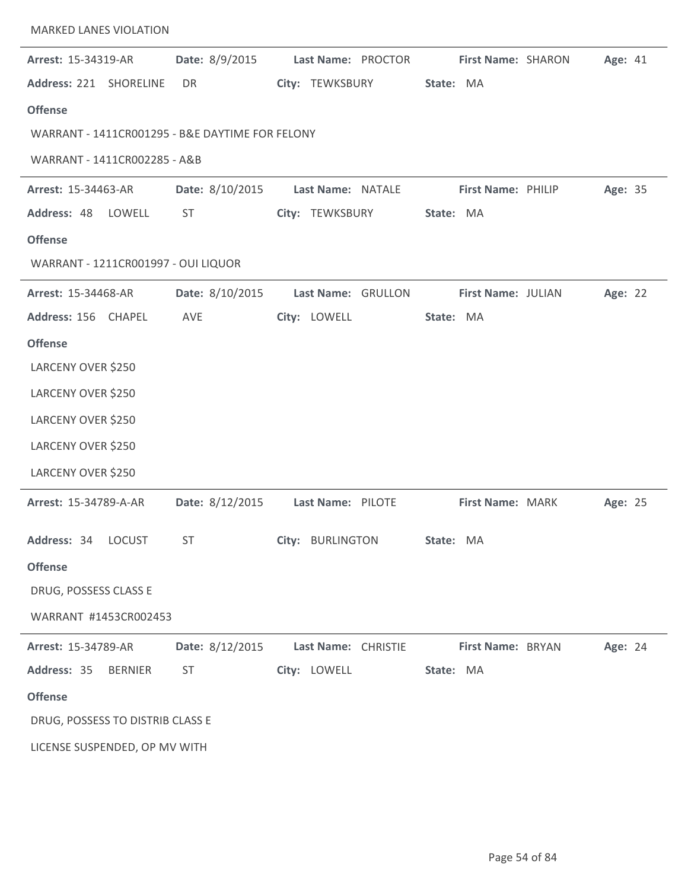| <b>MARKED LANES VIOLATION</b>                   |                 |                     |                    |         |  |
|-------------------------------------------------|-----------------|---------------------|--------------------|---------|--|
| Arrest: 15-34319-AR                             | Date: 8/9/2015  | Last Name: PROCTOR  | First Name: SHARON | Age: 41 |  |
| Address: 221 SHORELINE                          | DR.             | City: TEWKSBURY     | State: MA          |         |  |
| <b>Offense</b>                                  |                 |                     |                    |         |  |
| WARRANT - 1411CR001295 - B&E DAYTIME FOR FELONY |                 |                     |                    |         |  |
| WARRANT - 1411CR002285 - A&B                    |                 |                     |                    |         |  |
| <b>Arrest: 15-34463-AR</b>                      | Date: 8/10/2015 | Last Name: NATALE   | First Name: PHILIP | Age: 35 |  |
| Address: 48 LOWELL                              | <b>ST</b>       | City: TEWKSBURY     | State: MA          |         |  |
| <b>Offense</b>                                  |                 |                     |                    |         |  |
| WARRANT - 1211CR001997 - OUI LIQUOR             |                 |                     |                    |         |  |
| <b>Arrest: 15-34468-AR</b>                      | Date: 8/10/2015 | Last Name: GRULLON  | First Name: JULIAN | Age: 22 |  |
| Address: 156 CHAPEL                             | AVE             | City: LOWELL        | State: MA          |         |  |
| <b>Offense</b>                                  |                 |                     |                    |         |  |
| LARCENY OVER \$250                              |                 |                     |                    |         |  |
| LARCENY OVER \$250                              |                 |                     |                    |         |  |
| LARCENY OVER \$250                              |                 |                     |                    |         |  |
| LARCENY OVER \$250                              |                 |                     |                    |         |  |
| LARCENY OVER \$250                              |                 |                     |                    |         |  |
| Arrest: 15-34789-A-AR                           | Date: 8/12/2015 | Last Name: PILOTE   | First Name: MARK   | Age: 25 |  |
| Address: 34 LOCUST                              | <b>ST</b>       | City: BURLINGTON    | State: MA          |         |  |
| <b>Offense</b>                                  |                 |                     |                    |         |  |
| DRUG, POSSESS CLASS E                           |                 |                     |                    |         |  |
| WARRANT #1453CR002453                           |                 |                     |                    |         |  |
| Arrest: 15-34789-AR                             | Date: 8/12/2015 | Last Name: CHRISTIE | First Name: BRYAN  | Age: 24 |  |
| Address: 35<br><b>BERNIER</b>                   | <b>ST</b>       | City: LOWELL        | State: MA          |         |  |
| <b>Offense</b>                                  |                 |                     |                    |         |  |
| DRUG, POSSESS TO DISTRIB CLASS E                |                 |                     |                    |         |  |
| LICENSE SUSPENDED, OP MV WITH                   |                 |                     |                    |         |  |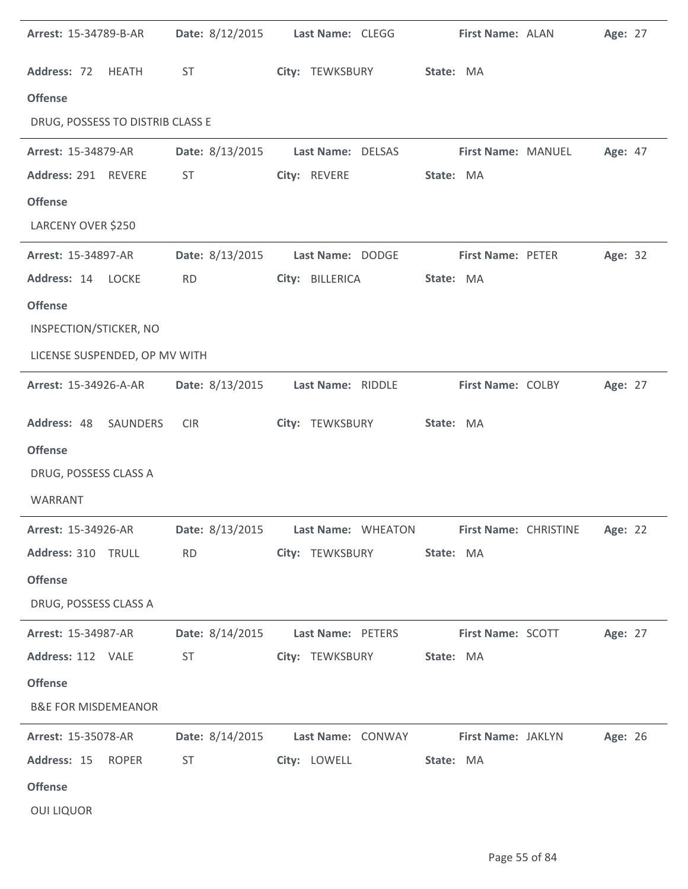| Arrest: 15-34789-B-AR            |                 | Date: 8/12/2015 Last Name: CLEGG                     | First Name: ALAN                                                 | Age: 27 |
|----------------------------------|-----------------|------------------------------------------------------|------------------------------------------------------------------|---------|
| Address: 72 HEATH                | <b>ST</b>       | City: TEWKSBURY                                      | State: MA                                                        |         |
| <b>Offense</b>                   |                 |                                                      |                                                                  |         |
| DRUG, POSSESS TO DISTRIB CLASS E |                 |                                                      |                                                                  |         |
| Arrest: 15-34879-AR              | Date: 8/13/2015 | Last Name: DELSAS                                    | First Name: MANUEL                                               | Age: 47 |
| Address: 291 REVERE              | ST              | City: REVERE                                         | State: MA                                                        |         |
| <b>Offense</b>                   |                 |                                                      |                                                                  |         |
| LARCENY OVER \$250               |                 |                                                      |                                                                  |         |
| Arrest: 15-34897-AR              | Date: 8/13/2015 | Last Name: DODGE                                     | First Name: PETER                                                | Age: 32 |
| Address: 14 LOCKE                | <b>RD</b>       | City: BILLERICA                                      | State: MA                                                        |         |
| <b>Offense</b>                   |                 |                                                      |                                                                  |         |
| INSPECTION/STICKER, NO           |                 |                                                      |                                                                  |         |
| LICENSE SUSPENDED, OP MV WITH    |                 |                                                      |                                                                  |         |
| <b>Arrest: 15-34926-A-AR</b>     | Date: 8/13/2015 | Last Name: RIDDLE                                    | First Name: COLBY                                                | Age: 27 |
| Address: 48<br>SAUNDERS          | <b>CIR</b>      | City: TEWKSBURY                                      | State: MA                                                        |         |
| <b>Offense</b>                   |                 |                                                      |                                                                  |         |
| DRUG, POSSESS CLASS A            |                 |                                                      |                                                                  |         |
| <b>WARRANT</b>                   |                 |                                                      |                                                                  |         |
| Arrest: 15-34926-AR              |                 |                                                      | Date: 8/13/2015 Last Name: WHEATON First Name: CHRISTINE Age: 22 |         |
| Address: 310 TRULL               | RD              | City: TEWKSBURY                                      | State: MA                                                        |         |
| <b>Offense</b>                   |                 |                                                      |                                                                  |         |
| DRUG, POSSESS CLASS A            |                 |                                                      |                                                                  |         |
| <b>Arrest: 15-34987-AR</b>       | Date: 8/14/2015 | Last Name: PETERS                                    | <b>First Name: SCOTT</b>                                         | Age: 27 |
| Address: 112 VALE                | <b>ST</b>       | City: TEWKSBURY                                      | State: MA                                                        |         |
| <b>Offense</b>                   |                 |                                                      |                                                                  |         |
| <b>B&amp;E FOR MISDEMEANOR</b>   |                 |                                                      |                                                                  |         |
| <b>Arrest: 15-35078-AR</b>       |                 | Date: 8/14/2015 Last Name: CONWAY First Name: JAKLYN |                                                                  | Age: 26 |
| Address: 15<br><b>ROPER</b>      | ST              | City: LOWELL                                         | State: MA                                                        |         |
| <b>Offense</b>                   |                 |                                                      |                                                                  |         |
| <b>OUI LIQUOR</b>                |                 |                                                      |                                                                  |         |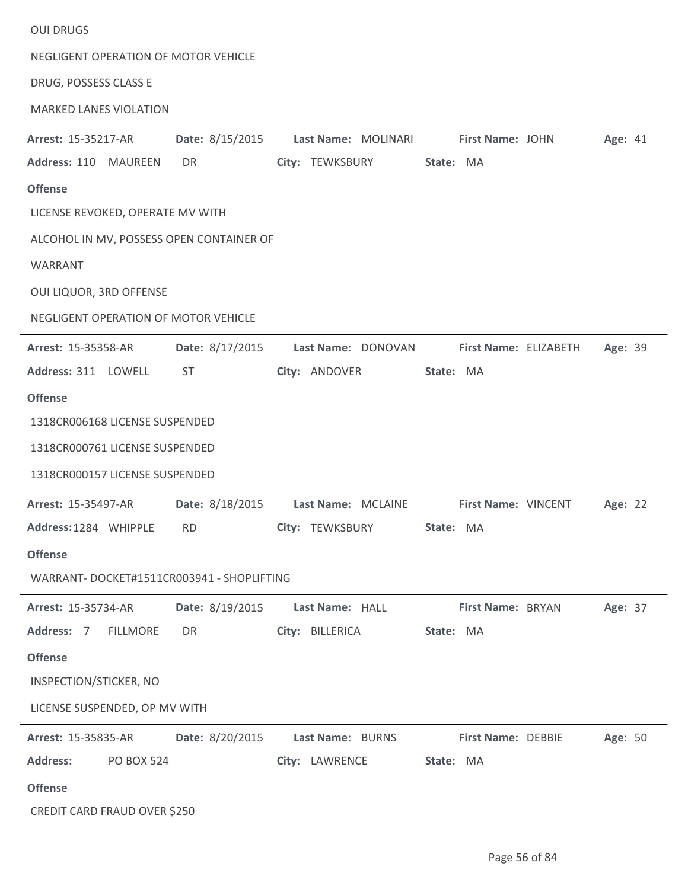| <b>OUI DRUGS</b>                          |                                       |                 |                           |           |                           |         |  |
|-------------------------------------------|---------------------------------------|-----------------|---------------------------|-----------|---------------------------|---------|--|
| NEGLIGENT OPERATION OF MOTOR VEHICLE      |                                       |                 |                           |           |                           |         |  |
| DRUG, POSSESS CLASS E                     |                                       |                 |                           |           |                           |         |  |
| <b>MARKED LANES VIOLATION</b>             |                                       |                 |                           |           |                           |         |  |
| <b>Arrest: 15-35217-AR</b>                | Date: 8/15/2015                       |                 | Last Name: MOLINARI       |           | First Name: JOHN          | Age: 41 |  |
| Address: 110 MAUREEN                      | DR                                    |                 | City: TEWKSBURY           | State: MA |                           |         |  |
| <b>Offense</b>                            |                                       |                 |                           |           |                           |         |  |
| LICENSE REVOKED, OPERATE MV WITH          |                                       |                 |                           |           |                           |         |  |
| ALCOHOL IN MV, POSSESS OPEN CONTAINER OF  |                                       |                 |                           |           |                           |         |  |
| WARRANT                                   |                                       |                 |                           |           |                           |         |  |
| OUI LIQUOR, 3RD OFFENSE                   |                                       |                 |                           |           |                           |         |  |
| NEGLIGENT OPERATION OF MOTOR VEHICLE      |                                       |                 |                           |           |                           |         |  |
| <b>Arrest: 15-35358-AR</b>                | Date: 8/17/2015                       |                 | Last Name: DONOVAN        |           | First Name: ELIZABETH     | Age: 39 |  |
| Address: 311 LOWELL                       | ST.                                   | City: ANDOVER   |                           | State: MA |                           |         |  |
| <b>Offense</b>                            |                                       |                 |                           |           |                           |         |  |
| 1318CR006168 LICENSE SUSPENDED            |                                       |                 |                           |           |                           |         |  |
| 1318CR000761 LICENSE SUSPENDED            |                                       |                 |                           |           |                           |         |  |
| 1318CR000157 LICENSE SUSPENDED            |                                       |                 |                           |           |                           |         |  |
| <b>Arrest: 15-35497-AR</b>                | Date: 8/18/2015    Last Name: MCLAINE |                 |                           |           | First Name: VINCENT       | Age: 22 |  |
| Address:1284 WHIPPLE RD                   |                                       |                 | City: TEWKSBURY State: MA |           |                           |         |  |
| <b>Offense</b>                            |                                       |                 |                           |           |                           |         |  |
| WARRANT-DOCKET#1511CR003941 - SHOPLIFTING |                                       |                 |                           |           |                           |         |  |
| Arrest: 15-35734-AR                       | Date: 8/19/2015                       | Last Name: HALL |                           |           | First Name: BRYAN         | Age: 37 |  |
| Address: 7 FILLMORE                       | DR                                    | City: BILLERICA |                           | State: MA |                           |         |  |
| <b>Offense</b>                            |                                       |                 |                           |           |                           |         |  |
| INSPECTION/STICKER, NO                    |                                       |                 |                           |           |                           |         |  |
| LICENSE SUSPENDED, OP MV WITH             |                                       |                 |                           |           |                           |         |  |
| Arrest: 15-35835-AR                       | Date: 8/20/2015                       |                 | Last Name: BURNS          |           | <b>First Name: DEBBIE</b> | Age: 50 |  |
| <b>Address:</b><br><b>PO BOX 524</b>      |                                       | City: LAWRENCE  |                           | State: MA |                           |         |  |
| <b>Offense</b>                            |                                       |                 |                           |           |                           |         |  |
| CREDIT CARD FRAUD OVER \$250              |                                       |                 |                           |           |                           |         |  |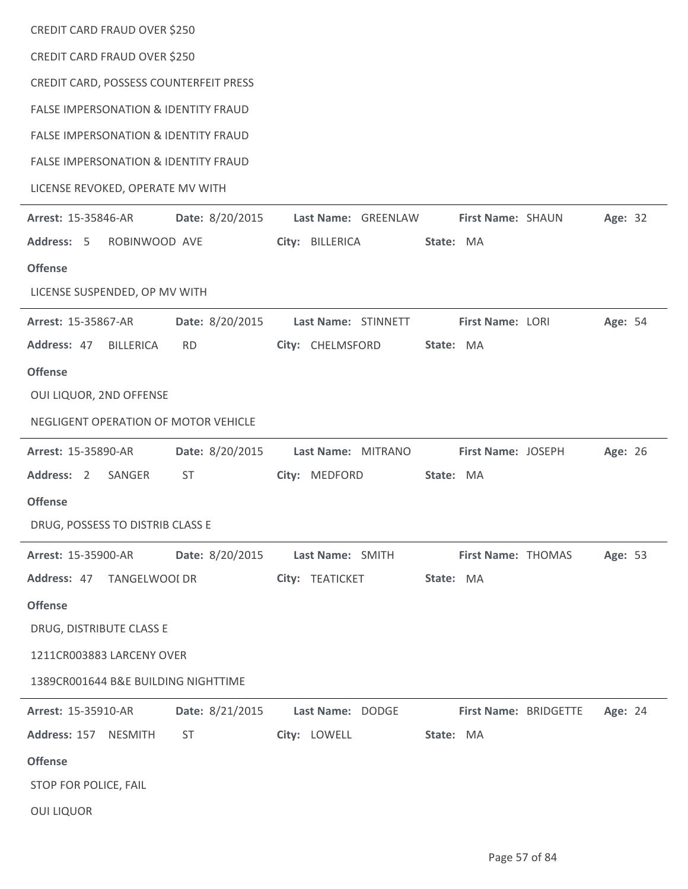| CREDIT CARD FRAUD OVER \$250                    |                                      |                     |           |                       |  |         |  |  |  |
|-------------------------------------------------|--------------------------------------|---------------------|-----------|-----------------------|--|---------|--|--|--|
| CREDIT CARD FRAUD OVER \$250                    |                                      |                     |           |                       |  |         |  |  |  |
| CREDIT CARD, POSSESS COUNTERFEIT PRESS          |                                      |                     |           |                       |  |         |  |  |  |
| <b>FALSE IMPERSONATION &amp; IDENTITY FRAUD</b> |                                      |                     |           |                       |  |         |  |  |  |
| <b>FALSE IMPERSONATION &amp; IDENTITY FRAUD</b> |                                      |                     |           |                       |  |         |  |  |  |
| <b>FALSE IMPERSONATION &amp; IDENTITY FRAUD</b> |                                      |                     |           |                       |  |         |  |  |  |
| LICENSE REVOKED, OPERATE MV WITH                |                                      |                     |           |                       |  |         |  |  |  |
| <b>Arrest: 15-35846-AR</b>                      | Date: 8/20/2015                      | Last Name: GREENLAW |           | First Name: SHAUN     |  | Age: 32 |  |  |  |
| Address: 5 ROBINWOOD AVE                        |                                      | City: BILLERICA     | State: MA |                       |  |         |  |  |  |
| <b>Offense</b>                                  |                                      |                     |           |                       |  |         |  |  |  |
| LICENSE SUSPENDED, OP MV WITH                   |                                      |                     |           |                       |  |         |  |  |  |
| <b>Arrest: 15-35867-AR</b>                      | Date: 8/20/2015                      | Last Name: STINNETT |           | First Name: LORI      |  | Age: 54 |  |  |  |
| Address: 47<br><b>BILLERICA</b>                 | <b>RD</b>                            | City: CHELMSFORD    | State: MA |                       |  |         |  |  |  |
| <b>Offense</b>                                  |                                      |                     |           |                       |  |         |  |  |  |
| OUI LIQUOR, 2ND OFFENSE                         |                                      |                     |           |                       |  |         |  |  |  |
|                                                 | NEGLIGENT OPERATION OF MOTOR VEHICLE |                     |           |                       |  |         |  |  |  |
| Arrest: 15-35890-AR                             | Date: 8/20/2015                      | Last Name: MITRANO  |           | First Name: JOSEPH    |  | Age: 26 |  |  |  |
| Address: 2<br>SANGER                            | ST                                   | City: MEDFORD       | State: MA |                       |  |         |  |  |  |
| <b>Offense</b>                                  |                                      |                     |           |                       |  |         |  |  |  |
| DRUG, POSSESS TO DISTRIB CLASS E                |                                      |                     |           |                       |  |         |  |  |  |
| Arrest: 15-35900-AR                             | Date: 8/20/2015                      | Last Name: SMITH    |           | First Name: THOMAS    |  | Age: 53 |  |  |  |
| Address: 47 TANGELWOOI DR                       |                                      | City: TEATICKET     | State: MA |                       |  |         |  |  |  |
| <b>Offense</b>                                  |                                      |                     |           |                       |  |         |  |  |  |
| DRUG, DISTRIBUTE CLASS E                        |                                      |                     |           |                       |  |         |  |  |  |
| 1211CR003883 LARCENY OVER                       |                                      |                     |           |                       |  |         |  |  |  |
| 1389CR001644 B&E BUILDING NIGHTTIME             |                                      |                     |           |                       |  |         |  |  |  |
| Arrest: 15-35910-AR                             | Date: 8/21/2015                      | Last Name: DODGE    |           | First Name: BRIDGETTE |  | Age: 24 |  |  |  |
| Address: 157 NESMITH                            | <b>ST</b>                            | City: LOWELL        | State: MA |                       |  |         |  |  |  |
| <b>Offense</b>                                  |                                      |                     |           |                       |  |         |  |  |  |
| STOP FOR POLICE, FAIL                           |                                      |                     |           |                       |  |         |  |  |  |
| <b>OUI LIQUOR</b>                               |                                      |                     |           |                       |  |         |  |  |  |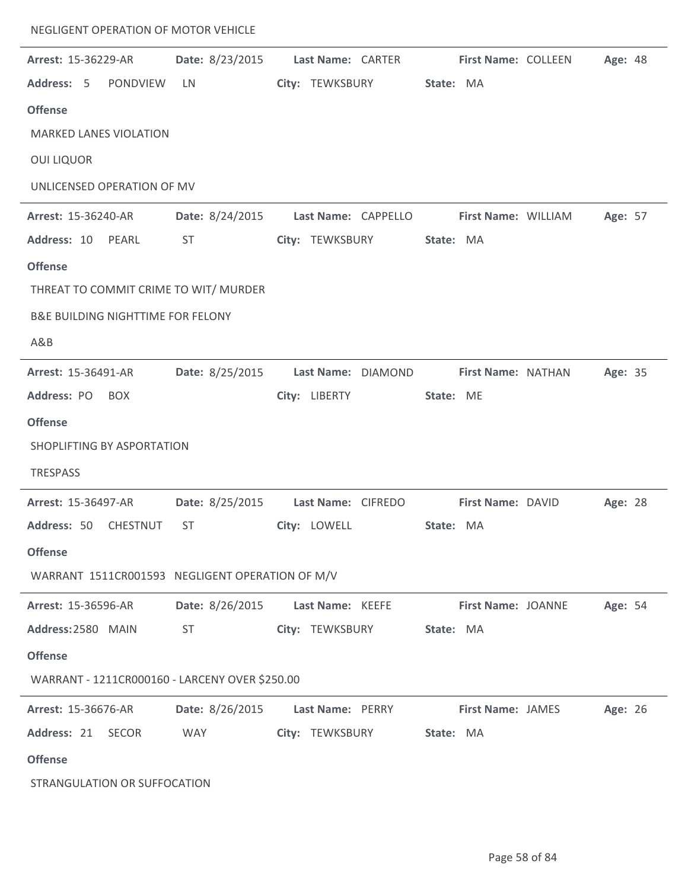| NEGLIGENT OPERATION OF MOTOR VEHICLE            |                 |                                    |                           |         |
|-------------------------------------------------|-----------------|------------------------------------|---------------------------|---------|
| Arrest: 15-36229-AR                             | Date: 8/23/2015 | Last Name: CARTER                  | First Name: COLLEEN       | Age: 48 |
| Address: 5<br>PONDVIEW                          | LN              | City: TEWKSBURY                    | State: MA                 |         |
| <b>Offense</b>                                  |                 |                                    |                           |         |
| <b>MARKED LANES VIOLATION</b>                   |                 |                                    |                           |         |
| <b>OUI LIQUOR</b>                               |                 |                                    |                           |         |
| UNLICENSED OPERATION OF MV                      |                 |                                    |                           |         |
| <b>Arrest: 15-36240-AR</b>                      | Date: 8/24/2015 | Last Name: CAPPELLO                | First Name: WILLIAM       | Age: 57 |
| Address: 10<br>PEARL                            | <b>ST</b>       | City: TEWKSBURY                    | State: MA                 |         |
| <b>Offense</b>                                  |                 |                                    |                           |         |
| THREAT TO COMMIT CRIME TO WIT/ MURDER           |                 |                                    |                           |         |
| <b>B&amp;E BUILDING NIGHTTIME FOR FELONY</b>    |                 |                                    |                           |         |
| A&B                                             |                 |                                    |                           |         |
| Arrest: 15-36491-AR                             | Date: 8/25/2015 | Last Name: DIAMOND                 | First Name: NATHAN        | Age: 35 |
| Address: PO<br><b>BOX</b>                       |                 | City: LIBERTY                      | State: ME                 |         |
| <b>Offense</b>                                  |                 |                                    |                           |         |
| SHOPLIFTING BY ASPORTATION                      |                 |                                    |                           |         |
| <b>TRESPASS</b>                                 |                 |                                    |                           |         |
| Arrest: 15-36497-AR                             |                 | Date: 8/25/2015 Last Name: CIFREDO | First Name: DAVID         | Age: 28 |
| Address: 50 CHESTNUT ST                         |                 | City: LOWELL                       | State: MA                 |         |
| <b>Offense</b>                                  |                 |                                    |                           |         |
| WARRANT 1511CR001593 NEGLIGENT OPERATION OF M/V |                 |                                    |                           |         |
| <b>Arrest: 15-36596-AR</b>                      |                 | Date: 8/26/2015 Last Name: KEEFE   | <b>First Name: JOANNE</b> | Age: 54 |
| Address: 2580 MAIN                              | <b>ST</b>       | City: TEWKSBURY                    | State: MA                 |         |
| <b>Offense</b>                                  |                 |                                    |                           |         |
| WARRANT - 1211CR000160 - LARCENY OVER \$250.00  |                 |                                    |                           |         |
| <b>Arrest: 15-36676-AR</b>                      |                 | Date: 8/26/2015 Last Name: PERRY   | <b>First Name: JAMES</b>  | Age: 26 |
| Address: 21 SECOR                               | <b>WAY</b>      | City: TEWKSBURY State: MA          |                           |         |
| <b>Offense</b>                                  |                 |                                    |                           |         |
| STRANGULATION OR SUFFOCATION                    |                 |                                    |                           |         |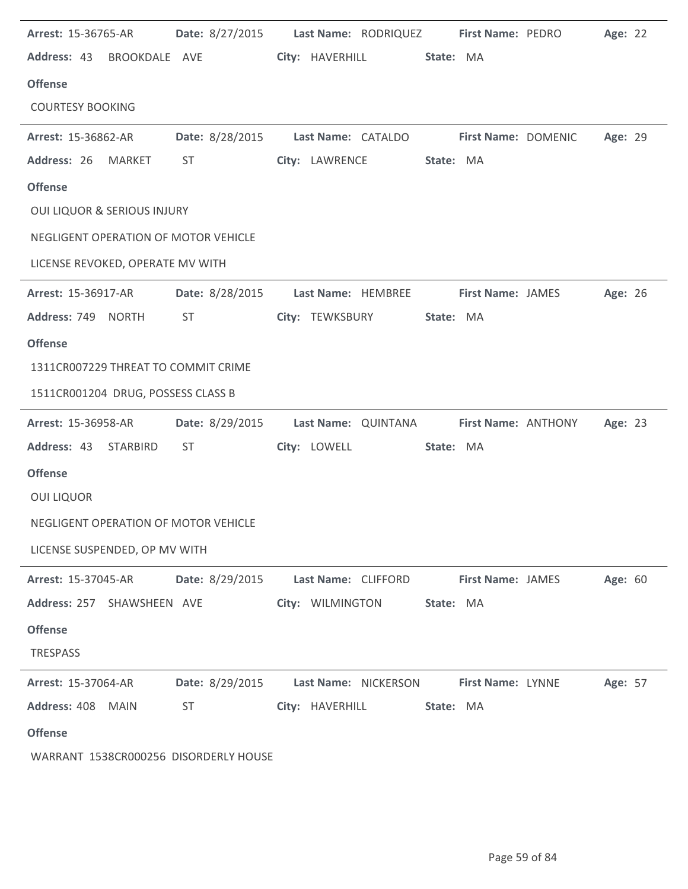| <b>Arrest: 15-36765-AR</b>             |             | Date: 8/27/2015 Last Name: RODRIQUEZ First Name: PEDRO |                  |                      |           |                          | Age: 22 |  |
|----------------------------------------|-------------|--------------------------------------------------------|------------------|----------------------|-----------|--------------------------|---------|--|
| Address: 43 BROOKDALE AVE              |             |                                                        |                  | City: HAVERHILL      | State: MA |                          |         |  |
| <b>Offense</b>                         |             |                                                        |                  |                      |           |                          |         |  |
| <b>COURTESY BOOKING</b>                |             |                                                        |                  |                      |           |                          |         |  |
| <b>Arrest: 15-36862-AR</b>             |             | Date: 8/28/2015 Last Name: CATALDO First Name: DOMENIC |                  |                      |           |                          | Age: 29 |  |
| Address: 26                            | MARKET      | ST                                                     |                  | City: LAWRENCE       | State: MA |                          |         |  |
| <b>Offense</b>                         |             |                                                        |                  |                      |           |                          |         |  |
| <b>OUI LIQUOR &amp; SERIOUS INJURY</b> |             |                                                        |                  |                      |           |                          |         |  |
| NEGLIGENT OPERATION OF MOTOR VEHICLE   |             |                                                        |                  |                      |           |                          |         |  |
| LICENSE REVOKED, OPERATE MV WITH       |             |                                                        |                  |                      |           |                          |         |  |
| Arrest: 15-36917-AR                    |             | Date: 8/28/2015 Last Name: HEMBREE                     |                  |                      |           | <b>First Name: JAMES</b> | Age: 26 |  |
| Address: 749 NORTH                     |             | ST                                                     |                  | City: TEWKSBURY      | State: MA |                          |         |  |
| <b>Offense</b>                         |             |                                                        |                  |                      |           |                          |         |  |
| 1311CR007229 THREAT TO COMMIT CRIME    |             |                                                        |                  |                      |           |                          |         |  |
| 1511CR001204 DRUG, POSSESS CLASS B     |             |                                                        |                  |                      |           |                          |         |  |
| <b>Arrest: 15-36958-AR</b>             |             | Date: 8/29/2015 Last Name: QUINTANA                    |                  |                      |           | First Name: ANTHONY      | Age: 23 |  |
| Address: 43 STARBIRD                   |             | ST                                                     | City: LOWELL     |                      | State: MA |                          |         |  |
| <b>Offense</b>                         |             |                                                        |                  |                      |           |                          |         |  |
| <b>OUI LIQUOR</b>                      |             |                                                        |                  |                      |           |                          |         |  |
| NEGLIGENT OPERATION OF MOTOR VEHICLE   |             |                                                        |                  |                      |           |                          |         |  |
| LICENSE SUSPENDED, OP MV WITH          |             |                                                        |                  |                      |           |                          |         |  |
| <b>Arrest: 15-37045-AR</b>             |             | Date: 8/29/2015                                        |                  | Last Name: CLIFFORD  |           | <b>First Name: JAMES</b> | Age: 60 |  |
| Address: 257 SHAWSHEEN AVE             |             |                                                        | City: WILMINGTON |                      | State: MA |                          |         |  |
| <b>Offense</b>                         |             |                                                        |                  |                      |           |                          |         |  |
| <b>TRESPASS</b>                        |             |                                                        |                  |                      |           |                          |         |  |
| Arrest: 15-37064-AR                    |             | Date: 8/29/2015                                        |                  | Last Name: NICKERSON |           | First Name: LYNNE        | Age: 57 |  |
| Address: 408                           | <b>MAIN</b> | <b>ST</b>                                              | City: HAVERHILL  |                      | State: MA |                          |         |  |
| <b>Offense</b>                         |             |                                                        |                  |                      |           |                          |         |  |
|                                        |             | WARRANT 1538CR000256 DISORDERLY HOUSE                  |                  |                      |           |                          |         |  |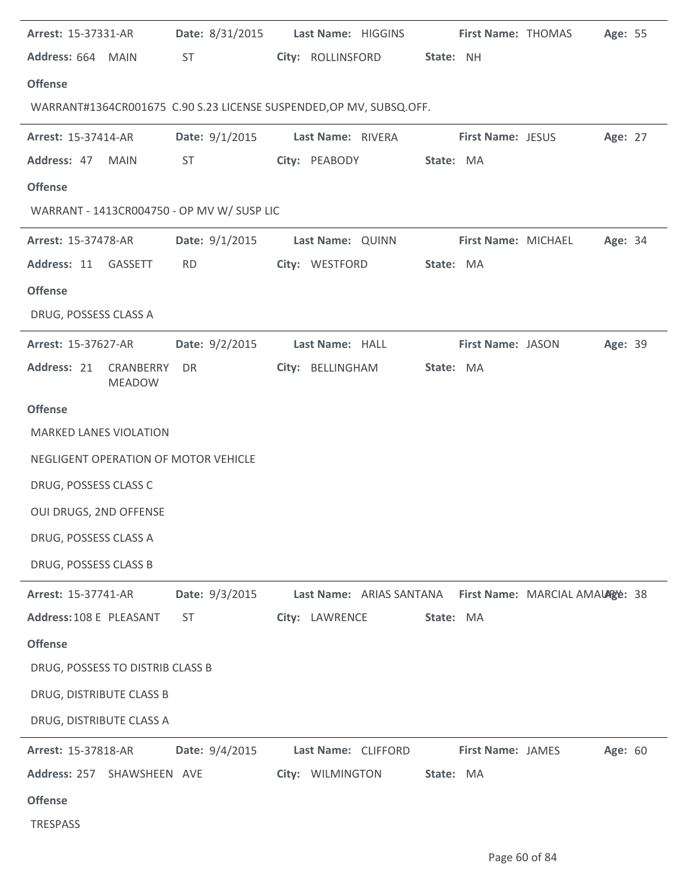| Arrest: 15-37331-AR                        |                | Date: 8/31/2015 Last Name: HIGGINS                                  |           | First Name: THOMAS       |                                 | Age: 55 |  |
|--------------------------------------------|----------------|---------------------------------------------------------------------|-----------|--------------------------|---------------------------------|---------|--|
| Address: 664 MAIN                          | <b>ST</b>      | City: ROLLINSFORD                                                   | State: NH |                          |                                 |         |  |
| <b>Offense</b>                             |                |                                                                     |           |                          |                                 |         |  |
|                                            |                | WARRANT#1364CR001675 C.90 S.23 LICENSE SUSPENDED, OP MV, SUBSQ.OFF. |           |                          |                                 |         |  |
| <b>Arrest: 15-37414-AR</b>                 | Date: 9/1/2015 | Last Name: RIVERA                                                   |           | <b>First Name: JESUS</b> |                                 | Age: 27 |  |
| Address: 47<br>MAIN                        | ST             | City: PEABODY                                                       | State: MA |                          |                                 |         |  |
| <b>Offense</b>                             |                |                                                                     |           |                          |                                 |         |  |
| WARRANT - 1413CR004750 - OP MV W/ SUSP LIC |                |                                                                     |           |                          |                                 |         |  |
| Arrest: 15-37478-AR                        | Date: 9/1/2015 | Last Name: QUINN                                                    |           | First Name: MICHAEL      |                                 | Age: 34 |  |
| Address: 11 GASSETT                        | <b>RD</b>      | City: WESTFORD                                                      | State: MA |                          |                                 |         |  |
| <b>Offense</b>                             |                |                                                                     |           |                          |                                 |         |  |
| DRUG, POSSESS CLASS A                      |                |                                                                     |           |                          |                                 |         |  |
| <b>Arrest: 15-37627-AR</b>                 | Date: 9/2/2015 | Last Name: HALL                                                     |           | <b>First Name: JASON</b> |                                 | Age: 39 |  |
| Address: 21<br>CRANBERRY<br><b>MEADOW</b>  | DR.            | City: BELLINGHAM                                                    | State: MA |                          |                                 |         |  |
| <b>Offense</b>                             |                |                                                                     |           |                          |                                 |         |  |
| <b>MARKED LANES VIOLATION</b>              |                |                                                                     |           |                          |                                 |         |  |
| NEGLIGENT OPERATION OF MOTOR VEHICLE       |                |                                                                     |           |                          |                                 |         |  |
| DRUG, POSSESS CLASS C                      |                |                                                                     |           |                          |                                 |         |  |
| OUI DRUGS, 2ND OFFENSE                     |                |                                                                     |           |                          |                                 |         |  |
| DRUG, POSSESS CLASS A                      |                |                                                                     |           |                          |                                 |         |  |
| DRUG, POSSESS CLASS B                      |                |                                                                     |           |                          |                                 |         |  |
| Arrest: 15-37741-AR                        | Date: 9/3/2015 | Last Name: ARIAS SANTANA                                            |           |                          | First Name: MARCIAL AMAURge: 38 |         |  |
| Address: 108 E PLEASANT                    | <b>ST</b>      | City: LAWRENCE                                                      | State: MA |                          |                                 |         |  |
| <b>Offense</b>                             |                |                                                                     |           |                          |                                 |         |  |
| DRUG, POSSESS TO DISTRIB CLASS B           |                |                                                                     |           |                          |                                 |         |  |
| DRUG, DISTRIBUTE CLASS B                   |                |                                                                     |           |                          |                                 |         |  |
| DRUG, DISTRIBUTE CLASS A                   |                |                                                                     |           |                          |                                 |         |  |
| Arrest: 15-37818-AR                        | Date: 9/4/2015 | Last Name: CLIFFORD                                                 |           | First Name: JAMES        |                                 | Age: 60 |  |
| Address: 257<br>SHAWSHEEN AVE              |                | City: WILMINGTON                                                    | State: MA |                          |                                 |         |  |
| <b>Offense</b>                             |                |                                                                     |           |                          |                                 |         |  |
| TRESPASS                                   |                |                                                                     |           |                          |                                 |         |  |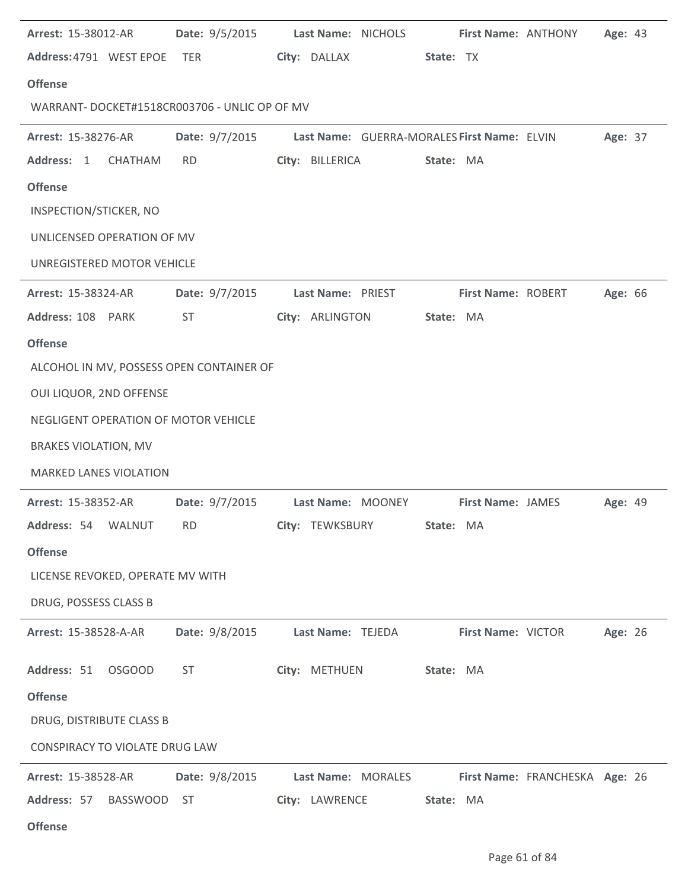| Arrest: 15-38012-AR                          | <b>Date: 9/5/2015</b>                                                                                          | Last Name: NICHOLS                                         |                          | First Name: ANTHONY<br>Age: 43 |  |
|----------------------------------------------|----------------------------------------------------------------------------------------------------------------|------------------------------------------------------------|--------------------------|--------------------------------|--|
| Address: 4791 WEST EPOE TER                  |                                                                                                                | City: DALLAX                                               | State: TX                |                                |  |
| <b>Offense</b>                               |                                                                                                                |                                                            |                          |                                |  |
| WARRANT-DOCKET#1518CR003706 - UNLIC OP OF MV |                                                                                                                |                                                            |                          |                                |  |
| Arrest: 15-38276-AR                          |                                                                                                                | Date: 9/7/2015 Last Name: GUERRA-MORALES First Name: ELVIN |                          | Age: 37                        |  |
| Address: 1<br>CHATHAM                        | <b>RD</b>                                                                                                      | City: BILLERICA                                            | State: MA                |                                |  |
| <b>Offense</b>                               |                                                                                                                |                                                            |                          |                                |  |
| INSPECTION/STICKER, NO                       |                                                                                                                |                                                            |                          |                                |  |
| UNLICENSED OPERATION OF MV                   |                                                                                                                |                                                            |                          |                                |  |
| UNREGISTERED MOTOR VEHICLE                   |                                                                                                                |                                                            |                          |                                |  |
| <b>Arrest: 15-38324-AR</b>                   | Date: 9/7/2015                                                                                                 | Last Name: PRIEST                                          | First Name: ROBERT       | Age: 66                        |  |
| Address: 108 PARK                            | <b>ST</b>                                                                                                      | City: ARLINGTON                                            | State: MA                |                                |  |
| <b>Offense</b>                               |                                                                                                                |                                                            |                          |                                |  |
| ALCOHOL IN MV, POSSESS OPEN CONTAINER OF     |                                                                                                                |                                                            |                          |                                |  |
| OUI LIQUOR, 2ND OFFENSE                      |                                                                                                                |                                                            |                          |                                |  |
| NEGLIGENT OPERATION OF MOTOR VEHICLE         |                                                                                                                |                                                            |                          |                                |  |
| <b>BRAKES VIOLATION, MV</b>                  |                                                                                                                |                                                            |                          |                                |  |
| <b>MARKED LANES VIOLATION</b>                |                                                                                                                |                                                            |                          |                                |  |
| <b>Arrest: 15-38352-AR</b>                   |                                                                                                                | Date: 9/7/2015 Last Name: MOONEY                           | <b>First Name: JAMES</b> | Age: 49                        |  |
| Address: 54 WALNUT                           | RD and the state of the state of the state of the state of the state of the state of the state of the state of | City: TEWKSBURY                                            | <b>State: MA</b>         |                                |  |
| <b>Offense</b>                               |                                                                                                                |                                                            |                          |                                |  |
| LICENSE REVOKED, OPERATE MV WITH             |                                                                                                                |                                                            |                          |                                |  |
| DRUG, POSSESS CLASS B                        |                                                                                                                |                                                            |                          |                                |  |
| Arrest: 15-38528-A-AR                        | Date: 9/8/2015                                                                                                 | Last Name: TEJEDA                                          | First Name: VICTOR       | Age: 26                        |  |
| Address: 51 OSGOOD                           | ST                                                                                                             | City: METHUEN                                              | State: MA                |                                |  |
| <b>Offense</b>                               |                                                                                                                |                                                            |                          |                                |  |
| DRUG, DISTRIBUTE CLASS B                     |                                                                                                                |                                                            |                          |                                |  |
| CONSPIRACY TO VIOLATE DRUG LAW               |                                                                                                                |                                                            |                          |                                |  |
| <b>Arrest: 15-38528-AR</b>                   | Date: 9/8/2015                                                                                                 | Last Name: MORALES                                         |                          | First Name: FRANCHESKA Age: 26 |  |
| Address: 57<br>BASSWOOD                      | - ST                                                                                                           | City: LAWRENCE                                             | State: MA                |                                |  |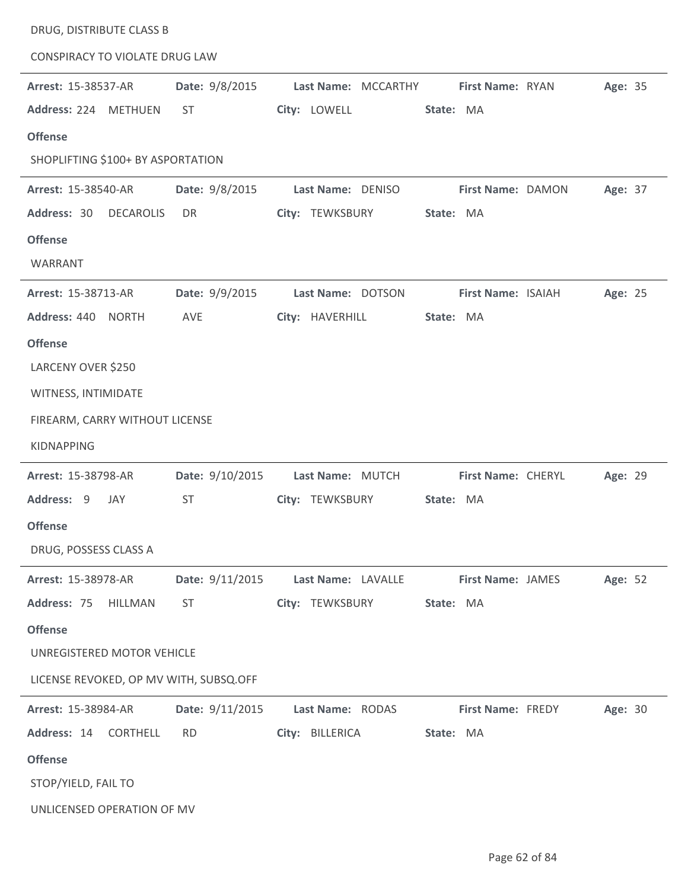| DRUG, DISTRIBUTE CLASS B               |                 |                     |                    |         |
|----------------------------------------|-----------------|---------------------|--------------------|---------|
| <b>CONSPIRACY TO VIOLATE DRUG LAW</b>  |                 |                     |                    |         |
| Arrest: 15-38537-AR                    | Date: 9/8/2015  | Last Name: MCCARTHY | First Name: RYAN   | Age: 35 |
| Address: 224 METHUEN                   | <b>ST</b>       | City: LOWELL        | State: MA          |         |
| <b>Offense</b>                         |                 |                     |                    |         |
| SHOPLIFTING \$100+ BY ASPORTATION      |                 |                     |                    |         |
| <b>Arrest: 15-38540-AR</b>             | Date: 9/8/2015  | Last Name: DENISO   | First Name: DAMON  | Age: 37 |
| Address: 30<br><b>DECAROLIS</b>        | DR              | City: TEWKSBURY     | State: MA          |         |
| <b>Offense</b>                         |                 |                     |                    |         |
| WARRANT                                |                 |                     |                    |         |
| Arrest: 15-38713-AR                    | Date: 9/9/2015  | Last Name: DOTSON   | First Name: ISAIAH | Age: 25 |
| Address: 440 NORTH                     | AVE             | City: HAVERHILL     | State: MA          |         |
| <b>Offense</b>                         |                 |                     |                    |         |
| LARCENY OVER \$250                     |                 |                     |                    |         |
| WITNESS, INTIMIDATE                    |                 |                     |                    |         |
| FIREARM, CARRY WITHOUT LICENSE         |                 |                     |                    |         |
| <b>KIDNAPPING</b>                      |                 |                     |                    |         |
| Arrest: 15-38798-AR                    | Date: 9/10/2015 | Last Name: MUTCH    | First Name: CHERYL | Age: 29 |
| Address: 9<br>JAY                      | <b>ST</b>       | City: TEWKSBURY     | State: MA          |         |
| <b>Offense</b>                         |                 |                     |                    |         |
| DRUG, POSSESS CLASS A                  |                 |                     |                    |         |
| Arrest: 15-38978-AR                    | Date: 9/11/2015 | Last Name: LAVALLE  | First Name: JAMES  | Age: 52 |
| Address: 75<br><b>HILLMAN</b>          | <b>ST</b>       | City: TEWKSBURY     | State: MA          |         |
| <b>Offense</b>                         |                 |                     |                    |         |
| UNREGISTERED MOTOR VEHICLE             |                 |                     |                    |         |
| LICENSE REVOKED, OP MV WITH, SUBSQ.OFF |                 |                     |                    |         |
| Arrest: 15-38984-AR                    | Date: 9/11/2015 | Last Name: RODAS    | First Name: FREDY  | Age: 30 |
| Address: 14<br><b>CORTHELL</b>         | <b>RD</b>       | City: BILLERICA     | State: MA          |         |
| <b>Offense</b>                         |                 |                     |                    |         |
| STOP/YIELD, FAIL TO                    |                 |                     |                    |         |
| UNLICENSED OPERATION OF MV             |                 |                     |                    |         |

 $\overline{\phantom{a}}$ 

 $\overline{a}$ 

 $\overline{a}$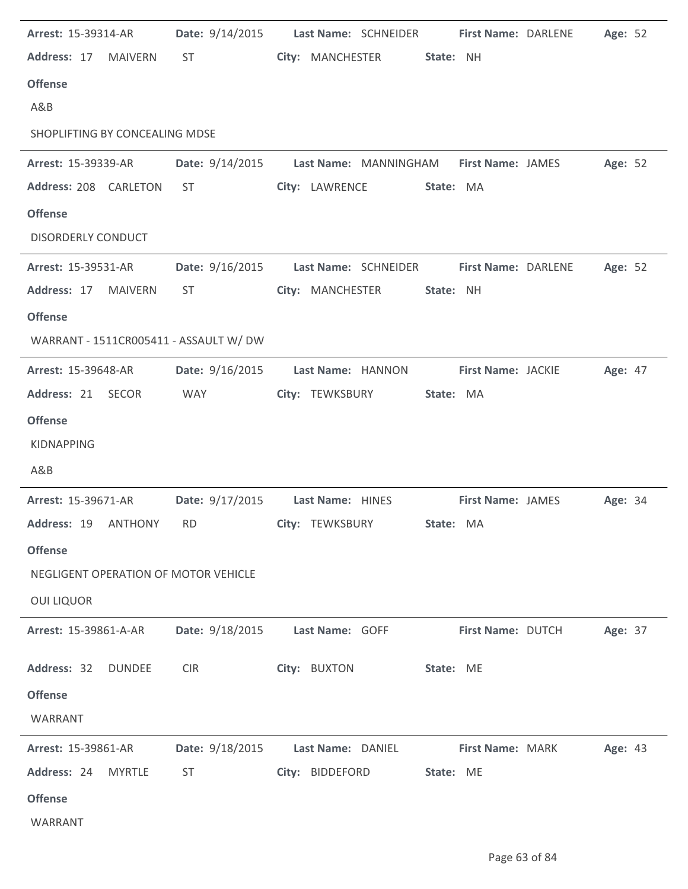| Arrest: 15-39314-AR                  |                | Date: 9/14/2015 Last Name: SCHNEIDER                                                                                                                                                                                           |                   |                   |           | First Name: DARLENE      | Age: 52 |  |
|--------------------------------------|----------------|--------------------------------------------------------------------------------------------------------------------------------------------------------------------------------------------------------------------------------|-------------------|-------------------|-----------|--------------------------|---------|--|
| Address: 17                          | <b>MAIVERN</b> | ST and the state of the state of the state of the state of the state of the state of the state of the state of the state of the state of the state of the state of the state of the state of the state of the state of the sta |                   | City: MANCHESTER  | State: NH |                          |         |  |
| <b>Offense</b>                       |                |                                                                                                                                                                                                                                |                   |                   |           |                          |         |  |
| A&B                                  |                |                                                                                                                                                                                                                                |                   |                   |           |                          |         |  |
| SHOPLIFTING BY CONCEALING MDSE       |                |                                                                                                                                                                                                                                |                   |                   |           |                          |         |  |
| <b>Arrest: 15-39339-AR</b>           |                | Date: 9/14/2015 Last Name: MANNINGHAM First Name: JAMES                                                                                                                                                                        |                   |                   |           |                          | Age: 52 |  |
| Address: 208 CARLETON                |                | <b>ST</b>                                                                                                                                                                                                                      |                   | City: LAWRENCE    | State: MA |                          |         |  |
| <b>Offense</b>                       |                |                                                                                                                                                                                                                                |                   |                   |           |                          |         |  |
| <b>DISORDERLY CONDUCT</b>            |                |                                                                                                                                                                                                                                |                   |                   |           |                          |         |  |
| <b>Arrest: 15-39531-AR</b>           |                | Date: 9/16/2015 Last Name: SCHNEIDER                                                                                                                                                                                           |                   |                   |           | First Name: DARLENE      | Age: 52 |  |
| Address: 17 MAIVERN                  |                | ST                                                                                                                                                                                                                             |                   | City: MANCHESTER  | State: NH |                          |         |  |
| <b>Offense</b>                       |                |                                                                                                                                                                                                                                |                   |                   |           |                          |         |  |
|                                      |                | WARRANT - 1511CR005411 - ASSAULT W/ DW                                                                                                                                                                                         |                   |                   |           |                          |         |  |
| <b>Arrest: 15-39648-AR</b>           |                | Date: 9/16/2015                                                                                                                                                                                                                |                   | Last Name: HANNON |           | First Name: JACKIE       | Age: 47 |  |
| Address: 21 SECOR                    |                | <b>WAY</b>                                                                                                                                                                                                                     |                   | City: TEWKSBURY   | State: MA |                          |         |  |
| <b>Offense</b>                       |                |                                                                                                                                                                                                                                |                   |                   |           |                          |         |  |
| <b>KIDNAPPING</b>                    |                |                                                                                                                                                                                                                                |                   |                   |           |                          |         |  |
| A&B                                  |                |                                                                                                                                                                                                                                |                   |                   |           |                          |         |  |
| Arrest: 15-39671-AR                  |                | Date: 9/17/2015                                                                                                                                                                                                                | Last Name: HINES  |                   |           | <b>First Name: JAMES</b> | Age: 34 |  |
| Address: 19                          | <b>ANTHONY</b> | <b>RD</b>                                                                                                                                                                                                                      | City: TEWKSBURY   |                   | State: MA |                          |         |  |
| <b>Offense</b>                       |                |                                                                                                                                                                                                                                |                   |                   |           |                          |         |  |
| NEGLIGENT OPERATION OF MOTOR VEHICLE |                |                                                                                                                                                                                                                                |                   |                   |           |                          |         |  |
| <b>OUI LIQUOR</b>                    |                |                                                                                                                                                                                                                                |                   |                   |           |                          |         |  |
| Arrest: 15-39861-A-AR                |                | Date: 9/18/2015                                                                                                                                                                                                                | Last Name: GOFF   |                   |           | First Name: DUTCH        | Age: 37 |  |
|                                      |                |                                                                                                                                                                                                                                |                   |                   |           |                          |         |  |
| Address: 32                          | <b>DUNDEE</b>  | <b>CIR</b>                                                                                                                                                                                                                     | City: BUXTON      |                   | State: ME |                          |         |  |
| <b>Offense</b>                       |                |                                                                                                                                                                                                                                |                   |                   |           |                          |         |  |
| WARRANT                              |                |                                                                                                                                                                                                                                |                   |                   |           |                          |         |  |
| Arrest: 15-39861-AR                  |                | Date: 9/18/2015                                                                                                                                                                                                                | Last Name: DANIEL |                   |           | <b>First Name: MARK</b>  | Age: 43 |  |
| Address: 24                          | <b>MYRTLE</b>  | <b>ST</b>                                                                                                                                                                                                                      | City: BIDDEFORD   |                   | State: ME |                          |         |  |
| <b>Offense</b>                       |                |                                                                                                                                                                                                                                |                   |                   |           |                          |         |  |
| WARRANT                              |                |                                                                                                                                                                                                                                |                   |                   |           |                          |         |  |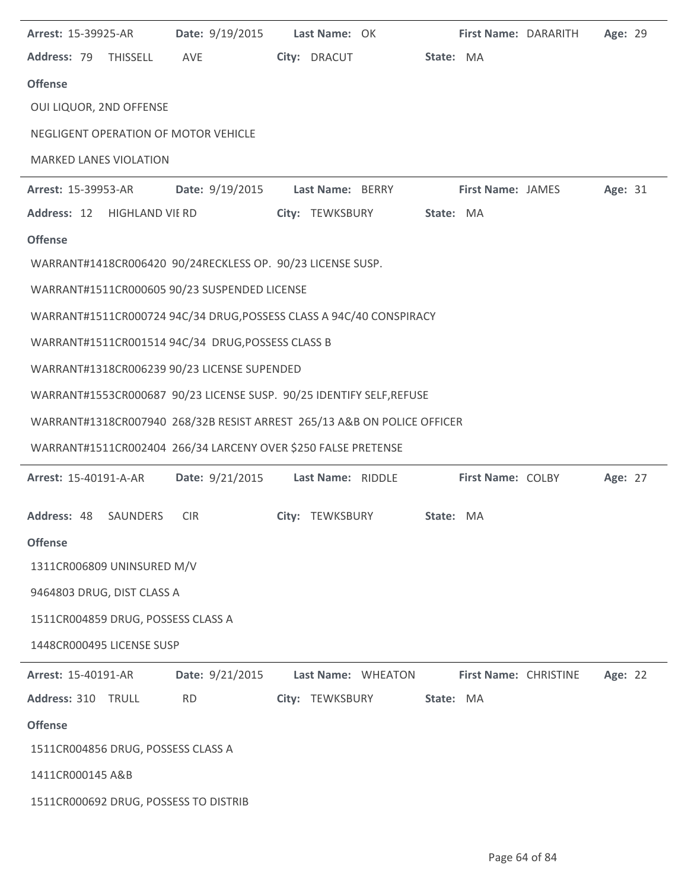| Arrest: 15-39925-AR                                        | Date: 9/19/2015 | Last Name: OK                                                           | First Name: DARARITH     | Age: 29 |
|------------------------------------------------------------|-----------------|-------------------------------------------------------------------------|--------------------------|---------|
| Address: 79 THISSELL                                       | AVE             | City: DRACUT                                                            | State: MA                |         |
| <b>Offense</b>                                             |                 |                                                                         |                          |         |
| OUI LIQUOR, 2ND OFFENSE                                    |                 |                                                                         |                          |         |
| NEGLIGENT OPERATION OF MOTOR VEHICLE                       |                 |                                                                         |                          |         |
| <b>MARKED LANES VIOLATION</b>                              |                 |                                                                         |                          |         |
| Arrest: 15-39953-AR                                        | Date: 9/19/2015 | Last Name: BERRY                                                        | <b>First Name: JAMES</b> | Age: 31 |
| Address: 12 HIGHLAND VIE RD                                |                 | City: TEWKSBURY                                                         | State: MA                |         |
| <b>Offense</b>                                             |                 |                                                                         |                          |         |
| WARRANT#1418CR006420 90/24RECKLESS OP. 90/23 LICENSE SUSP. |                 |                                                                         |                          |         |
| WARRANT#1511CR000605 90/23 SUSPENDED LICENSE               |                 |                                                                         |                          |         |
|                                                            |                 | WARRANT#1511CR000724 94C/34 DRUG, POSSESS CLASS A 94C/40 CONSPIRACY     |                          |         |
| WARRANT#1511CR001514 94C/34 DRUG, POSSESS CLASS B          |                 |                                                                         |                          |         |
| WARRANT#1318CR006239 90/23 LICENSE SUPENDED                |                 |                                                                         |                          |         |
|                                                            |                 | WARRANT#1553CR000687 90/23 LICENSE SUSP. 90/25 IDENTIFY SELF, REFUSE    |                          |         |
|                                                            |                 | WARRANT#1318CR007940 268/32B RESIST ARREST 265/13 A&B ON POLICE OFFICER |                          |         |
|                                                            |                 | WARRANT#1511CR002404 266/34 LARCENY OVER \$250 FALSE PRETENSE           |                          |         |
| Arrest: 15-40191-A-AR                                      | Date: 9/21/2015 | Last Name: RIDDLE                                                       | First Name: COLBY        | Age: 27 |
|                                                            |                 |                                                                         |                          |         |
| Address: 48 SAUNDERS                                       | <b>CIR</b>      | City: TEWKSBURY                                                         | State: MA                |         |
| <b>Offense</b>                                             |                 |                                                                         |                          |         |
| 1311CR006809 UNINSURED M/V                                 |                 |                                                                         |                          |         |
| 9464803 DRUG, DIST CLASS A                                 |                 |                                                                         |                          |         |
| 1511CR004859 DRUG, POSSESS CLASS A                         |                 |                                                                         |                          |         |
| 1448CR000495 LICENSE SUSP                                  |                 |                                                                         |                          |         |
| Arrest: 15-40191-AR                                        | Date: 9/21/2015 | Last Name: WHEATON                                                      | First Name: CHRISTINE    | Age: 22 |
| Address: 310 TRULL                                         | <b>RD</b>       | City: TEWKSBURY                                                         | State: MA                |         |
| <b>Offense</b>                                             |                 |                                                                         |                          |         |
| 1511CR004856 DRUG, POSSESS CLASS A                         |                 |                                                                         |                          |         |
| 1411CR000145 A&B                                           |                 |                                                                         |                          |         |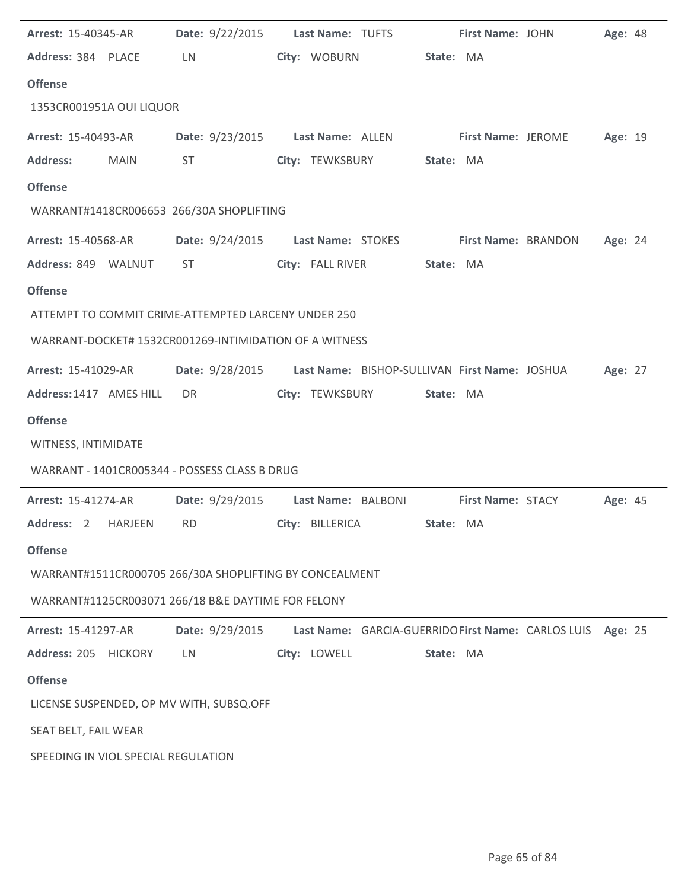|                            | <b>Arrest: 15-40345-AR</b> | Date: 9/22/2015 Last Name: TUFTS                              |              |                                                            |           | First Name: JOHN          | <b>Age: 48</b> |  |
|----------------------------|----------------------------|---------------------------------------------------------------|--------------|------------------------------------------------------------|-----------|---------------------------|----------------|--|
| Address: 384 PLACE         |                            | LN.                                                           |              | City: WOBURN                                               | State: MA |                           |                |  |
| <b>Offense</b>             |                            |                                                               |              |                                                            |           |                           |                |  |
| 1353CR001951A OUI LIQUOR   |                            |                                                               |              |                                                            |           |                           |                |  |
| <b>Arrest: 15-40493-AR</b> |                            | <b>Date:</b> 9/23/2015                                        |              | Last Name: ALLEN                                           |           | <b>First Name: JEROME</b> | Age: 19        |  |
| <b>Address:</b>            | <b>MAIN</b>                | ST                                                            |              | City: TEWKSBURY                                            | State: MA |                           |                |  |
| <b>Offense</b>             |                            |                                                               |              |                                                            |           |                           |                |  |
|                            |                            | WARRANT#1418CR006653 266/30A SHOPLIFTING                      |              |                                                            |           |                           |                |  |
| <b>Arrest: 15-40568-AR</b> |                            | Date: 9/24/2015 Last Name: STOKES                             |              |                                                            |           | First Name: BRANDON       | Age: 24        |  |
| Address: 849 WALNUT        |                            | ST                                                            |              | City: FALL RIVER                                           | State: MA |                           |                |  |
| <b>Offense</b>             |                            |                                                               |              |                                                            |           |                           |                |  |
|                            |                            | ATTEMPT TO COMMIT CRIME-ATTEMPTED LARCENY UNDER 250           |              |                                                            |           |                           |                |  |
|                            |                            | WARRANT-DOCKET# 1532CR001269-INTIMIDATION OF A WITNESS        |              |                                                            |           |                           |                |  |
| <b>Arrest: 15-41029-AR</b> |                            | Date: 9/28/2015 Last Name: BISHOP-SULLIVAN First Name: JOSHUA |              |                                                            |           |                           | Age: 27        |  |
| Address: 1417 AMES HILL    |                            | DR                                                            |              | City: TEWKSBURY                                            | State: MA |                           |                |  |
|                            |                            |                                                               |              |                                                            |           |                           |                |  |
| <b>Offense</b>             |                            |                                                               |              |                                                            |           |                           |                |  |
| WITNESS, INTIMIDATE        |                            |                                                               |              |                                                            |           |                           |                |  |
|                            |                            | WARRANT - 1401CR005344 - POSSESS CLASS B DRUG                 |              |                                                            |           |                           |                |  |
| <b>Arrest: 15-41274-AR</b> |                            | Date: 9/29/2015 Last Name: BALBONI First Name: STACY          |              |                                                            |           |                           | Age: 45        |  |
|                            |                            | Address: 2 HARJEEN RD City: BILLERICA                         |              |                                                            | State: MA |                           |                |  |
| <b>Offense</b>             |                            |                                                               |              |                                                            |           |                           |                |  |
|                            |                            | WARRANT#1511CR000705 266/30A SHOPLIFTING BY CONCEALMENT       |              |                                                            |           |                           |                |  |
|                            |                            | WARRANT#1125CR003071 266/18 B&E DAYTIME FOR FELONY            |              |                                                            |           |                           |                |  |
| Arrest: 15-41297-AR        |                            | Date: 9/29/2015                                               |              | Last Name: GARCIA-GUERRIDO First Name: CARLOS LUIS Age: 25 |           |                           |                |  |
| Address: 205 HICKORY       |                            | LN.                                                           | City: LOWELL |                                                            | State: MA |                           |                |  |
| <b>Offense</b>             |                            |                                                               |              |                                                            |           |                           |                |  |
|                            |                            | LICENSE SUSPENDED, OP MV WITH, SUBSQ.OFF                      |              |                                                            |           |                           |                |  |
| SEAT BELT, FAIL WEAR       |                            |                                                               |              |                                                            |           |                           |                |  |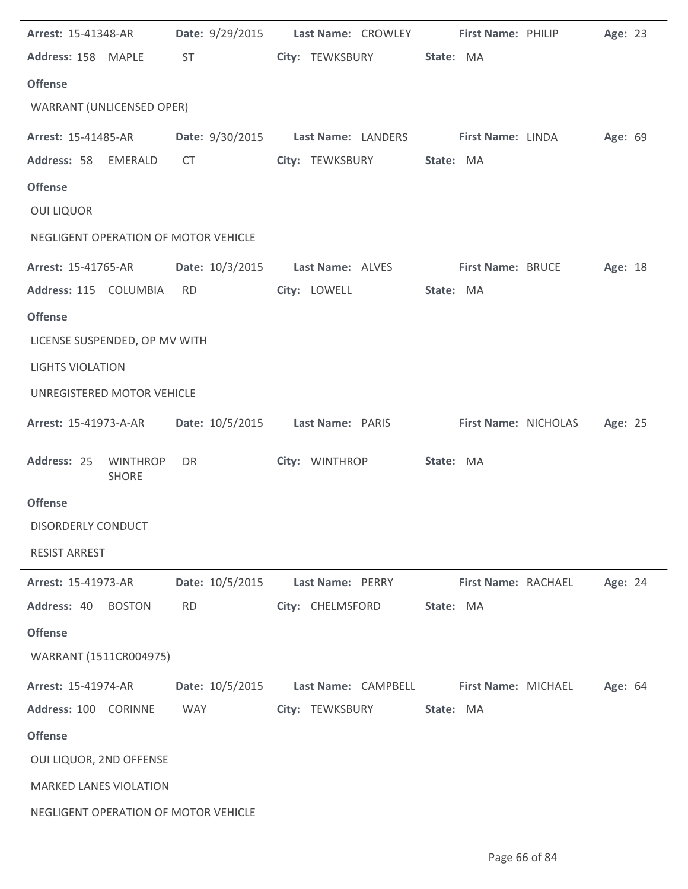| <b>Arrest: 15-41348-AR</b>           |                                                                                                                                                                                                                                | Date: 9/29/2015 Last Name: CROWLEY First Name: PHILIP |                          |                      | Age: 23 |
|--------------------------------------|--------------------------------------------------------------------------------------------------------------------------------------------------------------------------------------------------------------------------------|-------------------------------------------------------|--------------------------|----------------------|---------|
| Address: 158 MAPLE                   | ST and the state of the state of the state of the state of the state of the state of the state of the state of the state of the state of the state of the state of the state of the state of the state of the state of the sta | City: TEWKSBURY State: MA                             |                          |                      |         |
| <b>Offense</b>                       |                                                                                                                                                                                                                                |                                                       |                          |                      |         |
| <b>WARRANT (UNLICENSED OPER)</b>     |                                                                                                                                                                                                                                |                                                       |                          |                      |         |
| <b>Arrest: 15-41485-AR</b>           |                                                                                                                                                                                                                                | Date: 9/30/2015 Last Name: LANDERS First Name: LINDA  |                          |                      | Age: 69 |
| Address: 58<br>EMERALD               | <b>CT</b>                                                                                                                                                                                                                      | City: TEWKSBURY                                       | State: MA                |                      |         |
| <b>Offense</b>                       |                                                                                                                                                                                                                                |                                                       |                          |                      |         |
| <b>OUI LIQUOR</b>                    |                                                                                                                                                                                                                                |                                                       |                          |                      |         |
| NEGLIGENT OPERATION OF MOTOR VEHICLE |                                                                                                                                                                                                                                |                                                       |                          |                      |         |
| <b>Arrest: 15-41765-AR</b>           |                                                                                                                                                                                                                                | Date: 10/3/2015    Last Name: ALVES                   | <b>First Name: BRUCE</b> |                      | Age: 18 |
| Address: 115 COLUMBIA                | <b>RD</b>                                                                                                                                                                                                                      | City: LOWELL                                          | State: MA                |                      |         |
| <b>Offense</b>                       |                                                                                                                                                                                                                                |                                                       |                          |                      |         |
| LICENSE SUSPENDED, OP MV WITH        |                                                                                                                                                                                                                                |                                                       |                          |                      |         |
| <b>LIGHTS VIOLATION</b>              |                                                                                                                                                                                                                                |                                                       |                          |                      |         |
| UNREGISTERED MOTOR VEHICLE           |                                                                                                                                                                                                                                |                                                       |                          |                      |         |
| <b>Arrest: 15-41973-A-AR</b>         |                                                                                                                                                                                                                                | Date: 10/5/2015 Last Name: PARIS                      |                          | First Name: NICHOLAS | Age: 25 |
| Address: 25 WINTHROP<br><b>SHORE</b> | DR                                                                                                                                                                                                                             | City: WINTHROP                                        | State: MA                |                      |         |
| <b>Offense</b>                       |                                                                                                                                                                                                                                |                                                       |                          |                      |         |
| DISORDERLY CONDUCT                   |                                                                                                                                                                                                                                |                                                       |                          |                      |         |
| <b>RESIST ARREST</b>                 |                                                                                                                                                                                                                                |                                                       |                          |                      |         |
| Arrest: 15-41973-AR                  | Date: 10/5/2015                                                                                                                                                                                                                | Last Name: PERRY                                      | First Name: RACHAEL      |                      | Age: 24 |
| Address: 40<br><b>BOSTON</b>         | <b>RD</b>                                                                                                                                                                                                                      | City: CHELMSFORD                                      | State: MA                |                      |         |
| <b>Offense</b>                       |                                                                                                                                                                                                                                |                                                       |                          |                      |         |
| WARRANT (1511CR004975)               |                                                                                                                                                                                                                                |                                                       |                          |                      |         |
| Arrest: 15-41974-AR                  | Date: 10/5/2015                                                                                                                                                                                                                | Last Name: CAMPBELL                                   | First Name: MICHAEL      |                      | Age: 64 |
| Address: 100 CORINNE                 | WAY                                                                                                                                                                                                                            | City: TEWKSBURY                                       | State: MA                |                      |         |
| <b>Offense</b>                       |                                                                                                                                                                                                                                |                                                       |                          |                      |         |
| OUI LIQUOR, 2ND OFFENSE              |                                                                                                                                                                                                                                |                                                       |                          |                      |         |
| <b>MARKED LANES VIOLATION</b>        |                                                                                                                                                                                                                                |                                                       |                          |                      |         |
| NEGLIGENT OPERATION OF MOTOR VEHICLE |                                                                                                                                                                                                                                |                                                       |                          |                      |         |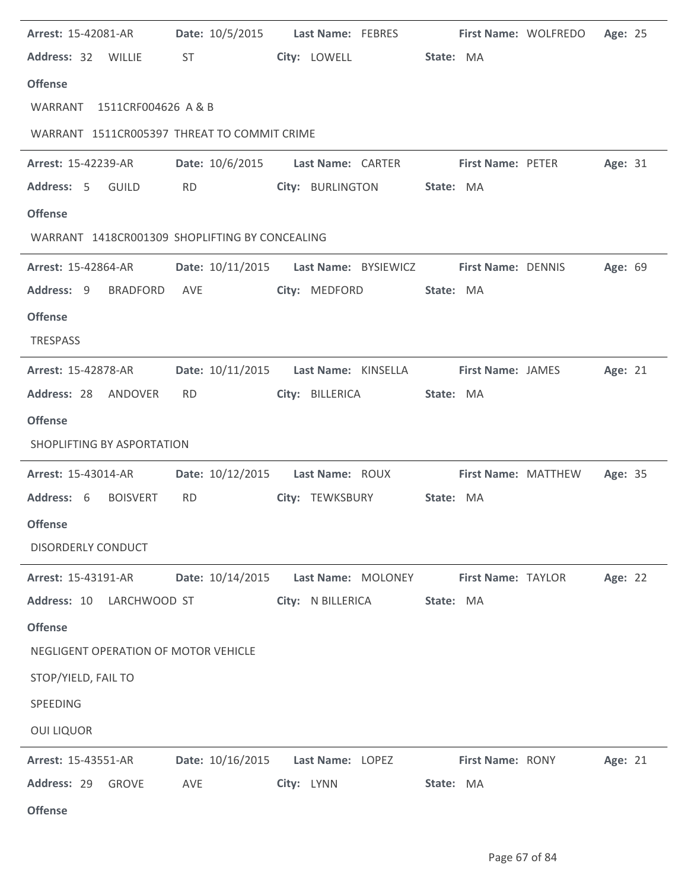| <b>Arrest: 15-42081-AR</b>                     |                                                                                                                                                                                                                                | Date: 10/5/2015 Last Name: FEBRES First Name: WOLFREDO         |                         | Age: 25 |
|------------------------------------------------|--------------------------------------------------------------------------------------------------------------------------------------------------------------------------------------------------------------------------------|----------------------------------------------------------------|-------------------------|---------|
| Address: 32 WILLIE                             | ST and the state of the state of the state of the state of the state of the state of the state of the state of the state of the state of the state of the state of the state of the state of the state of the state of the sta | City: LOWELL                                                   | State: MA               |         |
| <b>Offense</b>                                 |                                                                                                                                                                                                                                |                                                                |                         |         |
| WARRANT 1511CRF004626 A & B                    |                                                                                                                                                                                                                                |                                                                |                         |         |
| WARRANT 1511CR005397 THREAT TO COMMIT CRIME    |                                                                                                                                                                                                                                |                                                                |                         |         |
| <b>Arrest: 15-42239-AR</b>                     |                                                                                                                                                                                                                                | Date: 10/6/2015 Last Name: CARTER First Name: PETER            |                         | Age: 31 |
| Address: 5 GUILD                               | <b>RD</b>                                                                                                                                                                                                                      | City: BURLINGTON                                               | State: MA               |         |
| <b>Offense</b>                                 |                                                                                                                                                                                                                                |                                                                |                         |         |
| WARRANT 1418CR001309 SHOPLIFTING BY CONCEALING |                                                                                                                                                                                                                                |                                                                |                         |         |
| <b>Arrest: 15-42864-AR</b>                     |                                                                                                                                                                                                                                | Date: 10/11/2015    Last Name: BYSIEWICZ    First Name: DENNIS |                         | Age: 69 |
| Address: 9 BRADFORD                            | AVE                                                                                                                                                                                                                            | City: MEDFORD                                                  | State: MA               |         |
| <b>Offense</b>                                 |                                                                                                                                                                                                                                |                                                                |                         |         |
| TRESPASS                                       |                                                                                                                                                                                                                                |                                                                |                         |         |
| <b>Arrest: 15-42878-AR</b>                     | Date: 10/11/2015                                                                                                                                                                                                               | Last Name: KINSELLA First Name: JAMES                          |                         | Age: 21 |
| Address: 28 ANDOVER                            | <b>RD</b>                                                                                                                                                                                                                      | City: BILLERICA                                                | State: MA               |         |
| <b>Offense</b>                                 |                                                                                                                                                                                                                                |                                                                |                         |         |
| SHOPLIFTING BY ASPORTATION                     |                                                                                                                                                                                                                                |                                                                |                         |         |
| <b>Arrest: 15-43014-AR</b>                     |                                                                                                                                                                                                                                | Date: 10/12/2015  Last Name: ROUX  First Name: MATTHEW         |                         | Age: 35 |
| Address: 6<br><b>BOISVERT</b>                  | <b>RD</b>                                                                                                                                                                                                                      | City: TEWKSBURY                                                | State: MA               |         |
| <b>Offense</b>                                 |                                                                                                                                                                                                                                |                                                                |                         |         |
| <b>DISORDERLY CONDUCT</b>                      |                                                                                                                                                                                                                                |                                                                |                         |         |
| Arrest: 15-43191-AR                            | Date: 10/14/2015                                                                                                                                                                                                               | Last Name: MOLONEY                                             | First Name: TAYLOR      | Age: 22 |
| Address: 10 LARCHWOOD ST                       |                                                                                                                                                                                                                                | City: N BILLERICA                                              | State: MA               |         |
| <b>Offense</b>                                 |                                                                                                                                                                                                                                |                                                                |                         |         |
| NEGLIGENT OPERATION OF MOTOR VEHICLE           |                                                                                                                                                                                                                                |                                                                |                         |         |
| STOP/YIELD, FAIL TO                            |                                                                                                                                                                                                                                |                                                                |                         |         |
| SPEEDING                                       |                                                                                                                                                                                                                                |                                                                |                         |         |
| <b>OUI LIQUOR</b>                              |                                                                                                                                                                                                                                |                                                                |                         |         |
| <b>Arrest: 15-43551-AR</b>                     | Date: 10/16/2015                                                                                                                                                                                                               | Last Name: LOPEZ                                               | <b>First Name: RONY</b> | Age: 21 |
| Address: 29<br><b>GROVE</b>                    | AVE                                                                                                                                                                                                                            | City: LYNN                                                     | State: MA               |         |
| <b>Offense</b>                                 |                                                                                                                                                                                                                                |                                                                |                         |         |

l.

J.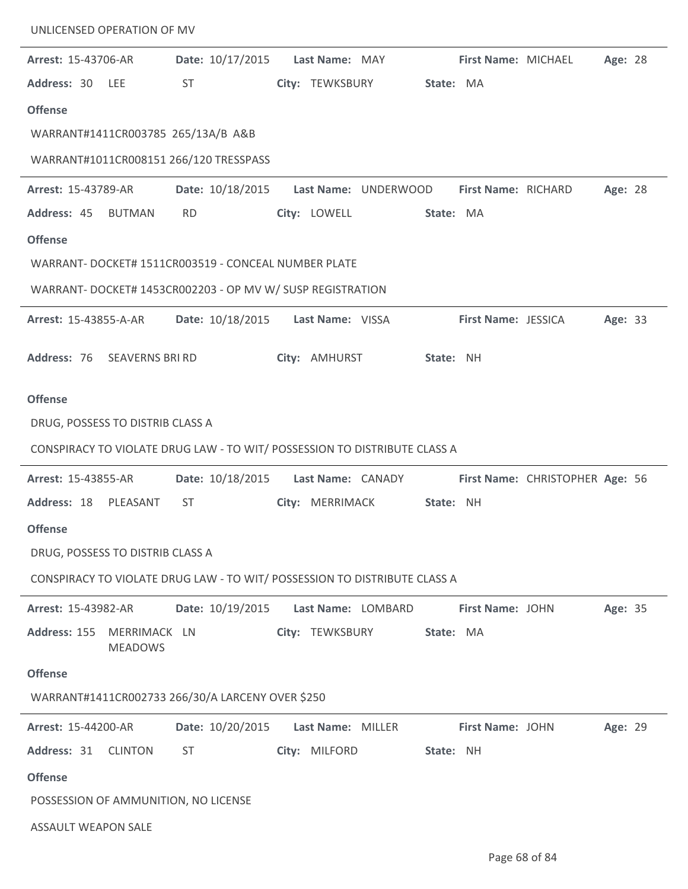| UNLICENSED OPERATION OF MV           |                                                            |                                                                           |           |                     |                                 |         |  |
|--------------------------------------|------------------------------------------------------------|---------------------------------------------------------------------------|-----------|---------------------|---------------------------------|---------|--|
| Arrest: 15-43706-AR                  | Date: 10/17/2015                                           | Last Name: MAY                                                            |           | First Name: MICHAEL |                                 | Age: 28 |  |
| Address: 30<br>LEE                   | <b>ST</b>                                                  | City: TEWKSBURY                                                           | State: MA |                     |                                 |         |  |
| <b>Offense</b>                       |                                                            |                                                                           |           |                     |                                 |         |  |
| WARRANT#1411CR003785 265/13A/B A&B   |                                                            |                                                                           |           |                     |                                 |         |  |
|                                      | WARRANT#1011CR008151 266/120 TRESSPASS                     |                                                                           |           |                     |                                 |         |  |
| <b>Arrest: 15-43789-AR</b>           | Date: 10/18/2015                                           | Last Name: UNDERWOOD                                                      |           | First Name: RICHARD |                                 | Age: 28 |  |
| Address: 45 BUTMAN                   | <b>RD</b>                                                  | City: LOWELL                                                              | State: MA |                     |                                 |         |  |
| <b>Offense</b>                       |                                                            |                                                                           |           |                     |                                 |         |  |
|                                      | WARRANT- DOCKET# 1511CR003519 - CONCEAL NUMBER PLATE       |                                                                           |           |                     |                                 |         |  |
|                                      | WARRANT- DOCKET# 1453CR002203 - OP MV W/ SUSP REGISTRATION |                                                                           |           |                     |                                 |         |  |
| <b>Arrest: 15-43855-A-AR</b>         |                                                            | Date: 10/18/2015    Last Name: VISSA                                      |           | First Name: JESSICA |                                 | Age: 33 |  |
| Address: 76 SEAVERNS BRI RD          |                                                            | City: AMHURST                                                             | State: NH |                     |                                 |         |  |
|                                      |                                                            |                                                                           |           |                     |                                 |         |  |
| <b>Offense</b>                       |                                                            |                                                                           |           |                     |                                 |         |  |
| DRUG, POSSESS TO DISTRIB CLASS A     |                                                            |                                                                           |           |                     |                                 |         |  |
|                                      |                                                            | CONSPIRACY TO VIOLATE DRUG LAW - TO WIT/ POSSESSION TO DISTRIBUTE CLASS A |           |                     |                                 |         |  |
| Arrest: 15-43855-AR                  | Date: 10/18/2015                                           | Last Name: CANADY                                                         |           |                     | First Name: CHRISTOPHER Age: 56 |         |  |
| Address: 18 PLEASANT                 | <b>ST</b>                                                  | City: MERRIMACK                                                           | State: NH |                     |                                 |         |  |
| <b>Offense</b>                       |                                                            |                                                                           |           |                     |                                 |         |  |
| DRUG, POSSESS TO DISTRIB CLASS A     |                                                            |                                                                           |           |                     |                                 |         |  |
|                                      |                                                            | CONSPIRACY TO VIOLATE DRUG LAW - TO WIT/ POSSESSION TO DISTRIBUTE CLASS A |           |                     |                                 |         |  |
| <b>Arrest: 15-43982-AR</b>           | Date: 10/19/2015                                           | Last Name: LOMBARD                                                        |           | First Name: JOHN    |                                 | Age: 35 |  |
| Address: 155<br><b>MEADOWS</b>       | MERRIMACK LN                                               | City: TEWKSBURY                                                           | State: MA |                     |                                 |         |  |
| <b>Offense</b>                       |                                                            |                                                                           |           |                     |                                 |         |  |
|                                      | WARRANT#1411CR002733 266/30/A LARCENY OVER \$250           |                                                                           |           |                     |                                 |         |  |
| Arrest: 15-44200-AR                  | Date: 10/20/2015                                           | Last Name: MILLER                                                         |           | First Name: JOHN    |                                 | Age: 29 |  |
| Address: 31 CLINTON                  | <b>ST</b>                                                  | City: MILFORD                                                             | State: NH |                     |                                 |         |  |
| <b>Offense</b>                       |                                                            |                                                                           |           |                     |                                 |         |  |
| POSSESSION OF AMMUNITION, NO LICENSE |                                                            |                                                                           |           |                     |                                 |         |  |
| <b>ASSAULT WEAPON SALE</b>           |                                                            |                                                                           |           |                     |                                 |         |  |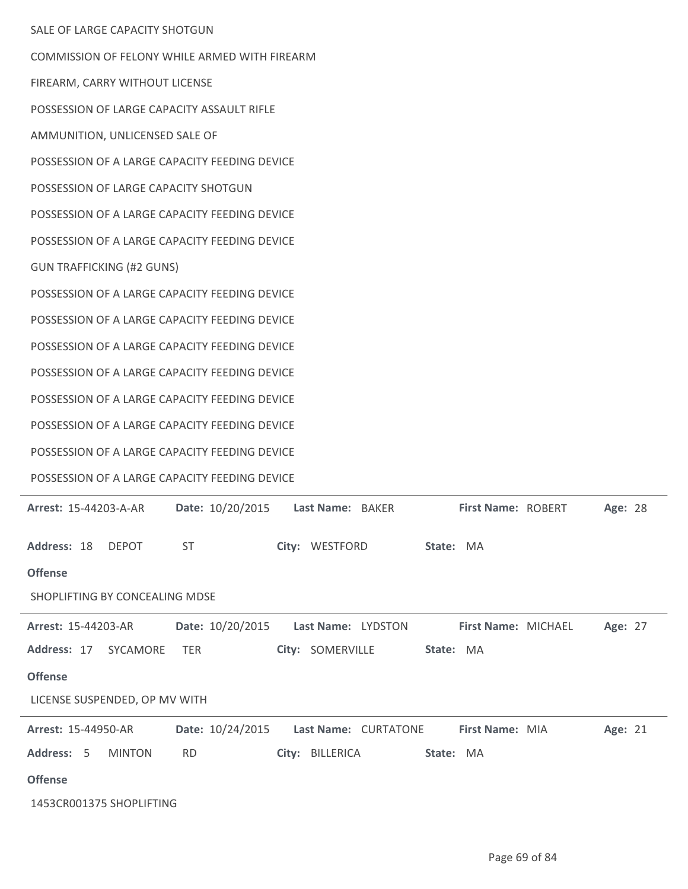| SALE OF LARGE CAPACITY SHOTGUN                                       |                                                    |
|----------------------------------------------------------------------|----------------------------------------------------|
| COMMISSION OF FELONY WHILE ARMED WITH FIREARM                        |                                                    |
| FIREARM, CARRY WITHOUT LICENSE                                       |                                                    |
| POSSESSION OF LARGE CAPACITY ASSAULT RIFLE                           |                                                    |
| AMMUNITION, UNLICENSED SALE OF                                       |                                                    |
| POSSESSION OF A LARGE CAPACITY FEEDING DEVICE                        |                                                    |
| POSSESSION OF LARGE CAPACITY SHOTGUN                                 |                                                    |
| POSSESSION OF A LARGE CAPACITY FEEDING DEVICE                        |                                                    |
| POSSESSION OF A LARGE CAPACITY FEEDING DEVICE                        |                                                    |
| <b>GUN TRAFFICKING (#2 GUNS)</b>                                     |                                                    |
| POSSESSION OF A LARGE CAPACITY FEEDING DEVICE                        |                                                    |
| POSSESSION OF A LARGE CAPACITY FEEDING DEVICE                        |                                                    |
| POSSESSION OF A LARGE CAPACITY FEEDING DEVICE                        |                                                    |
| POSSESSION OF A LARGE CAPACITY FEEDING DEVICE                        |                                                    |
| POSSESSION OF A LARGE CAPACITY FEEDING DEVICE                        |                                                    |
| POSSESSION OF A LARGE CAPACITY FEEDING DEVICE                        |                                                    |
| POSSESSION OF A LARGE CAPACITY FEEDING DEVICE                        |                                                    |
| POSSESSION OF A LARGE CAPACITY FEEDING DEVICE                        |                                                    |
| <b>Arrest: 15-44203-A-AR</b><br>Date: 10/20/2015<br>Last Name: BAKER | First Name: ROBERT<br>Age: 28                      |
|                                                                      |                                                    |
| Address: 18 DEPOT<br><b>ST</b>                                       | City: WESTFORD State: MA                           |
| <b>Offense</b>                                                       |                                                    |
| SHOPLIFTING BY CONCEALING MDSE                                       |                                                    |
| Date: 10/20/2015<br>Last Name: LYDSTON<br>Arrest: 15-44203-AR        | Age: 27<br>First Name: MICHAEL                     |
| Address: 17 SYCAMORE<br>City: SOMERVILLE<br>TER                      | State: MA                                          |
| <b>Offense</b>                                                       |                                                    |
| LICENSE SUSPENDED, OP MV WITH                                        |                                                    |
| Date: 10/24/2015<br><b>Arrest: 15-44950-AR</b>                       | Last Name: CURTATONE<br>First Name: MIA<br>Age: 21 |
| Address: 5<br><b>MINTON</b><br><b>RD</b><br>City: BILLERICA          | State: MA                                          |
| <b>Offense</b>                                                       |                                                    |
| 1453CR001375 SHOPLIFTING                                             |                                                    |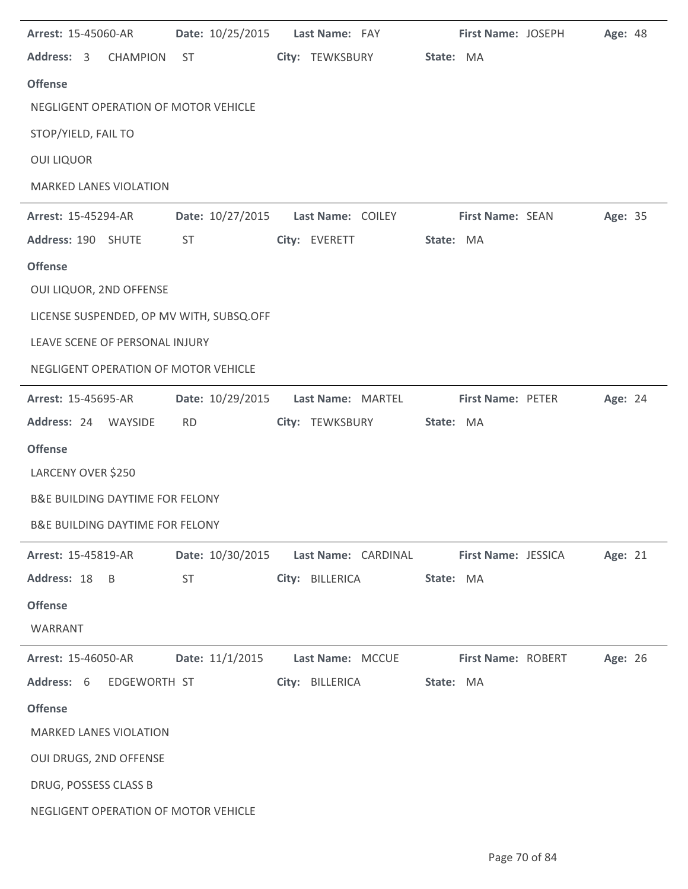| Arrest: 15-45060-AR                        | Date: 10/25/2015 | Last Name: FAY                          | First Name: JOSEPH  | Age: 48 |
|--------------------------------------------|------------------|-----------------------------------------|---------------------|---------|
| Address: 3<br><b>CHAMPION</b>              | ST               | City: TEWKSBURY                         | State: MA           |         |
| <b>Offense</b>                             |                  |                                         |                     |         |
| NEGLIGENT OPERATION OF MOTOR VEHICLE       |                  |                                         |                     |         |
| STOP/YIELD, FAIL TO                        |                  |                                         |                     |         |
| <b>OUI LIQUOR</b>                          |                  |                                         |                     |         |
| <b>MARKED LANES VIOLATION</b>              |                  |                                         |                     |         |
| Arrest: 15-45294-AR                        | Date: 10/27/2015 | Last Name: COILEY                       | First Name: SEAN    | Age: 35 |
| Address: 190 SHUTE                         | ST               | City: EVERETT                           | State: MA           |         |
| <b>Offense</b>                             |                  |                                         |                     |         |
| OUI LIQUOR, 2ND OFFENSE                    |                  |                                         |                     |         |
| LICENSE SUSPENDED, OP MV WITH, SUBSQ.OFF   |                  |                                         |                     |         |
| LEAVE SCENE OF PERSONAL INJURY             |                  |                                         |                     |         |
| NEGLIGENT OPERATION OF MOTOR VEHICLE       |                  |                                         |                     |         |
| <b>Arrest: 15-45695-AR</b>                 | Date: 10/29/2015 | Last Name: MARTEL                       | First Name: PETER   | Age: 24 |
| Address: 24 WAYSIDE                        | <b>RD</b>        | City: TEWKSBURY                         | State: MA           |         |
| <b>Offense</b>                             |                  |                                         |                     |         |
| LARCENY OVER \$250                         |                  |                                         |                     |         |
| <b>B&amp;E BUILDING DAYTIME FOR FELONY</b> |                  |                                         |                     |         |
| <b>B&amp;E BUILDING DAYTIME FOR FELONY</b> |                  |                                         |                     |         |
| <b>Arrest: 15-45819-AR</b>                 |                  | Date: 10/30/2015    Last Name: CARDINAL | First Name: JESSICA | Age: 21 |
| Address: 18 B                              | <b>ST</b>        | City: BILLERICA                         | State: MA           |         |
| <b>Offense</b>                             |                  |                                         |                     |         |
| WARRANT                                    |                  |                                         |                     |         |
| <b>Arrest: 15-46050-AR</b>                 | Date: 11/1/2015  | Last Name: MCCUE                        | First Name: ROBERT  | Age: 26 |
| Address: 6 EDGEWORTH ST                    |                  | City: BILLERICA                         | State: MA           |         |
| <b>Offense</b>                             |                  |                                         |                     |         |
| <b>MARKED LANES VIOLATION</b>              |                  |                                         |                     |         |
| OUI DRUGS, 2ND OFFENSE                     |                  |                                         |                     |         |
| DRUG, POSSESS CLASS B                      |                  |                                         |                     |         |
| NEGLIGENT OPERATION OF MOTOR VEHICLE       |                  |                                         |                     |         |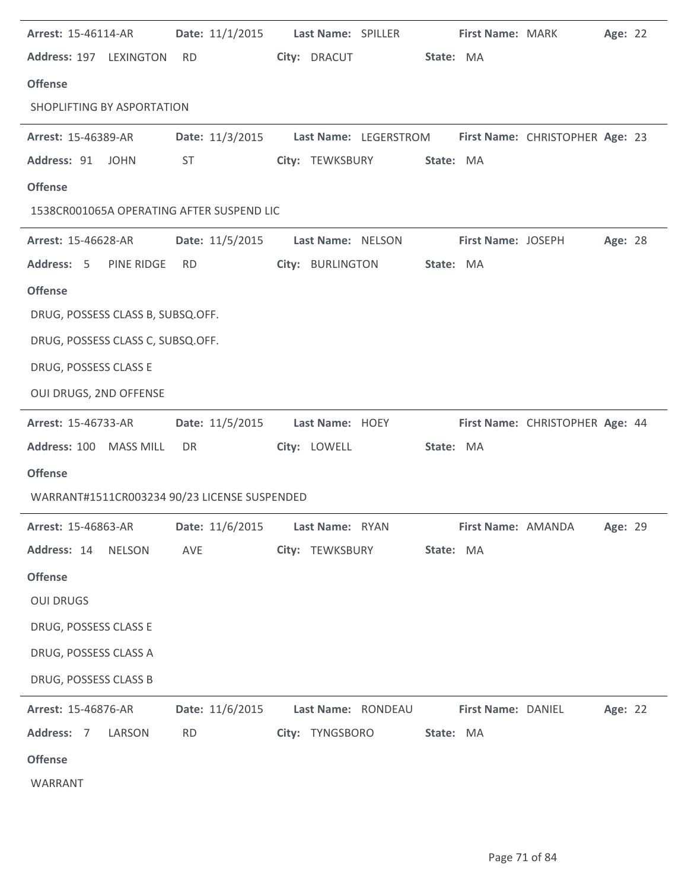| <b>Arrest: 15-46114-AR</b>        | Date: 11/1/2015    Last Name: SPILLER                                 |                   |                           |           | First Name: MARK                      |                                   | Age: 22 |  |
|-----------------------------------|-----------------------------------------------------------------------|-------------------|---------------------------|-----------|---------------------------------------|-----------------------------------|---------|--|
| Address: 197 LEXINGTON            | <b>RD</b>                                                             | City: DRACUT      |                           | State: MA |                                       |                                   |         |  |
| <b>Offense</b>                    |                                                                       |                   |                           |           |                                       |                                   |         |  |
| SHOPLIFTING BY ASPORTATION        |                                                                       |                   |                           |           |                                       |                                   |         |  |
| <b>Arrest: 15-46389-AR</b>        | Date: 11/3/2015 Last Name: LEGERSTROM First Name: CHRISTOPHER Age: 23 |                   |                           |           |                                       |                                   |         |  |
| Address: 91 JOHN                  | <b>ST</b>                                                             |                   | City: TEWKSBURY           | State: MA |                                       |                                   |         |  |
| <b>Offense</b>                    |                                                                       |                   |                           |           |                                       |                                   |         |  |
|                                   | 1538CR001065A OPERATING AFTER SUSPEND LIC                             |                   |                           |           |                                       |                                   |         |  |
| <b>Arrest: 15-46628-AR</b>        | Date: 11/5/2015                                                       | Last Name: NELSON |                           |           | First Name: JOSEPH                    |                                   | Age: 28 |  |
| Address: 5 PINE RIDGE             | <b>RD</b>                                                             |                   | City: BURLINGTON          | State: MA |                                       |                                   |         |  |
| <b>Offense</b>                    |                                                                       |                   |                           |           |                                       |                                   |         |  |
| DRUG, POSSESS CLASS B, SUBSQ.OFF. |                                                                       |                   |                           |           |                                       |                                   |         |  |
| DRUG, POSSESS CLASS C, SUBSQ.OFF. |                                                                       |                   |                           |           |                                       |                                   |         |  |
| DRUG, POSSESS CLASS E             |                                                                       |                   |                           |           |                                       |                                   |         |  |
| OUI DRUGS, 2ND OFFENSE            |                                                                       |                   |                           |           |                                       |                                   |         |  |
| <b>Arrest: 15-46733-AR</b>        | Date: 11/5/2015                                                       | Last Name: HOEY   |                           |           |                                       | First Name: CHRISTOPHER Age: 44   |         |  |
| Address: 100 MASS MILL            | DR                                                                    | City: LOWELL      |                           | State: MA |                                       |                                   |         |  |
| <b>Offense</b>                    |                                                                       |                   |                           |           |                                       |                                   |         |  |
|                                   | WARRANT#1511CR003234 90/23 LICENSE SUSPENDED                          |                   |                           |           |                                       |                                   |         |  |
|                                   | Arrest: 15-46863-AR   Date: 11/6/2015   Last Name: RYAN               |                   |                           |           |                                       | <b>First Name: AMANDA Age: 29</b> |         |  |
| Address: 14 NELSON                | AVE                                                                   |                   | City: TEWKSBURY State: MA |           |                                       |                                   |         |  |
| <b>Offense</b>                    |                                                                       |                   |                           |           |                                       |                                   |         |  |
| <b>OUI DRUGS</b>                  |                                                                       |                   |                           |           |                                       |                                   |         |  |
| DRUG, POSSESS CLASS E             |                                                                       |                   |                           |           |                                       |                                   |         |  |
| DRUG, POSSESS CLASS A             |                                                                       |                   |                           |           |                                       |                                   |         |  |
| DRUG, POSSESS CLASS B             |                                                                       |                   |                           |           |                                       |                                   |         |  |
| <b>Arrest: 15-46876-AR</b>        | Date: 11/6/2015                                                       |                   |                           |           | Last Name: RONDEAU First Name: DANIEL |                                   | Age: 22 |  |
| Address: 7 LARSON                 | <b>RD</b>                                                             |                   | City: TYNGSBORO           | State: MA |                                       |                                   |         |  |
|                                   |                                                                       |                   |                           |           |                                       |                                   |         |  |
| <b>Offense</b>                    |                                                                       |                   |                           |           |                                       |                                   |         |  |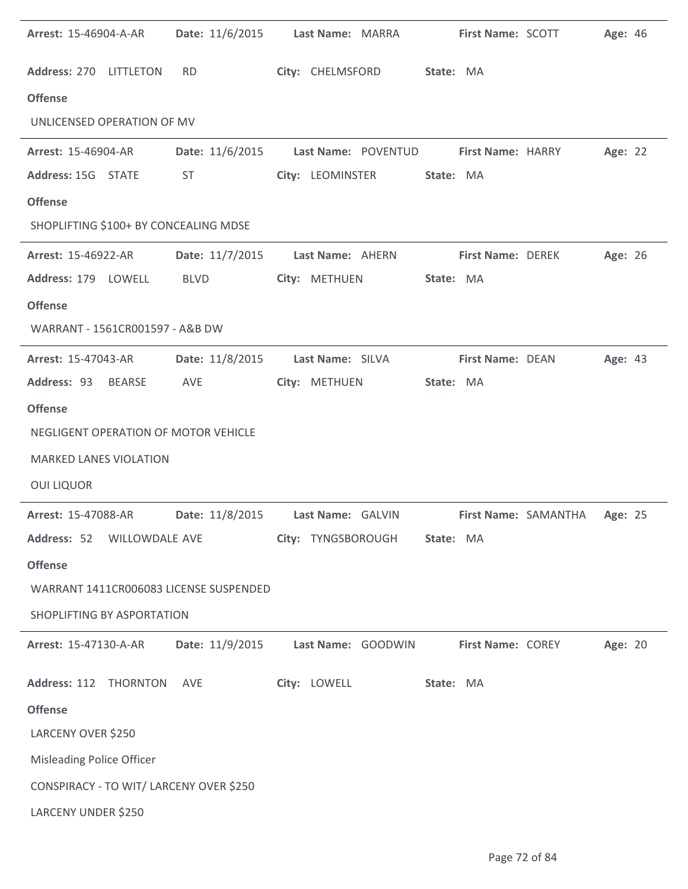| <b>Arrest: 15-46904-A-AR</b>            | Date: 11/6/2015 Last Name: MARRA     |                    |                                       |                          | <b>First Name: SCOTT</b> | Age: 46 |  |
|-----------------------------------------|--------------------------------------|--------------------|---------------------------------------|--------------------------|--------------------------|---------|--|
| Address: 270 LITTLETON                  | <b>RD</b>                            | City: CHELMSFORD   | State: MA                             |                          |                          |         |  |
| <b>Offense</b>                          |                                      |                    |                                       |                          |                          |         |  |
| UNLICENSED OPERATION OF MV              |                                      |                    |                                       |                          |                          |         |  |
| <b>Arrest: 15-46904-AR</b>              | Date: 11/6/2015                      |                    | Last Name: POVENTUD First Name: HARRY |                          |                          | Age: 22 |  |
| Address: 15G STATE                      | <b>ST</b>                            | City: LEOMINSTER   |                                       | State: MA                |                          |         |  |
| <b>Offense</b>                          |                                      |                    |                                       |                          |                          |         |  |
| SHOPLIFTING \$100+ BY CONCEALING MDSE   |                                      |                    |                                       |                          |                          |         |  |
| <b>Arrest: 15-46922-AR</b>              | Date: 11/7/2015 Last Name: AHERN     |                    |                                       | <b>First Name: DEREK</b> |                          | Age: 26 |  |
| Address: 179 LOWELL                     | <b>BLVD</b>                          | City: METHUEN      |                                       | State: MA                |                          |         |  |
| <b>Offense</b>                          |                                      |                    |                                       |                          |                          |         |  |
| WARRANT - 1561CR001597 - A&B DW         |                                      |                    |                                       |                          |                          |         |  |
| <b>Arrest: 15-47043-AR</b>              | Date: 11/8/2015    Last Name: SILVA  |                    |                                       | <b>First Name: DEAN</b>  |                          | Age: 43 |  |
| Address: 93 BEARSE                      | AVE                                  | City: METHUEN      |                                       | State: MA                |                          |         |  |
| <b>Offense</b>                          |                                      |                    |                                       |                          |                          |         |  |
| NEGLIGENT OPERATION OF MOTOR VEHICLE    |                                      |                    |                                       |                          |                          |         |  |
| <b>MARKED LANES VIOLATION</b>           |                                      |                    |                                       |                          |                          |         |  |
| <b>OUI LIQUOR</b>                       |                                      |                    |                                       |                          |                          |         |  |
| Arrest: 15-47088-AR                     | Date: 11/8/2015    Last Name: GALVIN |                    |                                       |                          | First Name: SAMANTHA     | Age: 25 |  |
| Address: 52 WILLOWDALE AVE              |                                      | City: TYNGSBOROUGH |                                       | State: MA                |                          |         |  |
| <b>Offense</b>                          |                                      |                    |                                       |                          |                          |         |  |
| WARRANT 1411CR006083 LICENSE SUSPENDED  |                                      |                    |                                       |                          |                          |         |  |
| SHOPLIFTING BY ASPORTATION              |                                      |                    |                                       |                          |                          |         |  |
| <b>Arrest: 15-47130-A-AR</b>            | Date: 11/9/2015                      | Last Name: GOODWIN |                                       | <b>First Name: COREY</b> |                          | Age: 20 |  |
| Address: 112 THORNTON                   | AVE                                  | City: LOWELL       |                                       | State: MA                |                          |         |  |
| <b>Offense</b>                          |                                      |                    |                                       |                          |                          |         |  |
| LARCENY OVER \$250                      |                                      |                    |                                       |                          |                          |         |  |
| <b>Misleading Police Officer</b>        |                                      |                    |                                       |                          |                          |         |  |
| CONSPIRACY - TO WIT/ LARCENY OVER \$250 |                                      |                    |                                       |                          |                          |         |  |
| LARCENY UNDER \$250                     |                                      |                    |                                       |                          |                          |         |  |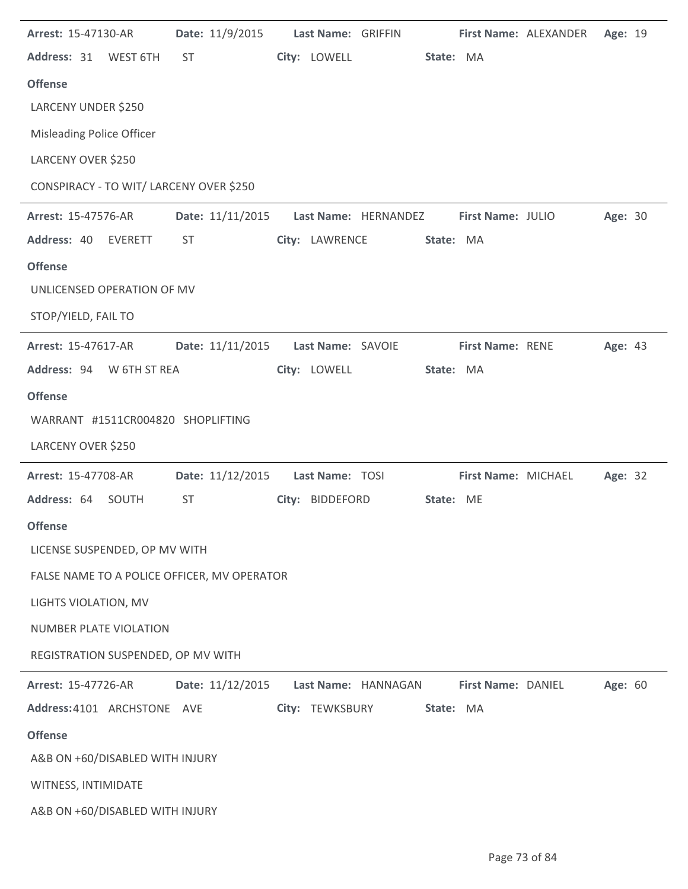| Arrest: 15-47130-AR                         | Date: 11/9/2015  | Last Name: GRIFFIN |                      |           |                     | First Name: ALEXANDER | Age: 19 |  |
|---------------------------------------------|------------------|--------------------|----------------------|-----------|---------------------|-----------------------|---------|--|
| Address: 31<br>WEST 6TH                     | <b>ST</b>        | City: LOWELL       |                      | State: MA |                     |                       |         |  |
| <b>Offense</b>                              |                  |                    |                      |           |                     |                       |         |  |
| LARCENY UNDER \$250                         |                  |                    |                      |           |                     |                       |         |  |
| Misleading Police Officer                   |                  |                    |                      |           |                     |                       |         |  |
| LARCENY OVER \$250                          |                  |                    |                      |           |                     |                       |         |  |
| CONSPIRACY - TO WIT/ LARCENY OVER \$250     |                  |                    |                      |           |                     |                       |         |  |
| <b>Arrest: 15-47576-AR</b>                  | Date: 11/11/2015 |                    | Last Name: HERNANDEZ |           | First Name: JULIO   |                       | Age: 30 |  |
| Address: 40<br>EVERETT                      | ST               | City: LAWRENCE     |                      | State: MA |                     |                       |         |  |
| <b>Offense</b>                              |                  |                    |                      |           |                     |                       |         |  |
| UNLICENSED OPERATION OF MV                  |                  |                    |                      |           |                     |                       |         |  |
| STOP/YIELD, FAIL TO                         |                  |                    |                      |           |                     |                       |         |  |
| Arrest: 15-47617-AR                         | Date: 11/11/2015 | Last Name: SAVOIE  |                      |           | First Name: RENE    |                       | Age: 43 |  |
| Address: 94 W 6TH ST REA                    |                  | City: LOWELL       |                      | State: MA |                     |                       |         |  |
| <b>Offense</b>                              |                  |                    |                      |           |                     |                       |         |  |
| WARRANT #1511CR004820 SHOPLIFTING           |                  |                    |                      |           |                     |                       |         |  |
| LARCENY OVER \$250                          |                  |                    |                      |           |                     |                       |         |  |
| Arrest: 15-47708-AR                         | Date: 11/12/2015 | Last Name: TOSI    |                      |           | First Name: MICHAEL |                       | Age: 32 |  |
| Address: 64<br>SOUTH                        | <b>ST</b>        | City: BIDDEFORD    |                      | State: ME |                     |                       |         |  |
| <b>Offense</b>                              |                  |                    |                      |           |                     |                       |         |  |
| LICENSE SUSPENDED, OP MV WITH               |                  |                    |                      |           |                     |                       |         |  |
| FALSE NAME TO A POLICE OFFICER, MV OPERATOR |                  |                    |                      |           |                     |                       |         |  |
| LIGHTS VIOLATION, MV                        |                  |                    |                      |           |                     |                       |         |  |
| NUMBER PLATE VIOLATION                      |                  |                    |                      |           |                     |                       |         |  |
| REGISTRATION SUSPENDED, OP MV WITH          |                  |                    |                      |           |                     |                       |         |  |
| <b>Arrest: 15-47726-AR</b>                  | Date: 11/12/2015 |                    | Last Name: HANNAGAN  |           | First Name: DANIEL  |                       | Age: 60 |  |
| Address: 4101 ARCHSTONE AVE                 |                  |                    | City: TEWKSBURY      | State: MA |                     |                       |         |  |
| <b>Offense</b>                              |                  |                    |                      |           |                     |                       |         |  |
| A&B ON +60/DISABLED WITH INJURY             |                  |                    |                      |           |                     |                       |         |  |
| WITNESS, INTIMIDATE                         |                  |                    |                      |           |                     |                       |         |  |
| A&B ON +60/DISABLED WITH INJURY             |                  |                    |                      |           |                     |                       |         |  |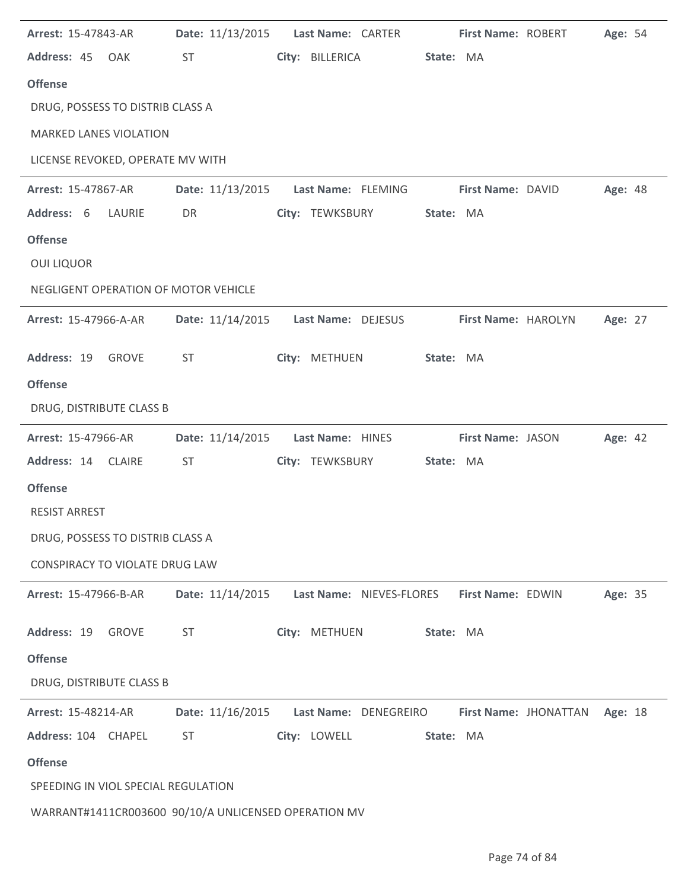| Arrest: 15-47843-AR                   | Date: 11/13/2015 | Last Name: CARTER        | First Name: ROBERT  |                               | Age: 54 |
|---------------------------------------|------------------|--------------------------|---------------------|-------------------------------|---------|
| Address: 45 OAK                       | ST               | City: BILLERICA          | State: MA           |                               |         |
| <b>Offense</b>                        |                  |                          |                     |                               |         |
| DRUG, POSSESS TO DISTRIB CLASS A      |                  |                          |                     |                               |         |
| <b>MARKED LANES VIOLATION</b>         |                  |                          |                     |                               |         |
| LICENSE REVOKED, OPERATE MV WITH      |                  |                          |                     |                               |         |
| Arrest: 15-47867-AR                   | Date: 11/13/2015 | Last Name: FLEMING       | First Name: DAVID   |                               | Age: 48 |
| Address: 6<br>LAURIE                  | DR               | City: TEWKSBURY          | State: MA           |                               |         |
| <b>Offense</b>                        |                  |                          |                     |                               |         |
| <b>OUI LIQUOR</b>                     |                  |                          |                     |                               |         |
| NEGLIGENT OPERATION OF MOTOR VEHICLE  |                  |                          |                     |                               |         |
| Arrest: 15-47966-A-AR                 | Date: 11/14/2015 | Last Name: DEJESUS       | First Name: HAROLYN |                               | Age: 27 |
| Address: 19 GROVE                     | ST               | City: METHUEN            | State: MA           |                               |         |
| <b>Offense</b>                        |                  |                          |                     |                               |         |
| DRUG, DISTRIBUTE CLASS B              |                  |                          |                     |                               |         |
|                                       |                  |                          |                     |                               |         |
| Arrest: 15-47966-AR                   | Date: 11/14/2015 | Last Name: HINES         | First Name: JASON   |                               | Age: 42 |
| Address: 14 CLAIRE                    | <b>ST</b>        | City: TEWKSBURY          | State: MA           |                               |         |
| <b>Offense</b>                        |                  |                          |                     |                               |         |
| <b>RESIST ARREST</b>                  |                  |                          |                     |                               |         |
| DRUG, POSSESS TO DISTRIB CLASS A      |                  |                          |                     |                               |         |
| <b>CONSPIRACY TO VIOLATE DRUG LAW</b> |                  |                          |                     |                               |         |
| Arrest: 15-47966-B-AR                 | Date: 11/14/2015 | Last Name: NIEVES-FLORES | First Name: EDWIN   |                               | Age: 35 |
| Address: 19<br><b>GROVE</b>           | <b>ST</b>        | City: METHUEN            | State: MA           |                               |         |
| <b>Offense</b>                        |                  |                          |                     |                               |         |
| DRUG, DISTRIBUTE CLASS B              |                  |                          |                     |                               |         |
| Arrest: 15-48214-AR                   | Date: 11/16/2015 | Last Name: DENEGREIRO    |                     | First Name: JHONATTAN Age: 18 |         |
| Address: 104 CHAPEL                   | <b>ST</b>        | City: LOWELL             | State: MA           |                               |         |
| <b>Offense</b>                        |                  |                          |                     |                               |         |
| SPEEDING IN VIOL SPECIAL REGULATION   |                  |                          |                     |                               |         |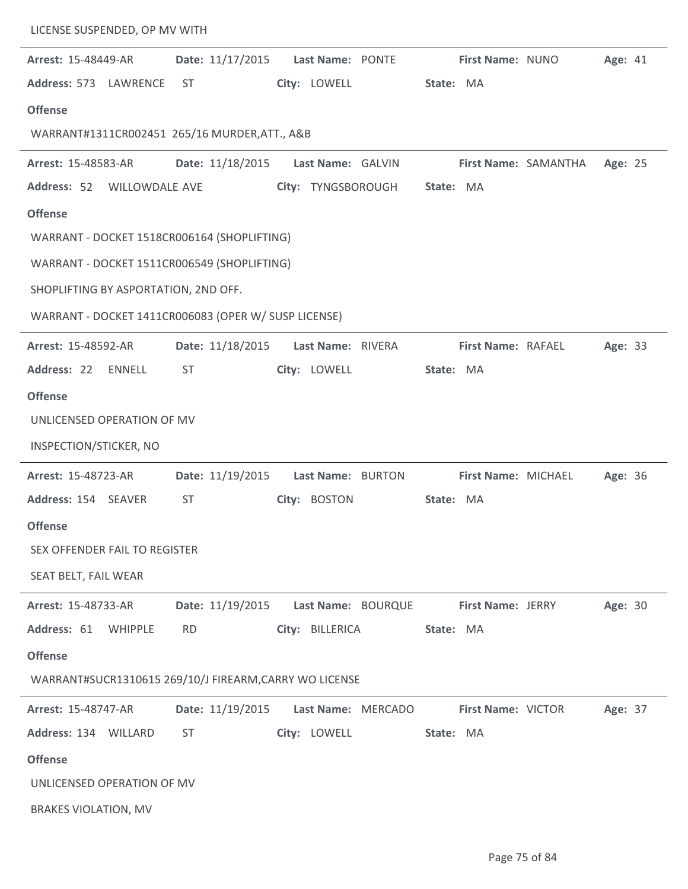| LICENSE SUSPENDED, OP MV WITH                          |                  |                    |                     |                      |         |
|--------------------------------------------------------|------------------|--------------------|---------------------|----------------------|---------|
| Arrest: 15-48449-AR                                    | Date: 11/17/2015 | Last Name: PONTE   | First Name: NUNO    |                      | Age: 41 |
| Address: 573 LAWRENCE                                  | <b>ST</b>        | City: LOWELL       | State: MA           |                      |         |
| <b>Offense</b>                                         |                  |                    |                     |                      |         |
| WARRANT#1311CR002451 265/16 MURDER, ATT., A&B          |                  |                    |                     |                      |         |
| <b>Arrest: 15-48583-AR</b>                             | Date: 11/18/2015 | Last Name: GALVIN  |                     | First Name: SAMANTHA | Age: 25 |
| Address: 52<br>WILLOWDALE AVE                          |                  | City: TYNGSBOROUGH | State: MA           |                      |         |
| <b>Offense</b>                                         |                  |                    |                     |                      |         |
| WARRANT - DOCKET 1518CR006164 (SHOPLIFTING)            |                  |                    |                     |                      |         |
| WARRANT - DOCKET 1511CR006549 (SHOPLIFTING)            |                  |                    |                     |                      |         |
| SHOPLIFTING BY ASPORTATION, 2ND OFF.                   |                  |                    |                     |                      |         |
| WARRANT - DOCKET 1411CR006083 (OPER W/ SUSP LICENSE)   |                  |                    |                     |                      |         |
| Arrest: 15-48592-AR                                    | Date: 11/18/2015 | Last Name: RIVERA  | First Name: RAFAEL  |                      | Age: 33 |
| Address: 22<br>ENNELL                                  | <b>ST</b>        | City: LOWELL       | State: MA           |                      |         |
| <b>Offense</b>                                         |                  |                    |                     |                      |         |
| UNLICENSED OPERATION OF MV                             |                  |                    |                     |                      |         |
| INSPECTION/STICKER, NO                                 |                  |                    |                     |                      |         |
| Arrest: 15-48723-AR                                    | Date: 11/19/2015 | Last Name: BURTON  | First Name: MICHAEL |                      | Age: 36 |
| Address: 154 SEAVER                                    | <b>ST</b>        | City: BOSTON       | State: MA           |                      |         |
| <b>Offense</b>                                         |                  |                    |                     |                      |         |
| SEX OFFENDER FAIL TO REGISTER                          |                  |                    |                     |                      |         |
| SEAT BELT, FAIL WEAR                                   |                  |                    |                     |                      |         |
| Arrest: 15-48733-AR                                    | Date: 11/19/2015 | Last Name: BOURQUE | First Name: JERRY   |                      | Age: 30 |
| Address: 61<br>WHIPPLE                                 | <b>RD</b>        | City: BILLERICA    | State: MA           |                      |         |
| <b>Offense</b>                                         |                  |                    |                     |                      |         |
| WARRANT#SUCR1310615 269/10/J FIREARM, CARRY WO LICENSE |                  |                    |                     |                      |         |
| Arrest: 15-48747-AR                                    | Date: 11/19/2015 | Last Name: MERCADO | First Name: VICTOR  |                      | Age: 37 |
| Address: 134 WILLARD                                   | <b>ST</b>        | City: LOWELL       | State: MA           |                      |         |
| <b>Offense</b>                                         |                  |                    |                     |                      |         |
| UNLICENSED OPERATION OF MV                             |                  |                    |                     |                      |         |
| <b>BRAKES VIOLATION, MV</b>                            |                  |                    |                     |                      |         |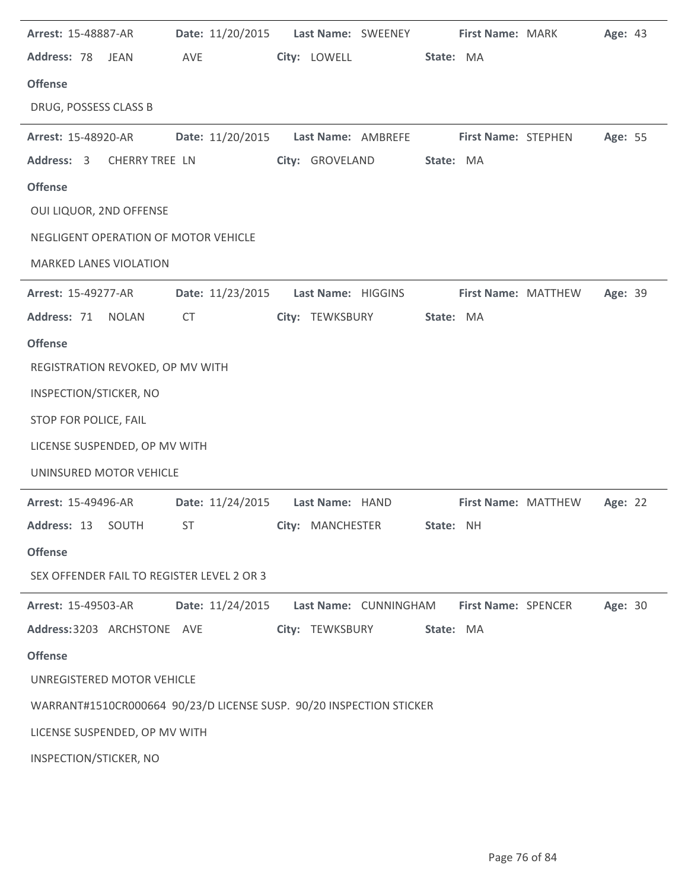| Arrest: 15-48887-AR                        |                  | Date: 11/20/2015    Last Name: SWEENEY                              | <b>First Name: MARK</b>                                       | Age: 43 |
|--------------------------------------------|------------------|---------------------------------------------------------------------|---------------------------------------------------------------|---------|
| Address: 78 JEAN                           | AVE              | City: LOWELL                                                        | State: MA                                                     |         |
| <b>Offense</b>                             |                  |                                                                     |                                                               |         |
| DRUG, POSSESS CLASS B                      |                  |                                                                     |                                                               |         |
| <b>Arrest: 15-48920-AR</b>                 |                  |                                                                     | Date: 11/20/2015    Last Name: AMBREFE    First Name: STEPHEN | Age: 55 |
| Address: 3 CHERRY TREE LN                  |                  | City: GROVELAND                                                     | State: MA                                                     |         |
| <b>Offense</b>                             |                  |                                                                     |                                                               |         |
| OUI LIQUOR, 2ND OFFENSE                    |                  |                                                                     |                                                               |         |
| NEGLIGENT OPERATION OF MOTOR VEHICLE       |                  |                                                                     |                                                               |         |
| <b>MARKED LANES VIOLATION</b>              |                  |                                                                     |                                                               |         |
| <b>Arrest: 15-49277-AR</b>                 | Date: 11/23/2015 | Last Name: HIGGINS                                                  | <b>First Name: MATTHEW</b>                                    | Age: 39 |
| Address: 71 NOLAN                          | <b>CT</b>        | City: TEWKSBURY                                                     | State: MA                                                     |         |
| <b>Offense</b>                             |                  |                                                                     |                                                               |         |
| REGISTRATION REVOKED, OP MV WITH           |                  |                                                                     |                                                               |         |
| INSPECTION/STICKER, NO                     |                  |                                                                     |                                                               |         |
| STOP FOR POLICE, FAIL                      |                  |                                                                     |                                                               |         |
| LICENSE SUSPENDED, OP MV WITH              |                  |                                                                     |                                                               |         |
| UNINSURED MOTOR VEHICLE                    |                  |                                                                     |                                                               |         |
| Arrest: 15-49496-AR                        |                  | Date: 11/24/2015    Last Name: HAND                                 | First Name: MATTHEW                                           | Age: 22 |
| Address: 13 SOUTH                          |                  | ST <b>City: MANCHESTER</b>                                          | State: NH                                                     |         |
| <b>Offense</b>                             |                  |                                                                     |                                                               |         |
| SEX OFFENDER FAIL TO REGISTER LEVEL 2 OR 3 |                  |                                                                     |                                                               |         |
| <b>Arrest: 15-49503-AR</b>                 | Date: 11/24/2015 |                                                                     | Last Name: CUNNINGHAM First Name: SPENCER                     | Age: 30 |
| Address: 3203 ARCHSTONE AVE                |                  | City: TEWKSBURY                                                     | State: MA                                                     |         |
| <b>Offense</b>                             |                  |                                                                     |                                                               |         |
| UNREGISTERED MOTOR VEHICLE                 |                  |                                                                     |                                                               |         |
|                                            |                  | WARRANT#1510CR000664 90/23/D LICENSE SUSP. 90/20 INSPECTION STICKER |                                                               |         |
| LICENSE SUSPENDED, OP MV WITH              |                  |                                                                     |                                                               |         |
| INSPECTION/STICKER, NO                     |                  |                                                                     |                                                               |         |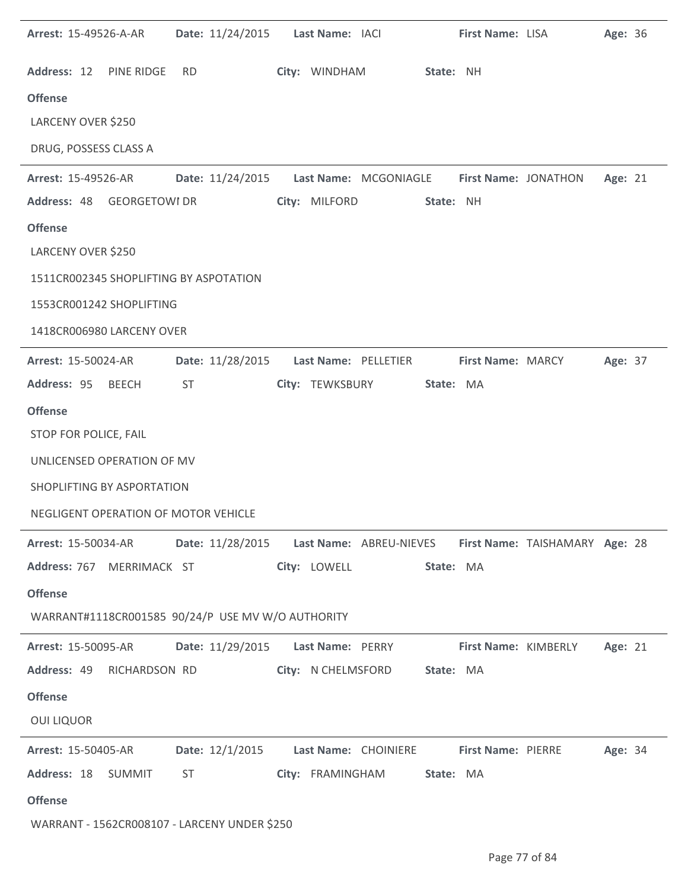| <b>Arrest: 15-49526-A-AR</b>                      |     | Date: 11/24/2015    Last Name: IACI                                                                                                                                                                                            |                                                                         |           | First Name: LISA         |                             | Age: 36 |  |
|---------------------------------------------------|-----|--------------------------------------------------------------------------------------------------------------------------------------------------------------------------------------------------------------------------------|-------------------------------------------------------------------------|-----------|--------------------------|-----------------------------|---------|--|
| Address: 12 PINE RIDGE                            | RD. |                                                                                                                                                                                                                                | City: WINDHAM State: NH                                                 |           |                          |                             |         |  |
| <b>Offense</b>                                    |     |                                                                                                                                                                                                                                |                                                                         |           |                          |                             |         |  |
| LARCENY OVER \$250                                |     |                                                                                                                                                                                                                                |                                                                         |           |                          |                             |         |  |
| DRUG, POSSESS CLASS A                             |     |                                                                                                                                                                                                                                |                                                                         |           |                          |                             |         |  |
| <b>Arrest: 15-49526-AR</b>                        |     |                                                                                                                                                                                                                                | Date: 11/24/2015    Last Name: MCGONIAGLE    First Name: JONATHON       |           |                          |                             | Age: 21 |  |
| Address: 48 GEORGETOWI DR                         |     |                                                                                                                                                                                                                                | City: MILFORD                                                           | State: NH |                          |                             |         |  |
| <b>Offense</b>                                    |     |                                                                                                                                                                                                                                |                                                                         |           |                          |                             |         |  |
| LARCENY OVER \$250                                |     |                                                                                                                                                                                                                                |                                                                         |           |                          |                             |         |  |
| 1511CR002345 SHOPLIFTING BY ASPOTATION            |     |                                                                                                                                                                                                                                |                                                                         |           |                          |                             |         |  |
| 1553CR001242 SHOPLIFTING                          |     |                                                                                                                                                                                                                                |                                                                         |           |                          |                             |         |  |
| 1418CR006980 LARCENY OVER                         |     |                                                                                                                                                                                                                                |                                                                         |           |                          |                             |         |  |
| <b>Arrest: 15-50024-AR</b>                        |     |                                                                                                                                                                                                                                | Date: 11/28/2015    Last Name: PELLETIER                                |           | <b>First Name: MARCY</b> |                             | Age: 37 |  |
| Address: 95 BEECH                                 | ST  |                                                                                                                                                                                                                                | City: TEWKSBURY                                                         | State: MA |                          |                             |         |  |
| <b>Offense</b>                                    |     |                                                                                                                                                                                                                                |                                                                         |           |                          |                             |         |  |
| STOP FOR POLICE, FAIL                             |     |                                                                                                                                                                                                                                |                                                                         |           |                          |                             |         |  |
| UNLICENSED OPERATION OF MV                        |     |                                                                                                                                                                                                                                |                                                                         |           |                          |                             |         |  |
| SHOPLIFTING BY ASPORTATION                        |     |                                                                                                                                                                                                                                |                                                                         |           |                          |                             |         |  |
| NEGLIGENT OPERATION OF MOTOR VEHICLE              |     |                                                                                                                                                                                                                                |                                                                         |           |                          |                             |         |  |
| <b>Arrest: 15-50034-AR</b>                        |     |                                                                                                                                                                                                                                | Date: 11/28/2015 Last Name: ABREU-NIEVES First Name: TAISHAMARY Age: 28 |           |                          |                             |         |  |
| Address: 767 MERRIMACK ST                         |     |                                                                                                                                                                                                                                | City: LOWELL                                                            | State: MA |                          |                             |         |  |
| <b>Offense</b>                                    |     |                                                                                                                                                                                                                                |                                                                         |           |                          |                             |         |  |
| WARRANT#1118CR001585 90/24/P USE MV W/O AUTHORITY |     |                                                                                                                                                                                                                                |                                                                         |           |                          |                             |         |  |
| <b>Arrest: 15-50095-AR</b>                        |     |                                                                                                                                                                                                                                | Date: 11/29/2015    Last Name: PERRY                                    |           |                          | <b>First Name: KIMBERLY</b> | Age: 21 |  |
| Address: 49 RICHARDSON RD                         |     |                                                                                                                                                                                                                                | City: N CHELMSFORD State: MA                                            |           |                          |                             |         |  |
| <b>Offense</b>                                    |     |                                                                                                                                                                                                                                |                                                                         |           |                          |                             |         |  |
| <b>OUI LIQUOR</b>                                 |     |                                                                                                                                                                                                                                |                                                                         |           |                          |                             |         |  |
| <b>Arrest: 15-50405-AR</b>                        |     |                                                                                                                                                                                                                                | Date: 12/1/2015 Last Name: CHOINIERE First Name: PIERRE                 |           |                          |                             | Age: 34 |  |
| Address: 18 SUMMIT                                |     | ST and the state of the state of the state of the state of the state of the state of the state of the state of the state of the state of the state of the state of the state of the state of the state of the state of the sta | City: FRAMINGHAM                                                        | State: MA |                          |                             |         |  |
| <b>Offense</b>                                    |     |                                                                                                                                                                                                                                |                                                                         |           |                          |                             |         |  |
| WARRANT - 1562CR008107 - LARCENY UNDER \$250      |     |                                                                                                                                                                                                                                |                                                                         |           |                          |                             |         |  |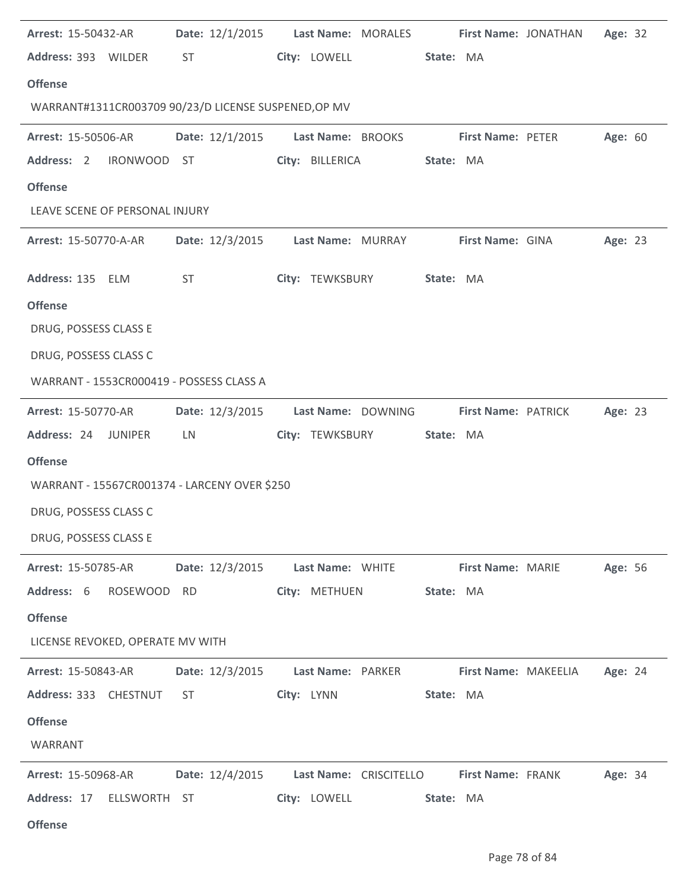| <b>Arrest: 15-50432-AR</b>                           |                                                                                                                                                                                                                                | Date: 12/1/2015 Last Name: MORALES First Name: JONATHAN |                          | Age: 32 |
|------------------------------------------------------|--------------------------------------------------------------------------------------------------------------------------------------------------------------------------------------------------------------------------------|---------------------------------------------------------|--------------------------|---------|
| Address: 393 WILDER                                  | ST and the state of the state of the state of the state of the state of the state of the state of the state of the state of the state of the state of the state of the state of the state of the state of the state of the sta | City: LOWELL                                            | State: MA                |         |
| <b>Offense</b>                                       |                                                                                                                                                                                                                                |                                                         |                          |         |
| WARRANT#1311CR003709 90/23/D LICENSE SUSPENED, OP MV |                                                                                                                                                                                                                                |                                                         |                          |         |
| <b>Arrest: 15-50506-AR</b>                           | Date: 12/1/2015                                                                                                                                                                                                                | Last Name: BROOKS First Name: PETER                     |                          | Age: 60 |
| Address: 2                                           | IRONWOOD ST                                                                                                                                                                                                                    | City: BILLERICA                                         | State: MA                |         |
| <b>Offense</b>                                       |                                                                                                                                                                                                                                |                                                         |                          |         |
| LEAVE SCENE OF PERSONAL INJURY                       |                                                                                                                                                                                                                                |                                                         |                          |         |
| <b>Arrest: 15-50770-A-AR</b>                         |                                                                                                                                                                                                                                | Date: 12/3/2015 Last Name: MURRAY First Name: GINA      |                          | Age: 23 |
| Address: 135 ELM                                     | ST <sub>2</sub>                                                                                                                                                                                                                | City: TEWKSBURY                                         | State: MA                |         |
| <b>Offense</b>                                       |                                                                                                                                                                                                                                |                                                         |                          |         |
| DRUG, POSSESS CLASS E                                |                                                                                                                                                                                                                                |                                                         |                          |         |
| DRUG, POSSESS CLASS C                                |                                                                                                                                                                                                                                |                                                         |                          |         |
| WARRANT - 1553CR000419 - POSSESS CLASS A             |                                                                                                                                                                                                                                |                                                         |                          |         |
| <b>Arrest: 15-50770-AR</b>                           |                                                                                                                                                                                                                                | Date: 12/3/2015 Last Name: DOWNING                      | First Name: PATRICK      | Age: 23 |
| Address: 24 JUNIPER                                  | LN                                                                                                                                                                                                                             | City: TEWKSBURY                                         | State: MA                |         |
|                                                      |                                                                                                                                                                                                                                |                                                         |                          |         |
| <b>Offense</b>                                       |                                                                                                                                                                                                                                |                                                         |                          |         |
| WARRANT - 15567CR001374 - LARCENY OVER \$250         |                                                                                                                                                                                                                                |                                                         |                          |         |
| DRUG, POSSESS CLASS C                                |                                                                                                                                                                                                                                |                                                         |                          |         |
| DRUG, POSSESS CLASS E                                |                                                                                                                                                                                                                                |                                                         |                          |         |
| <b>Arrest: 15-50785-AR</b>                           | Date: 12/3/2015                                                                                                                                                                                                                | Last Name: WHITE                                        | <b>First Name: MARIE</b> | Age: 56 |
| Address: 6<br>ROSEWOOD RD                            |                                                                                                                                                                                                                                | City: METHUEN                                           | State: MA                |         |
| <b>Offense</b>                                       |                                                                                                                                                                                                                                |                                                         |                          |         |
| LICENSE REVOKED, OPERATE MV WITH                     |                                                                                                                                                                                                                                |                                                         |                          |         |
| Arrest: 15-50843-AR                                  | Date: 12/3/2015                                                                                                                                                                                                                | Last Name: PARKER                                       | First Name: MAKEELIA     | Age: 24 |
| Address: 333 CHESTNUT                                | <b>ST</b>                                                                                                                                                                                                                      | City: LYNN                                              | State: MA                |         |
| <b>Offense</b>                                       |                                                                                                                                                                                                                                |                                                         |                          |         |
| WARRANT                                              |                                                                                                                                                                                                                                |                                                         |                          |         |
| <b>Arrest: 15-50968-AR</b>                           | Date: 12/4/2015                                                                                                                                                                                                                | Last Name: CRISCITELLO First Name: FRANK                |                          | Age: 34 |
| Address: 17<br>ELLSWORTH ST                          |                                                                                                                                                                                                                                | City: LOWELL                                            | State: MA                |         |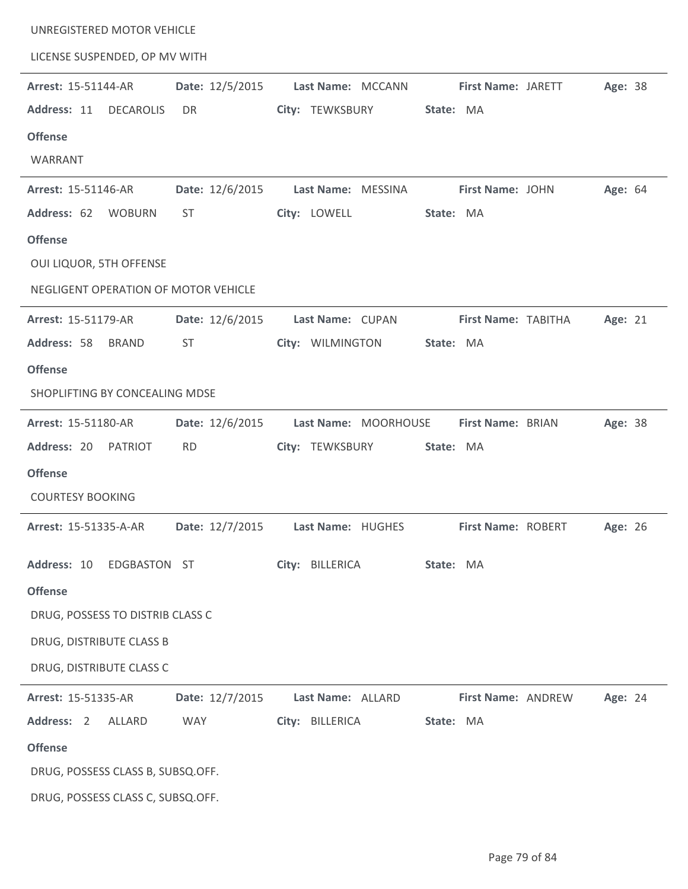| UNREGISTERED MOTOR VEHICLE           |                 |                                      |                         |         |
|--------------------------------------|-----------------|--------------------------------------|-------------------------|---------|
| LICENSE SUSPENDED, OP MV WITH        |                 |                                      |                         |         |
| Arrest: 15-51144-AR                  | Date: 12/5/2015 | Last Name: MCCANN                    | First Name: JARETT      | Age: 38 |
| Address: 11<br><b>DECAROLIS</b>      | DR              | City: TEWKSBURY                      | State: MA               |         |
| <b>Offense</b>                       |                 |                                      |                         |         |
| WARRANT                              |                 |                                      |                         |         |
| Arrest: 15-51146-AR                  | Date: 12/6/2015 | Last Name: MESSINA                   | <b>First Name: JOHN</b> | Age: 64 |
| Address: 62<br><b>WOBURN</b>         | <b>ST</b>       | City: LOWELL                         | State: MA               |         |
| <b>Offense</b>                       |                 |                                      |                         |         |
| OUI LIQUOR, 5TH OFFENSE              |                 |                                      |                         |         |
| NEGLIGENT OPERATION OF MOTOR VEHICLE |                 |                                      |                         |         |
| Arrest: 15-51179-AR                  | Date: 12/6/2015 | Last Name: CUPAN                     | First Name: TABITHA     | Age: 21 |
| Address: 58<br><b>BRAND</b>          | <b>ST</b>       | City: WILMINGTON                     | State: MA               |         |
| <b>Offense</b>                       |                 |                                      |                         |         |
| SHOPLIFTING BY CONCEALING MDSE       |                 |                                      |                         |         |
| Arrest: 15-51180-AR                  | Date: 12/6/2015 | Last Name: MOORHOUSE                 | First Name: BRIAN       | Age: 38 |
|                                      |                 |                                      |                         |         |
| Address: 20<br>PATRIOT               | <b>RD</b>       | City: TEWKSBURY                      | State: MA               |         |
| <b>Offense</b>                       |                 |                                      |                         |         |
| <b>COURTESY BOOKING</b>              |                 |                                      |                         |         |
| <b>Arrest: 15-51335-A-AR</b>         |                 | Date: 12/7/2015    Last Name: HUGHES | First Name: ROBERT      | Age: 26 |
| Address: 10<br>EDGBASTON ST          |                 | City: BILLERICA                      | State: MA               |         |
| <b>Offense</b>                       |                 |                                      |                         |         |
| DRUG, POSSESS TO DISTRIB CLASS C     |                 |                                      |                         |         |
| DRUG, DISTRIBUTE CLASS B             |                 |                                      |                         |         |
| DRUG, DISTRIBUTE CLASS C             |                 |                                      |                         |         |
| Arrest: 15-51335-AR                  | Date: 12/7/2015 | Last Name: ALLARD                    | First Name: ANDREW      | Age: 24 |
| Address: 2<br>ALLARD                 | WAY             | City: BILLERICA                      | State: MA               |         |
| <b>Offense</b>                       |                 |                                      |                         |         |
| DRUG, POSSESS CLASS B, SUBSQ.OFF.    |                 |                                      |                         |         |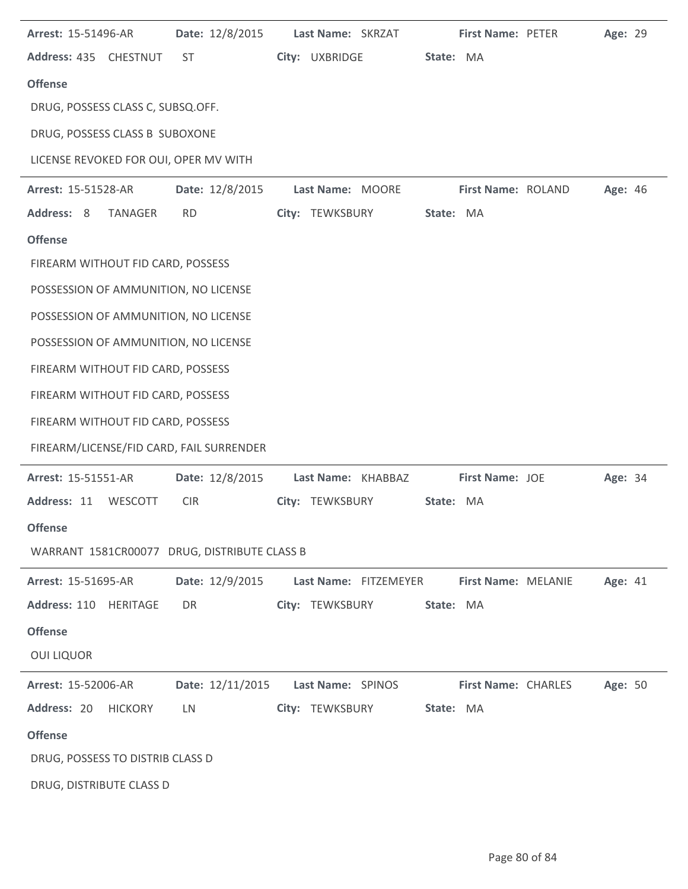| Arrest: 15-51496-AR                          | Date: 12/8/2015                      |  | Last Name: SKRZAT     |  | First Name: PETER          |  | Age: 29 |  |
|----------------------------------------------|--------------------------------------|--|-----------------------|--|----------------------------|--|---------|--|
| Address: 435 CHESTNUT                        | ST                                   |  | City: UXBRIDGE        |  | State: MA                  |  |         |  |
| <b>Offense</b>                               |                                      |  |                       |  |                            |  |         |  |
| DRUG, POSSESS CLASS C, SUBSQ.OFF.            |                                      |  |                       |  |                            |  |         |  |
| DRUG, POSSESS CLASS B SUBOXONE               |                                      |  |                       |  |                            |  |         |  |
| LICENSE REVOKED FOR OUI, OPER MV WITH        |                                      |  |                       |  |                            |  |         |  |
| Arrest: 15-51528-AR                          | Date: 12/8/2015                      |  | Last Name: MOORE      |  | First Name: ROLAND         |  | Age: 46 |  |
| Address: 8<br><b>TANAGER</b>                 | <b>RD</b>                            |  | City: TEWKSBURY       |  | State: MA                  |  |         |  |
| <b>Offense</b>                               |                                      |  |                       |  |                            |  |         |  |
| FIREARM WITHOUT FID CARD, POSSESS            |                                      |  |                       |  |                            |  |         |  |
|                                              | POSSESSION OF AMMUNITION, NO LICENSE |  |                       |  |                            |  |         |  |
| POSSESSION OF AMMUNITION, NO LICENSE         |                                      |  |                       |  |                            |  |         |  |
| POSSESSION OF AMMUNITION, NO LICENSE         |                                      |  |                       |  |                            |  |         |  |
| FIREARM WITHOUT FID CARD, POSSESS            |                                      |  |                       |  |                            |  |         |  |
| FIREARM WITHOUT FID CARD, POSSESS            |                                      |  |                       |  |                            |  |         |  |
| FIREARM WITHOUT FID CARD, POSSESS            |                                      |  |                       |  |                            |  |         |  |
| FIREARM/LICENSE/FID CARD, FAIL SURRENDER     |                                      |  |                       |  |                            |  |         |  |
| Arrest: 15-51551-AR                          | Date: 12/8/2015                      |  | Last Name: KHABBAZ    |  | First Name: JOE            |  | Age: 34 |  |
| Address: 11 WESCOTT                          | <b>CIR</b>                           |  | City: TEWKSBURY       |  | State: MA                  |  |         |  |
| Offense                                      |                                      |  |                       |  |                            |  |         |  |
| WARRANT 1581CR00077 DRUG, DISTRIBUTE CLASS B |                                      |  |                       |  |                            |  |         |  |
| Arrest: 15-51695-AR                          | Date: 12/9/2015                      |  | Last Name: FITZEMEYER |  | First Name: MELANIE        |  | Age: 41 |  |
| Address: 110 HERITAGE                        | DR                                   |  | City: TEWKSBURY       |  | State: MA                  |  |         |  |
| <b>Offense</b>                               |                                      |  |                       |  |                            |  |         |  |
| <b>OUI LIQUOR</b>                            |                                      |  |                       |  |                            |  |         |  |
| <b>Arrest: 15-52006-AR</b>                   | Date: 12/11/2015                     |  | Last Name: SPINOS     |  | <b>First Name: CHARLES</b> |  | Age: 50 |  |
| Address: 20<br><b>HICKORY</b>                | LN                                   |  | City: TEWKSBURY       |  | State: MA                  |  |         |  |
| <b>Offense</b>                               |                                      |  |                       |  |                            |  |         |  |
| DRUG, POSSESS TO DISTRIB CLASS D             |                                      |  |                       |  |                            |  |         |  |
| DRUG, DISTRIBUTE CLASS D                     |                                      |  |                       |  |                            |  |         |  |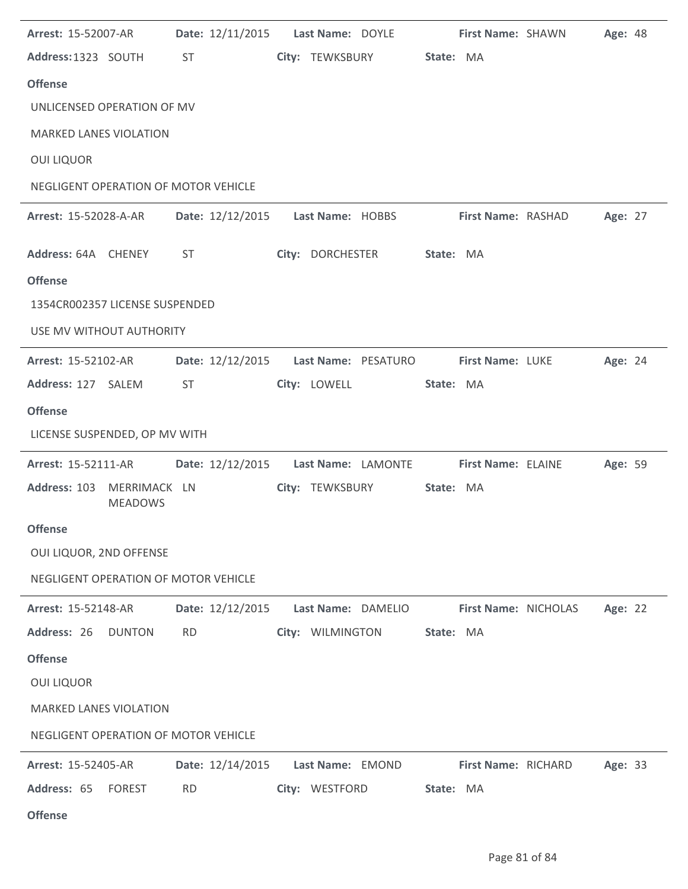| Arrest: 15-52007-AR                         | Date: 12/11/2015 | Last Name: DOYLE                        | First Name: SHAWN    | Age: 48 |
|---------------------------------------------|------------------|-----------------------------------------|----------------------|---------|
| Address: 1323 SOUTH                         | ST               | City: TEWKSBURY                         | State: MA            |         |
| <b>Offense</b>                              |                  |                                         |                      |         |
| UNLICENSED OPERATION OF MV                  |                  |                                         |                      |         |
| <b>MARKED LANES VIOLATION</b>               |                  |                                         |                      |         |
| <b>OUI LIQUOR</b>                           |                  |                                         |                      |         |
| NEGLIGENT OPERATION OF MOTOR VEHICLE        |                  |                                         |                      |         |
| <b>Arrest: 15-52028-A-AR</b>                |                  | Date: 12/12/2015    Last Name: HOBBS    | First Name: RASHAD   | Age: 27 |
| Address: 64A CHENEY                         | <b>ST</b>        | City: DORCHESTER                        | State: MA            |         |
| <b>Offense</b>                              |                  |                                         |                      |         |
| 1354CR002357 LICENSE SUSPENDED              |                  |                                         |                      |         |
| USE MV WITHOUT AUTHORITY                    |                  |                                         |                      |         |
| Arrest: 15-52102-AR                         |                  | Date: 12/12/2015    Last Name: PESATURO | First Name: LUKE     | Age: 24 |
| Address: 127 SALEM                          | ST               | City: LOWELL                            | State: MA            |         |
| <b>Offense</b>                              |                  |                                         |                      |         |
| LICENSE SUSPENDED, OP MV WITH               |                  |                                         |                      |         |
| Arrest: 15-52111-AR                         | Date: 12/12/2015 | Last Name: LAMONTE                      | First Name: ELAINE   | Age: 59 |
| Address: 103 MERRIMACK LN<br><b>MEADOWS</b> |                  | City: TEWKSBURY                         | State: MA            |         |
| Offense                                     |                  |                                         |                      |         |
| OUI LIQUOR, 2ND OFFENSE                     |                  |                                         |                      |         |
| NEGLIGENT OPERATION OF MOTOR VEHICLE        |                  |                                         |                      |         |
| <b>Arrest: 15-52148-AR</b>                  | Date: 12/12/2015 | Last Name: DAMELIO                      | First Name: NICHOLAS | Age: 22 |
| Address: 26 DUNTON                          | <b>RD</b>        | City: WILMINGTON                        | State: MA            |         |
| <b>Offense</b>                              |                  |                                         |                      |         |
| <b>OUI LIQUOR</b>                           |                  |                                         |                      |         |
| <b>MARKED LANES VIOLATION</b>               |                  |                                         |                      |         |
| NEGLIGENT OPERATION OF MOTOR VEHICLE        |                  |                                         |                      |         |
| Arrest: 15-52405-AR                         | Date: 12/14/2015 | Last Name: EMOND                        | First Name: RICHARD  | Age: 33 |
| Address: 65<br><b>FOREST</b>                | <b>RD</b>        | City: WESTFORD                          | State: MA            |         |
| <b>Offense</b>                              |                  |                                         |                      |         |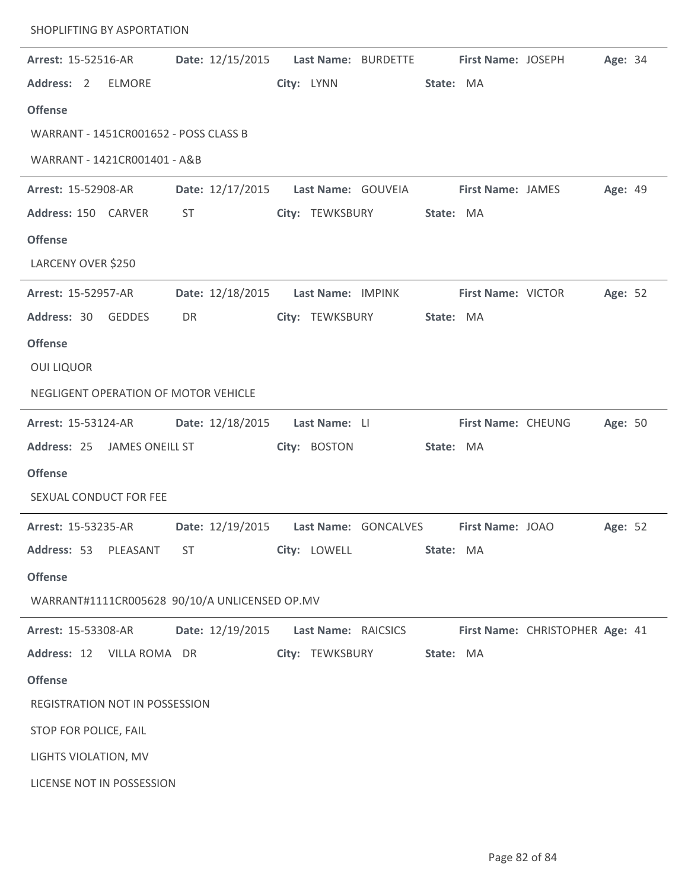| Arrest: 15-52516-AR                           | Date: 12/15/2015                         |                     | Last Name: BURDETTE First Name: JOSEPH |                          |                                 | Age: 34 |  |
|-----------------------------------------------|------------------------------------------|---------------------|----------------------------------------|--------------------------|---------------------------------|---------|--|
| Address: 2<br><b>ELMORE</b>                   |                                          | City: LYNN          |                                        | State: MA                |                                 |         |  |
| <b>Offense</b>                                |                                          |                     |                                        |                          |                                 |         |  |
| WARRANT - 1451CR001652 - POSS CLASS B         |                                          |                     |                                        |                          |                                 |         |  |
| WARRANT - 1421CR001401 - A&B                  |                                          |                     |                                        |                          |                                 |         |  |
| Arrest: 15-52908-AR                           | Date: 12/17/2015                         | Last Name: GOUVEIA  |                                        | <b>First Name: JAMES</b> |                                 | Age: 49 |  |
| Address: 150 CARVER                           | ST                                       | City: TEWKSBURY     |                                        | State: MA                |                                 |         |  |
| <b>Offense</b>                                |                                          |                     |                                        |                          |                                 |         |  |
| LARCENY OVER \$250                            |                                          |                     |                                        |                          |                                 |         |  |
| Arrest: 15-52957-AR                           | Date: 12/18/2015                         | Last Name: IMPINK   |                                        | First Name: VICTOR       |                                 | Age: 52 |  |
| Address: 30<br><b>GEDDES</b>                  | DR                                       | City: TEWKSBURY     |                                        | State: MA                |                                 |         |  |
| <b>Offense</b>                                |                                          |                     |                                        |                          |                                 |         |  |
| <b>OUI LIQUOR</b>                             |                                          |                     |                                        |                          |                                 |         |  |
| NEGLIGENT OPERATION OF MOTOR VEHICLE          |                                          |                     |                                        |                          |                                 |         |  |
| <b>Arrest: 15-53124-AR</b>                    | Date: 12/18/2015                         | Last Name: LI       |                                        | First Name: CHEUNG       |                                 | Age: 50 |  |
| Address: 25<br>JAMES ONEILL ST                |                                          | City: BOSTON        |                                        | State: MA                |                                 |         |  |
| <b>Offense</b>                                |                                          |                     |                                        |                          |                                 |         |  |
| SEXUAL CONDUCT FOR FEE                        |                                          |                     |                                        |                          |                                 |         |  |
| Arrest: 15-53235-AR                           | Date: 12/19/2015    Last Name: GONCALVES |                     |                                        | First Name: JOAO         |                                 | Age: 52 |  |
| Address: 53 PLEASANT                          | <b>ST</b>                                | City: LOWELL        |                                        | State: MA                |                                 |         |  |
| <b>Offense</b>                                |                                          |                     |                                        |                          |                                 |         |  |
| WARRANT#1111CR005628 90/10/A UNLICENSED OP.MV |                                          |                     |                                        |                          |                                 |         |  |
| Arrest: 15-53308-AR                           | Date: 12/19/2015                         | Last Name: RAICSICS |                                        |                          | First Name: CHRISTOPHER Age: 41 |         |  |
| Address: 12 VILLA ROMA DR                     |                                          | City: TEWKSBURY     |                                        | State: MA                |                                 |         |  |
| <b>Offense</b>                                |                                          |                     |                                        |                          |                                 |         |  |
| REGISTRATION NOT IN POSSESSION                |                                          |                     |                                        |                          |                                 |         |  |
| STOP FOR POLICE, FAIL                         |                                          |                     |                                        |                          |                                 |         |  |
| LIGHTS VIOLATION, MV                          |                                          |                     |                                        |                          |                                 |         |  |
| LICENSE NOT IN POSSESSION                     |                                          |                     |                                        |                          |                                 |         |  |

SHOPLIFTING BY ASPORTATION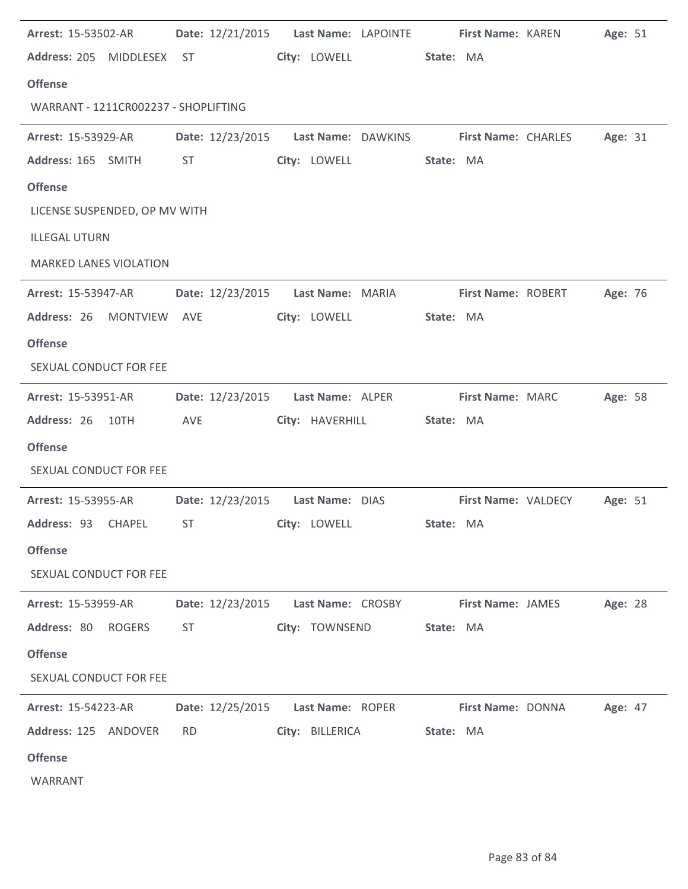| <b>Arrest: 15-53502-AR</b>    |                                      | Date: 12/21/2015    Last Name: LAPOINTE    First Name: KAREN |                   |                 |           |                    |                                                               | Age: 51 |  |
|-------------------------------|--------------------------------------|--------------------------------------------------------------|-------------------|-----------------|-----------|--------------------|---------------------------------------------------------------|---------|--|
| Address: 205 MIDDLESEX ST     |                                      |                                                              |                   | City: LOWELL    | State: MA |                    |                                                               |         |  |
| <b>Offense</b>                |                                      |                                                              |                   |                 |           |                    |                                                               |         |  |
|                               | WARRANT - 1211CR002237 - SHOPLIFTING |                                                              |                   |                 |           |                    |                                                               |         |  |
| Arrest: 15-53929-AR           |                                      |                                                              |                   |                 |           |                    | Date: 12/23/2015    Last Name: DAWKINS    First Name: CHARLES | Age: 31 |  |
| Address: 165 SMITH            | ST                                   |                                                              |                   | City: LOWELL    | State: MA |                    |                                                               |         |  |
| <b>Offense</b>                |                                      |                                                              |                   |                 |           |                    |                                                               |         |  |
|                               | LICENSE SUSPENDED, OP MV WITH        |                                                              |                   |                 |           |                    |                                                               |         |  |
| <b>ILLEGAL UTURN</b>          |                                      |                                                              |                   |                 |           |                    |                                                               |         |  |
| <b>MARKED LANES VIOLATION</b> |                                      |                                                              |                   |                 |           |                    |                                                               |         |  |
| <b>Arrest: 15-53947-AR</b>    |                                      | Date: 12/23/2015 Last Name: MARIA                            |                   |                 |           | First Name: ROBERT |                                                               | Age: 76 |  |
| Address: 26 MONTVIEW AVE      |                                      |                                                              | City: LOWELL      |                 | State: MA |                    |                                                               |         |  |
| <b>Offense</b>                |                                      |                                                              |                   |                 |           |                    |                                                               |         |  |
| SEXUAL CONDUCT FOR FEE        |                                      |                                                              |                   |                 |           |                    |                                                               |         |  |
| <b>Arrest: 15-53951-AR</b>    |                                      | Date: 12/23/2015                                             | Last Name: ALPER  |                 |           | First Name: MARC   |                                                               | Age: 58 |  |
| Address: 26 10TH              | AVE                                  |                                                              |                   | City: HAVERHILL | State: MA |                    |                                                               |         |  |
| <b>Offense</b>                |                                      |                                                              |                   |                 |           |                    |                                                               |         |  |
| SEXUAL CONDUCT FOR FEE        |                                      |                                                              |                   |                 |           |                    |                                                               |         |  |
| <b>Arrest: 15-53955-AR</b>    |                                      | Date: 12/23/2015                                             | Last Name: DIAS   |                 |           |                    | First Name: VALDECY                                           | Age: 51 |  |
| Address: 93                   | CHAPEL<br><b>ST</b>                  |                                                              | City: LOWELL      |                 | State: MA |                    |                                                               |         |  |
| <b>Offense</b>                |                                      |                                                              |                   |                 |           |                    |                                                               |         |  |
| SEXUAL CONDUCT FOR FEE        |                                      |                                                              |                   |                 |           |                    |                                                               |         |  |
| Arrest: 15-53959-AR           |                                      | Date: 12/23/2015                                             | Last Name: CROSBY |                 |           | First Name: JAMES  |                                                               | Age: 28 |  |
| Address: 80                   | <b>ROGERS</b><br><b>ST</b>           |                                                              | City: TOWNSEND    |                 | State: MA |                    |                                                               |         |  |
| <b>Offense</b>                |                                      |                                                              |                   |                 |           |                    |                                                               |         |  |
| SEXUAL CONDUCT FOR FEE        |                                      |                                                              |                   |                 |           |                    |                                                               |         |  |
| Arrest: 15-54223-AR           |                                      | Date: 12/25/2015                                             | Last Name: ROPER  |                 |           | First Name: DONNA  |                                                               | Age: 47 |  |
| Address: 125                  | ANDOVER<br><b>RD</b>                 |                                                              | City: BILLERICA   |                 | State: MA |                    |                                                               |         |  |
| <b>Offense</b>                |                                      |                                                              |                   |                 |           |                    |                                                               |         |  |
| WARRANT                       |                                      |                                                              |                   |                 |           |                    |                                                               |         |  |